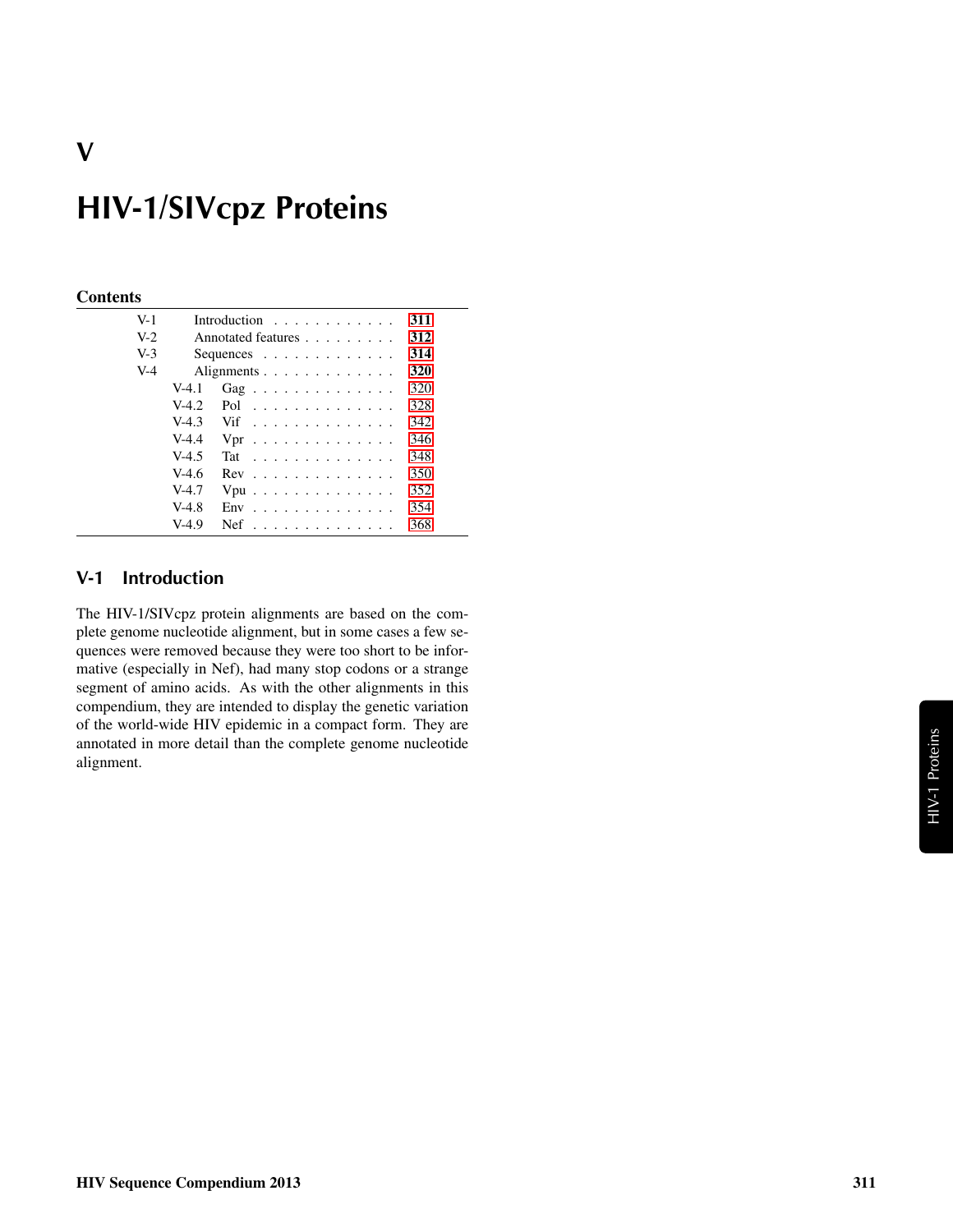# HIV-1/SIVcpz Proteins

#### **Contents**

V

| $V-1$ |         | Introduction $\ldots$ ,                       | 311 |
|-------|---------|-----------------------------------------------|-----|
| $V-2$ |         | Annotated features                            | 312 |
| $V-3$ |         | Sequences $\ldots$ $\ldots$ $\ldots$ $\ldots$ | 314 |
| $V-4$ |         | Alignments                                    | 320 |
|       | $V-4.1$ | Gag                                           | 320 |
|       | $V-4.2$ | Pol                                           | 328 |
|       | $V-4.3$ | Vif                                           | 342 |
|       | $V-4.4$ | $Vpr$                                         | 346 |
|       | $V-4.5$ | Tat                                           | 348 |
|       | $V-4.6$ | $Rev \dots \dots \dots \dots \dots$           | 350 |
|       | $V-4.7$ | $Vpu$                                         | 352 |
|       | $V-4.8$ | $Env$                                         | 354 |
|       | $V-4.9$ | $Nef$                                         | 368 |
|       |         |                                               |     |

#### <span id="page-0-0"></span>V-1 Introduction

The HIV-1/SIVcpz protein alignments are based on the complete genome nucleotide alignment, but in some cases a few sequences were removed because they were too short to be informative (especially in Nef), had many stop codons or a strange segment of amino acids. As with the other alignments in this compendium, they are intended to display the genetic variation of the world-wide HIV epidemic in a compact form. They are annotated in more detail than the complete genome nucleotide alignment.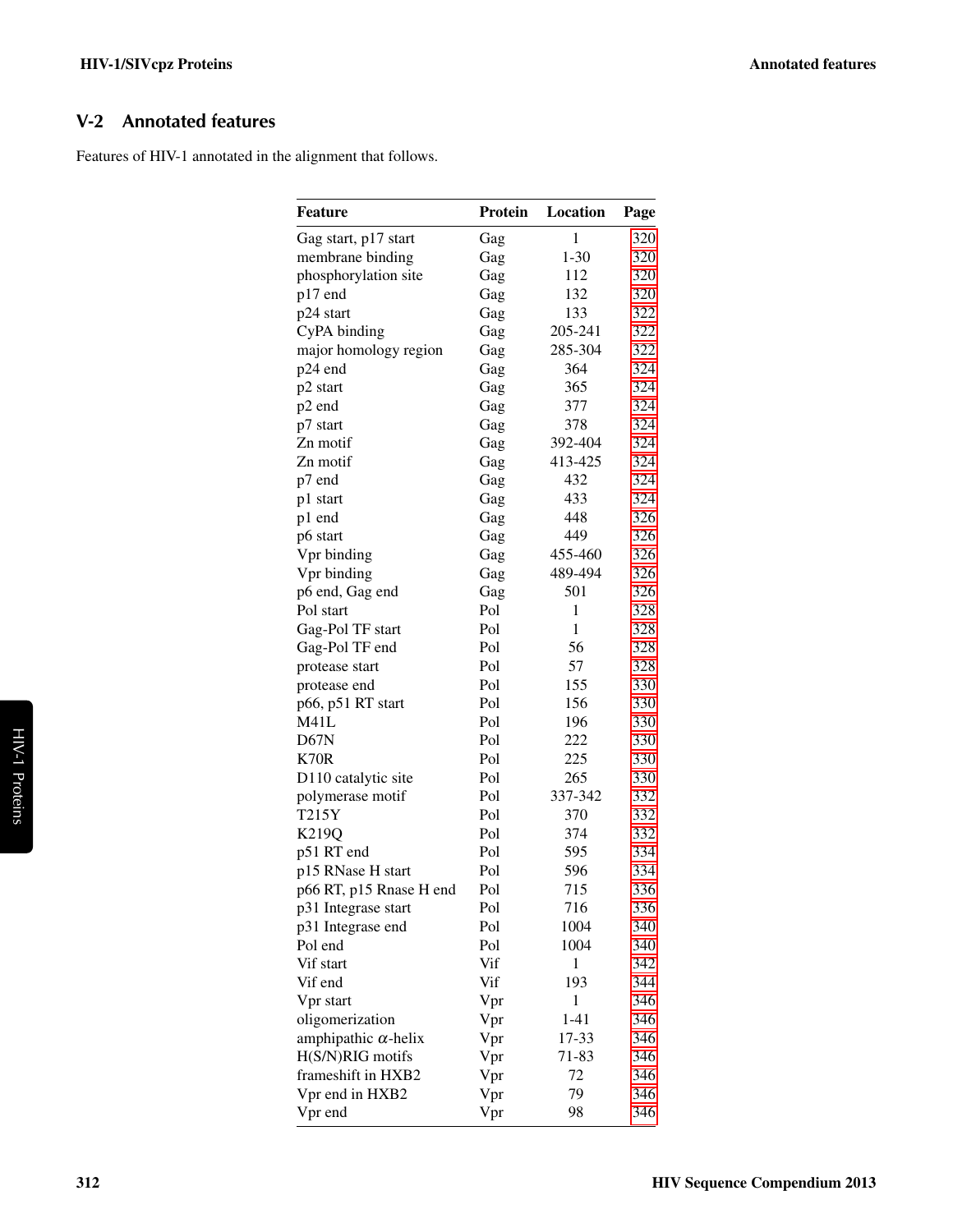## <span id="page-1-0"></span>V-2 Annotated features

Features of HIV-1 annotated in the alignment that follows.

| $\mathbf{1}$<br>320<br>Gag start, p17 start<br>Gag<br>$1 - 30$<br>membrane binding<br>320<br>Gag<br>112<br>320<br>phosphorylation site<br>Gag<br>p17 end<br>132<br>320<br>Gag<br>p24 start<br>133<br>322<br>Gag<br>CyPA binding<br>205-241<br>322<br>Gag<br>major homology region<br>285-304<br>322<br>Gag<br>324<br>p24 end<br>364<br>Gag<br>365<br>324<br>p2 start<br>Gag<br>p2 end<br>377<br>324<br>Gag<br>378<br>324<br>p7 start<br>Gag<br>324<br>392-404<br>Zn motif<br>Gag<br>413-425<br>324<br>Zn motif<br>Gag<br>324<br>432<br>p7 end<br>Gag<br>433<br>324<br>p1 start<br>Gag<br>448<br>326<br>p1 end<br>Gag<br>326<br>449<br>p6 start<br>Gag<br>326<br>Vpr binding<br>455-460<br>Gag<br>489-494<br>326<br>Vpr binding<br>Gag<br>501<br>326<br>p6 end, Gag end<br>Gag<br>$\mathbf{1}$<br>Pol start<br>Pol<br>328<br>$\mathbf{1}$<br>Gag-Pol TF start<br>Pol<br>328<br>56<br>Gag-Pol TF end<br>Pol<br>328<br>57<br>Pol<br>328<br>protease start<br>Pol<br>155<br>330<br>protease end<br>p66, p51 RT start<br>Pol<br>156<br>330<br>M41L<br>Pol<br>196<br>330<br>D67N<br>Pol<br>222<br>330<br>K70R<br>Pol<br>225<br>330<br>D110 catalytic site<br>265<br>Pol<br>330<br>337-342<br>Pol<br>332<br>polymerase motif<br>T215Y<br>Pol<br>370<br>332<br>K219Q<br>Pol<br>374<br>332<br>p51 RT end<br>Pol<br>595<br>334<br>p15 RNase H start<br>Pol<br>596<br>334<br>p66 RT, p15 Rnase H end<br>Pol<br>715<br>336<br>Pol<br>716<br>336<br>p31 Integrase start<br>1004<br>p31 Integrase end<br>Pol<br>340<br>Pol end<br>Pol<br>1004<br>340<br>Vif<br>$\mathbf{1}$<br>Vif start<br>342<br>193<br>Vif end<br>Vif<br>344<br>Vpr<br>1<br>Vpr start<br>346<br>oligomerization<br>$1 - 41$<br>346<br>Vpr<br>17-33<br>amphipathic $\alpha$ -helix<br>Vpr<br>346<br>H(S/N)RIG motifs<br>Vpr<br>71-83<br>346<br>frameshift in HXB2<br>72<br>Vpr<br>346<br>79<br>Vpr<br>Vpr end in HXB2<br>346 | Feature | Protein | Location | Page |
|----------------------------------------------------------------------------------------------------------------------------------------------------------------------------------------------------------------------------------------------------------------------------------------------------------------------------------------------------------------------------------------------------------------------------------------------------------------------------------------------------------------------------------------------------------------------------------------------------------------------------------------------------------------------------------------------------------------------------------------------------------------------------------------------------------------------------------------------------------------------------------------------------------------------------------------------------------------------------------------------------------------------------------------------------------------------------------------------------------------------------------------------------------------------------------------------------------------------------------------------------------------------------------------------------------------------------------------------------------------------------------------------------------------------------------------------------------------------------------------------------------------------------------------------------------------------------------------------------------------------------------------------------------------------------------------------------------------------------------------------------------------------------------------------------------------------------------------------------------------------------------|---------|---------|----------|------|
|                                                                                                                                                                                                                                                                                                                                                                                                                                                                                                                                                                                                                                                                                                                                                                                                                                                                                                                                                                                                                                                                                                                                                                                                                                                                                                                                                                                                                                                                                                                                                                                                                                                                                                                                                                                                                                                                                  |         |         |          |      |
|                                                                                                                                                                                                                                                                                                                                                                                                                                                                                                                                                                                                                                                                                                                                                                                                                                                                                                                                                                                                                                                                                                                                                                                                                                                                                                                                                                                                                                                                                                                                                                                                                                                                                                                                                                                                                                                                                  |         |         |          |      |
|                                                                                                                                                                                                                                                                                                                                                                                                                                                                                                                                                                                                                                                                                                                                                                                                                                                                                                                                                                                                                                                                                                                                                                                                                                                                                                                                                                                                                                                                                                                                                                                                                                                                                                                                                                                                                                                                                  |         |         |          |      |
|                                                                                                                                                                                                                                                                                                                                                                                                                                                                                                                                                                                                                                                                                                                                                                                                                                                                                                                                                                                                                                                                                                                                                                                                                                                                                                                                                                                                                                                                                                                                                                                                                                                                                                                                                                                                                                                                                  |         |         |          |      |
|                                                                                                                                                                                                                                                                                                                                                                                                                                                                                                                                                                                                                                                                                                                                                                                                                                                                                                                                                                                                                                                                                                                                                                                                                                                                                                                                                                                                                                                                                                                                                                                                                                                                                                                                                                                                                                                                                  |         |         |          |      |
|                                                                                                                                                                                                                                                                                                                                                                                                                                                                                                                                                                                                                                                                                                                                                                                                                                                                                                                                                                                                                                                                                                                                                                                                                                                                                                                                                                                                                                                                                                                                                                                                                                                                                                                                                                                                                                                                                  |         |         |          |      |
|                                                                                                                                                                                                                                                                                                                                                                                                                                                                                                                                                                                                                                                                                                                                                                                                                                                                                                                                                                                                                                                                                                                                                                                                                                                                                                                                                                                                                                                                                                                                                                                                                                                                                                                                                                                                                                                                                  |         |         |          |      |
|                                                                                                                                                                                                                                                                                                                                                                                                                                                                                                                                                                                                                                                                                                                                                                                                                                                                                                                                                                                                                                                                                                                                                                                                                                                                                                                                                                                                                                                                                                                                                                                                                                                                                                                                                                                                                                                                                  |         |         |          |      |
|                                                                                                                                                                                                                                                                                                                                                                                                                                                                                                                                                                                                                                                                                                                                                                                                                                                                                                                                                                                                                                                                                                                                                                                                                                                                                                                                                                                                                                                                                                                                                                                                                                                                                                                                                                                                                                                                                  |         |         |          |      |
|                                                                                                                                                                                                                                                                                                                                                                                                                                                                                                                                                                                                                                                                                                                                                                                                                                                                                                                                                                                                                                                                                                                                                                                                                                                                                                                                                                                                                                                                                                                                                                                                                                                                                                                                                                                                                                                                                  |         |         |          |      |
|                                                                                                                                                                                                                                                                                                                                                                                                                                                                                                                                                                                                                                                                                                                                                                                                                                                                                                                                                                                                                                                                                                                                                                                                                                                                                                                                                                                                                                                                                                                                                                                                                                                                                                                                                                                                                                                                                  |         |         |          |      |
|                                                                                                                                                                                                                                                                                                                                                                                                                                                                                                                                                                                                                                                                                                                                                                                                                                                                                                                                                                                                                                                                                                                                                                                                                                                                                                                                                                                                                                                                                                                                                                                                                                                                                                                                                                                                                                                                                  |         |         |          |      |
|                                                                                                                                                                                                                                                                                                                                                                                                                                                                                                                                                                                                                                                                                                                                                                                                                                                                                                                                                                                                                                                                                                                                                                                                                                                                                                                                                                                                                                                                                                                                                                                                                                                                                                                                                                                                                                                                                  |         |         |          |      |
|                                                                                                                                                                                                                                                                                                                                                                                                                                                                                                                                                                                                                                                                                                                                                                                                                                                                                                                                                                                                                                                                                                                                                                                                                                                                                                                                                                                                                                                                                                                                                                                                                                                                                                                                                                                                                                                                                  |         |         |          |      |
|                                                                                                                                                                                                                                                                                                                                                                                                                                                                                                                                                                                                                                                                                                                                                                                                                                                                                                                                                                                                                                                                                                                                                                                                                                                                                                                                                                                                                                                                                                                                                                                                                                                                                                                                                                                                                                                                                  |         |         |          |      |
|                                                                                                                                                                                                                                                                                                                                                                                                                                                                                                                                                                                                                                                                                                                                                                                                                                                                                                                                                                                                                                                                                                                                                                                                                                                                                                                                                                                                                                                                                                                                                                                                                                                                                                                                                                                                                                                                                  |         |         |          |      |
|                                                                                                                                                                                                                                                                                                                                                                                                                                                                                                                                                                                                                                                                                                                                                                                                                                                                                                                                                                                                                                                                                                                                                                                                                                                                                                                                                                                                                                                                                                                                                                                                                                                                                                                                                                                                                                                                                  |         |         |          |      |
|                                                                                                                                                                                                                                                                                                                                                                                                                                                                                                                                                                                                                                                                                                                                                                                                                                                                                                                                                                                                                                                                                                                                                                                                                                                                                                                                                                                                                                                                                                                                                                                                                                                                                                                                                                                                                                                                                  |         |         |          |      |
|                                                                                                                                                                                                                                                                                                                                                                                                                                                                                                                                                                                                                                                                                                                                                                                                                                                                                                                                                                                                                                                                                                                                                                                                                                                                                                                                                                                                                                                                                                                                                                                                                                                                                                                                                                                                                                                                                  |         |         |          |      |
|                                                                                                                                                                                                                                                                                                                                                                                                                                                                                                                                                                                                                                                                                                                                                                                                                                                                                                                                                                                                                                                                                                                                                                                                                                                                                                                                                                                                                                                                                                                                                                                                                                                                                                                                                                                                                                                                                  |         |         |          |      |
|                                                                                                                                                                                                                                                                                                                                                                                                                                                                                                                                                                                                                                                                                                                                                                                                                                                                                                                                                                                                                                                                                                                                                                                                                                                                                                                                                                                                                                                                                                                                                                                                                                                                                                                                                                                                                                                                                  |         |         |          |      |
|                                                                                                                                                                                                                                                                                                                                                                                                                                                                                                                                                                                                                                                                                                                                                                                                                                                                                                                                                                                                                                                                                                                                                                                                                                                                                                                                                                                                                                                                                                                                                                                                                                                                                                                                                                                                                                                                                  |         |         |          |      |
|                                                                                                                                                                                                                                                                                                                                                                                                                                                                                                                                                                                                                                                                                                                                                                                                                                                                                                                                                                                                                                                                                                                                                                                                                                                                                                                                                                                                                                                                                                                                                                                                                                                                                                                                                                                                                                                                                  |         |         |          |      |
|                                                                                                                                                                                                                                                                                                                                                                                                                                                                                                                                                                                                                                                                                                                                                                                                                                                                                                                                                                                                                                                                                                                                                                                                                                                                                                                                                                                                                                                                                                                                                                                                                                                                                                                                                                                                                                                                                  |         |         |          |      |
|                                                                                                                                                                                                                                                                                                                                                                                                                                                                                                                                                                                                                                                                                                                                                                                                                                                                                                                                                                                                                                                                                                                                                                                                                                                                                                                                                                                                                                                                                                                                                                                                                                                                                                                                                                                                                                                                                  |         |         |          |      |
|                                                                                                                                                                                                                                                                                                                                                                                                                                                                                                                                                                                                                                                                                                                                                                                                                                                                                                                                                                                                                                                                                                                                                                                                                                                                                                                                                                                                                                                                                                                                                                                                                                                                                                                                                                                                                                                                                  |         |         |          |      |
|                                                                                                                                                                                                                                                                                                                                                                                                                                                                                                                                                                                                                                                                                                                                                                                                                                                                                                                                                                                                                                                                                                                                                                                                                                                                                                                                                                                                                                                                                                                                                                                                                                                                                                                                                                                                                                                                                  |         |         |          |      |
|                                                                                                                                                                                                                                                                                                                                                                                                                                                                                                                                                                                                                                                                                                                                                                                                                                                                                                                                                                                                                                                                                                                                                                                                                                                                                                                                                                                                                                                                                                                                                                                                                                                                                                                                                                                                                                                                                  |         |         |          |      |
|                                                                                                                                                                                                                                                                                                                                                                                                                                                                                                                                                                                                                                                                                                                                                                                                                                                                                                                                                                                                                                                                                                                                                                                                                                                                                                                                                                                                                                                                                                                                                                                                                                                                                                                                                                                                                                                                                  |         |         |          |      |
|                                                                                                                                                                                                                                                                                                                                                                                                                                                                                                                                                                                                                                                                                                                                                                                                                                                                                                                                                                                                                                                                                                                                                                                                                                                                                                                                                                                                                                                                                                                                                                                                                                                                                                                                                                                                                                                                                  |         |         |          |      |
|                                                                                                                                                                                                                                                                                                                                                                                                                                                                                                                                                                                                                                                                                                                                                                                                                                                                                                                                                                                                                                                                                                                                                                                                                                                                                                                                                                                                                                                                                                                                                                                                                                                                                                                                                                                                                                                                                  |         |         |          |      |
|                                                                                                                                                                                                                                                                                                                                                                                                                                                                                                                                                                                                                                                                                                                                                                                                                                                                                                                                                                                                                                                                                                                                                                                                                                                                                                                                                                                                                                                                                                                                                                                                                                                                                                                                                                                                                                                                                  |         |         |          |      |
|                                                                                                                                                                                                                                                                                                                                                                                                                                                                                                                                                                                                                                                                                                                                                                                                                                                                                                                                                                                                                                                                                                                                                                                                                                                                                                                                                                                                                                                                                                                                                                                                                                                                                                                                                                                                                                                                                  |         |         |          |      |
|                                                                                                                                                                                                                                                                                                                                                                                                                                                                                                                                                                                                                                                                                                                                                                                                                                                                                                                                                                                                                                                                                                                                                                                                                                                                                                                                                                                                                                                                                                                                                                                                                                                                                                                                                                                                                                                                                  |         |         |          |      |
|                                                                                                                                                                                                                                                                                                                                                                                                                                                                                                                                                                                                                                                                                                                                                                                                                                                                                                                                                                                                                                                                                                                                                                                                                                                                                                                                                                                                                                                                                                                                                                                                                                                                                                                                                                                                                                                                                  |         |         |          |      |
|                                                                                                                                                                                                                                                                                                                                                                                                                                                                                                                                                                                                                                                                                                                                                                                                                                                                                                                                                                                                                                                                                                                                                                                                                                                                                                                                                                                                                                                                                                                                                                                                                                                                                                                                                                                                                                                                                  |         |         |          |      |
|                                                                                                                                                                                                                                                                                                                                                                                                                                                                                                                                                                                                                                                                                                                                                                                                                                                                                                                                                                                                                                                                                                                                                                                                                                                                                                                                                                                                                                                                                                                                                                                                                                                                                                                                                                                                                                                                                  |         |         |          |      |
|                                                                                                                                                                                                                                                                                                                                                                                                                                                                                                                                                                                                                                                                                                                                                                                                                                                                                                                                                                                                                                                                                                                                                                                                                                                                                                                                                                                                                                                                                                                                                                                                                                                                                                                                                                                                                                                                                  |         |         |          |      |
|                                                                                                                                                                                                                                                                                                                                                                                                                                                                                                                                                                                                                                                                                                                                                                                                                                                                                                                                                                                                                                                                                                                                                                                                                                                                                                                                                                                                                                                                                                                                                                                                                                                                                                                                                                                                                                                                                  |         |         |          |      |
|                                                                                                                                                                                                                                                                                                                                                                                                                                                                                                                                                                                                                                                                                                                                                                                                                                                                                                                                                                                                                                                                                                                                                                                                                                                                                                                                                                                                                                                                                                                                                                                                                                                                                                                                                                                                                                                                                  |         |         |          |      |
|                                                                                                                                                                                                                                                                                                                                                                                                                                                                                                                                                                                                                                                                                                                                                                                                                                                                                                                                                                                                                                                                                                                                                                                                                                                                                                                                                                                                                                                                                                                                                                                                                                                                                                                                                                                                                                                                                  |         |         |          |      |
|                                                                                                                                                                                                                                                                                                                                                                                                                                                                                                                                                                                                                                                                                                                                                                                                                                                                                                                                                                                                                                                                                                                                                                                                                                                                                                                                                                                                                                                                                                                                                                                                                                                                                                                                                                                                                                                                                  |         |         |          |      |
|                                                                                                                                                                                                                                                                                                                                                                                                                                                                                                                                                                                                                                                                                                                                                                                                                                                                                                                                                                                                                                                                                                                                                                                                                                                                                                                                                                                                                                                                                                                                                                                                                                                                                                                                                                                                                                                                                  |         |         |          |      |
|                                                                                                                                                                                                                                                                                                                                                                                                                                                                                                                                                                                                                                                                                                                                                                                                                                                                                                                                                                                                                                                                                                                                                                                                                                                                                                                                                                                                                                                                                                                                                                                                                                                                                                                                                                                                                                                                                  |         |         |          |      |
|                                                                                                                                                                                                                                                                                                                                                                                                                                                                                                                                                                                                                                                                                                                                                                                                                                                                                                                                                                                                                                                                                                                                                                                                                                                                                                                                                                                                                                                                                                                                                                                                                                                                                                                                                                                                                                                                                  |         |         |          |      |
|                                                                                                                                                                                                                                                                                                                                                                                                                                                                                                                                                                                                                                                                                                                                                                                                                                                                                                                                                                                                                                                                                                                                                                                                                                                                                                                                                                                                                                                                                                                                                                                                                                                                                                                                                                                                                                                                                  |         |         |          |      |
|                                                                                                                                                                                                                                                                                                                                                                                                                                                                                                                                                                                                                                                                                                                                                                                                                                                                                                                                                                                                                                                                                                                                                                                                                                                                                                                                                                                                                                                                                                                                                                                                                                                                                                                                                                                                                                                                                  |         |         |          |      |
|                                                                                                                                                                                                                                                                                                                                                                                                                                                                                                                                                                                                                                                                                                                                                                                                                                                                                                                                                                                                                                                                                                                                                                                                                                                                                                                                                                                                                                                                                                                                                                                                                                                                                                                                                                                                                                                                                  | Vpr end | Vpr     | 98       | 346  |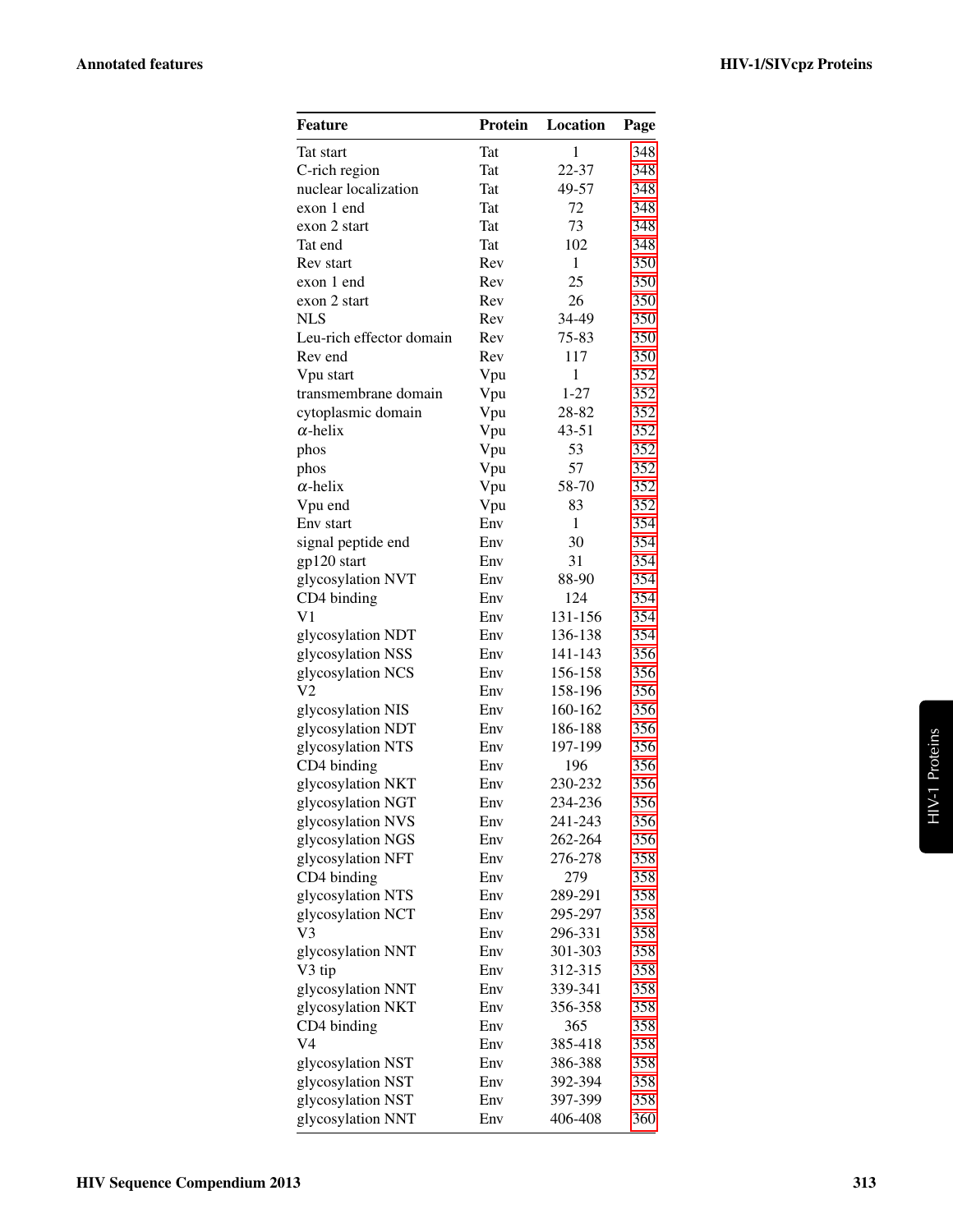| Feature                                | <b>Protein</b> | Location     | Page |
|----------------------------------------|----------------|--------------|------|
| Tat start                              | Tat            | $\mathbf{1}$ | 348  |
| C-rich region                          | Tat            | 22-37        | 348  |
| nuclear localization                   | Tat            | 49-57        | 348  |
| exon 1 end                             | Tat            | 72           | 348  |
| exon 2 start                           | Tat            | 73           | 348  |
| Tat end                                | <b>Tat</b>     | 102          | 348  |
| Rev start                              | Rev            | $\mathbf{1}$ | 350  |
| exon 1 end                             | Rev            | 25           | 350  |
| exon 2 start                           | Rev            | 26           | 350  |
| <b>NLS</b>                             | Rev            | 34-49        | 350  |
| Leu-rich effector domain               | Rev            | 75-83        | 350  |
| Rev end                                | Rev            | 117          | 350  |
| Vpu start                              | Vpu            | 1            | 352  |
| transmembrane domain                   | Vpu            | $1 - 27$     | 352  |
| cytoplasmic domain                     | Vpu            | 28-82        | 352  |
| $\alpha$ -helix                        | Vpu            | $43 - 51$    | 352  |
| phos                                   | Vpu            | 53           | 352  |
| phos                                   | Vpu            | 57           | 352  |
| $\alpha$ -helix                        | Vpu            | 58-70        | 352  |
| Vpu end                                | Vpu            | 83           | 352  |
| Env start                              | Env            | $\mathbf{1}$ | 354  |
| signal peptide end                     | Env            | 30           | 354  |
| gp120 start                            | Env            | 31           | 354  |
| glycosylation NVT                      | Env            | 88-90        | 354  |
| CD4 binding                            | Env            | 124          | 354  |
| V <sub>1</sub>                         | Env            | 131-156      | 354  |
| glycosylation NDT                      | Env            | 136-138      | 354  |
| glycosylation NSS                      | Env            | 141-143      | 356  |
| glycosylation NCS                      | Env            | 156-158      | 356  |
| V2                                     | Env            | 158-196      | 356  |
| glycosylation NIS                      | Env            | 160-162      | 356  |
| glycosylation NDT                      | Env            | 186-188      | 356  |
| glycosylation NTS                      | Env            | 197-199      | 356  |
| CD4 binding                            | Env            | 196          | 356  |
| glycosylation NKT                      | Env            | 230-232      | 356  |
| glycosylation NGT                      | Env            | 234-236      | 356  |
| glycosylation NVS                      | Env            | 241-243      | 356  |
| glycosylation NGS                      | Env            | 262-264      | 356  |
| glycosylation NFT                      | Env            | 276-278      | 358  |
| CD4 binding                            | Env            | 279          | 358  |
| glycosylation NTS                      | Env            | 289-291      | 358  |
| glycosylation NCT                      | Env            | 295-297      | 358  |
| V3                                     | Env            | 296-331      | 358  |
| glycosylation NNT                      | Env            | 301-303      | 358  |
| V3 tip                                 | Env            | 312-315      | 358  |
|                                        | Env            | 339-341      |      |
| glycosylation NNT<br>glycosylation NKT | Env            | 356-358      | 358  |
| CD4 binding                            | Env            | 365          | 358  |
| V4                                     | Env            | 385-418      | 358  |
|                                        |                |              | 358  |
| glycosylation NST                      | Env            | 386-388      | 358  |
| glycosylation NST                      | Env            | 392-394      | 358  |
| glycosylation NST                      | Env            | 397-399      | 358  |
| glycosylation NNT                      | Env            | 406-408      | 360  |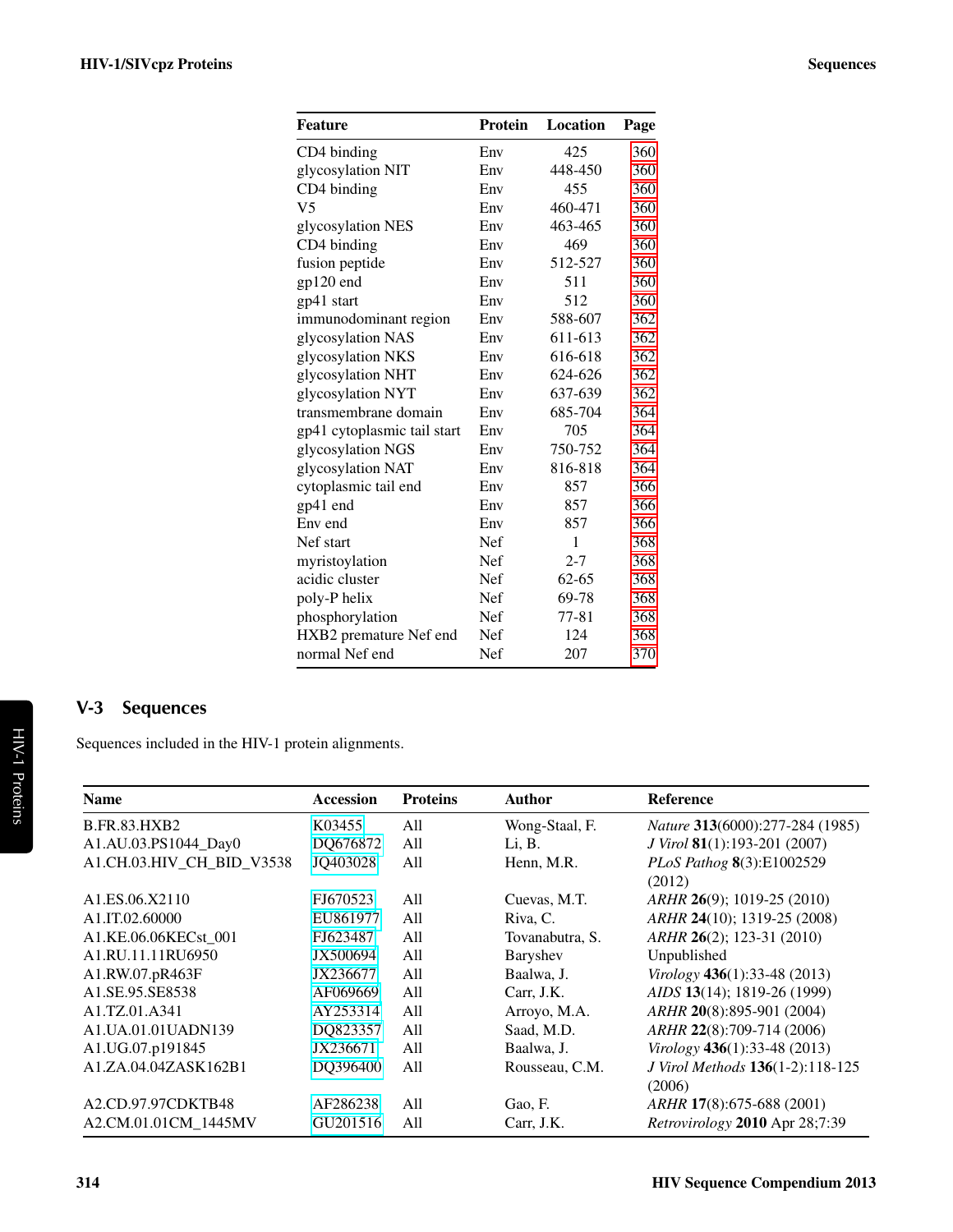| <b>Feature</b>              | <b>Protein</b> | Location  | Page |
|-----------------------------|----------------|-----------|------|
| CD4 binding                 | Env            | 425       | 360  |
| glycosylation NIT           | Env            | 448-450   | 360  |
| CD4 binding                 | Env            | 455       | 360  |
| V <sub>5</sub>              | Env            | 460-471   | 360  |
| glycosylation NES           | Env            | 463-465   | 360  |
| CD4 binding                 | Env            | 469       | 360  |
| fusion peptide              | Env            | 512-527   | 360  |
| gp120 end                   | Env            | 511       | 360  |
| gp41 start                  | Env            | 512       | 360  |
| immunodominant region       | Env            | 588-607   | 362  |
| glycosylation NAS           | Env            | 611-613   | 362  |
| glycosylation NKS           | Env            | 616-618   | 362  |
| glycosylation NHT           | Env            | 624-626   | 362  |
| glycosylation NYT           | Env            | 637-639   | 362  |
| transmembrane domain        | Env            | 685-704   | 364  |
| gp41 cytoplasmic tail start | Env            | 705       | 364  |
| glycosylation NGS           | Env            | 750-752   | 364  |
| glycosylation NAT           | Env            | 816-818   | 364  |
| cytoplasmic tail end        | Env            | 857       | 366  |
| gp41 end                    | Env            | 857       | 366  |
| Env end                     | Env            | 857       | 366  |
| Nef start                   | Nef            | 1         | 368  |
| myristoylation              | Nef            | 2-7       | 368  |
| acidic cluster              | Nef            | $62 - 65$ | 368  |
| poly-P helix                | Nef            | 69-78     | 368  |
| phosphorylation             | Nef            | $77 - 81$ | 368  |
| HXB2 premature Nef end      | Nef            | 124       | 368  |
| normal Nef end              | Nef            | 207       | 370  |

# <span id="page-3-0"></span>V-3 Sequences

Sequences included in the HIV-1 protein alignments.

| <b>Name</b>                             | <b>Accession</b> | <b>Proteins</b> | <b>Author</b>   | <b>Reference</b>                 |
|-----------------------------------------|------------------|-----------------|-----------------|----------------------------------|
| <b>B.FR.83.HXB2</b>                     | K03455           | All             | Wong-Staal, F.  | Nature 313(6000):277-284 (1985)  |
| A1.AU.03.PS1044_Day0                    | DQ676872         | All             | Li, B.          | J Virol 81(1):193-201 (2007)     |
| A1.CH.03.HIV CH BID V3538               | JQ403028         | All             | Henn, M.R.      | PLoS Pathog 8(3):E1002529        |
|                                         |                  |                 |                 | (2012)                           |
| A <sub>1</sub> .ES.06.X <sub>2110</sub> | FJ670523         | All             | Cuevas, M.T.    | ARHR 26(9); 1019-25 (2010)       |
| A1.IT.02.60000                          | EU861977         | All             | Riva, C.        | ARHR 24(10); 1319-25 (2008)      |
| A1.KE.06.06KECst 001                    | FJ623487         | All             | Tovanabutra, S. | ARHR 26(2); 123-31 (2010)        |
| A1.RU.11.11RU6950                       | JX500694         | All             | Baryshev        | Unpublished                      |
| A1.RW.07.pR463F                         | JX236677         | All             | Baalwa, J.      | Virology 436(1):33-48 (2013)     |
| A1.SE.95.SE8538                         | AF069669         | All             | Carr, J.K.      | AIDS 13(14); 1819-26 (1999)      |
| A1.TZ.01.A341                           | AY253314         | All             | Arroyo, M.A.    | ARHR 20(8):895-901 (2004)        |
| A1.UA.01.01UADN139                      | DQ823357         | All             | Saad, M.D.      | ARHR 22(8):709-714 (2006)        |
| A1.UG.07.p191845                        | JX236671         | All             | Baalwa, J.      | Virology 436(1):33-48 (2013)     |
| A1.ZA.04.04ZASK162B1                    | DQ396400         | All             | Rousseau, C.M.  | J Virol Methods 136(1-2):118-125 |
|                                         |                  |                 |                 | (2006)                           |
| A2.CD.97.97CDKTB48                      | AF286238         | All             | Gao, F.         | <i>ARHR</i> 17(8):675-688 (2001) |
| A2.CM.01.01CM_1445MV                    | GU201516         | All             | Carr, J.K.      | Retrovirology 2010 Apr 28;7:39   |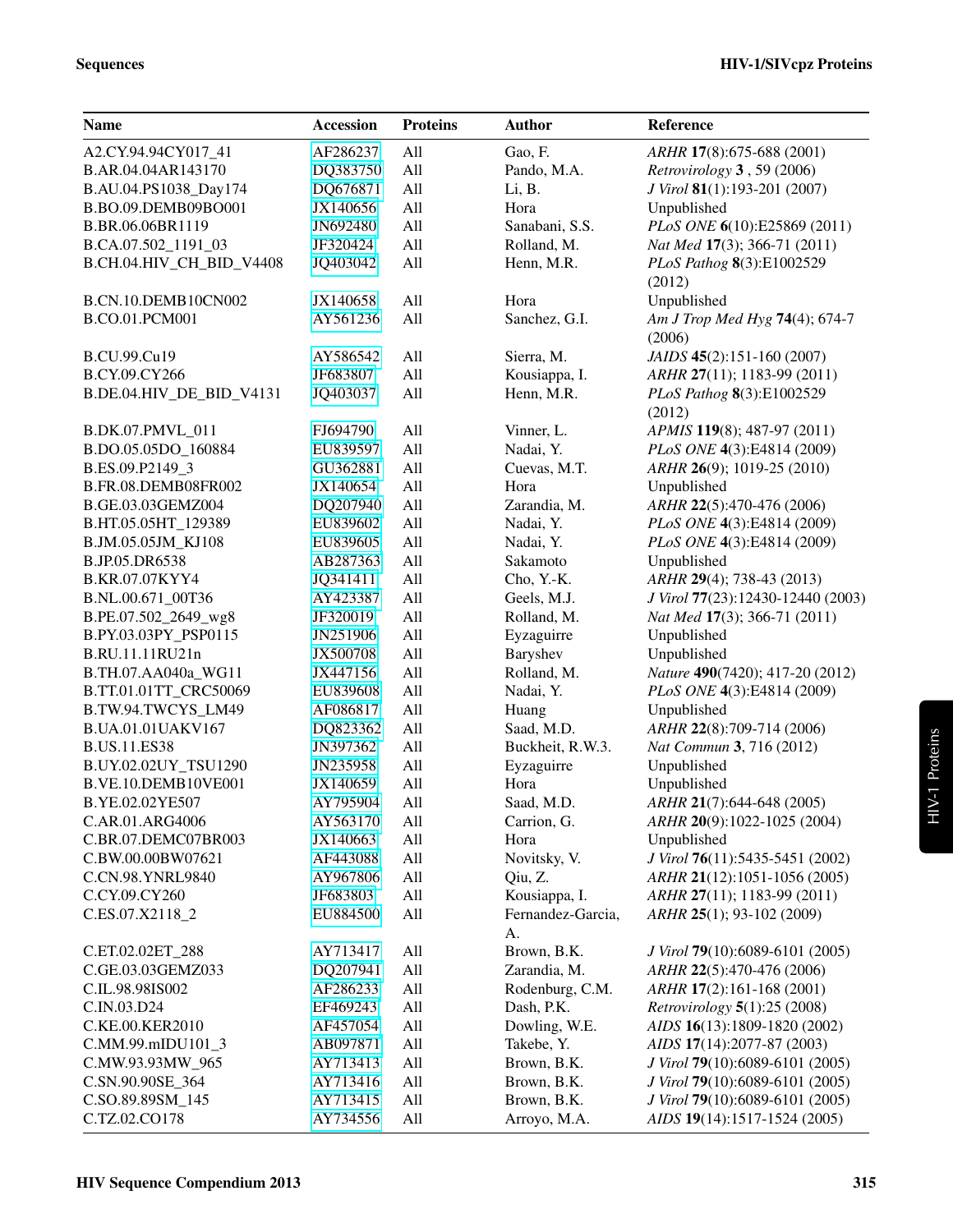| <b>Name</b>              | <b>Accession</b> | <b>Proteins</b> | <b>Author</b>     | Reference                         |
|--------------------------|------------------|-----------------|-------------------|-----------------------------------|
| A2.CY.94.94CY017_41      | AF286237         | All             | Gao, F.           | ARHR 17(8):675-688 (2001)         |
| B.AR.04.04AR143170       | DQ383750         | All             | Pando, M.A.       | Retrovirology 3, 59 (2006)        |
| B.AU.04.PS1038_Day174    | DQ676871         | All             | Li, B.            | J Virol 81(1):193-201 (2007)      |
| B.BO.09.DEMB09BO001      | JX140656         | All             | Hora              | Unpublished                       |
| B.BR.06.06BR1119         | JN692480         | All             | Sanabani, S.S.    | PLoS ONE 6(10):E25869 (2011)      |
| B.CA.07.502_1191_03      | JF320424         | All             | Rolland, M.       | Nat Med 17(3); 366-71 (2011)      |
| B.CH.04.HIV_CH_BID_V4408 | JQ403042         | All             | Henn, M.R.        | PLoS Pathog 8(3):E1002529         |
|                          |                  |                 |                   | (2012)                            |
| B.CN.10.DEMB10CN002      | JX140658         | All             | Hora              | Unpublished                       |
| B.CO.01.PCM001           | AY561236         | All             | Sanchez, G.I.     | Am J Trop Med Hyg 74(4); 674-7    |
|                          |                  |                 |                   | (2006)                            |
| B.CU.99.Cu19             | AY586542         | All             | Sierra, M.        | JAIDS 45(2):151-160 (2007)        |
| B.CY.09.CY266            | JF683807         | All             | Kousiappa, I.     | ARHR 27(11); 1183-99 (2011)       |
| B.DE.04.HIV_DE_BID_V4131 | JQ403037         | All             | Henn, M.R.        | PLoS Pathog 8(3):E1002529         |
|                          |                  |                 |                   | (2012)                            |
| B.DK.07.PMVL_011         | FJ694790         | All             | Vinner, L.        | APMIS 119(8); 487-97 (2011)       |
| B.DO.05.05DO_160884      | EU839597         | All             | Nadai, Y.         | PLoS ONE 4(3):E4814 (2009)        |
| B.ES.09.P2149_3          | GU362881         | All             | Cuevas, M.T.      | ARHR 26(9); 1019-25 (2010)        |
| B.FR.08.DEMB08FR002      | JX140654         | All             | Hora              | Unpublished                       |
| B.GE.03.03GEMZ004        | DQ207940         | All             | Zarandia, M.      | ARHR 22(5):470-476 (2006)         |
| B.HT.05.05HT_129389      | EU839602         | All             | Nadai, Y.         | PLoS ONE 4(3):E4814 (2009)        |
| B.JM.05.05JM_KJ108       | EU839605         | All             | Nadai, Y.         | PLoS ONE 4(3):E4814 (2009)        |
| B.JP.05.DR6538           | AB287363         | All             | Sakamoto          | Unpublished                       |
| B.KR.07.07KYY4           | JQ341411         | All             | Cho, Y.-K.        | ARHR 29(4); 738-43 (2013)         |
| B.NL.00.671_00T36        | AY423387         | All             | Geels, M.J.       | J Virol 77(23):12430-12440 (2003) |
| B.PE.07.502_2649_wg8     | JF320019         | All             | Rolland, M.       | Nat Med 17(3); 366-71 (2011)      |
| B.PY.03.03PY_PSP0115     | JN251906         | All             | Eyzaguirre        | Unpublished                       |
| B.RU.11.11RU21n          | JX500708         | All             | Baryshev          | Unpublished                       |
| B.TH.07.AA040a_WG11      | JX447156         | All             | Rolland, M.       | Nature 490(7420); 417-20 (2012)   |
| B.TT.01.01TT_CRC50069    | EU839608         | All             | Nadai, Y.         | PLoS ONE 4(3):E4814 (2009)        |
| B.TW.94.TWCYS_LM49       | AF086817         | All             | Huang             | Unpublished                       |
| B.UA.01.01UAKV167        | DQ823362         | All             | Saad, M.D.        | ARHR 22(8):709-714 (2006)         |
| <b>B.US.11.ES38</b>      | JN397362         | All             | Buckheit, R.W.3.  | Nat Commun 3, 716 (2012)          |
| B.UY.02.02UY_TSU1290     | JN235958         | All             | Eyzaguirre        | Unpublished                       |
| B.VE.10.DEMB10VE001      | JX140659         | All             | Hora              | Unpublished                       |
| B.YE.02.02YE507          | AY795904         | All             | Saad, M.D.        | ARHR 21(7):644-648 (2005)         |
| C.AR.01.ARG4006          | AY563170         | All             | Carrion, G.       | ARHR 20(9):1022-1025 (2004)       |
| C.BR.07.DEMC07BR003      | JX140663         | All             | Hora              | Unpublished                       |
| C.BW.00.00BW07621        | AF443088         | All             | Novitsky, V.      | J Virol 76(11):5435-5451 (2002)   |
| <b>C.CN.98.YNRL9840</b>  | AY967806         | All             | Qiu, Z.           | ARHR 21(12):1051-1056 (2005)      |
| C.CY.09.CY260            | JF683803         | All             | Kousiappa, I.     | ARHR 27(11); 1183-99 (2011)       |
| C.ES.07.X2118_2          | EU884500         | All             | Fernandez-Garcia, | ARHR 25(1); 93-102 (2009)         |
|                          |                  |                 | A.                |                                   |
| C.ET.02.02ET_288         | AY713417         | All             | Brown, B.K.       | J Virol 79(10):6089-6101 (2005)   |
| C.GE.03.03GEMZ033        | DQ207941         | All             | Zarandia, M.      | ARHR 22(5):470-476 (2006)         |
| C.IL.98.98IS002          | AF286233         | All             | Rodenburg, C.M.   | ARHR 17(2):161-168 (2001)         |
| C.IN.03.D24              | EF469243         | All             | Dash, P.K.        | Retrovirology 5(1):25 (2008)      |
| C.KE.00.KER2010          | AF457054         | All             | Dowling, W.E.     | AIDS 16(13):1809-1820 (2002)      |
| C.MM.99.mIDU101_3        | AB097871         | All             | Takebe, Y.        | AIDS 17(14):2077-87 (2003)        |
| C.MW.93.93MW_965         | AY713413         | All             | Brown, B.K.       | J Virol 79(10):6089-6101 (2005)   |
| C.SN.90.90SE_364         | AY713416         | All             | Brown, B.K.       | J Virol 79(10):6089-6101 (2005)   |
| C.SO.89.89SM_145         | AY713415         | All             | Brown, B.K.       | J Virol 79(10):6089-6101 (2005)   |
| C.TZ.02.CO178            | AY734556         | All             | Arroyo, M.A.      | AIDS 19(14):1517-1524 (2005)      |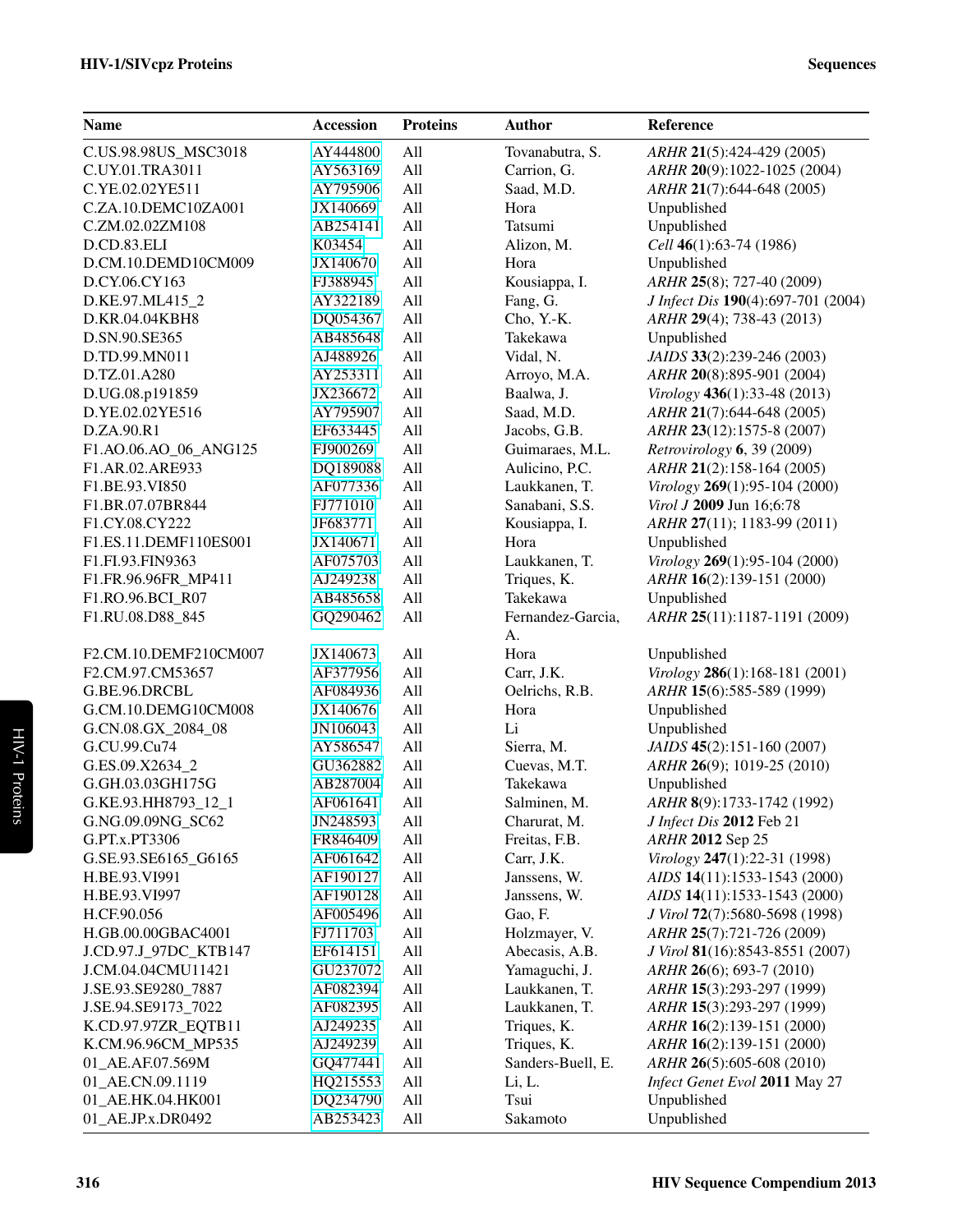| <b>Name</b>           | <b>Accession</b> | <b>Proteins</b> | <b>Author</b>     | Reference                          |
|-----------------------|------------------|-----------------|-------------------|------------------------------------|
| C.US.98.98US_MSC3018  | AY444800         | All             | Tovanabutra, S.   | ARHR 21(5):424-429 (2005)          |
| C.UY.01.TRA3011       | AY563169         | All             | Carrion, G.       | ARHR 20(9):1022-1025 (2004)        |
| C.YE.02.02YE511       | AY795906         | All             | Saad, M.D.        | ARHR 21(7):644-648 (2005)          |
| C.ZA.10.DEMC10ZA001   | JX140669         | All             | Hora              | Unpublished                        |
| C.ZM.02.02ZM108       | AB254141         | All             | Tatsumi           | Unpublished                        |
| D.CD.83.ELI           | K03454           | All             | Alizon, M.        | Cell $46(1):63-74(1986)$           |
| D.CM.10.DEMD10CM009   | JX140670         | All             | Hora              | Unpublished                        |
| D.CY.06.CY163         | FJ388945         | All             | Kousiappa, I.     | ARHR 25(8); 727-40 (2009)          |
| D.KE.97.ML415_2       | AY322189         | All             | Fang, G.          | J Infect Dis 190(4):697-701 (2004) |
| D.KR.04.04KBH8        | DQ054367         | All             | Cho, Y.-K.        | ARHR 29(4); 738-43 (2013)          |
| D.SN.90.SE365         | AB485648         | All             | Takekawa          | Unpublished                        |
| D.TD.99.MN011         | AJ488926         | All             | Vidal, N.         | JAIDS 33(2):239-246 (2003)         |
| D.TZ.01.A280          | AY253311         | All             | Arroyo, M.A.      | ARHR 20(8):895-901 (2004)          |
| D.UG.08.p191859       | JX236672         | All             | Baalwa, J.        | Virology 436(1):33-48 (2013)       |
| D.YE.02.02YE516       | AY795907         | All             | Saad, M.D.        | ARHR 21(7):644-648 (2005)          |
| D.ZA.90.R1            | EF633445         | All             | Jacobs, G.B.      | ARHR 23(12):1575-8 (2007)          |
| F1.AO.06.AO_06_ANG125 | FJ900269         | All             | Guimaraes, M.L.   | Retrovirology $6, 39$ (2009)       |
| F1.AR.02.ARE933       | DQ189088         | All             | Aulicino, P.C.    | ARHR 21(2):158-164 (2005)          |
| F1.BE.93.VI850        | AF077336         | All             | Laukkanen, T.     | Virology 269(1):95-104 (2000)      |
| F1.BR.07.07BR844      | FJ771010         | All             | Sanabani, S.S.    | Virol J 2009 Jun 16;6:78           |
| F1.CY.08.CY222        | JF683771         | All             | Kousiappa, I.     | ARHR 27(11); 1183-99 (2011)        |
| F1.ES.11.DEMF110ES001 | JX140671         | All             | Hora              | Unpublished                        |
| F1.FI.93.FIN9363      | AF075703         | All             | Laukkanen, T.     | Virology 269(1):95-104 (2000)      |
| F1.FR.96.96FR_MP411   | AJ249238         | All             | Triques, K.       | ARHR 16(2):139-151 (2000)          |
| F1.RO.96.BCI_R07      | AB485658         | All             | Takekawa          | Unpublished                        |
| F1.RU.08.D88_845      | GQ290462         | All             | Fernandez-Garcia, | ARHR 25(11):1187-1191 (2009)       |
|                       |                  |                 | A.                |                                    |
| F2.CM.10.DEMF210CM007 | JX140673         | All             | Hora              | Unpublished                        |
| F2.CM.97.CM53657      | AF377956         | All             | Carr, J.K.        | Virology 286(1):168-181 (2001)     |
| G.BE.96.DRCBL         | AF084936         | All             | Oelrichs, R.B.    | ARHR 15(6):585-589 (1999)          |
| G.CM.10.DEMG10CM008   | JX140676         | All             | Hora              | Unpublished                        |
| G.CN.08.GX_2084_08    | JN106043         | All             | Li                | Unpublished                        |
| G.CU.99.Cu74          | AY586547         | All             | Sierra, M.        | JAIDS 45(2):151-160 (2007)         |
| G.ES.09.X2634_2       | GU362882         | All             | Cuevas, M.T.      | ARHR 26(9); 1019-25 (2010)         |
| G.GH.03.03GH175G      | AB287004         | All             | Takekawa          | Unpublished                        |
| G.KE.93.HH8793_12_1   | AF061641         | All             | Salminen, M.      | ARHR 8(9):1733-1742 (1992)         |
| G.NG.09.09NG_SC62     | JN248593         | All             | Charurat, M.      | J Infect Dis 2012 Feb 21           |
| G.PT.x.PT3306         | FR846409         | All             | Freitas, F.B.     | ARHR 2012 Sep 25                   |
| G.SE.93.SE6165_G6165  | AF061642         | All             | Carr, J.K.        | Virology 247(1):22-31 (1998)       |
| H.BE.93.VI991         | AF190127         | All             | Janssens, W.      | AIDS 14(11):1533-1543 (2000)       |
| H.BE.93.VI997         | AF190128         | All             | Janssens, W.      | AIDS 14(11):1533-1543 (2000)       |
| H.CF.90.056           | AF005496         | All             | Gao, F.           | J Virol 72(7):5680-5698 (1998)     |
| H.GB.00.00GBAC4001    | FJ711703         | All             | Holzmayer, V.     | ARHR 25(7):721-726 (2009)          |
| J.CD.97.J_97DC_KTB147 | EF614151         | All             | Abecasis, A.B.    | J Virol 81(16):8543-8551 (2007)    |
| J.CM.04.04CMU11421    | GU237072         | All             | Yamaguchi, J.     | ARHR 26(6); 693-7 (2010)           |
| J.SE.93.SE9280_7887   | AF082394         | All             | Laukkanen, T.     | ARHR 15(3):293-297 (1999)          |
| J.SE.94.SE9173_7022   | AF082395         | All             | Laukkanen, T.     | ARHR 15(3):293-297 (1999)          |
| K.CD.97.97ZR_EQTB11   | AJ249235         | All             | Triques, K.       | ARHR 16(2):139-151 (2000)          |
| K.CM.96.96CM_MP535    | AJ249239         | All             | Triques, K.       | ARHR 16(2):139-151 (2000)          |
| 01_AE.AF.07.569M      | GQ477441         | All             | Sanders-Buell, E. | ARHR 26(5):605-608 (2010)          |
| 01_AE.CN.09.1119      | HQ215553         | All             | Li, L.            | Infect Genet Evol 2011 May 27      |
| 01_AE.HK.04.HK001     | DQ234790         | All             | Tsui              | Unpublished                        |
| 01_AE.JP.x.DR0492     | AB253423         | All             | Sakamoto          | Unpublished                        |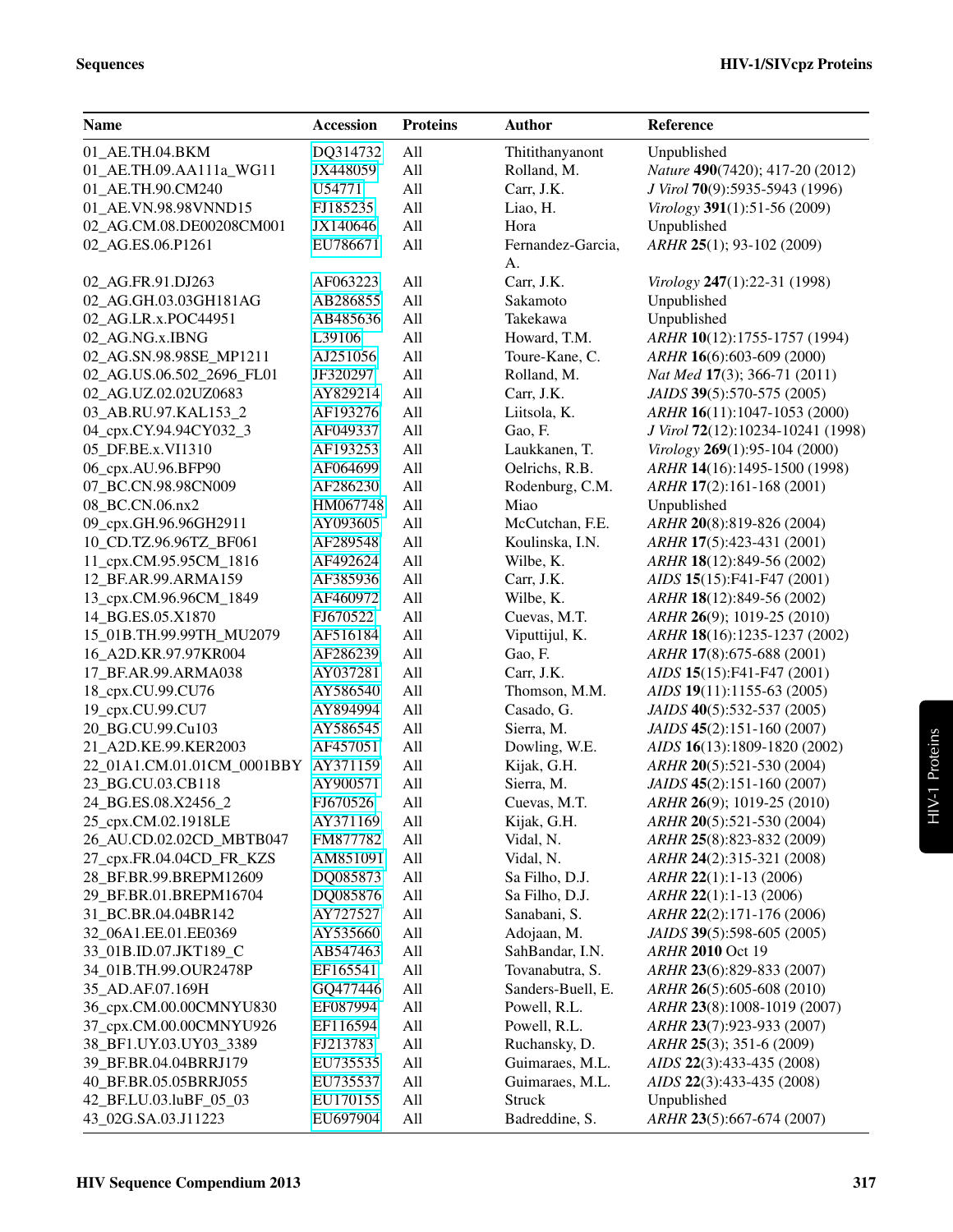| DQ314732<br>Thitithanyanont<br>01_AE.TH.04.BKM<br>All<br>Unpublished                          |  |
|-----------------------------------------------------------------------------------------------|--|
| All<br>Nature 490(7420); 417-20 (2012)<br>01_AE.TH.09.AA111a_WG11<br>JX448059<br>Rolland, M.  |  |
| All<br>Carr, J.K.<br>01_AE.TH.90.CM240<br>U54771<br>J Virol 70(9):5935-5943 (1996)            |  |
| All<br>Liao, H.<br>01 AE.VN.98.98VNND15<br>FJ185235<br>Virology 391(1):51-56 (2009)           |  |
| JX140646<br>All<br>Hora<br>Unpublished<br>02_AG.CM.08.DE00208CM001                            |  |
| EU786671<br>All<br>Fernandez-Garcia,<br>ARHR 25(1); 93-102 (2009)<br>02_AG.ES.06.P1261        |  |
| A.                                                                                            |  |
| Carr, J.K.<br>02_AG.FR.91.DJ263<br>AF063223<br>All<br>Virology 247(1):22-31 (1998)            |  |
| All<br>Sakamoto<br>02_AG.GH.03.03GH181AG<br>AB286855<br>Unpublished                           |  |
| All<br>Takekawa<br>Unpublished<br>02_AG.LR.x.POC44951<br>AB485636                             |  |
| All<br>Howard, T.M.<br>02_AG.NG.x.IBNG<br>L39106<br>ARHR 10(12):1755-1757 (1994)              |  |
| All<br>Toure-Kane, C.<br>02_AG.SN.98.98SE_MP1211<br>AJ251056<br>ARHR 16(6):603-609 (2000)     |  |
| All<br>02_AG.US.06.502_2696_FL01<br>JF320297<br>Rolland, M.<br>Nat Med 17(3); 366-71 (2011)   |  |
| All<br>Carr, J.K.<br>JAIDS 39(5):570-575 (2005)<br>02_AG.UZ.02.02UZ0683<br>AY829214           |  |
| All<br>03_AB.RU.97.KAL153_2<br>AF193276<br>Liitsola, K.<br>ARHR 16(11):1047-1053 (2000)       |  |
| All<br>Gao, F.<br>04_cpx.CY.94.94CY032_3<br>AF049337<br>J Virol 72(12):10234-10241 (1998)     |  |
| All<br>Laukkanen, T.<br>05_DF.BE.x.VI1310<br>AF193253<br>Virology 269(1):95-104 (2000)        |  |
| All<br>Oelrichs, R.B.<br>06_cpx.AU.96.BFP90<br>AF064699<br>ARHR 14(16):1495-1500 (1998)       |  |
| All<br>Rodenburg, C.M.<br>07_BC.CN.98.98CN009<br>AF286230<br>ARHR 17(2):161-168 (2001)        |  |
| All<br>Miao<br>Unpublished<br>08_BC.CN.06.nx2<br>HM067748                                     |  |
| All<br>09 cpx.GH.96.96GH2911<br>AY093605<br>McCutchan, F.E.<br>ARHR 20(8):819-826 (2004)      |  |
| 10_CD.TZ.96.96TZ_BF061<br>All<br>AF289548<br>Koulinska, I.N.<br>ARHR 17(5):423-431 (2001)     |  |
| All<br>11_cpx.CM.95.95CM_1816<br>AF492624<br>Wilbe, K.<br>ARHR 18(12):849-56 (2002)           |  |
| All<br>Carr, J.K.<br>12_BF.AR.99.ARMA159<br>AF385936<br>AIDS 15(15):F41-F47 (2001)            |  |
| All<br>Wilbe, K.<br>13_cpx.CM.96.96CM_1849<br>AF460972<br>ARHR 18(12):849-56 (2002)           |  |
| All<br>14_BG.ES.05.X1870<br>FJ670522<br>Cuevas, M.T.<br>ARHR 26(9); 1019-25 (2010)            |  |
| All<br>Viputtijul, K.<br>ARHR 18(16):1235-1237 (2002)<br>15_01B.TH.99.99TH_MU2079<br>AF516184 |  |
| All<br>Gao, F.<br>16_A2D.KR.97.97KR004<br>AF286239<br>ARHR 17(8):675-688 (2001)               |  |
| All<br>Carr, J.K.<br>AIDS 15(15):F41-F47 (2001)<br>17_BF.AR.99.ARMA038<br>AY037281            |  |
| 18_cpx.CU.99.CU76<br>AY586540<br>All<br>Thomson, M.M.<br>AIDS 19(11):1155-63 (2005)           |  |
| 19_cpx.CU.99.CU7<br>All<br>AY894994<br>Casado, G.<br>JAIDS 40(5):532-537 (2005)               |  |
| All<br>20 BG.CU.99.Cu103<br>AY586545<br>Sierra, M.<br>JAIDS 45(2):151-160 (2007)              |  |
| All<br>Dowling, W.E.<br>21_A2D.KE.99.KER2003<br>AF457051<br>AIDS 16(13):1809-1820 (2002)      |  |
| 22_01A1.CM.01.01CM_0001BBY AY371159<br>All<br>Kijak, G.H.<br>ARHR 20(5):521-530 (2004)        |  |
| 23_BG.CU.03.CB118<br>AY900571<br>All<br>Sierra, M.<br>JAIDS 45(2):151-160 (2007)              |  |
| 24_BG.ES.08.X2456_2<br>FJ670526<br>All<br>ARHR 26(9); 1019-25 (2010)<br>Cuevas, M.T.          |  |
| 25_cpx.CM.02.1918LE<br>All<br>Kijak, G.H.<br>ARHR 20(5):521-530 (2004)<br>AY371169            |  |
| 26_AU.CD.02.02CD_MBTB047<br>Vidal, N.<br>FM877782<br>All<br>ARHR 25(8):823-832 (2009)         |  |
| Vidal, N.<br>27_cpx.FR.04.04CD_FR_KZS<br>AM851091<br>All<br>ARHR 24(2):315-321 (2008)         |  |
| 28_BF.BR.99.BREPM12609<br>All<br>Sa Filho, D.J.<br>ARHR 22(1):1-13 (2006)<br>DQ085873         |  |
| 29_BF.BR.01.BREPM16704<br>DQ085876<br>All<br>Sa Filho, D.J.<br>ARHR 22(1):1-13 (2006)         |  |
| 31_BC.BR.04.04BR142<br>All<br>Sanabani, S.<br>ARHR 22(2):171-176 (2006)<br>AY727527           |  |
| 32 06A1.EE.01.EE0369<br>AY535660<br>All<br>Adojaan, M.<br>JAIDS 39(5):598-605 (2005)          |  |
| 33_01B.ID.07.JKT189_C<br>All<br>SahBandar, I.N.<br>ARHR 2010 Oct 19<br>AB547463               |  |
| Tovanabutra, S.<br>34_01B.TH.99.OUR2478P<br>EF165541<br>All<br>ARHR 23(6):829-833 (2007)      |  |
| Sanders-Buell, E.<br>35_AD.AF.07.169H<br>GQ477446<br>All<br>ARHR 26(5):605-608 (2010)         |  |
| 36_cpx.CM.00.00CMNYU830<br>EF087994<br>All<br>Powell, R.L.<br>ARHR 23(8):1008-1019 (2007)     |  |
| 37_cpx.CM.00.00CMNYU926<br>All<br>Powell, R.L.<br>EF116594<br>ARHR 23(7):923-933 (2007)       |  |
| All<br>Ruchansky, D.<br>ARHR 25(3); 351-6 (2009)<br>38_BF1.UY.03.UY03_3389<br>FJ213783        |  |
| 39_BF.BR.04.04BRRJ179<br>All<br>Guimaraes, M.L.<br>AIDS 22(3):433-435 (2008)<br>EU735535      |  |
| 40_BF.BR.05.05BRRJ055<br>All<br>Guimaraes, M.L.<br>AIDS 22(3):433-435 (2008)<br>EU735537      |  |
| Unpublished<br>42_BF.LU.03.luBF_05_03<br>All<br>Struck<br>EU170155                            |  |
| 43_02G.SA.03.J11223<br>Badreddine, S.<br>EU697904<br>ARHR 23(5):667-674 (2007)<br>All         |  |

HIV-1 Proteins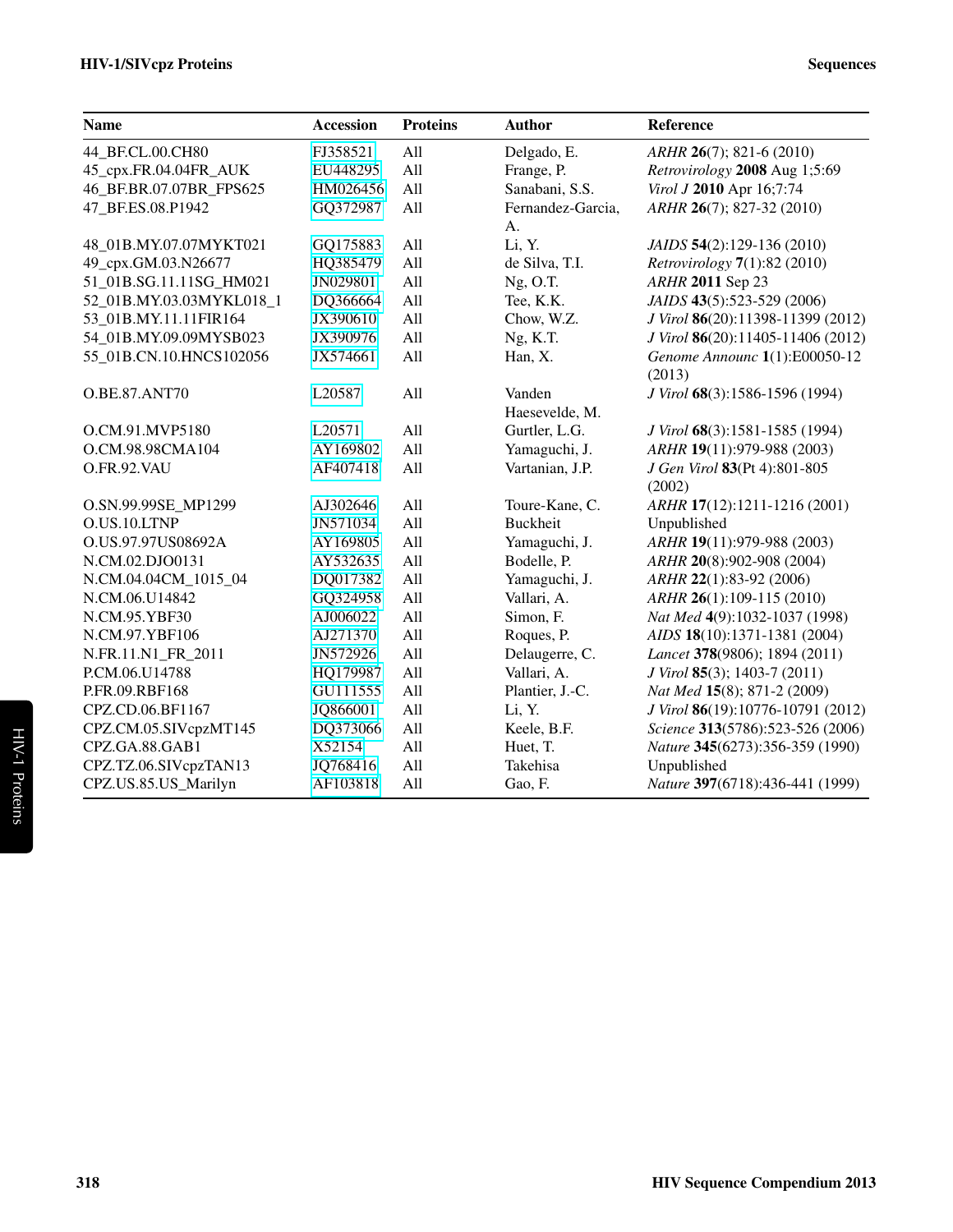| <b>Name</b>              | <b>Accession</b> | <b>Proteins</b> | <b>Author</b>     | Reference                            |
|--------------------------|------------------|-----------------|-------------------|--------------------------------------|
| 44_BF.CL.00.CH80         | FJ358521         | All             | Delgado, E.       | ARHR 26(7); 821-6 (2010)             |
| 45_cpx.FR.04.04FR_AUK    | EU448295         | All             | Frange, P.        | Retrovirology 2008 Aug 1;5:69        |
| 46_BF.BR.07.07BR_FPS625  | HM026456         | All             | Sanabani, S.S.    | Virol J 2010 Apr 16;7:74             |
| 47 BF.ES.08.P1942        | GQ372987         | All             | Fernandez-Garcia, | ARHR 26(7); 827-32 (2010)            |
|                          |                  |                 | A.                |                                      |
| 48_01B.MY.07.07MYKT021   | GQ175883         | All             | Li, Y.            | JAIDS 54(2):129-136 (2010)           |
| 49_cpx.GM.03.N26677      | HQ385479         | All             | de Silva, T.I.    | <i>Retrovirology</i> $7(1):82(2010)$ |
| 51_01B.SG.11.11SG_HM021  | JN029801         | All             | $Ng$ , O.T.       | ARHR 2011 Sep 23                     |
| 52_01B.MY.03.03MYKL018_1 | DQ366664         | All             | Tee, K.K.         | JAIDS 43(5):523-529 (2006)           |
| 53_01B.MY.11.11FIR164    | JX390610         | All             | Chow, W.Z.        | J Virol 86(20):11398-11399 (2012)    |
| 54_01B.MY.09.09MYSB023   | JX390976         | All             | Ng, K.T.          | J Virol 86(20):11405-11406 (2012)    |
| 55_01B.CN.10.HNCS102056  | JX574661         | All             | Han, X.           | Genome Announc 1(1):E00050-12        |
|                          |                  |                 |                   | (2013)                               |
| <b>O.BE.87.ANT70</b>     | L20587           | All             | Vanden            | J Virol 68(3):1586-1596 (1994)       |
|                          |                  |                 | Haesevelde, M.    |                                      |
| O.CM.91.MVP5180          | L20571           | All             | Gurtler, L.G.     | J Virol 68(3):1581-1585 (1994)       |
| O.CM.98.98CMA104         | AY169802         | All             | Yamaguchi, J.     | ARHR 19(11):979-988 (2003)           |
| O.FR.92.VAU              | AF407418         | All             | Vartanian, J.P.   | J Gen Virol 83(Pt 4):801-805         |
|                          |                  |                 |                   | (2002)                               |
| O.SN.99.99SE_MP1299      | AJ302646         | All             | Toure-Kane, C.    | ARHR 17(12):1211-1216 (2001)         |
| O.US.10.LTNP             | JN571034         | All             | <b>Buckheit</b>   | Unpublished                          |
| O.US.97.97US08692A       | AY169805         | All             | Yamaguchi, J.     | ARHR 19(11):979-988 (2003)           |
| N.CM.02.DJO0131          | AY532635         | All             | Bodelle, P.       | ARHR 20(8):902-908 (2004)            |
| N.CM.04.04CM_1015_04     | DQ017382         | All             | Yamaguchi, J.     | ARHR 22(1):83-92 (2006)              |
| N.CM.06.U14842           | GQ324958         | All             | Vallari, A.       | ARHR 26(1):109-115 (2010)            |
| N.CM.95.YBF30            | AJ006022         | All             | Simon, F.         | Nat Med 4(9):1032-1037 (1998)        |
| N.CM.97.YBF106           | AJ271370         | All             | Roques, P.        | AIDS 18(10):1371-1381 (2004)         |
| N.FR.11.N1_FR_2011       | JN572926         | All             | Delaugerre, C.    | Lancet 378(9806); 1894 (2011)        |
| P.CM.06.U14788           | HQ179987         | All             | Vallari, A.       | J Virol 85(3); 1403-7 (2011)         |
| P.FR.09.RBF168           | GU111555         | All             | Plantier, J.-C.   | Nat Med 15(8); 871-2 (2009)          |
| CPZ.CD.06.BF1167         | JQ866001         | All             | Li, Y.            | J Virol 86(19):10776-10791 (2012)    |
| CPZ.CM.05.SIVcpzMT145    | DQ373066         | All             | Keele, B.F.       | Science 313(5786):523-526 (2006)     |
| CPZ.GA.88.GAB1           | X52154           | All             | Huet, T.          | Nature 345(6273):356-359 (1990)      |
| CPZ.TZ.06.SIVcpzTAN13    | JQ768416         | All             | Takehisa          | Unpublished                          |
| CPZ.US.85.US_Marilyn     | AF103818         | All             | Gao, F.           | Nature 397(6718):436-441 (1999)      |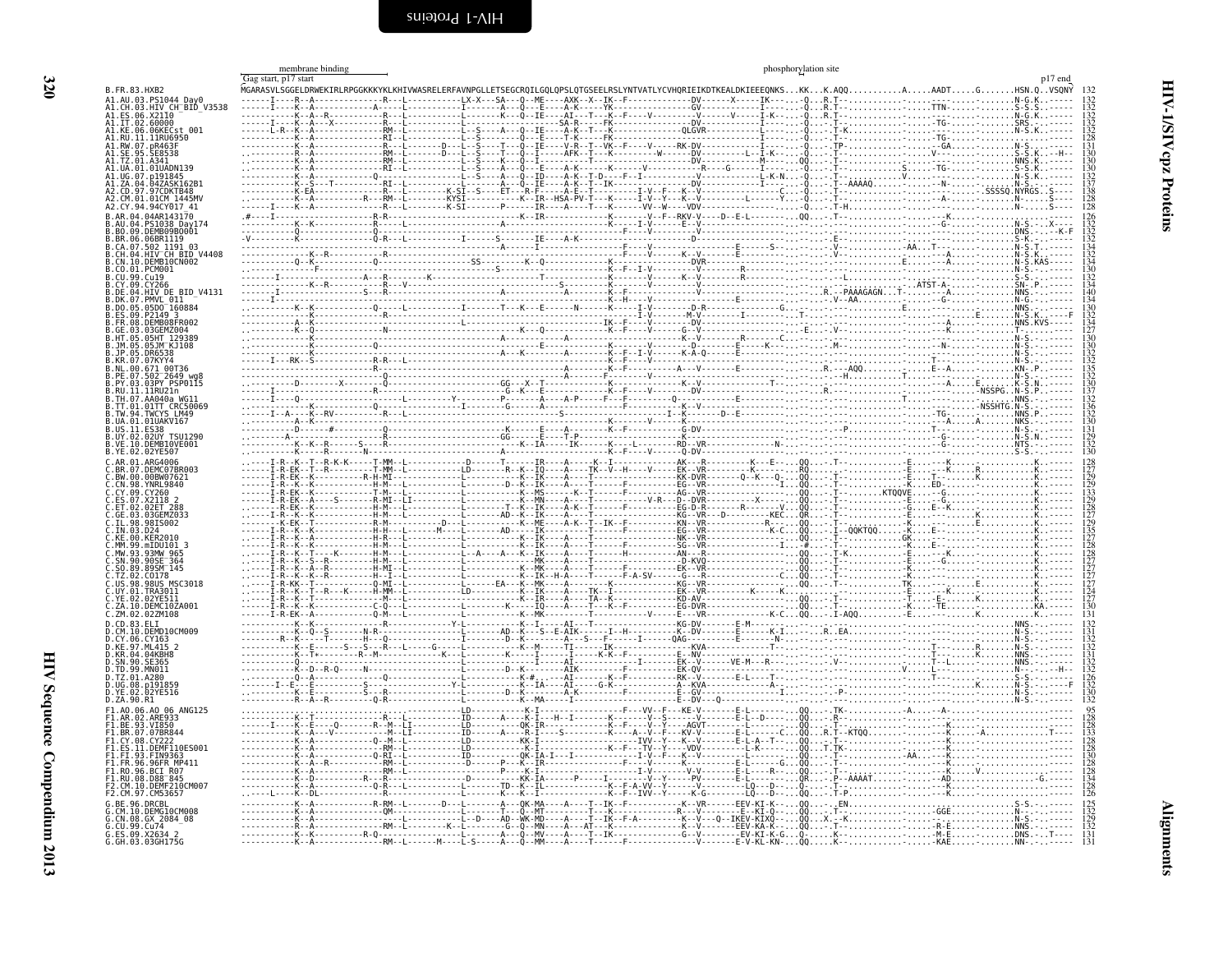<span id="page-9-2"></span><span id="page-9-1"></span><span id="page-9-0"></span>

|                                                                | membrane binding<br>Gag start, p17 start | phosphorylation site                                                                                                                  |  |
|----------------------------------------------------------------|------------------------------------------|---------------------------------------------------------------------------------------------------------------------------------------|--|
| B. FR. 83. HXB2                                                |                                          | MGARASVLSGGELDRWEKIRLRPGGKKKYKLKHIVWASRELERFAVNPGLLETSEGCRQILGQLQPSLQTGSEELRSLYNTVATLYCVHQRIEIKDTKEALDKIEEEQNKSKKK.AQQA.ADTGBM.QVSQNY |  |
| A1.AU.03.PS1044_Day0<br>A1.CH.03.HIV CH <sup>-</sup> BID V3538 |                                          |                                                                                                                                       |  |
| A1.ES.06.X21I0                                                 |                                          |                                                                                                                                       |  |
| A1.IT.02.60000<br>A1.KE.06.06KECst 001                         |                                          |                                                                                                                                       |  |
| 11RU6950                                                       |                                          |                                                                                                                                       |  |
|                                                                |                                          |                                                                                                                                       |  |
|                                                                |                                          |                                                                                                                                       |  |
|                                                                |                                          |                                                                                                                                       |  |
|                                                                |                                          |                                                                                                                                       |  |
|                                                                |                                          |                                                                                                                                       |  |
|                                                                |                                          |                                                                                                                                       |  |
|                                                                |                                          |                                                                                                                                       |  |
|                                                                |                                          |                                                                                                                                       |  |
| .502 1191 03<br>.HIV CH BID V4408                              |                                          |                                                                                                                                       |  |
| 10.DEMB10CN002                                                 |                                          |                                                                                                                                       |  |
|                                                                |                                          |                                                                                                                                       |  |
| HIV_DE_BID_V4131                                               |                                          |                                                                                                                                       |  |
| .07.PMVL 011<br>.05D0 <sup>-</sup> 160884                      |                                          |                                                                                                                                       |  |
| P2149 3                                                        |                                          |                                                                                                                                       |  |
|                                                                |                                          |                                                                                                                                       |  |
|                                                                |                                          |                                                                                                                                       |  |
|                                                                |                                          |                                                                                                                                       |  |
|                                                                |                                          |                                                                                                                                       |  |
| PE.07.502 2649 wg8<br>PY.03.03PY PSP0115                       |                                          |                                                                                                                                       |  |
| il.iiRU21n                                                     |                                          |                                                                                                                                       |  |
| .07.AA040a WG11<br>.01TT CRC50069                              |                                          |                                                                                                                                       |  |
| W.94.TWCYS LM49                                                |                                          |                                                                                                                                       |  |
| 02UY TSU1290                                                   |                                          |                                                                                                                                       |  |
| 10.DEMB10VE001                                                 |                                          |                                                                                                                                       |  |
| B.YE.02.02YE507                                                |                                          |                                                                                                                                       |  |
|                                                                |                                          |                                                                                                                                       |  |
|                                                                |                                          |                                                                                                                                       |  |
|                                                                |                                          |                                                                                                                                       |  |
|                                                                |                                          |                                                                                                                                       |  |
|                                                                |                                          |                                                                                                                                       |  |
|                                                                |                                          |                                                                                                                                       |  |
|                                                                |                                          |                                                                                                                                       |  |
|                                                                |                                          |                                                                                                                                       |  |
|                                                                |                                          |                                                                                                                                       |  |
| <b>MSC3018</b>                                                 |                                          |                                                                                                                                       |  |
|                                                                |                                          |                                                                                                                                       |  |
| DEMC1074001<br>C.ZM.02.02ZM108                                 |                                          |                                                                                                                                       |  |
|                                                                |                                          |                                                                                                                                       |  |
| .10.DEMD10CM009                                                |                                          |                                                                                                                                       |  |
| .04KBH8                                                        |                                          |                                                                                                                                       |  |
| 90.SE365                                                       |                                          |                                                                                                                                       |  |
|                                                                |                                          |                                                                                                                                       |  |
|                                                                |                                          |                                                                                                                                       |  |
| D.ZA.90.R1                                                     |                                          |                                                                                                                                       |  |
| 06 ANG125                                                      |                                          |                                                                                                                                       |  |
| .93.VI850<br>07.07BR844                                        |                                          |                                                                                                                                       |  |
|                                                                |                                          |                                                                                                                                       |  |
| DEMF110ES001                                                   |                                          |                                                                                                                                       |  |
|                                                                |                                          |                                                                                                                                       |  |
| D88 <sup>-845</sup>                                            |                                          |                                                                                                                                       |  |
|                                                                |                                          |                                                                                                                                       |  |
|                                                                |                                          |                                                                                                                                       |  |
| DEMG10CM008<br>1.CN.08.GX 2084 08                              |                                          |                                                                                                                                       |  |
| .CU.99.Cu74                                                    |                                          |                                                                                                                                       |  |
| G.ES.09.X2634 2<br>G.GH.03.03GH1750                            |                                          |                                                                                                                                       |  |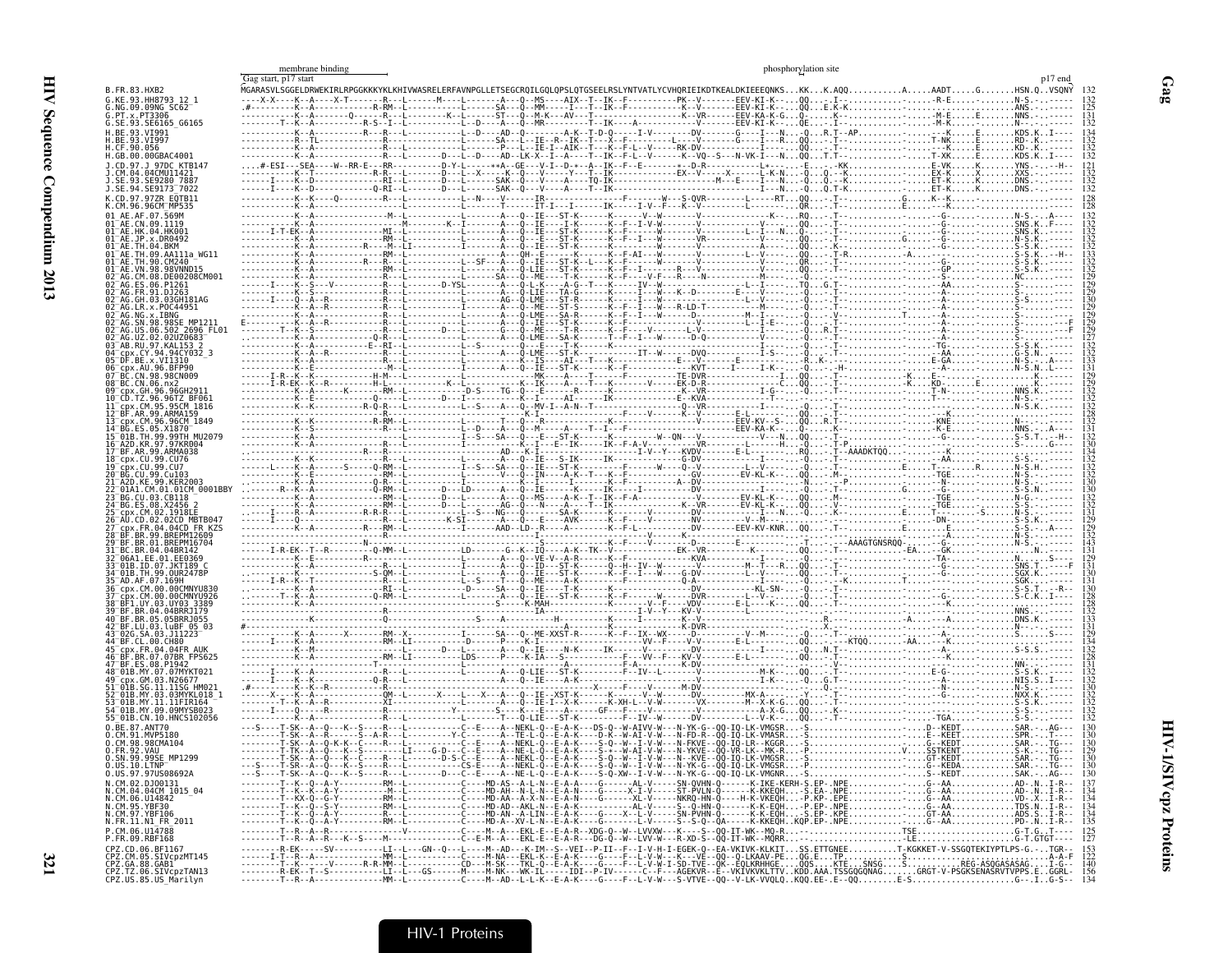|                                                                                      |                      | membrane binding |                                                                                                                                                                                             | phosphorylation site |             |
|--------------------------------------------------------------------------------------|----------------------|------------------|---------------------------------------------------------------------------------------------------------------------------------------------------------------------------------------------|----------------------|-------------|
| B.FR.83.HXB2                                                                         | Gag start, p17 start |                  |                                                                                                                                                                                             |                      |             |
| G.KE.93.HH8793 12 1                                                                  |                      |                  | MGARASVLSGGELDRWEKIRLRPGGKKKYKLKHIVWASRELERFAVNPGLLETSEGCRQILGQLQPSLQTGSEELRSLYNTVATLYCVHQRIEIKDTKEALDKIEEEQMKSKKK.AQQK.AQQAAADTGHSN.QVSQNY<br>----X-X----K--A----X-T------R---L------M---- |                      |             |
| G.NG.09.09NG SC62<br>G.PT.x.PT3306                                                   |                      |                  |                                                                                                                                                                                             |                      |             |
| G.SE.93.SE6165 G6165<br>H.BE.93.VI991                                                |                      |                  |                                                                                                                                                                                             |                      |             |
| I.BE.93.VI997<br>I.CF.90.056                                                         |                      |                  |                                                                                                                                                                                             |                      |             |
| H.GB.00.00GBAC4001<br>J.CD.97.J 97DC KTB147                                          |                      |                  |                                                                                                                                                                                             |                      |             |
| CM.04.04CMU11421.<br>SE.93.SE9280 7887.                                              |                      |                  |                                                                                                                                                                                             |                      |             |
| J.SE.94.SE9173 <sup>-</sup> 7022                                                     |                      |                  |                                                                                                                                                                                             |                      |             |
| K.CD.97.97ZR EOTB11<br>K.CM.96.96CMTMP535                                            |                      |                  |                                                                                                                                                                                             |                      |             |
|                                                                                      |                      |                  |                                                                                                                                                                                             |                      |             |
| 01 <sup>-</sup> AE.JP.x.DR0492                                                       |                      |                  |                                                                                                                                                                                             |                      |             |
|                                                                                      |                      |                  |                                                                                                                                                                                             |                      |             |
|                                                                                      |                      |                  |                                                                                                                                                                                             |                      |             |
|                                                                                      |                      |                  |                                                                                                                                                                                             |                      |             |
| $\bar{ }$ AG.GH.03.03GH181AG                                                         |                      |                  |                                                                                                                                                                                             |                      |             |
| R.x.POC44951                                                                         |                      |                  |                                                                                                                                                                                             |                      |             |
| 06.502_2696 FL01                                                                     |                      |                  |                                                                                                                                                                                             |                      |             |
| 02.02UZ0683                                                                          |                      |                  |                                                                                                                                                                                             |                      |             |
| 05 <sup>-</sup> DF.BE.x.VI1310                                                       |                      |                  |                                                                                                                                                                                             |                      |             |
|                                                                                      |                      |                  |                                                                                                                                                                                             |                      |             |
| 08 BC.CN.06.nx2<br>GH.96.96GH291                                                     |                      |                  |                                                                                                                                                                                             |                      |             |
| 10 <sup>-</sup> CD.TZ.96.96TZ BF061<br>CDX.CM.95.95CM 1816                           |                      |                  |                                                                                                                                                                                             |                      |             |
| l3 <sup>-</sup> срх.CM.96.96CM 1849                                                  |                      |                  |                                                                                                                                                                                             |                      |             |
|                                                                                      |                      |                  |                                                                                                                                                                                             |                      |             |
| 16 <sup>-</sup> A2D.KR.97.97KR004<br>17 BF AR 99 ARMA038                             |                      |                  |                                                                                                                                                                                             |                      |             |
| 18 <sup>-</sup> cpx.CU.99.CU76<br>19 <sup>–</sup> cbx.CU.99.CU7                      |                      |                  |                                                                                                                                                                                             |                      |             |
| BG.CU.99.Cu103                                                                       |                      |                  |                                                                                                                                                                                             |                      |             |
|                                                                                      |                      |                  |                                                                                                                                                                                             |                      |             |
|                                                                                      |                      |                  |                                                                                                                                                                                             |                      |             |
| CDX.FR.04.04CD FR KZS                                                                |                      |                  |                                                                                                                                                                                             |                      |             |
|                                                                                      |                      |                  |                                                                                                                                                                                             |                      |             |
|                                                                                      |                      |                  |                                                                                                                                                                                             |                      |             |
| 01B.ID.07.JKT189 C<br>TH.99.0UR2478P                                                 |                      |                  |                                                                                                                                                                                             |                      |             |
|                                                                                      |                      |                  |                                                                                                                                                                                             |                      |             |
|                                                                                      |                      |                  |                                                                                                                                                                                             |                      |             |
| BR.05.05BRR.1055                                                                     |                      |                  |                                                                                                                                                                                             |                      |             |
| ⊺BF.LU.03.luBF 05 03                                                                 |                      |                  |                                                                                                                                                                                             |                      |             |
| FR.04.04FR AUK                                                                       |                      |                  |                                                                                                                                                                                             |                      |             |
| 07.07BR FPS625                                                                       |                      |                  |                                                                                                                                                                                             |                      |             |
| GM 03 N26677                                                                         |                      |                  |                                                                                                                                                                                             |                      |             |
| SG.11.11SG HM021<br>03.03MYKL018                                                     |                      |                  |                                                                                                                                                                                             |                      |             |
| MY 11 11 FIR164<br>4 01B MY 09 09MYSB02                                              |                      |                  |                                                                                                                                                                                             |                      |             |
| 5 01B.CN.10.HNCS102056<br>$0.$ BE. $87.$ ANT70                                       |                      |                  |                                                                                                                                                                                             |                      |             |
| 0.CM.91.MVP5180                                                                      |                      |                  |                                                                                                                                                                                             |                      |             |
| 0.CM.98.98CMA104<br>0.FR.92.VAU<br>SN.99.99SE MP1299                                 |                      |                  |                                                                                                                                                                                             |                      |             |
| 0.05.10.LTNP <sup>-4</sup><br>0.05.97.970S08692A                                     |                      |                  |                                                                                                                                                                                             |                      |             |
| N.CM.02.DJ00131                                                                      |                      |                  |                                                                                                                                                                                             |                      | 130         |
| N.CM.04.04CM_1015_04<br>N.CM.06.U14842<br>N.CM.95.YBF30<br>N.CM.97.YBF106            |                      |                  |                                                                                                                                                                                             |                      |             |
|                                                                                      |                      |                  |                                                                                                                                                                                             |                      |             |
| N.FR.11.N1_FR_2011                                                                   |                      |                  |                                                                                                                                                                                             |                      |             |
| P.CM.06.U14788<br>P.FR.09.RBF168                                                     |                      |                  |                                                                                                                                                                                             |                      |             |
| CPZ.CD.06.BF1167<br>CPZ.CM.05.SIVcpzMT145<br>CPZ.GA.88.GAB1<br>CPZ.TZ.06.SIVcpzTAN13 |                      |                  |                                                                                                                                                                                             |                      | 140         |
| CPZ.US.85.US Marilyn                                                                 |                      |                  |                                                                                                                                                                                             |                      | 156<br>-134 |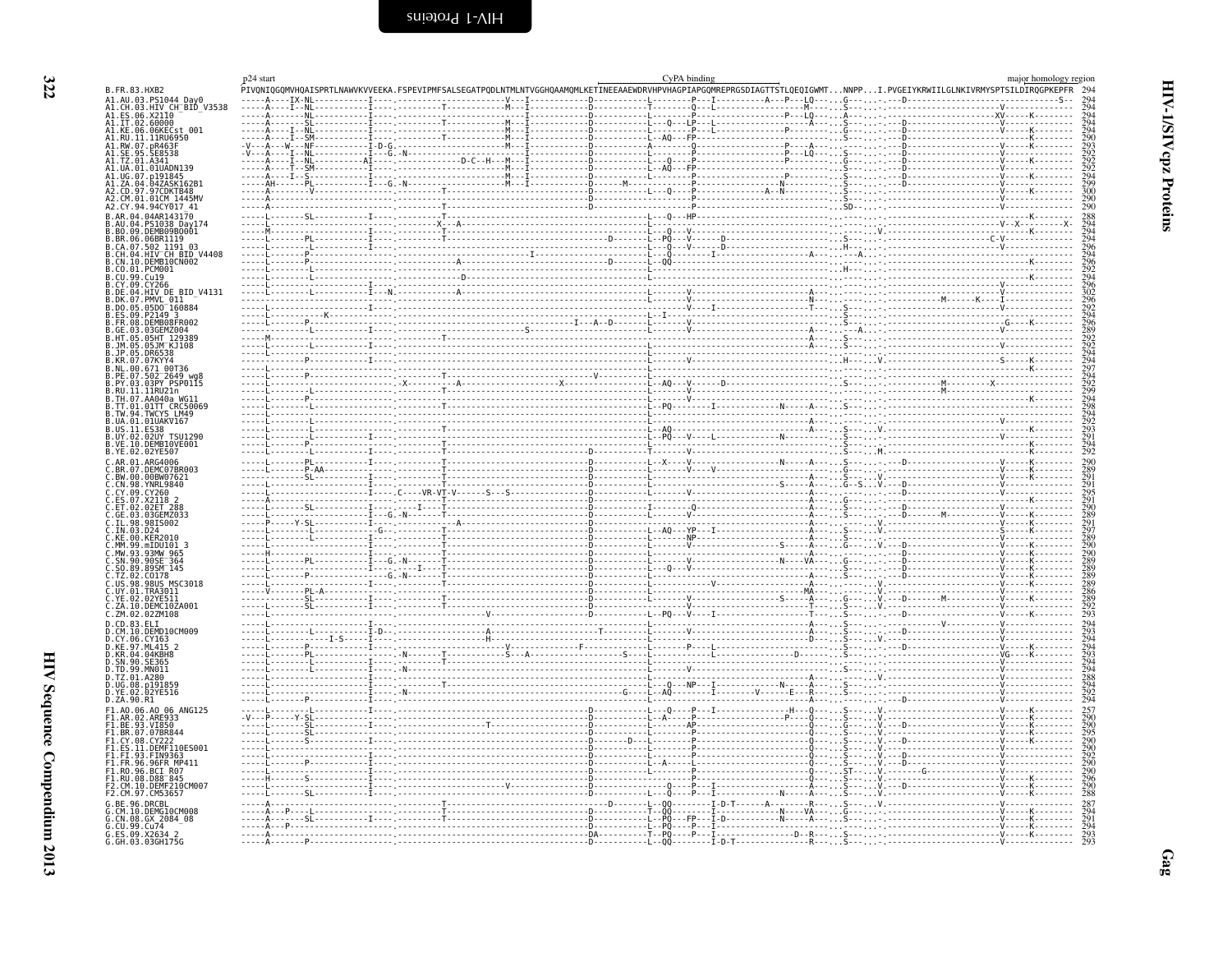<span id="page-11-0"></span>

|                                                                                                                         | p24 start | .<br>PIVONIOGOMVHOAISPRTLNAWVKVVEEKA.FSPEVIPMFSALSEGATPODLNTMLNTVGGHOAAMOMLKETINEEAAEWDRVHPVHAGPIAPGOMREPRGSDIAGTTSTLQEQIGWMTNNPPI.PVGEIYKRWIILGLNKIVRMYSPTSILDIRQGPKEPFR | CyPA binding |  | major homology region<br>294                                |
|-------------------------------------------------------------------------------------------------------------------------|-----------|---------------------------------------------------------------------------------------------------------------------------------------------------------------------------|--------------|--|-------------------------------------------------------------|
| B.FR.83.HXB2<br>A1.AU.03.PS1044 Day0                                                                                    |           |                                                                                                                                                                           |              |  |                                                             |
| A1.CH.03.HIV CH BID V3538<br>A1.ES.06.X2110<br>A1.ES.06.X2110                                                           |           |                                                                                                                                                                           |              |  |                                                             |
| A1.KE.06.06KECst 001                                                                                                    |           |                                                                                                                                                                           |              |  | 294<br>294<br>294<br>290<br>292<br>292<br>292<br>292<br>294 |
| A1.RU.11.11RU6950                                                                                                       |           |                                                                                                                                                                           |              |  |                                                             |
| A1.RW.07.pR463F<br>A1.SE.95.SE8538                                                                                      |           |                                                                                                                                                                           |              |  |                                                             |
| A1.TZ.01.A341<br>A1.UA.01.01UADN139                                                                                     |           |                                                                                                                                                                           |              |  |                                                             |
| A1.UG.07.p191845<br>A1.ZA.04.04ZASK162B1                                                                                |           |                                                                                                                                                                           |              |  |                                                             |
| CD.97.97CDKTB48                                                                                                         |           |                                                                                                                                                                           |              |  | $\frac{299}{300}$                                           |
| A2.CM.01.01CM 1445MV<br>A2.CY.94.94CY017 41                                                                             |           |                                                                                                                                                                           |              |  | $^{290}_{290}$                                              |
| B.AR.04.04AR143170                                                                                                      |           |                                                                                                                                                                           |              |  |                                                             |
| 04.PS1038 Day174<br>B.BO.09.DEMB09B0001                                                                                 |           |                                                                                                                                                                           |              |  |                                                             |
| B.BR.06.06BR1119                                                                                                        |           |                                                                                                                                                                           |              |  |                                                             |
| B.CA. 07.502 1191 03<br>B.CH. 04. HIV CH BID V4408<br>B.CH. 04. HIV CH BID V4408<br>B.CO. 01. PCM001<br>B.CU. 99. Cu19  |           |                                                                                                                                                                           |              |  |                                                             |
|                                                                                                                         |           |                                                                                                                                                                           |              |  |                                                             |
|                                                                                                                         |           |                                                                                                                                                                           |              |  |                                                             |
| B. CY.09. CY266<br>B.DE.04.HIV DE BID V4131                                                                             |           |                                                                                                                                                                           |              |  |                                                             |
| B.DK.07.PMVL 011<br>B.DO.05.05DO 160884                                                                                 |           |                                                                                                                                                                           |              |  |                                                             |
| 09.P2149 3                                                                                                              |           |                                                                                                                                                                           |              |  |                                                             |
| B.FR.08.DEMB08FR002<br>03.03GEMZ004                                                                                     |           |                                                                                                                                                                           |              |  |                                                             |
| 05.05HT 129389<br>B.JM.05.05JM KJ108                                                                                    |           |                                                                                                                                                                           |              |  |                                                             |
| B.JP.05.DR6538                                                                                                          |           |                                                                                                                                                                           |              |  |                                                             |
| B.KR.07.07KYY4                                                                                                          |           |                                                                                                                                                                           |              |  |                                                             |
| B.NL.00.671 00T36<br>B.PE.07.502 2649 wg8<br>B.PY.03.03PY PSP0115<br>B.RU.11.11RU21n                                    |           |                                                                                                                                                                           |              |  |                                                             |
|                                                                                                                         |           |                                                                                                                                                                           |              |  |                                                             |
| B.TH.07.AA040a WG11<br>B.TT.01.01TT CRC50069                                                                            |           |                                                                                                                                                                           |              |  |                                                             |
| B.TW.94.TWCYS LM49<br>B.UA.01.01UAKV167                                                                                 |           |                                                                                                                                                                           |              |  |                                                             |
| B.US.11.ES38<br>B.US.11.ES38<br>B.UY.02.02UY_TSU1290                                                                    |           |                                                                                                                                                                           |              |  |                                                             |
| B. VE. 10. DEMB10VE001                                                                                                  |           |                                                                                                                                                                           |              |  |                                                             |
| B.YE.02.02YE507                                                                                                         |           |                                                                                                                                                                           |              |  |                                                             |
| C.AR.01.ARG4006<br>C.BR.07.DEMC07BR003                                                                                  |           |                                                                                                                                                                           |              |  | 290                                                         |
| C.BW.00.00BW07621<br>C.CN.98.YNRL9840                                                                                   |           |                                                                                                                                                                           |              |  |                                                             |
| C.CY.09.CY260                                                                                                           |           |                                                                                                                                                                           |              |  | 289<br>291<br>295<br>291<br>290<br>2891<br>297              |
| C.ES.07.X2118<br>C.ET.02.02FT<br>02.02ET 288                                                                            |           |                                                                                                                                                                           |              |  |                                                             |
| 03.03GEMZ033                                                                                                            |           |                                                                                                                                                                           |              |  |                                                             |
| 98.98IS002<br>IN.03.024                                                                                                 |           |                                                                                                                                                                           |              |  |                                                             |
| KE.00.KER2010                                                                                                           |           |                                                                                                                                                                           |              |  | $\frac{289}{290}$                                           |
| Č.MM.99.mIDU101 3<br>C.MW.93.93MW 965<br>C.SN.90.90SE_364                                                               |           |                                                                                                                                                                           |              |  | $\frac{290}{289}$                                           |
| C. SN. 99. 9958<br>C. SO. 89. 895M <sup>-145</sup><br>C. TZ. 02. C0178<br>C. US. 98. 98US MSC3018<br>C. UY. 01. TRA3011 |           |                                                                                                                                                                           |              |  |                                                             |
|                                                                                                                         |           |                                                                                                                                                                           |              |  |                                                             |
|                                                                                                                         |           |                                                                                                                                                                           |              |  |                                                             |
| C.YE.02.02YE511<br>C.ZA.10.DEMC10ZA001                                                                                  |           |                                                                                                                                                                           |              |  | 289<br>289<br>289<br>286<br>289<br>292<br>293               |
| C.ZM.02.02ZM108<br>D.CD.83.ELI                                                                                          |           |                                                                                                                                                                           |              |  | 294                                                         |
| D.CM.10.DEMD10CM009                                                                                                     |           |                                                                                                                                                                           |              |  |                                                             |
| D.CY.06.CY163                                                                                                           |           |                                                                                                                                                                           |              |  | 293<br>294<br>294<br>294<br>294<br>294<br>292<br>294<br>292 |
| D.KE.97.ML415 2<br>D.KR.04.04KBH8<br>D.SN.90.SE365                                                                      |           |                                                                                                                                                                           |              |  |                                                             |
| D.TD.99.MN011                                                                                                           |           |                                                                                                                                                                           |              |  |                                                             |
| D.TZ.01.A280<br>D.UG.08.p191859                                                                                         |           |                                                                                                                                                                           |              |  |                                                             |
| 02.02YE516                                                                                                              |           |                                                                                                                                                                           |              |  |                                                             |
| D.ZA.90.R1<br>F1.A0.06.A0 06 ANG125                                                                                     |           |                                                                                                                                                                           |              |  |                                                             |
| .02.ARE933                                                                                                              |           |                                                                                                                                                                           |              |  | $\frac{257}{290}$                                           |
| F1.BE.93.VI850<br>F1.BR.07.07BR844                                                                                      |           |                                                                                                                                                                           |              |  | 290<br>290<br>295<br>290<br>290                             |
| F1.CY.08.CY222<br>.11.DEMF110ES001                                                                                      |           |                                                                                                                                                                           |              |  |                                                             |
| 93.FIN9363.                                                                                                             |           |                                                                                                                                                                           |              |  |                                                             |
| .96.96FR MP411<br>F1.RO.96.BCI R07                                                                                      |           |                                                                                                                                                                           |              |  | 292<br>292<br>290<br>290<br>296                             |
| $.08.088 - 845$                                                                                                         |           |                                                                                                                                                                           |              |  |                                                             |
| F2.CM.10.DEMF210CM007<br>F2.CM.97.CM53657                                                                               |           |                                                                                                                                                                           |              |  | $\frac{290}{288}$                                           |
| 96.DRCBL                                                                                                                |           |                                                                                                                                                                           |              |  | 287                                                         |
| 10.DEMG10CM008<br>CN.08.GX 2084 08                                                                                      |           |                                                                                                                                                                           |              |  | $\frac{291}{294}$                                           |
| G.CU.99.Cu74<br>G.ES.09.X2634 2<br>G.GH.03.03GH175G                                                                     |           |                                                                                                                                                                           |              |  |                                                             |
|                                                                                                                         |           |                                                                                                                                                                           |              |  | $\frac{293}{293}$                                           |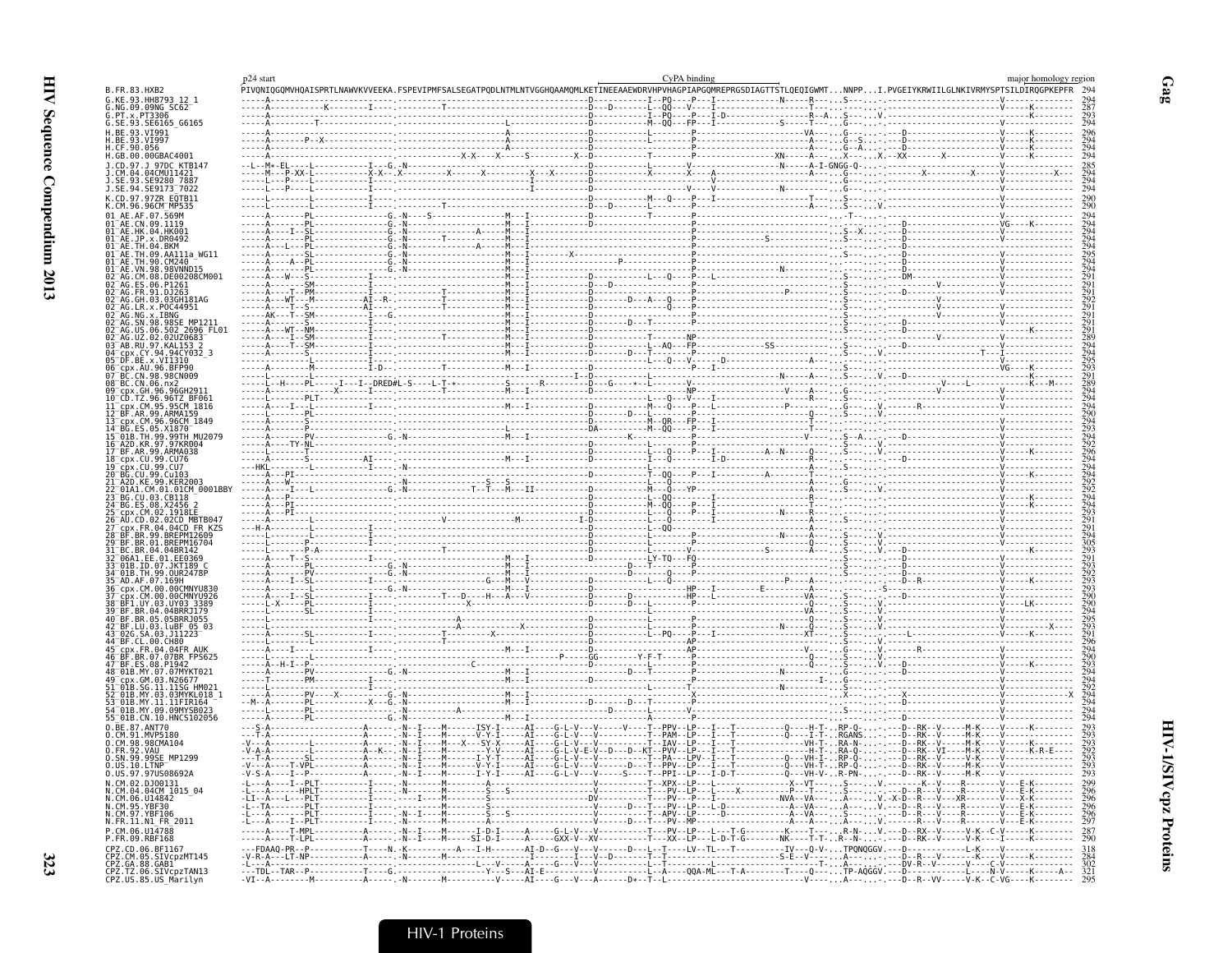|                                                                                               | p24 start |                                                                                                                                                                           | CvPA binding |  | major homology regior |
|-----------------------------------------------------------------------------------------------|-----------|---------------------------------------------------------------------------------------------------------------------------------------------------------------------------|--------------|--|-----------------------|
| <b>B.FR.83.HXB2</b>                                                                           |           | .<br>PIVQNIQGQMVHQAISPRTLNAWVKVVEEKA.FSPEVIPMFSALSEGATPQDLNTMLNTVGGHQAAMQMLKETINEEAAEWDRVHPVHAGPIAPGQMREPRGSDIAGTTSTLQEQIGWMTNNPPI.PVGEIYKRWIILGLNKIVRMYSPTSILDIRQGPKEPFR |              |  |                       |
| G.KE.93.HH8793 12 1<br>G.NG.09.09NG_SC62                                                      |           |                                                                                                                                                                           |              |  |                       |
| $G.PT \times PT306$                                                                           |           |                                                                                                                                                                           |              |  |                       |
| G.SE.93.SE6165_G6165<br>H.BE.93.VI991                                                         |           |                                                                                                                                                                           |              |  |                       |
| H.BE.93.VI997<br>H.CF.90.056                                                                  |           |                                                                                                                                                                           |              |  |                       |
| H.GB.00.00GBAC4001                                                                            |           |                                                                                                                                                                           |              |  |                       |
| .97.J 97DC KTB147                                                                             |           |                                                                                                                                                                           |              |  |                       |
| 04CMU1142                                                                                     |           |                                                                                                                                                                           |              |  |                       |
| .SE.94.SE9173 <sup>-</sup> 7022                                                               |           |                                                                                                                                                                           |              |  |                       |
| CD.97.97ZR EQTB11                                                                             |           |                                                                                                                                                                           |              |  |                       |
| .CM.96.96CM_MP535                                                                             |           |                                                                                                                                                                           |              |  |                       |
|                                                                                               |           |                                                                                                                                                                           |              |  |                       |
| 91 <sup>—</sup> АЕ.НК.04.НК00                                                                 |           |                                                                                                                                                                           |              |  |                       |
|                                                                                               |           |                                                                                                                                                                           |              |  |                       |
| 91 <sup>-</sup> AE.TH.09.AA111a_WG11<br>91 <sup>-</sup> AE.TH.90.CM240                        |           |                                                                                                                                                                           |              |  |                       |
|                                                                                               |           |                                                                                                                                                                           |              |  |                       |
|                                                                                               |           |                                                                                                                                                                           |              |  |                       |
|                                                                                               |           |                                                                                                                                                                           |              |  |                       |
| .R.x.POC44951                                                                                 |           |                                                                                                                                                                           |              |  |                       |
|                                                                                               |           |                                                                                                                                                                           |              |  |                       |
| .98.98SE MP1211<br>.06.502 2696 FL<br>.02.02UZ0683<br>2696 FL01                               |           |                                                                                                                                                                           |              |  |                       |
|                                                                                               |           |                                                                                                                                                                           |              |  |                       |
| cpx.CY.94.94CY032 3                                                                           |           |                                                                                                                                                                           |              |  |                       |
| DF.BE.x.VI1310<br>، AU 96 BFP90 ،                                                             |           |                                                                                                                                                                           |              |  |                       |
| CN.98.98CN009                                                                                 |           |                                                                                                                                                                           |              |  |                       |
| GH 96 96GH2911                                                                                |           |                                                                                                                                                                           |              |  |                       |
| 96.96TZ BF061<br>$\overline{c}$ px. $\overline{c}$ M.95.95 $\overline{c}$ M $\overline{1816}$ |           |                                                                                                                                                                           |              |  |                       |
| AR.99.ARMA159                                                                                 |           |                                                                                                                                                                           |              |  |                       |
|                                                                                               |           |                                                                                                                                                                           |              |  |                       |
|                                                                                               |           |                                                                                                                                                                           |              |  |                       |
| 99.ARMA038                                                                                    |           |                                                                                                                                                                           |              |  |                       |
|                                                                                               |           |                                                                                                                                                                           |              |  |                       |
|                                                                                               |           |                                                                                                                                                                           |              |  |                       |
|                                                                                               |           |                                                                                                                                                                           |              |  |                       |
|                                                                                               |           |                                                                                                                                                                           |              |  |                       |
|                                                                                               |           |                                                                                                                                                                           |              |  |                       |
|                                                                                               |           |                                                                                                                                                                           |              |  |                       |
| 01.BREPM16704                                                                                 |           |                                                                                                                                                                           |              |  |                       |
| 04 04RR142                                                                                    |           |                                                                                                                                                                           |              |  |                       |
| 06A1.EE.01.EE0369                                                                             |           |                                                                                                                                                                           |              |  |                       |
|                                                                                               |           |                                                                                                                                                                           |              |  |                       |
|                                                                                               |           |                                                                                                                                                                           |              |  |                       |
| CM.00.00CMNYU926                                                                              |           |                                                                                                                                                                           |              |  |                       |
| 3R.04.04BRRJ179                                                                               |           |                                                                                                                                                                           |              |  |                       |
| .BR.05.05BRRJ055<br>03. LUBE 05                                                               |           |                                                                                                                                                                           |              |  |                       |
|                                                                                               |           |                                                                                                                                                                           |              |  |                       |
|                                                                                               |           |                                                                                                                                                                           |              |  |                       |
|                                                                                               |           |                                                                                                                                                                           |              |  |                       |
| 8 <sup>-</sup> 01B.MY.07.07MYKT02                                                             |           |                                                                                                                                                                           |              |  |                       |
|                                                                                               |           |                                                                                                                                                                           |              |  |                       |
| MY.03.03MYKL018<br>MY.11.11FIR164                                                             |           |                                                                                                                                                                           |              |  |                       |
|                                                                                               |           |                                                                                                                                                                           |              |  |                       |
| 55 <sup>-</sup> 01B.CN.10.HNCS102056<br>0.BE.87.ANT70                                         |           |                                                                                                                                                                           |              |  |                       |
| .CM.91.MVP5180                                                                                |           |                                                                                                                                                                           |              |  |                       |
| 0.CM.98.98CMA104                                                                              |           |                                                                                                                                                                           |              |  |                       |
| SN.99.99SE MP1299                                                                             |           |                                                                                                                                                                           |              |  |                       |
| 0.US.97.97US08692A                                                                            |           |                                                                                                                                                                           |              |  |                       |
|                                                                                               |           |                                                                                                                                                                           |              |  |                       |
| .CM.06.U14842                                                                                 |           |                                                                                                                                                                           |              |  |                       |
| CM 95 YRE30<br>N.CM.97.YBF106                                                                 |           |                                                                                                                                                                           |              |  |                       |
| N.FR.11.N1 FR 2011                                                                            |           |                                                                                                                                                                           |              |  |                       |
| P.CM.06.U14788<br>P.FR.09.RBF168                                                              |           |                                                                                                                                                                           |              |  |                       |
| CPZ.CD.06.BF1167                                                                              |           |                                                                                                                                                                           |              |  |                       |
| CPZ.CM.05.SIVCpzMT145<br>CPZ.GA.88.GAB1<br>CPZ.TZ.06.SIVCpzTAN13<br>CPZ.US.85.US_Marilyn      |           |                                                                                                                                                                           |              |  |                       |
|                                                                                               |           |                                                                                                                                                                           |              |  |                       |
|                                                                                               |           |                                                                                                                                                                           |              |  |                       |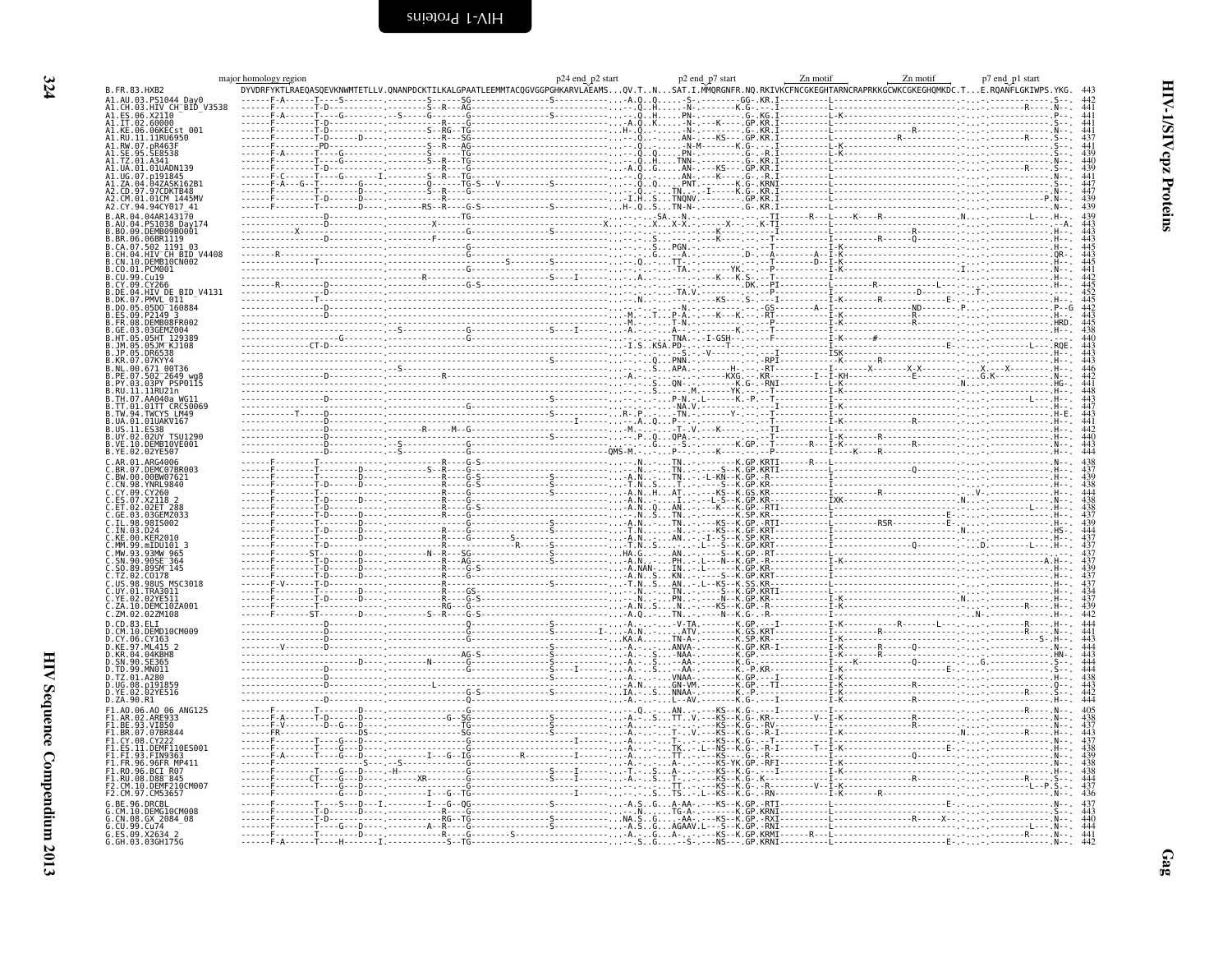|                                                     | bomology region p7 end_p1 start p2 start p2 start p2 end_p7 start p2 end_p7 start Development p2 end_p7 start Development p2 end_p7 end_p1 start p2 end_p7 end_p1 start p2 end_p7 end_p1 start p2 end_p7 end_p1 start p2 end_p<br>major homology region |  |  |  |
|-----------------------------------------------------|---------------------------------------------------------------------------------------------------------------------------------------------------------------------------------------------------------------------------------------------------------|--|--|--|
| B.FR.83.HXB2                                        |                                                                                                                                                                                                                                                         |  |  |  |
| 03.HIV CH BID V3538                                 |                                                                                                                                                                                                                                                         |  |  |  |
| 06.X2110<br>IT.02.60000                             |                                                                                                                                                                                                                                                         |  |  |  |
| .06.06KECst 001                                     |                                                                                                                                                                                                                                                         |  |  |  |
| 11.11RU6950                                         |                                                                                                                                                                                                                                                         |  |  |  |
|                                                     |                                                                                                                                                                                                                                                         |  |  |  |
|                                                     |                                                                                                                                                                                                                                                         |  |  |  |
|                                                     |                                                                                                                                                                                                                                                         |  |  |  |
|                                                     |                                                                                                                                                                                                                                                         |  |  |  |
|                                                     |                                                                                                                                                                                                                                                         |  |  |  |
|                                                     |                                                                                                                                                                                                                                                         |  |  |  |
|                                                     |                                                                                                                                                                                                                                                         |  |  |  |
| DEMB09B0001.                                        |                                                                                                                                                                                                                                                         |  |  |  |
| .06BR1119<br>1191 03                                |                                                                                                                                                                                                                                                         |  |  |  |
| .502_1191_03<br>.HIV CH_BID_V4408                   |                                                                                                                                                                                                                                                         |  |  |  |
| DEMB10CN002.                                        |                                                                                                                                                                                                                                                         |  |  |  |
|                                                     |                                                                                                                                                                                                                                                         |  |  |  |
| DE.04.HIV DE BID V4131                              |                                                                                                                                                                                                                                                         |  |  |  |
|                                                     |                                                                                                                                                                                                                                                         |  |  |  |
| 05D0 160884                                         |                                                                                                                                                                                                                                                         |  |  |  |
|                                                     |                                                                                                                                                                                                                                                         |  |  |  |
|                                                     |                                                                                                                                                                                                                                                         |  |  |  |
|                                                     |                                                                                                                                                                                                                                                         |  |  |  |
|                                                     |                                                                                                                                                                                                                                                         |  |  |  |
|                                                     |                                                                                                                                                                                                                                                         |  |  |  |
| $02^-2649$ W<br>03PY PSP0115                        |                                                                                                                                                                                                                                                         |  |  |  |
| .11RU21n                                            |                                                                                                                                                                                                                                                         |  |  |  |
|                                                     |                                                                                                                                                                                                                                                         |  |  |  |
| 01TT CRC50069                                       |                                                                                                                                                                                                                                                         |  |  |  |
| .01UAKV167                                          |                                                                                                                                                                                                                                                         |  |  |  |
|                                                     |                                                                                                                                                                                                                                                         |  |  |  |
|                                                     |                                                                                                                                                                                                                                                         |  |  |  |
| YE.02.02YE507                                       |                                                                                                                                                                                                                                                         |  |  |  |
| <b>FMC07BR00</b>                                    |                                                                                                                                                                                                                                                         |  |  |  |
|                                                     |                                                                                                                                                                                                                                                         |  |  |  |
| YNRL9840                                            |                                                                                                                                                                                                                                                         |  |  |  |
|                                                     |                                                                                                                                                                                                                                                         |  |  |  |
|                                                     |                                                                                                                                                                                                                                                         |  |  |  |
|                                                     |                                                                                                                                                                                                                                                         |  |  |  |
|                                                     |                                                                                                                                                                                                                                                         |  |  |  |
| .mIDU101 3                                          |                                                                                                                                                                                                                                                         |  |  |  |
| 90SE <sup>-364</sup>                                |                                                                                                                                                                                                                                                         |  |  |  |
| 89SM <sup>-145</sup>                                |                                                                                                                                                                                                                                                         |  |  |  |
| C0178<br>.98US MSC3018                              |                                                                                                                                                                                                                                                         |  |  |  |
|                                                     |                                                                                                                                                                                                                                                         |  |  |  |
| DEMC10ZA001.                                        |                                                                                                                                                                                                                                                         |  |  |  |
| ZM.02.02ZM108                                       |                                                                                                                                                                                                                                                         |  |  |  |
| .DEMD10CM009                                        |                                                                                                                                                                                                                                                         |  |  |  |
| .06.CY163                                           |                                                                                                                                                                                                                                                         |  |  |  |
| ML415<br>.04KBHF                                    |                                                                                                                                                                                                                                                         |  |  |  |
|                                                     |                                                                                                                                                                                                                                                         |  |  |  |
|                                                     |                                                                                                                                                                                                                                                         |  |  |  |
|                                                     |                                                                                                                                                                                                                                                         |  |  |  |
|                                                     |                                                                                                                                                                                                                                                         |  |  |  |
| .ZA.90.R1                                           |                                                                                                                                                                                                                                                         |  |  |  |
|                                                     |                                                                                                                                                                                                                                                         |  |  |  |
|                                                     |                                                                                                                                                                                                                                                         |  |  |  |
|                                                     |                                                                                                                                                                                                                                                         |  |  |  |
|                                                     |                                                                                                                                                                                                                                                         |  |  |  |
| .96.96FR MP411                                      |                                                                                                                                                                                                                                                         |  |  |  |
| BCI_R07<br>.08.D88 <sup>-</sup> 845                 |                                                                                                                                                                                                                                                         |  |  |  |
| DEMF210CM007                                        |                                                                                                                                                                                                                                                         |  |  |  |
|                                                     |                                                                                                                                                                                                                                                         |  |  |  |
|                                                     |                                                                                                                                                                                                                                                         |  |  |  |
| CM.10.DEMG10CM008<br>CN.08.GX 2084_08<br>CU.99.Cu74 |                                                                                                                                                                                                                                                         |  |  |  |
|                                                     |                                                                                                                                                                                                                                                         |  |  |  |
| ES.09.X2634 2<br>GH.03.03GH175G                     |                                                                                                                                                                                                                                                         |  |  |  |

<span id="page-13-0"></span>HIV-1/SIV cpz Proteins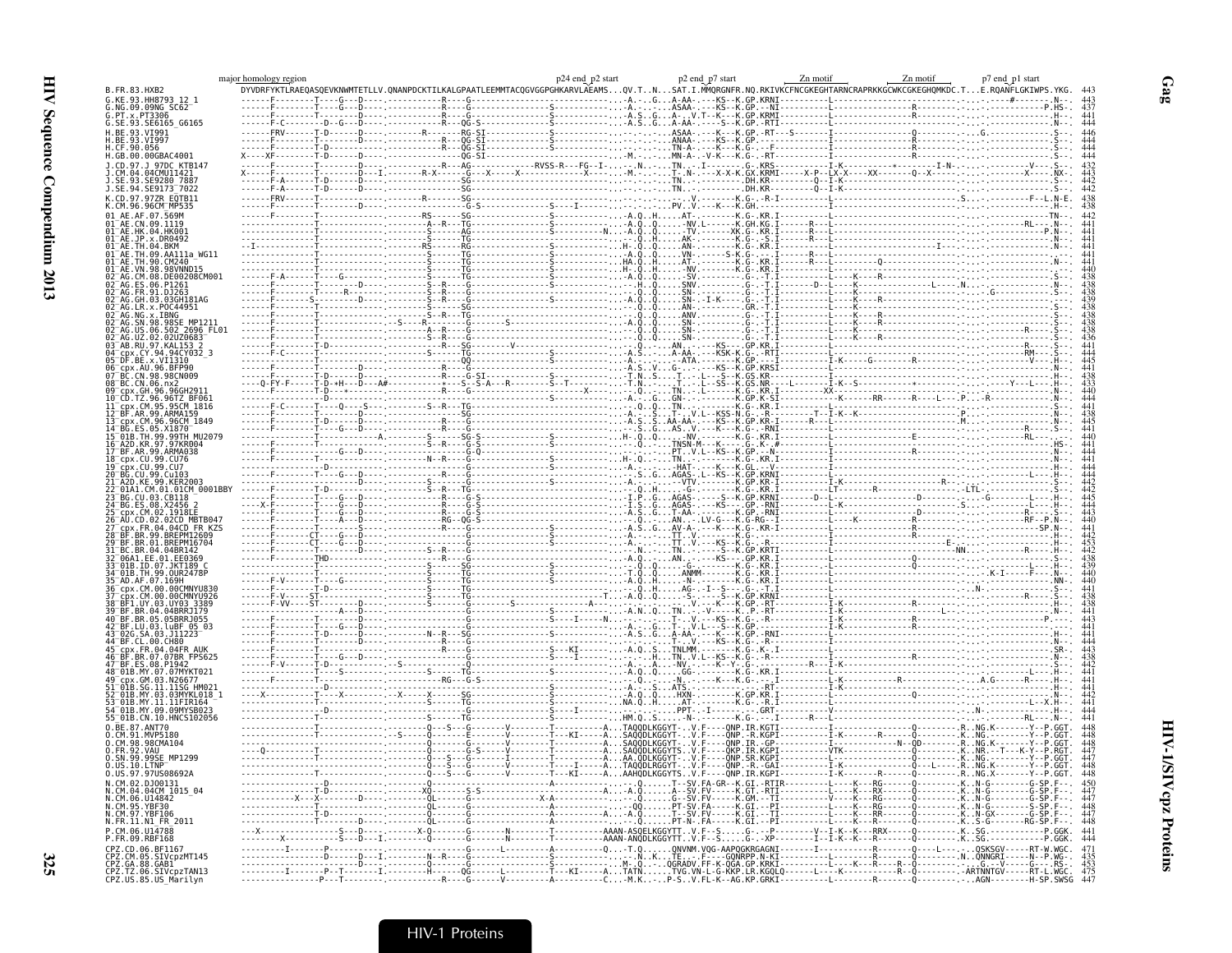|                                                                                  | major homology region |  | P24 end_p2 start p2 end_p7 start p2 end_p7 start p2 end_p7 start p2 end_p7 start p2 end_p7 start p2 end_p7 start p2 end_p7 start p2 end_p1 start p2 end_p1 start p2 end_p1 start p2 end_p1 start p2 end_p1 start p2 end_p1 sta                                                                                                                                                                                                                        |  |  |                                                                                                                                                                                                                                                                                                                                                          |  |
|----------------------------------------------------------------------------------|-----------------------|--|-------------------------------------------------------------------------------------------------------------------------------------------------------------------------------------------------------------------------------------------------------------------------------------------------------------------------------------------------------------------------------------------------------------------------------------------------------|--|--|----------------------------------------------------------------------------------------------------------------------------------------------------------------------------------------------------------------------------------------------------------------------------------------------------------------------------------------------------------|--|
| B.FR.83.HXB2                                                                     |                       |  | $\begin{bmatrix} \textbf{YK} \textbf{T} = \textbf{0} & \textbf{0} & \textbf{0} & \textbf{0} & \textbf{0} & \textbf{0} & \textbf{0} & \textbf{0} & \textbf{0} & \textbf{0} & \textbf{0} & \textbf{0} & \textbf{0} & \textbf{0} & \textbf{0} & \textbf{0} & \textbf{0} & \textbf{0} & \textbf{0} & \textbf{0} & \textbf{0} & \textbf{0} & \textbf{0} & \textbf{0} & \textbf{0} & \textbf{0} & \textbf{0} & \textbf{0} & \textbf{0$                      |  |  |                                                                                                                                                                                                                                                                                                                                                          |  |
| NG.09.09NG SC62                                                                  |                       |  |                                                                                                                                                                                                                                                                                                                                                                                                                                                       |  |  |                                                                                                                                                                                                                                                                                                                                                          |  |
| x.PT3306                                                                         |                       |  |                                                                                                                                                                                                                                                                                                                                                                                                                                                       |  |  |                                                                                                                                                                                                                                                                                                                                                          |  |
| G.SE.93.SE6165 G6165                                                             |                       |  |                                                                                                                                                                                                                                                                                                                                                                                                                                                       |  |  |                                                                                                                                                                                                                                                                                                                                                          |  |
| 93.VT991                                                                         |                       |  |                                                                                                                                                                                                                                                                                                                                                                                                                                                       |  |  |                                                                                                                                                                                                                                                                                                                                                          |  |
|                                                                                  |                       |  |                                                                                                                                                                                                                                                                                                                                                                                                                                                       |  |  |                                                                                                                                                                                                                                                                                                                                                          |  |
| H.GB.00.00GBAC4001                                                               |                       |  |                                                                                                                                                                                                                                                                                                                                                                                                                                                       |  |  |                                                                                                                                                                                                                                                                                                                                                          |  |
| 97DC KTB14                                                                       |                       |  |                                                                                                                                                                                                                                                                                                                                                                                                                                                       |  |  |                                                                                                                                                                                                                                                                                                                                                          |  |
|                                                                                  |                       |  |                                                                                                                                                                                                                                                                                                                                                                                                                                                       |  |  |                                                                                                                                                                                                                                                                                                                                                          |  |
| 5E9173 7022                                                                      |                       |  |                                                                                                                                                                                                                                                                                                                                                                                                                                                       |  |  |                                                                                                                                                                                                                                                                                                                                                          |  |
|                                                                                  |                       |  |                                                                                                                                                                                                                                                                                                                                                                                                                                                       |  |  |                                                                                                                                                                                                                                                                                                                                                          |  |
|                                                                                  |                       |  |                                                                                                                                                                                                                                                                                                                                                                                                                                                       |  |  |                                                                                                                                                                                                                                                                                                                                                          |  |
|                                                                                  |                       |  |                                                                                                                                                                                                                                                                                                                                                                                                                                                       |  |  |                                                                                                                                                                                                                                                                                                                                                          |  |
|                                                                                  |                       |  |                                                                                                                                                                                                                                                                                                                                                                                                                                                       |  |  |                                                                                                                                                                                                                                                                                                                                                          |  |
|                                                                                  |                       |  |                                                                                                                                                                                                                                                                                                                                                                                                                                                       |  |  |                                                                                                                                                                                                                                                                                                                                                          |  |
|                                                                                  |                       |  |                                                                                                                                                                                                                                                                                                                                                                                                                                                       |  |  |                                                                                                                                                                                                                                                                                                                                                          |  |
| .AA111a WG11                                                                     |                       |  |                                                                                                                                                                                                                                                                                                                                                                                                                                                       |  |  |                                                                                                                                                                                                                                                                                                                                                          |  |
|                                                                                  |                       |  |                                                                                                                                                                                                                                                                                                                                                                                                                                                       |  |  |                                                                                                                                                                                                                                                                                                                                                          |  |
|                                                                                  |                       |  |                                                                                                                                                                                                                                                                                                                                                                                                                                                       |  |  |                                                                                                                                                                                                                                                                                                                                                          |  |
|                                                                                  |                       |  |                                                                                                                                                                                                                                                                                                                                                                                                                                                       |  |  |                                                                                                                                                                                                                                                                                                                                                          |  |
|                                                                                  |                       |  |                                                                                                                                                                                                                                                                                                                                                                                                                                                       |  |  | $\begin{minipage}{0.99\textwidth} \begin{tabular}{ c c c } \hline 1 & & . \\ \hline 1 & & . \\ \hline 1 & & . \\ \hline 1 & & . \\ \hline 1 & & . \\ \hline 1 & & . \\ \hline 1 & & . \\ \hline 1 & & . \\ \hline 1 & & . \\ \hline 1 & & . \\ \hline 1 & & . \\ \hline 1 & & . \\ \hline 1 & & . \\ \hline 1 & & . \\ \hline 1 & & . \\ \hline 1 & & .$ |  |
|                                                                                  |                       |  |                                                                                                                                                                                                                                                                                                                                                                                                                                                       |  |  |                                                                                                                                                                                                                                                                                                                                                          |  |
|                                                                                  |                       |  |                                                                                                                                                                                                                                                                                                                                                                                                                                                       |  |  |                                                                                                                                                                                                                                                                                                                                                          |  |
| 2696 FL01                                                                        |                       |  |                                                                                                                                                                                                                                                                                                                                                                                                                                                       |  |  |                                                                                                                                                                                                                                                                                                                                                          |  |
|                                                                                  |                       |  |                                                                                                                                                                                                                                                                                                                                                                                                                                                       |  |  |                                                                                                                                                                                                                                                                                                                                                          |  |
|                                                                                  |                       |  |                                                                                                                                                                                                                                                                                                                                                                                                                                                       |  |  |                                                                                                                                                                                                                                                                                                                                                          |  |
|                                                                                  |                       |  |                                                                                                                                                                                                                                                                                                                                                                                                                                                       |  |  |                                                                                                                                                                                                                                                                                                                                                          |  |
| AU.96.BFP90<br>N.98.98CN009                                                      |                       |  | $\begin{tabular}{ c c c c c } \hline \multicolumn{3}{ c }{\hline \multicolumn{3}{ c }{\hline \multicolumn{3}{ c }{\hline \multicolumn{3}{ c }{\hline \multicolumn{3}{ c }{\hline \multicolumn{3}{ c }{\hline \multicolumn{3}{ c }{\hline \multicolumn{3}{ c }{\hline \multicolumn{3}{ c }{\hline \multicolumn{3}{ c }{\hline \multicolumn{3}{ c }{\hline \multicolumn{3}{ c }{\hline \multicolumn{3}{ c }{\hline \multicolumn{3}{ c }{\hline \multic$ |  |  |                                                                                                                                                                                                                                                                                                                                                          |  |
|                                                                                  |                       |  |                                                                                                                                                                                                                                                                                                                                                                                                                                                       |  |  |                                                                                                                                                                                                                                                                                                                                                          |  |
|                                                                                  |                       |  |                                                                                                                                                                                                                                                                                                                                                                                                                                                       |  |  |                                                                                                                                                                                                                                                                                                                                                          |  |
|                                                                                  |                       |  |                                                                                                                                                                                                                                                                                                                                                                                                                                                       |  |  |                                                                                                                                                                                                                                                                                                                                                          |  |
|                                                                                  |                       |  |                                                                                                                                                                                                                                                                                                                                                                                                                                                       |  |  |                                                                                                                                                                                                                                                                                                                                                          |  |
| 99.ARMA159                                                                       |                       |  |                                                                                                                                                                                                                                                                                                                                                                                                                                                       |  |  |                                                                                                                                                                                                                                                                                                                                                          |  |
|                                                                                  |                       |  |                                                                                                                                                                                                                                                                                                                                                                                                                                                       |  |  |                                                                                                                                                                                                                                                                                                                                                          |  |
|                                                                                  |                       |  |                                                                                                                                                                                                                                                                                                                                                                                                                                                       |  |  |                                                                                                                                                                                                                                                                                                                                                          |  |
| .ARMA038                                                                         |                       |  |                                                                                                                                                                                                                                                                                                                                                                                                                                                       |  |  |                                                                                                                                                                                                                                                                                                                                                          |  |
|                                                                                  |                       |  |                                                                                                                                                                                                                                                                                                                                                                                                                                                       |  |  |                                                                                                                                                                                                                                                                                                                                                          |  |
|                                                                                  |                       |  |                                                                                                                                                                                                                                                                                                                                                                                                                                                       |  |  |                                                                                                                                                                                                                                                                                                                                                          |  |
|                                                                                  |                       |  |                                                                                                                                                                                                                                                                                                                                                                                                                                                       |  |  |                                                                                                                                                                                                                                                                                                                                                          |  |
| 01CM 0001BBY                                                                     |                       |  |                                                                                                                                                                                                                                                                                                                                                                                                                                                       |  |  |                                                                                                                                                                                                                                                                                                                                                          |  |
|                                                                                  |                       |  |                                                                                                                                                                                                                                                                                                                                                                                                                                                       |  |  |                                                                                                                                                                                                                                                                                                                                                          |  |
|                                                                                  |                       |  |                                                                                                                                                                                                                                                                                                                                                                                                                                                       |  |  |                                                                                                                                                                                                                                                                                                                                                          |  |
|                                                                                  |                       |  |                                                                                                                                                                                                                                                                                                                                                                                                                                                       |  |  |                                                                                                                                                                                                                                                                                                                                                          |  |
|                                                                                  |                       |  |                                                                                                                                                                                                                                                                                                                                                                                                                                                       |  |  |                                                                                                                                                                                                                                                                                                                                                          |  |
|                                                                                  |                       |  |                                                                                                                                                                                                                                                                                                                                                                                                                                                       |  |  |                                                                                                                                                                                                                                                                                                                                                          |  |
|                                                                                  |                       |  |                                                                                                                                                                                                                                                                                                                                                                                                                                                       |  |  |                                                                                                                                                                                                                                                                                                                                                          |  |
|                                                                                  |                       |  |                                                                                                                                                                                                                                                                                                                                                                                                                                                       |  |  |                                                                                                                                                                                                                                                                                                                                                          |  |
|                                                                                  |                       |  |                                                                                                                                                                                                                                                                                                                                                                                                                                                       |  |  |                                                                                                                                                                                                                                                                                                                                                          |  |
|                                                                                  |                       |  |                                                                                                                                                                                                                                                                                                                                                                                                                                                       |  |  |                                                                                                                                                                                                                                                                                                                                                          |  |
|                                                                                  |                       |  |                                                                                                                                                                                                                                                                                                                                                                                                                                                       |  |  |                                                                                                                                                                                                                                                                                                                                                          |  |
|                                                                                  |                       |  |                                                                                                                                                                                                                                                                                                                                                                                                                                                       |  |  |                                                                                                                                                                                                                                                                                                                                                          |  |
|                                                                                  |                       |  |                                                                                                                                                                                                                                                                                                                                                                                                                                                       |  |  |                                                                                                                                                                                                                                                                                                                                                          |  |
| 04 04RRR1179<br>.05BRR.1055                                                      |                       |  |                                                                                                                                                                                                                                                                                                                                                                                                                                                       |  |  |                                                                                                                                                                                                                                                                                                                                                          |  |
|                                                                                  |                       |  |                                                                                                                                                                                                                                                                                                                                                                                                                                                       |  |  |                                                                                                                                                                                                                                                                                                                                                          |  |
|                                                                                  |                       |  |                                                                                                                                                                                                                                                                                                                                                                                                                                                       |  |  |                                                                                                                                                                                                                                                                                                                                                          |  |
|                                                                                  |                       |  |                                                                                                                                                                                                                                                                                                                                                                                                                                                       |  |  |                                                                                                                                                                                                                                                                                                                                                          |  |
|                                                                                  |                       |  | $\begin{picture}(100,100)(0,0) \put(0,0){\vector(1,0){100}} \put(0,0){\vector(1,0){100}} \put(0,0){\vector(1,0){100}} \put(0,0){\vector(1,0){100}} \put(0,0){\vector(1,0){100}} \put(0,0){\vector(1,0){100}} \put(0,0){\vector(1,0){100}} \put(0,0){\vector(1,0){100}} \put(0,0){\vector(1,0){100}} \put(0,0){\vector(1,0){100}} \put(0,0){\vector(1,0){100}} \put(0,$                                                                                |  |  |                                                                                                                                                                                                                                                                                                                                                          |  |
|                                                                                  |                       |  |                                                                                                                                                                                                                                                                                                                                                                                                                                                       |  |  |                                                                                                                                                                                                                                                                                                                                                          |  |
|                                                                                  |                       |  |                                                                                                                                                                                                                                                                                                                                                                                                                                                       |  |  |                                                                                                                                                                                                                                                                                                                                                          |  |
|                                                                                  |                       |  |                                                                                                                                                                                                                                                                                                                                                                                                                                                       |  |  |                                                                                                                                                                                                                                                                                                                                                          |  |
|                                                                                  |                       |  |                                                                                                                                                                                                                                                                                                                                                                                                                                                       |  |  |                                                                                                                                                                                                                                                                                                                                                          |  |
| 11.11FTR164                                                                      |                       |  |                                                                                                                                                                                                                                                                                                                                                                                                                                                       |  |  |                                                                                                                                                                                                                                                                                                                                                          |  |
| 01B.CN.10.HNCS102056                                                             |                       |  |                                                                                                                                                                                                                                                                                                                                                                                                                                                       |  |  |                                                                                                                                                                                                                                                                                                                                                          |  |
|                                                                                  |                       |  |                                                                                                                                                                                                                                                                                                                                                                                                                                                       |  |  |                                                                                                                                                                                                                                                                                                                                                          |  |
|                                                                                  |                       |  |                                                                                                                                                                                                                                                                                                                                                                                                                                                       |  |  |                                                                                                                                                                                                                                                                                                                                                          |  |
| .98CMA104                                                                        |                       |  |                                                                                                                                                                                                                                                                                                                                                                                                                                                       |  |  |                                                                                                                                                                                                                                                                                                                                                          |  |
|                                                                                  |                       |  |                                                                                                                                                                                                                                                                                                                                                                                                                                                       |  |  |                                                                                                                                                                                                                                                                                                                                                          |  |
|                                                                                  |                       |  |                                                                                                                                                                                                                                                                                                                                                                                                                                                       |  |  |                                                                                                                                                                                                                                                                                                                                                          |  |
| .97.97US08692A                                                                   |                       |  |                                                                                                                                                                                                                                                                                                                                                                                                                                                       |  |  |                                                                                                                                                                                                                                                                                                                                                          |  |
| 94CM 1015 04                                                                     |                       |  |                                                                                                                                                                                                                                                                                                                                                                                                                                                       |  |  |                                                                                                                                                                                                                                                                                                                                                          |  |
|                                                                                  |                       |  |                                                                                                                                                                                                                                                                                                                                                                                                                                                       |  |  |                                                                                                                                                                                                                                                                                                                                                          |  |
|                                                                                  |                       |  |                                                                                                                                                                                                                                                                                                                                                                                                                                                       |  |  |                                                                                                                                                                                                                                                                                                                                                          |  |
|                                                                                  |                       |  |                                                                                                                                                                                                                                                                                                                                                                                                                                                       |  |  |                                                                                                                                                                                                                                                                                                                                                          |  |
| J. FR. 11<br>N1_FR_2011                                                          |                       |  |                                                                                                                                                                                                                                                                                                                                                                                                                                                       |  |  |                                                                                                                                                                                                                                                                                                                                                          |  |
|                                                                                  |                       |  |                                                                                                                                                                                                                                                                                                                                                                                                                                                       |  |  |                                                                                                                                                                                                                                                                                                                                                          |  |
| BF1167                                                                           |                       |  |                                                                                                                                                                                                                                                                                                                                                                                                                                                       |  |  |                                                                                                                                                                                                                                                                                                                                                          |  |
| SIVcpzMT145                                                                      |                       |  |                                                                                                                                                                                                                                                                                                                                                                                                                                                       |  |  |                                                                                                                                                                                                                                                                                                                                                          |  |
| CPZ.GA.88.GAB1<br>CPZ.GA.88.GAB1<br>CPZ.TZ.06.SIVcpzTAN1<br>CPZ.US.85.US_Marilyn |                       |  |                                                                                                                                                                                                                                                                                                                                                                                                                                                       |  |  |                                                                                                                                                                                                                                                                                                                                                          |  |
|                                                                                  |                       |  |                                                                                                                                                                                                                                                                                                                                                                                                                                                       |  |  |                                                                                                                                                                                                                                                                                                                                                          |  |
|                                                                                  |                       |  |                                                                                                                                                                                                                                                                                                                                                                                                                                                       |  |  |                                                                                                                                                                                                                                                                                                                                                          |  |

 $Gag$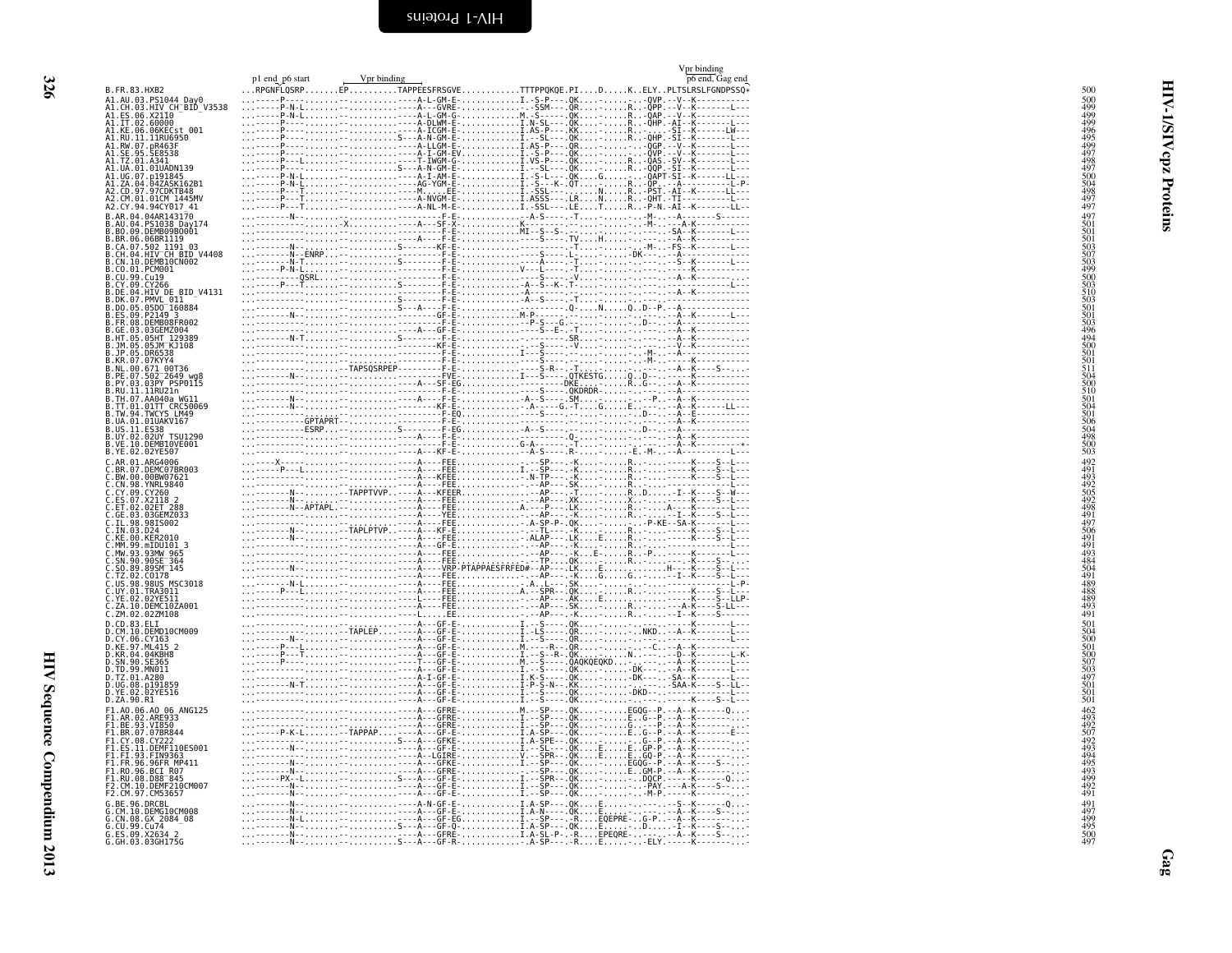<span id="page-15-0"></span>

| B. FR. 83. HXB2                                                                                                                                                                             |  |  |  |  |
|---------------------------------------------------------------------------------------------------------------------------------------------------------------------------------------------|--|--|--|--|
|                                                                                                                                                                                             |  |  |  |  |
| A1.AU.03.PS1044_Day0<br>A1.CH.03.HIV_CH_BID_V3538<br>A1.ES.06.X21I0                                                                                                                         |  |  |  |  |
| A1.1T.02.60000<br>A1.KE.06.06KECst 001<br>A1.KE.06.06KECst 001<br>A1.RU.11.1RM6950<br>A1.RW.07.pR463F<br>A1.SE.95.SE8538<br>A1.TZ.01.A341                                                   |  |  |  |  |
|                                                                                                                                                                                             |  |  |  |  |
|                                                                                                                                                                                             |  |  |  |  |
| UA.01.01UADN139                                                                                                                                                                             |  |  |  |  |
|                                                                                                                                                                                             |  |  |  |  |
| A1.UG.07.p191845<br>A1.ZA.04.04ZASK162B1<br>A2.CD.97.97CDKTB48<br>A2.CM.01.01CM_1445MV                                                                                                      |  |  |  |  |
| Y.94.94CY017 41<br>04.04AR143170                                                                                                                                                            |  |  |  |  |
| 04.PS1038 Day174<br>09.DEMB09B0001                                                                                                                                                          |  |  |  |  |
|                                                                                                                                                                                             |  |  |  |  |
| <b>B.BR.06.06BR1119<br/>B.BR.06.06BR1119<br/>B.CA.07.502 1191 03<br/>B.CN.04.HIV CH BID V4408<br/>B.CN.10.DEMB10CN002</b>                                                                   |  |  |  |  |
| B.CO.01.PCM001                                                                                                                                                                              |  |  |  |  |
| 99.Cu19                                                                                                                                                                                     |  |  |  |  |
|                                                                                                                                                                                             |  |  |  |  |
|                                                                                                                                                                                             |  |  |  |  |
|                                                                                                                                                                                             |  |  |  |  |
|                                                                                                                                                                                             |  |  |  |  |
|                                                                                                                                                                                             |  |  |  |  |
| 05.DR6538<br>07.07KYY4                                                                                                                                                                      |  |  |  |  |
|                                                                                                                                                                                             |  |  |  |  |
|                                                                                                                                                                                             |  |  |  |  |
|                                                                                                                                                                                             |  |  |  |  |
| . RR. 99. 978174<br>. PE. 07. 502–7849 wg8<br>. PE. 07. 502–7849 wg8<br>. RU. 11. 11RU21n<br>. RU. 11. 11RU21n<br>. TH. 07. AA040a wG11<br>. TT. 01. 01TT_CRC50069<br>. TW. 94. TNCYS. LPA9 |  |  |  |  |
| UA.01.01UAKV167                                                                                                                                                                             |  |  |  |  |
| B.US.11.ES38<br>B.UY.02.02UY TSU1290<br>B.VE.10.DEMBI0VE001                                                                                                                                 |  |  |  |  |
| 02.02YE507<br>01.ARG4006                                                                                                                                                                    |  |  |  |  |
| 07.DEMC07BR003<br>00.00BW07621                                                                                                                                                              |  |  |  |  |
| 98.YNRL9840                                                                                                                                                                                 |  |  |  |  |
| .CY.09.CY260<br>.CY.09.CY260<br>.ES.07.X2118 2<br>.ET.02.02ET 288<br>.GE.03.03GEMZ033                                                                                                       |  |  |  |  |
|                                                                                                                                                                                             |  |  |  |  |
| 98.98IS002                                                                                                                                                                                  |  |  |  |  |
| 00.KER2010                                                                                                                                                                                  |  |  |  |  |
| 99.mIDU101 3<br>93.93MW 965                                                                                                                                                                 |  |  |  |  |
| C.SN.90.90SE_364<br>C.SO.89.89SM_145                                                                                                                                                        |  |  |  |  |
| 02.C0178<br>98.98US MSC3018                                                                                                                                                                 |  |  |  |  |
| .UY.01.TRA3011<br>02.02YE511                                                                                                                                                                |  |  |  |  |
| 10.DEMC10ZA001                                                                                                                                                                              |  |  |  |  |
| 02.02ZM108<br>CD.83.ELI                                                                                                                                                                     |  |  |  |  |
| .10.DEMD10CM009                                                                                                                                                                             |  |  |  |  |
| .CY.06.CY163<br>.KE.97.ML415 2                                                                                                                                                              |  |  |  |  |
| D.KR.04.04KBH8<br>D.SN.90.SE365                                                                                                                                                             |  |  |  |  |
| .TD.99.MN011<br>01.A280                                                                                                                                                                     |  |  |  |  |
| D.UG.08.p191859<br>D.YE.02.02YE516                                                                                                                                                          |  |  |  |  |
| D.ZA.90.R1                                                                                                                                                                                  |  |  |  |  |
| F1.A0.06.A0 06 ANG125<br>F1.A0.06.A0 06 ANG125<br>F1.BE.93.VI850<br>F1.BR.07.07BR844                                                                                                        |  |  |  |  |
|                                                                                                                                                                                             |  |  |  |  |
| CY.08.CY222<br>11.DEMF110ES001                                                                                                                                                              |  |  |  |  |
| F1.F1.93.FIN9363<br>F1.F1.93.FIN9363<br>F1.FR.96.96FR MP411<br>F1.R0.96.BCI R07<br>F1.RU.08.D88_845                                                                                         |  |  |  |  |
|                                                                                                                                                                                             |  |  |  |  |
| CM.10.DEMF210CM007                                                                                                                                                                          |  |  |  |  |
| 97. CM53657<br>96.DRCBL                                                                                                                                                                     |  |  |  |  |
| 10.DEMG10CM008<br>G.CN.08.GX_2084_08                                                                                                                                                        |  |  |  |  |
|                                                                                                                                                                                             |  |  |  |  |
| G.CU.99.Cu74<br>G.ES.09.X2634 2<br>G.GH.03.03GH175G                                                                                                                                         |  |  |  |  |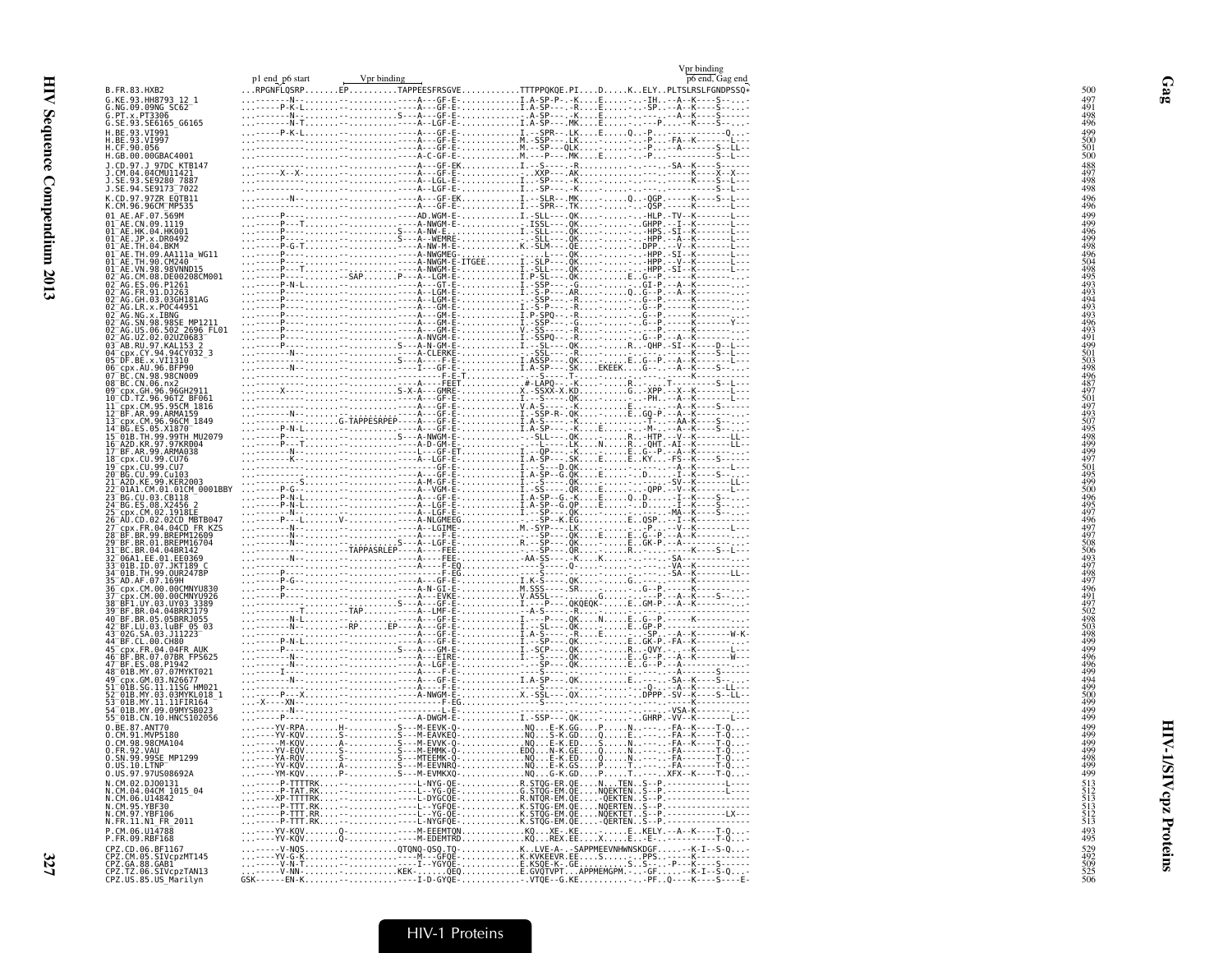|                                                                                                                         | p1 end p6 start | Vpr binding |                                                             | Vpr binding<br>p6 end, Gag end |
|-------------------------------------------------------------------------------------------------------------------------|-----------------|-------------|-------------------------------------------------------------|--------------------------------|
| B.FR.83.HXB2                                                                                                            |                 |             | RPGNFLQSRPEPTAPPEESFRSGVETTTPPQKQE.PIDKELYPLTSLRSLFGNDPSSQ* |                                |
| G.KE.93.HH8793_12_1<br>G.NG.09.09NG SC62                                                                                |                 |             |                                                             |                                |
| G.PT.x.PT3306<br>G.SE.93.SE6165_G6165                                                                                   |                 |             |                                                             |                                |
| H.BE.93.VI991                                                                                                           |                 |             |                                                             |                                |
| H.BE.93.VI997<br>H.CF.90.056                                                                                            |                 |             |                                                             |                                |
| H.GB.00.00GBAC4001                                                                                                      |                 |             |                                                             |                                |
| J.CD.97.J 97DC KTB147<br>J.CM.04.04CMU11421                                                                             |                 |             |                                                             |                                |
| J.SE.93.SE9280_7887<br>J.SE.94.SE9173_7022                                                                              |                 |             |                                                             |                                |
| K.CD.97.97ZR EQTB11<br>K.CM.96.96CM_MP535                                                                               |                 |             |                                                             |                                |
|                                                                                                                         |                 |             |                                                             |                                |
| 01 AE.AF.07.569M<br>01 AE.CN.09.1119<br>01 AE.HK.04.HK001                                                               |                 |             |                                                             |                                |
|                                                                                                                         |                 |             |                                                             |                                |
| 01-AE.JP.x-DR0492<br>01-AE.JP.x-DR0492<br>01-AE.TH.09.AA111a_WG11                                                       |                 |             |                                                             |                                |
| 01 <sup>-</sup> AE.TH.90.CM240<br>$01^-$ AE.VN.98.98VNND15                                                              |                 |             |                                                             |                                |
| 02 AG.CM.08.DE00208CM001                                                                                                |                 |             |                                                             |                                |
| 02 AG. ES. 06. P1261<br>02 AG. FR. 91. DJ263                                                                            |                 |             |                                                             |                                |
| 02 <sup>-</sup> AG.GH.03.03GH181AG<br>02 AG. LR. x. POC44951                                                            |                 |             |                                                             |                                |
| 02 <sup>-</sup> AG.NG.x.IBNG                                                                                            |                 |             |                                                             |                                |
| 02-AG.SN.98.98SE MP1211<br>02-AG.US.06.502-2696 FL01<br>02-AG.UZ.02.02UZ0683<br>03-AB.RU.97.KAL153-2                    |                 |             |                                                             |                                |
|                                                                                                                         |                 |             |                                                             |                                |
| 04 <sup>-</sup> cpx.CY.94.94CY032 3<br>05 <sup>-</sup> DF.BE.x.VI1310                                                   |                 |             |                                                             |                                |
| 06 Cpx.AU.96.BFP90<br>07 BC.CN.98.98CN009                                                                               |                 |             |                                                             |                                |
| 08 BC.CN.06.nx2<br>09 cpx.GH.96.96GH2911                                                                                |                 |             |                                                             |                                |
| 10 CD.TZ.96.96TZ BF061<br>11 cpx.CM.95.95CM 1816<br>12 BF.AR.99.ARMA159                                                 |                 |             |                                                             |                                |
|                                                                                                                         |                 |             |                                                             |                                |
| 13 Cpx. CM. 96.96CM<br>14 BG. ES. 05. X1870<br>15 01B. TH. 99.99TH_MU2079                                               |                 |             |                                                             |                                |
| 16 <sup>-</sup> A2D.KR.97.97KR004                                                                                       |                 |             |                                                             |                                |
| 17 <sup>-</sup> BF.AR.99.ARMA038<br>18 cpx. CU. 99. CU76                                                                |                 |             |                                                             |                                |
| 19 <sup>-</sup> cpx.CU.99.CU7                                                                                           |                 |             |                                                             |                                |
| 20-BG.CU.99.Cu103<br>21-A2D.KE.99.KER2003                                                                               |                 |             |                                                             |                                |
| 22 <sup>-</sup> 01A1.CM.01.01CM 0001BBY<br>23 <sup>-</sup> BG.CU.03.CB118                                               |                 |             |                                                             |                                |
| 24 <sup>-</sup> BG.ES.08.X2456<br>-cpx.CM.02.1918LE<br>_AU.CD.02.02CD_MBTB047                                           |                 |             |                                                             |                                |
| 27 cpx.FR.04.04CD FR KZS                                                                                                |                 |             |                                                             |                                |
| 28-BF.BR.99.BREPM12609<br>29-BF.BR.01.BREPM16704                                                                        |                 |             |                                                             |                                |
| 31 BC.BR.04.04BR142<br>32 <sup>-</sup> 06A1.EE.01.EE0369                                                                |                 |             |                                                             |                                |
| 33 <sup>-</sup> 01B.ID.07.JKT189 C                                                                                      |                 |             |                                                             |                                |
| 34-01B.TH.99.0UR2478P<br>35-AD.AF.07.169H                                                                               |                 |             |                                                             |                                |
| 36 cpx.CM.00.00CMNYU830<br>cpx.CM.00.00CMNYU926                                                                         |                 |             |                                                             |                                |
| 38 BF1.UY.03.UY03 3389                                                                                                  |                 |             |                                                             |                                |
| 39 BF.BR.04.04BRRJ179<br>40 BF.BR.05.05BRRJ055<br>42 <sup>-</sup> BF.LU.03.luBF 05 03                                   |                 |             |                                                             |                                |
| 43-026.SA.03.J11223-<br>44-BF.CL.00.CH80                                                                                |                 |             |                                                             |                                |
| 45 cpx.FR.04.04FR AUK                                                                                                   |                 |             |                                                             |                                |
| 46-BF.BR.07.07BR FPS625<br>47-BF.ES.08.P1942                                                                            |                 |             |                                                             |                                |
| 48 <sup>-</sup> 01B.MY.07.07MYKT021<br>49 <sup>-</sup> cpx.GM.03.N26677                                                 |                 |             |                                                             |                                |
| 01B.SG.11.11SG HM021                                                                                                    |                 |             |                                                             |                                |
| 52 01B.MY.03.03MYKL018 1<br>53 01B.MY.11.11FIR164<br>54 <sup>-</sup> 01B.MY.09.09MYSB023                                |                 |             |                                                             |                                |
| 55 01B.CN.10.HNCS102056                                                                                                 |                 |             |                                                             |                                |
| 0.BE.87.ANT70<br>0.CM.91.MVP5180                                                                                        |                 |             |                                                             |                                |
| 0.CM.98.98CMA104                                                                                                        |                 |             |                                                             |                                |
| 0. FR. 92. VAU<br>0. SN. 99. 99SE_MP1299                                                                                |                 |             |                                                             |                                |
| 0.US.10.LTNP<br>0.US.97.97US08692A                                                                                      |                 |             |                                                             |                                |
| N.CM.02.DJ00131<br>N.CM.04.04CM_1015_04                                                                                 |                 |             |                                                             |                                |
| N.CM.06.U14842<br>N.CM.95.YBF30<br>N.CM.97.YBF106                                                                       |                 |             |                                                             |                                |
|                                                                                                                         |                 |             |                                                             |                                |
| N.FR.11.N1 FR 2011                                                                                                      |                 |             |                                                             |                                |
| P.CM.06.U14788<br>P.FR.09.RBF168                                                                                        |                 |             |                                                             |                                |
| . P. P. CO. 06. BE1167<br>CPZ.CD.06. BE1167<br>CPZ.CM.05. SIVCpzMT145<br>CPZ.72.06. SIVCpzTAN13<br>CPZ.US.85.US_Marilyn |                 |             |                                                             |                                |
|                                                                                                                         |                 |             |                                                             |                                |
|                                                                                                                         |                 |             |                                                             |                                |

327

 $Gag$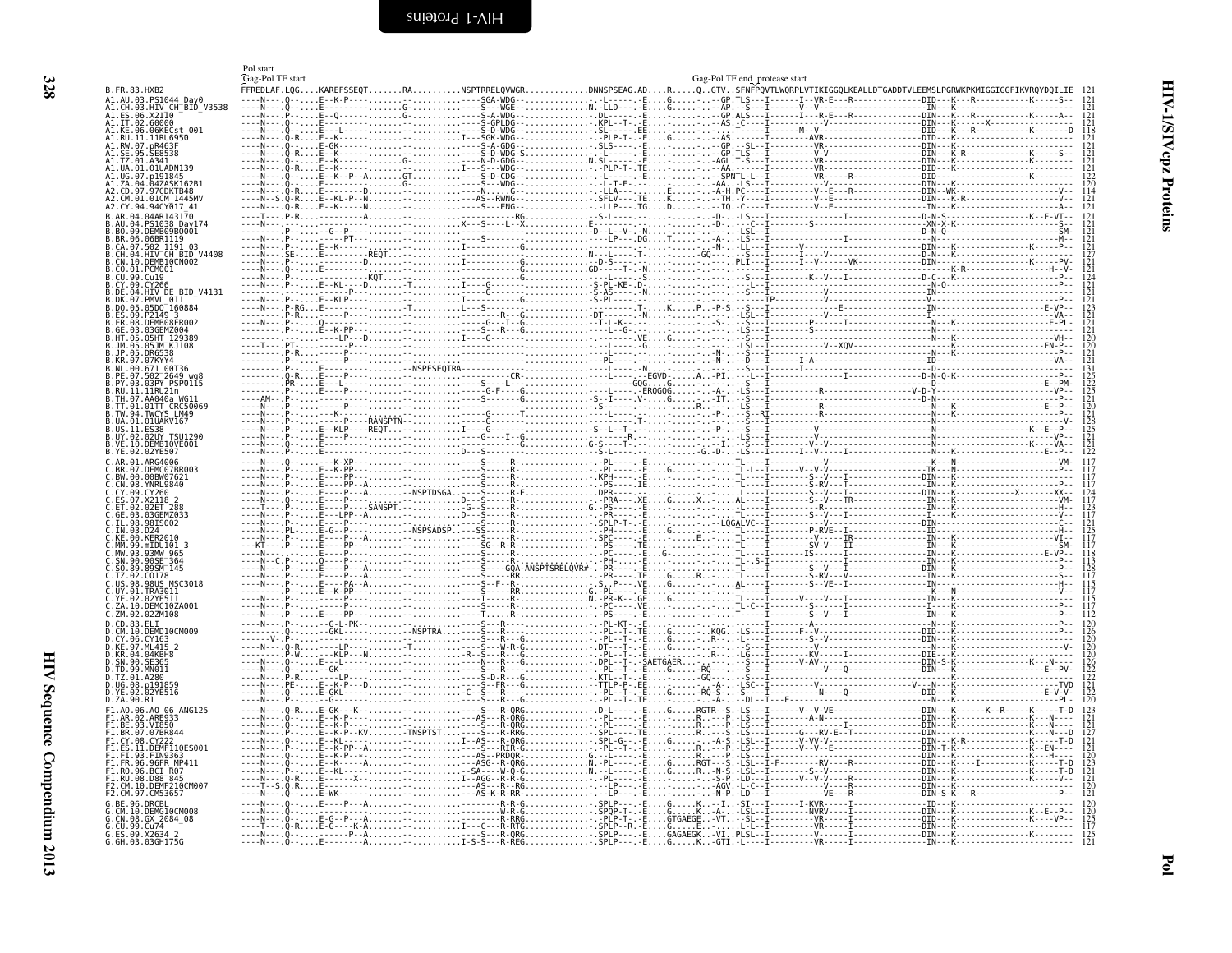<span id="page-17-1"></span><span id="page-17-0"></span>

|                                                                | Pol start<br>Gag-Pol TF start                                                                                   | Gag-Pol TF end protease start |  |
|----------------------------------------------------------------|-----------------------------------------------------------------------------------------------------------------|-------------------------------|--|
| B.FR.83.HXB2<br>A1.AU.03.PS1044 Day0                           | FFREDLAF.LQGKAREFSSEQTRANSPTRRELQVWGRDNNSPSEAG.ADRQGTVSFNFPQVTLWQRPLVTIKIGGQLKEALLDTGADDTVLEEMSLPGRWKPKMIGGIGGF |                               |  |
| CH BID V3538<br>ES.06.X2110                                    |                                                                                                                 |                               |  |
| .1T.02.60000<br>.<br>Al.KE.06.06KECst.001<br>Al.RU.11.11RU6950 |                                                                                                                 |                               |  |
| 41.RW.07.nR463F<br>1. SE. 95. SE8538                           |                                                                                                                 |                               |  |
| A1.TZ.01.A341                                                  |                                                                                                                 |                               |  |
|                                                                |                                                                                                                 |                               |  |
| 2.CM.01.01CM 1445MV<br>V2.CY.94.94CY017 41                     |                                                                                                                 |                               |  |
| R.AR.04.04AR143170                                             |                                                                                                                 |                               |  |
| 06.06BR1119                                                    |                                                                                                                 |                               |  |
| CA.07.502 1191 03<br>CH.04.HIV CH_BID_V4408                    |                                                                                                                 |                               |  |
| CN.10.DEMB10CN002                                              |                                                                                                                 |                               |  |
| CU.99.Cu19                                                     |                                                                                                                 |                               |  |
| .DE.04.HIV DE BID V4131<br>DK.07.PMVL 011<br>$.05D0^-160884$   |                                                                                                                 |                               |  |
|                                                                |                                                                                                                 |                               |  |
| GE.03.03GEMZ004.                                               |                                                                                                                 |                               |  |
|                                                                |                                                                                                                 |                               |  |
| NL.00.671 00T36                                                |                                                                                                                 |                               |  |
|                                                                |                                                                                                                 |                               |  |
| TH.07.AA040a WG11<br>.01TT CRC50069                            |                                                                                                                 |                               |  |
| TW.94.TWCYS LM49<br>UA.01.01UAKV167                            |                                                                                                                 |                               |  |
| .US.11.ES38<br>B.UY.02.02UY TSU1290<br>.VE.10.DEMB10VE001      |                                                                                                                 |                               |  |
| B.YE.02.02YE507                                                |                                                                                                                 |                               |  |
| DEMC07BR003<br>ົ.RW.00.00RW07621                               |                                                                                                                 |                               |  |
| $\ldots$ CN.98.YNRL9840<br>CY 09 CY260                         |                                                                                                                 |                               |  |
|                                                                |                                                                                                                 |                               |  |
| TN ค3                                                          |                                                                                                                 |                               |  |
| MM 99 mTDH101 3                                                |                                                                                                                 |                               |  |
| SN.90.90SE <sup>-</sup> 364                                    |                                                                                                                 |                               |  |
| $.50.89.895M^-145$<br>0178<br>US.98.98US MSC3018               |                                                                                                                 |                               |  |
|                                                                |                                                                                                                 |                               |  |
| DEMC10ZA001<br>C.ZM.02.02ZM108                                 |                                                                                                                 |                               |  |
| D.CD.83.ELI<br>D.CM.IO.DEMD10CM009                             |                                                                                                                 |                               |  |
| 0.CY.06.CY163<br>KE.97.ML415                                   |                                                                                                                 |                               |  |
| 04.04KBH8<br>SN.90.SE365<br>Th. 99. MN011                      |                                                                                                                 |                               |  |
| .TZ.01.A280<br>n19185 <sup>c</sup>                             |                                                                                                                 |                               |  |
| 02YE516<br>D.ZA.90.R1                                          |                                                                                                                 |                               |  |
| F1.A0.06.A0<br>06 ANG125<br>02.ARE933                          |                                                                                                                 |                               |  |
| F1.BE.93.VI850<br>1.BR.07.07BR844=                             |                                                                                                                 |                               |  |
| 1.CY.08.CY2<br>DEME110ES001<br>L.FI.93.FIN9363                 |                                                                                                                 |                               |  |
| 1.FR.96.96FR MP411<br>L.RO.96.BCI R07                          |                                                                                                                 |                               |  |
| F1.RU.08.D88 <sup>-</sup> 845<br>CM.10.DEMF210CM00             |                                                                                                                 |                               |  |
| RE. 96. DRCRI                                                  |                                                                                                                 |                               |  |
| CM 10 DEMG10CM008<br>.CN.08.GX 2084 08                         |                                                                                                                 |                               |  |
| i.CU.99.Cu74<br>G.ES.09.X2634 2<br>G.GH.03.03GH175G            |                                                                                                                 |                               |  |
|                                                                |                                                                                                                 |                               |  |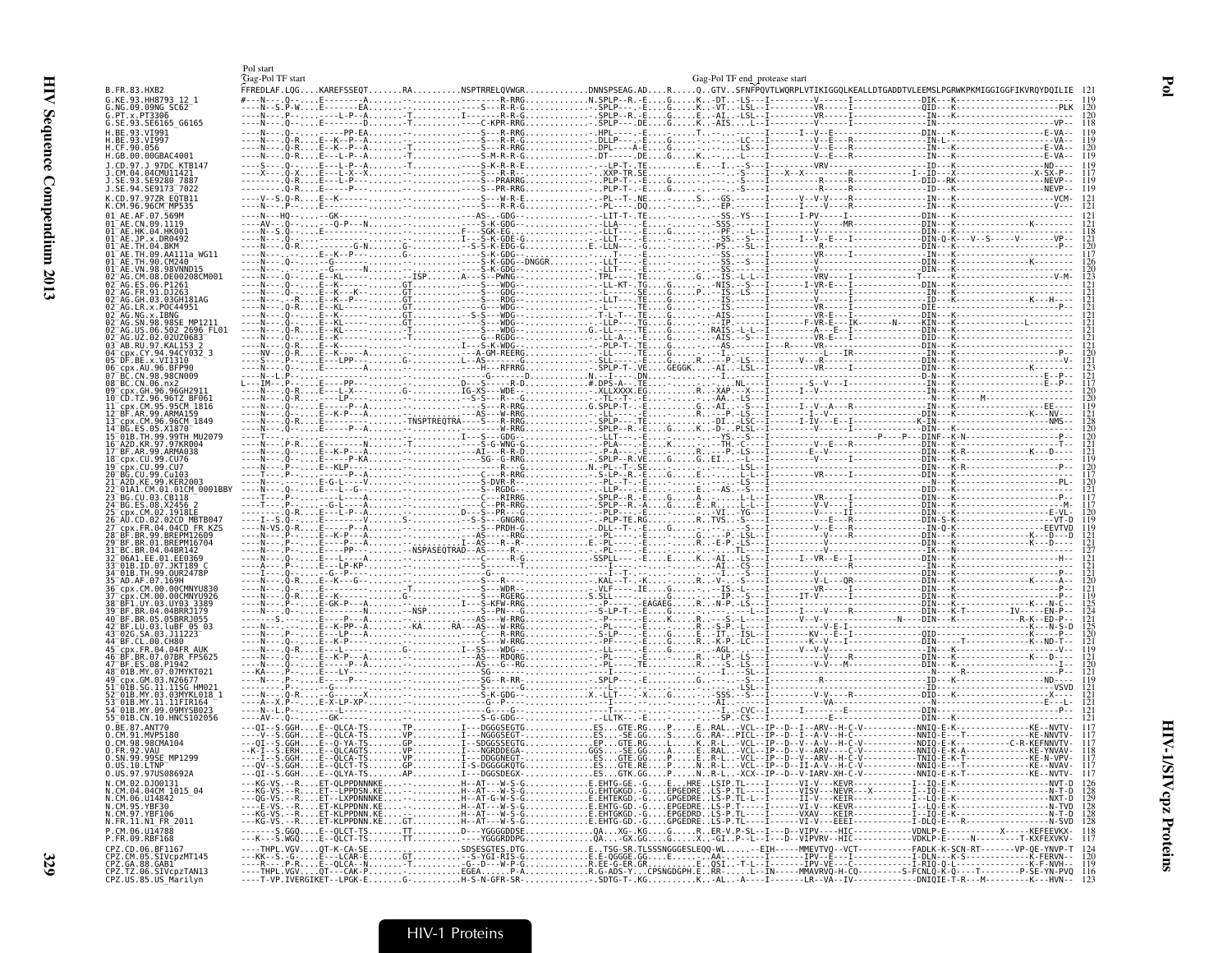|                                                                                                 | Pol start<br>Gag-Pol TF start                                                                                                    |  | Gag-Pol TF end protease start |  |  |
|-------------------------------------------------------------------------------------------------|----------------------------------------------------------------------------------------------------------------------------------|--|-------------------------------|--|--|
| B.FR.83.HXB2<br>G.KE.93.HH8793 12 1                                                             | FFREDLAF.LQGKAREFSSEQTRANSPTRRELQVWGRDNNSPSEAG.ADRQ.GTVSFNFPQVTLWQRPLVTIKIGGQLKEALLDTGADDTVLEEMSLPGRWKPKMIGGIGGFIKVRQYDQILIE 121 |  |                               |  |  |
| G.NG.09.09NG SC62-<br>G.PT.x.PT3306                                                             |                                                                                                                                  |  |                               |  |  |
| G.SE.93.SE6165 G6165                                                                            |                                                                                                                                  |  |                               |  |  |
| H.BE.93.VI991                                                                                   |                                                                                                                                  |  |                               |  |  |
| H.BE.93.VI997<br>H.CF.90.056                                                                    |                                                                                                                                  |  |                               |  |  |
| H.GB.00.00GBAC4001<br>J.CD.97.J 97DC KTB147                                                     |                                                                                                                                  |  |                               |  |  |
| J.CM.04.04CMU11421<br>J.SE.93.SE9280_7887                                                       |                                                                                                                                  |  |                               |  |  |
| J.SE.94.SE9173 <sup>-</sup> 7022                                                                |                                                                                                                                  |  |                               |  |  |
| K.CD.97.97ZR EOTB11<br>K.CM.96.96CM MP535                                                       |                                                                                                                                  |  |                               |  |  |
| 01 AE.AF.07.569M                                                                                |                                                                                                                                  |  |                               |  |  |
| 01 AE.CN.09.1119<br>01 AE.HK.04.HK001                                                           |                                                                                                                                  |  |                               |  |  |
| $01^-\text{AE} . \text{JP} . \times . \text{DR0492}$<br>$01^-$ AE.TH.04.BKM                     |                                                                                                                                  |  |                               |  |  |
| 01 AE. TH.09. AA111a WG11<br>$01^-$ AE.TH.90.CM240                                              |                                                                                                                                  |  |                               |  |  |
| 01 AE. VN. 98. 98 VNND15                                                                        |                                                                                                                                  |  |                               |  |  |
| 02 AG.CM.08.DE00208CM001<br>02 AG.ES.06.P1261                                                   |                                                                                                                                  |  |                               |  |  |
| 02 AG. FR. 91. DJ263<br>02 AG. GH. 03.03 GH181AG                                                |                                                                                                                                  |  |                               |  |  |
| 02 AG. LR. x. POC44951<br>$02^-$ AG.NG.x.IBNG                                                   |                                                                                                                                  |  |                               |  |  |
| 02 AG.SN.98.98SE MP1211                                                                         |                                                                                                                                  |  |                               |  |  |
| 02 AG. US. 06. 502 2696 FL01<br>02 AG.UZ.02.02UZ0683                                            |                                                                                                                                  |  |                               |  |  |
| 03 AB.RU.97.KAL153 2<br>04 cpx.CY.94.94CY032 3                                                  |                                                                                                                                  |  |                               |  |  |
| 05 DF BE x VII310<br>06 cpx.AU.96.BFP90                                                         |                                                                                                                                  |  |                               |  |  |
| 07 BC CN 98 98 CN009                                                                            |                                                                                                                                  |  |                               |  |  |
| 08 BC.CN.06.nx2<br>09 cpx GH . 96.96GH2911                                                      |                                                                                                                                  |  |                               |  |  |
| 10 CD. TZ. 96. 96TZ BF063<br>cpx.CM.95.95CM 1816"                                               |                                                                                                                                  |  |                               |  |  |
| 12 BF.AR.99.ARMA159                                                                             |                                                                                                                                  |  |                               |  |  |
| 13 cpx.CM.96.96CM 1849<br>14 BG.ES.05.X1870                                                     |                                                                                                                                  |  |                               |  |  |
| 15 01B. TH. 99.99TH MU2079<br>16 A2D KR. 97.97KR004                                             |                                                                                                                                  |  |                               |  |  |
| 17 BF.AR.99.ARMA038<br>18 cpx.CU.99.CU76                                                        |                                                                                                                                  |  |                               |  |  |
| 19 cpx. CU. 99. CU7<br>20 BG. CU. 99. Cu103                                                     |                                                                                                                                  |  |                               |  |  |
| 21 <sup>-</sup> A2D.KE.99.KER2003                                                               |                                                                                                                                  |  |                               |  |  |
| $-01A1.CM.01.01CM 0001BBY$<br>23 BG.CU.03.CB118                                                 |                                                                                                                                  |  |                               |  |  |
| 24 <sup>-</sup> BG.ES.08.X2456 2<br>25 <sup>-</sup> cpx.CM.02.1918EE                            |                                                                                                                                  |  |                               |  |  |
| 26 AU.CD.02.02CD MBTB047<br>27 cpx.FR.04.04CD FR KZS                                            |                                                                                                                                  |  |                               |  |  |
| .BR.99.BREPM12609<br>29 BF BR 01 BREPM16704                                                     |                                                                                                                                  |  |                               |  |  |
| 1 BC.BR.04.04BR142                                                                              |                                                                                                                                  |  |                               |  |  |
| 32 <sup>-</sup> 06A1.EE.01.EE0369<br>33 <sup>-</sup> 01B.ID.07.JKT189 C                         |                                                                                                                                  |  |                               |  |  |
| 34 <sup>–</sup> 01B.TH.99.OUR2478P<br>35 <sup>-</sup> AD.AF.07.169H                             |                                                                                                                                  |  |                               |  |  |
| 36 cpx.CM.00.00CMNYU830<br>cpx.CM.00.00CMNYU926"                                                |                                                                                                                                  |  |                               |  |  |
| 38 BF1.UY.03.UY03 3389                                                                          |                                                                                                                                  |  |                               |  |  |
| 39 <sup>-</sup> BF.BR.04.04BRRJ179<br>40 BF.BR.05.05BRRJ055                                     |                                                                                                                                  |  |                               |  |  |
| 42 BF.LU.03.luBF 05 03<br>43 026. SA. 03. J11223                                                |                                                                                                                                  |  |                               |  |  |
| 44 BF.CL.00.CH80<br>45 <sup>-</sup> cpx.FR.04.04FR AUK                                          |                                                                                                                                  |  |                               |  |  |
| 46 BF.BR.07.07BR FPS625<br>47 BF ES 08 P1942                                                    |                                                                                                                                  |  |                               |  |  |
| 48 01B.MY.07.07MYKT021<br>49 <sup>-</sup> cpx.GM.03.N26677                                      |                                                                                                                                  |  |                               |  |  |
| 51 <sup>-</sup> 01B.SG.11.11SG HM021                                                            |                                                                                                                                  |  |                               |  |  |
| 2 <sup>-</sup> 01B.MY.03.03MYKL018 1<br>3 <sup>-</sup> 01B.MY.11.11FIR164                       |                                                                                                                                  |  |                               |  |  |
| 64 <sup>-</sup> 01B.MY.09.09MYSB023<br>55 01B.CN.10.HNCS102056                                  |                                                                                                                                  |  |                               |  |  |
| 0.BE.87.ANT70<br>0.CM.91.MVP5180                                                                |                                                                                                                                  |  |                               |  |  |
| 0.CM.98.98CMA104                                                                                |                                                                                                                                  |  |                               |  |  |
| 0.FR.92.VAU<br>0.SN.99.99SE_MP1299                                                              |                                                                                                                                  |  |                               |  |  |
| 0.05.10.LTNP <sup>-425</sup><br>0.05.97.970508692A                                              |                                                                                                                                  |  |                               |  |  |
| N.CM.02.DJ00131                                                                                 |                                                                                                                                  |  |                               |  |  |
| N.CM.04.04CM 1015_04<br>N.CM.06.U14842<br>N.CM.95.YBF30<br>N.CM.97.YBF106<br>N.FR.11.N1_FR_2011 |                                                                                                                                  |  |                               |  |  |
|                                                                                                 |                                                                                                                                  |  |                               |  |  |
|                                                                                                 |                                                                                                                                  |  |                               |  |  |
| P.CM.06.U14788<br>P.FR.09.RBF168                                                                |                                                                                                                                  |  |                               |  |  |
| CPZ.CD.06.BF1167<br>CPZ.CM.05.SIVcpzMT145                                                       |                                                                                                                                  |  |                               |  |  |
| CPZ.GA.88.GAB1<br>CPZ.GA.88.GAB1<br>CPZ.TZ.06.SIVcpzTAN13<br>CPZ.US.85.US_Marilyn               |                                                                                                                                  |  |                               |  |  |
|                                                                                                 |                                                                                                                                  |  |                               |  |  |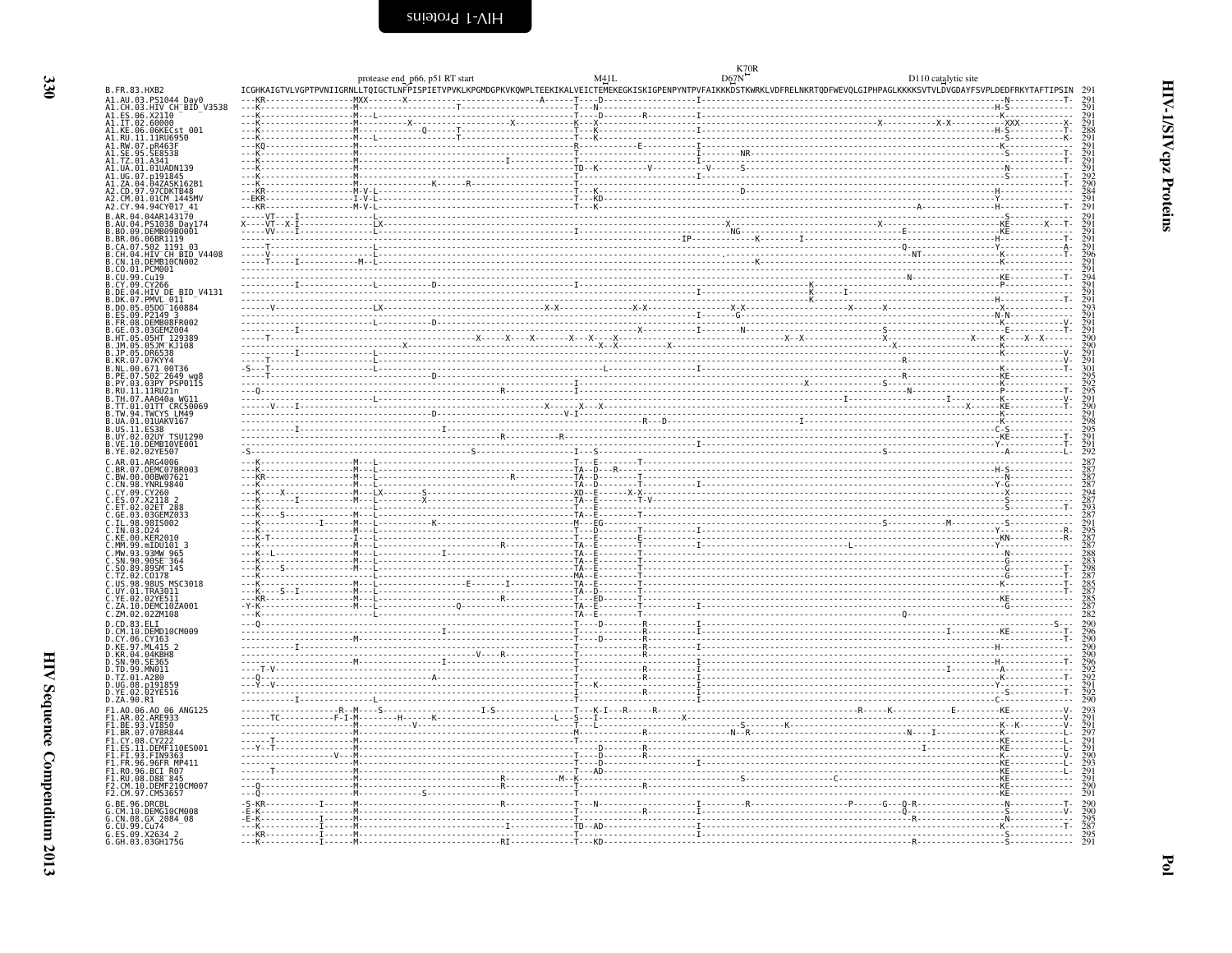<span id="page-19-0"></span>

|                                                                                                                                                   |  | protease end_p66, p51 RT start                                                                                                                                             |  |  | D110 catalytic site |  |
|---------------------------------------------------------------------------------------------------------------------------------------------------|--|----------------------------------------------------------------------------------------------------------------------------------------------------------------------------|--|--|---------------------|--|
| B.FR.83.HXB2                                                                                                                                      |  | ICGHKAIGTVLVGPTPVNIIGRNLLTQIGCTLNFPISPIETVPVKLKPGMDGPKVKQWPLTEEKIKALVEICTEMEKEGKISKIGPENPYNTPVFAIKKKDSTKWRKLVDFRELNKRTQDFWEVQLGIPHPAGLKKKKSVTVLDVGDAYFSVPLDEDFRKYTAFTIPSIN |  |  |                     |  |
| A1.AU.03.PS1044_Day0<br>A1.CH.03.HIV_CH_BID_V3538<br>A1.ES.06.X21I0                                                                               |  |                                                                                                                                                                            |  |  |                     |  |
| A1.52.00.X2110<br>A1.51.02.60000<br>A1.KE.06.06KECst 001<br>A1.RW.07.pR463F<br>A1.RW.07.pR463F<br>A1.TZ.01.A341<br>A1.TZ.01.A341<br>A1.TZ.01.A341 |  |                                                                                                                                                                            |  |  |                     |  |
|                                                                                                                                                   |  |                                                                                                                                                                            |  |  |                     |  |
|                                                                                                                                                   |  |                                                                                                                                                                            |  |  |                     |  |
|                                                                                                                                                   |  |                                                                                                                                                                            |  |  |                     |  |
| A1.UG.07<br>A1.ZA.04<br>p191845.<br>.047ASK162B                                                                                                   |  |                                                                                                                                                                            |  |  |                     |  |
| A2.CD.97.97CDKTB48                                                                                                                                |  |                                                                                                                                                                            |  |  |                     |  |
| A2.CY.94.94CY017 41<br>04.04AR143170                                                                                                              |  |                                                                                                                                                                            |  |  |                     |  |
| PS1038 Day174                                                                                                                                     |  |                                                                                                                                                                            |  |  |                     |  |
| BR.06.06BR1119                                                                                                                                    |  |                                                                                                                                                                            |  |  |                     |  |
| 502 1191 03<br>.07.<br>.04.HIV CH BID V4408                                                                                                       |  |                                                                                                                                                                            |  |  |                     |  |
| .10.DEMBI0CN002<br>.01.PCM001                                                                                                                     |  |                                                                                                                                                                            |  |  |                     |  |
| 99.Cu19                                                                                                                                           |  |                                                                                                                                                                            |  |  |                     |  |
| .09.CY266<br>B.DE.04.HIV DE BID V4131                                                                                                             |  |                                                                                                                                                                            |  |  |                     |  |
| .07.PMVL_0I1 <sup>-</sup><br>.05.05DO <sup>-</sup> 160884                                                                                         |  |                                                                                                                                                                            |  |  |                     |  |
| 09.P2149 3<br>.08.DEMB08FR002                                                                                                                     |  |                                                                                                                                                                            |  |  |                     |  |
| 03GEMZ004<br>05HT 129389                                                                                                                          |  |                                                                                                                                                                            |  |  |                     |  |
| 05JM KJ108                                                                                                                                        |  |                                                                                                                                                                            |  |  |                     |  |
| B.JP.05.DR6538<br>B.KR.07.07KYY4                                                                                                                  |  |                                                                                                                                                                            |  |  |                     |  |
| .00.671_00T36<br>.07.502 2649_wg8<br>.03.03PY_PSP0115                                                                                             |  |                                                                                                                                                                            |  |  |                     |  |
| $.11.11$ RU21n                                                                                                                                    |  |                                                                                                                                                                            |  |  |                     |  |
| B.TH.07.AA040a WG11                                                                                                                               |  |                                                                                                                                                                            |  |  |                     |  |
| 01TT CRC50069<br>B.TW.94.TWCYS LM49                                                                                                               |  |                                                                                                                                                                            |  |  |                     |  |
| .UA.01.01UAKV167                                                                                                                                  |  |                                                                                                                                                                            |  |  |                     |  |
| B.US.11.ES38<br>B.UY.02.02UY TSU1290<br>B.VE.10.DEMBI0VE001                                                                                       |  |                                                                                                                                                                            |  |  |                     |  |
| B.YE.02.02YE507                                                                                                                                   |  |                                                                                                                                                                            |  |  |                     |  |
| AR.01.ARG4006<br>07.DEMC07BR003                                                                                                                   |  |                                                                                                                                                                            |  |  |                     |  |
| C.BW.00.00BW07621<br>C.CN.98.YNRL9840                                                                                                             |  |                                                                                                                                                                            |  |  |                     |  |
| $.09.$ $CY260$                                                                                                                                    |  |                                                                                                                                                                            |  |  |                     |  |
|                                                                                                                                                   |  |                                                                                                                                                                            |  |  |                     |  |
|                                                                                                                                                   |  |                                                                                                                                                                            |  |  |                     |  |
| . IN . 03. D24                                                                                                                                    |  |                                                                                                                                                                            |  |  |                     |  |
| C.KE.00.KER2010<br>C.MM.99.mIDU101_3<br>C.MW.93.93MW_965<br>C.SN.90.905E_364<br>C.SQ.89.89SM_145                                                  |  |                                                                                                                                                                            |  |  |                     |  |
|                                                                                                                                                   |  |                                                                                                                                                                            |  |  |                     |  |
| A2 C0178                                                                                                                                          |  |                                                                                                                                                                            |  |  |                     |  |
| MSC3018<br>98.<br>. 98US                                                                                                                          |  |                                                                                                                                                                            |  |  |                     |  |
| C.UY.01.TRA3011<br>C.YE.02.02YE511<br>C.ZA.10.DEMC10ZA001                                                                                         |  |                                                                                                                                                                            |  |  |                     |  |
| C.ZM.02.02ZM108<br>CD.83.ELI                                                                                                                      |  |                                                                                                                                                                            |  |  |                     |  |
| 10.DEMD10CM009                                                                                                                                    |  |                                                                                                                                                                            |  |  |                     |  |
| CY.06.CY163<br>.97.ML415<br>.04.04KBH8                                                                                                            |  |                                                                                                                                                                            |  |  |                     |  |
|                                                                                                                                                   |  |                                                                                                                                                                            |  |  |                     |  |
| 99.MN011<br>D.TZ.01.A280                                                                                                                          |  |                                                                                                                                                                            |  |  |                     |  |
| 08.                                                                                                                                               |  |                                                                                                                                                                            |  |  |                     |  |
| D.YE.02.02YE516<br>D.ZA.90.R1                                                                                                                     |  |                                                                                                                                                                            |  |  |                     |  |
| F1.A0.06.A0 06 ANG125                                                                                                                             |  |                                                                                                                                                                            |  |  |                     |  |
| F1.AR.02.ARE933<br>F1.BE.93.VI850<br>F1.BR.07.07BR844                                                                                             |  |                                                                                                                                                                            |  |  |                     |  |
|                                                                                                                                                   |  |                                                                                                                                                                            |  |  |                     |  |
| $.$ DEMF110ES001<br>F1.ES.11<br>F1.FI.93.FIN9363                                                                                                  |  |                                                                                                                                                                            |  |  |                     |  |
| F1.FR.96.96FR MP411<br>F1.RO.96.BCI R07                                                                                                           |  |                                                                                                                                                                            |  |  |                     |  |
| F1.RU.08.D88 845<br>10.DEMF210CM007                                                                                                               |  |                                                                                                                                                                            |  |  |                     |  |
| F2.CM.97.CM5365                                                                                                                                   |  |                                                                                                                                                                            |  |  |                     |  |
| 96.DRCBL                                                                                                                                          |  |                                                                                                                                                                            |  |  |                     |  |
| G.CM.10.DEMG10CM008<br>G.CN.08.GX 2084_08<br>G.CU.99.Cu74<br>G.ES.09.X2634 2<br>G.GH.03.03GH175G                                                  |  |                                                                                                                                                                            |  |  |                     |  |
|                                                                                                                                                   |  |                                                                                                                                                                            |  |  |                     |  |
|                                                                                                                                                   |  |                                                                                                                                                                            |  |  |                     |  |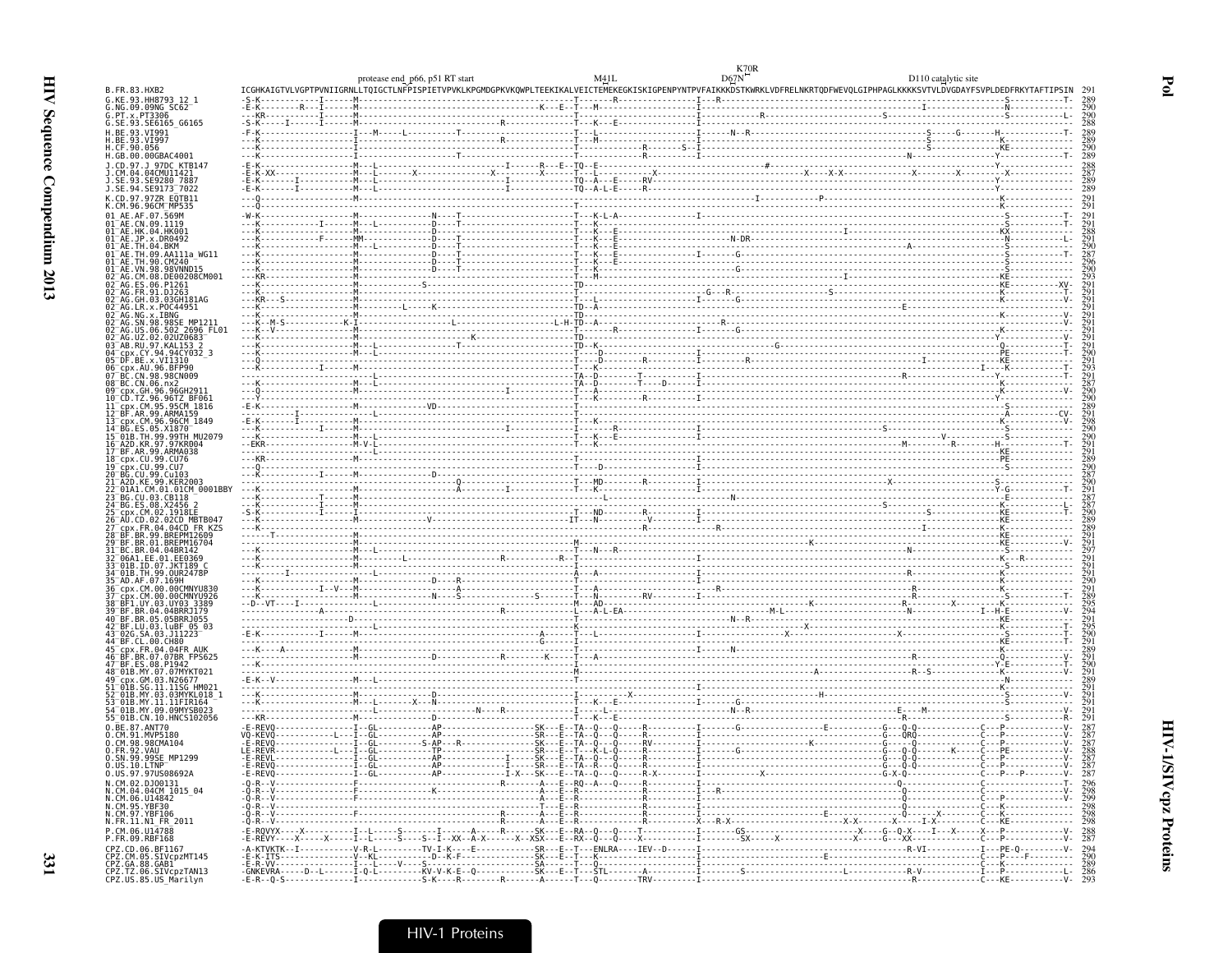|                                                                                          | protease end p66, p51 RT start                                                                                                                                                                                                                                                                                                                                                                                               |  | D110 catalytic site |
|------------------------------------------------------------------------------------------|------------------------------------------------------------------------------------------------------------------------------------------------------------------------------------------------------------------------------------------------------------------------------------------------------------------------------------------------------------------------------------------------------------------------------|--|---------------------|
| B.FR.83.HXB2<br>G.KE.93.HH8793 12 1                                                      | ICGHKAIGTVLVGPTPVNIIGRNLLTQIGCTLNFPISPIETVPVKLKPGMDGPKVKQWPLTEEKIKALVEICTEMEKEGKISKIGPENPYNTPVFAIKKKDSTKWRKLVDFRELNKRTQDFWEVQLGIPHPAGLKKKKSVTVLDVGDAYFSVPLDEDFRKYTAFTIPSIN 29                                                                                                                                                                                                                                                |  |                     |
| G.NG.09.09NG SC62<br>G. PT. x. PT3306                                                    |                                                                                                                                                                                                                                                                                                                                                                                                                              |  |                     |
| G.SE.93.SE6165 G6165<br>H.BE.93.VI991                                                    |                                                                                                                                                                                                                                                                                                                                                                                                                              |  | 288                 |
| H.BE.93.VI997<br>H.CF.90.056                                                             |                                                                                                                                                                                                                                                                                                                                                                                                                              |  |                     |
| H.GB.00.00GBAC4001                                                                       | $\begin{minipage}[100000] {\begin{minipage}[100000] {\begin{minipage}[100000] {\begin{minipage}[100000] {\begin{minipage}[100000] {\begin{minipage}[100000] {\begin{minipage}[100000] {\begin{minipage}[100000] {\begin{minipage}[100000] {\begin{minipage}[100000] {\begin{minipage}[100000] {\begin{minipage}[100000] {\begin{minipage}[100000] {\begin{minipage}[100000] {\begin{minipage}[100000] {\begin{minipage}[100$ |  | 289                 |
| .CD.97.J 97DC<br>.CM.04.04CMU11421                                                       |                                                                                                                                                                                                                                                                                                                                                                                                                              |  |                     |
| SE.93.SE9280 7887<br>.SE.94.SE9173 <sup>-</sup> 7022                                     |                                                                                                                                                                                                                                                                                                                                                                                                                              |  |                     |
| .96CM MP535                                                                              |                                                                                                                                                                                                                                                                                                                                                                                                                              |  |                     |
|                                                                                          |                                                                                                                                                                                                                                                                                                                                                                                                                              |  |                     |
| $01^-$ AE.HK. $04$ .HK $001$<br>01 <sup>-</sup> AE.JP.x.DR0492                           |                                                                                                                                                                                                                                                                                                                                                                                                                              |  |                     |
| 91 <sup>-</sup> AF TH 09 AA111a WG11                                                     |                                                                                                                                                                                                                                                                                                                                                                                                                              |  |                     |
| 91 AE TH 90 CM240                                                                        |                                                                                                                                                                                                                                                                                                                                                                                                                              |  |                     |
| 02 <sup>-</sup> AG.ES.06.P1261                                                           |                                                                                                                                                                                                                                                                                                                                                                                                                              |  |                     |
| 02 AG. FR. 91. DJ263<br>02 <sup>-</sup> AG.GH.03.03GH181AG                               |                                                                                                                                                                                                                                                                                                                                                                                                                              |  |                     |
| AG.LR.x.POC44951<br>$92^-$ AG.NG.x.IBNG                                                  |                                                                                                                                                                                                                                                                                                                                                                                                                              |  |                     |
| .SN.98.98SE MP1211<br>502 2696 FL01<br>06                                                |                                                                                                                                                                                                                                                                                                                                                                                                                              |  |                     |
| UZ.02.02UZ0683<br>3 <sup>-</sup> AB.RU.97.KAL153 2                                       |                                                                                                                                                                                                                                                                                                                                                                                                                              |  |                     |
| 94 <sup>-</sup> срх.CY.94.94CY032 3<br>05 DF.BE.x.VI1310<br>cpx.AU.96.BFP90              |                                                                                                                                                                                                                                                                                                                                                                                                                              |  |                     |
| BC.CN.98.98CN009<br>08 BC.CN.06.nx2                                                      |                                                                                                                                                                                                                                                                                                                                                                                                                              |  |                     |
| cpx.GH.96.96GH291 <sup>-</sup><br>10 CD.TZ.96.96TZ BF06                                  |                                                                                                                                                                                                                                                                                                                                                                                                                              |  |                     |
| cpx.CM.95.95CM 1816<br>12 <sup>-</sup> BF.AR.99.ARMA159                                  |                                                                                                                                                                                                                                                                                                                                                                                                                              |  |                     |
| 13 срх.СМ.96.96СМ 1849<br>ES.05.X1870                                                    |                                                                                                                                                                                                                                                                                                                                                                                                                              |  |                     |
| 6 A2D.KR.97.97KR004                                                                      |                                                                                                                                                                                                                                                                                                                                                                                                                              |  |                     |
| 17 <sup>-</sup> BF.AR.99.ARMA038<br>18 <sup>–</sup> cpx.CU.99.CU76                       |                                                                                                                                                                                                                                                                                                                                                                                                                              |  |                     |
| cpx.CU.99.CU7<br>BG.CU.99.Cu103                                                          |                                                                                                                                                                                                                                                                                                                                                                                                                              |  |                     |
| A2D.KE.99.KER2003-                                                                       |                                                                                                                                                                                                                                                                                                                                                                                                                              |  |                     |
| .03.CB118                                                                                |                                                                                                                                                                                                                                                                                                                                                                                                                              |  |                     |
| 26 <sup>-</sup> AU CD 02 02CD MBTB04                                                     |                                                                                                                                                                                                                                                                                                                                                                                                                              |  |                     |
| cnx.FR.04.04CD FR KZS                                                                    |                                                                                                                                                                                                                                                                                                                                                                                                                              |  |                     |
|                                                                                          |                                                                                                                                                                                                                                                                                                                                                                                                                              |  |                     |
| 01B.ID.07.JKT189 O                                                                       |                                                                                                                                                                                                                                                                                                                                                                                                                              |  |                     |
| 99.0UR2478F                                                                              |                                                                                                                                                                                                                                                                                                                                                                                                                              |  |                     |
| BF1.UY.03.UY03.3389                                                                      |                                                                                                                                                                                                                                                                                                                                                                                                                              |  |                     |
| BF.BR.04.04BRR.1179<br>10 BF.BR.05.05BRRJ055                                             |                                                                                                                                                                                                                                                                                                                                                                                                                              |  |                     |
| 42 BF.LU.03.luBF 05 03                                                                   |                                                                                                                                                                                                                                                                                                                                                                                                                              |  |                     |
| FR.04.04FR AU                                                                            |                                                                                                                                                                                                                                                                                                                                                                                                                              |  |                     |
| .07.07BR FPS625<br>47 BF.ES.08.P1942                                                     |                                                                                                                                                                                                                                                                                                                                                                                                                              |  |                     |
| .GM.03.N26677                                                                            |                                                                                                                                                                                                                                                                                                                                                                                                                              |  |                     |
| .11SG HM021<br>MY.03.03MYKL018                                                           |                                                                                                                                                                                                                                                                                                                                                                                                                              |  |                     |
| O1B.MY.09.09MYSB023—                                                                     |                                                                                                                                                                                                                                                                                                                                                                                                                              |  |                     |
| 55 01B.CN.10.HNCS102056<br>0.BE.87.ANT70                                                 |                                                                                                                                                                                                                                                                                                                                                                                                                              |  |                     |
| 0.CM.91.MVP5180                                                                          |                                                                                                                                                                                                                                                                                                                                                                                                                              |  |                     |
| 0.CM.98.98CMA104<br>0.FR.92.VAU<br>0.SN.99.99SE_MP1299                                   |                                                                                                                                                                                                                                                                                                                                                                                                                              |  |                     |
| 0.05.10.LTNP<br>0.05.97.970508692A                                                       |                                                                                                                                                                                                                                                                                                                                                                                                                              |  |                     |
| N.CM.02.DJ00131                                                                          |                                                                                                                                                                                                                                                                                                                                                                                                                              |  |                     |
| N.CM.04.04CM<br>N.CM.04.04CM 1015_04<br>N.CM.95.YBF30                                    |                                                                                                                                                                                                                                                                                                                                                                                                                              |  |                     |
| N.CM.97.YBF106<br>N.FR.11.N1 FR 2011                                                     |                                                                                                                                                                                                                                                                                                                                                                                                                              |  |                     |
| P.CM.06.U14788<br>P.FR.09.RBF168                                                         |                                                                                                                                                                                                                                                                                                                                                                                                                              |  |                     |
| CPZ.CD.06.BF1167                                                                         |                                                                                                                                                                                                                                                                                                                                                                                                                              |  |                     |
| CPZ.CM.05.SIVcpzMT145<br>CPZ.GA.88.GAB1<br>CPZ.TZ.06.SIVcpzTAN13<br>CPZ.US.85.US_Marilyn |                                                                                                                                                                                                                                                                                                                                                                                                                              |  |                     |
|                                                                                          |                                                                                                                                                                                                                                                                                                                                                                                                                              |  |                     |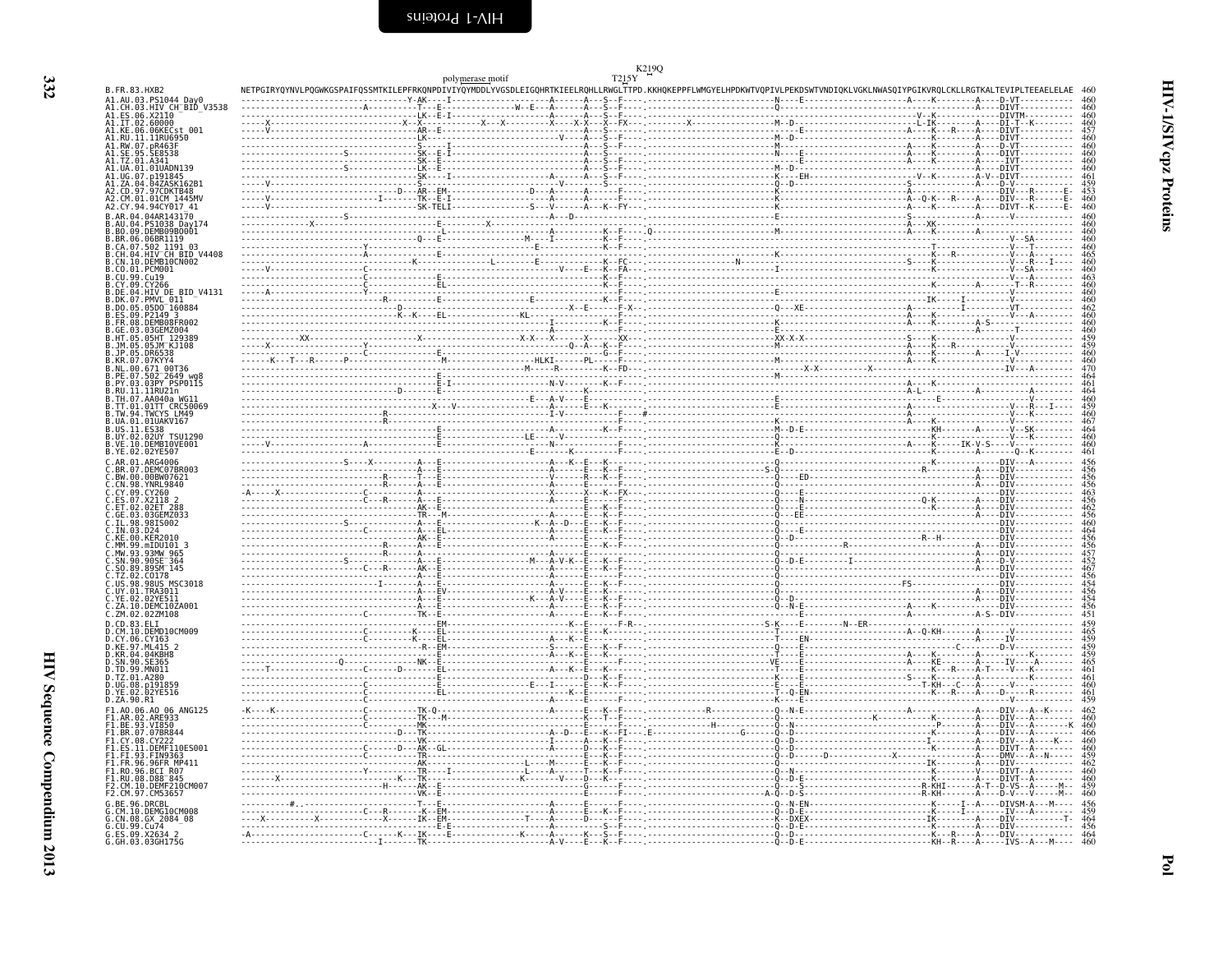<span id="page-21-0"></span>

|                                                                                                                          |                                                                                                                                                                            | polymerase motif                                                                                                                                                                                                                                                                                                                                                                   | T215Y |  |
|--------------------------------------------------------------------------------------------------------------------------|----------------------------------------------------------------------------------------------------------------------------------------------------------------------------|------------------------------------------------------------------------------------------------------------------------------------------------------------------------------------------------------------------------------------------------------------------------------------------------------------------------------------------------------------------------------------|-------|--|
| B. FR. 83. HXB2<br>A1.AU.03.PS1044 Day0                                                                                  | NETPGIRYQYNVLPQGWKGSPAIFQSSMTKILEPFRKQNPDIVIYQYMDDLYVGSDLEIGQHRTKIEELRQHLLRWGLTTPD.KKHQKEPPFLWMGYELHPDKWTVQPIVLPEKDSWTVNDIQKLVGKLNWASQIYPGIKVRQLCKLLRGTKALTEVIPLTEEAELELAE |                                                                                                                                                                                                                                                                                                                                                                                    |       |  |
| 03.HIV CH BID V3538<br>ES.06.X2110                                                                                       |                                                                                                                                                                            |                                                                                                                                                                                                                                                                                                                                                                                    |       |  |
|                                                                                                                          |                                                                                                                                                                            |                                                                                                                                                                                                                                                                                                                                                                                    |       |  |
| 11.02.60000<br>KE.06.06KECst 001<br>.KE.06.06KECst 001<br>.RU.11.11RU6950<br>.RW.07.pR463F                               |                                                                                                                                                                            |                                                                                                                                                                                                                                                                                                                                                                                    |       |  |
|                                                                                                                          |                                                                                                                                                                            |                                                                                                                                                                                                                                                                                                                                                                                    |       |  |
| 01.01UADN139<br>UG.07.p191845                                                                                            |                                                                                                                                                                            |                                                                                                                                                                                                                                                                                                                                                                                    |       |  |
| . ZA . 04<br>.047ASK162B<br>.CD.97.97CDKTB48<br>CM 01 01CM 1445MV                                                        |                                                                                                                                                                            |                                                                                                                                                                                                                                                                                                                                                                                    |       |  |
| 42.CY.94.94CY017 41                                                                                                      |                                                                                                                                                                            |                                                                                                                                                                                                                                                                                                                                                                                    |       |  |
| PS1038 Dav174                                                                                                            |                                                                                                                                                                            |                                                                                                                                                                                                                                                                                                                                                                                    |       |  |
| BO.09.DEMB09B0001<br>BR.06.06BR1119                                                                                      |                                                                                                                                                                            |                                                                                                                                                                                                                                                                                                                                                                                    |       |  |
| .CA.07.502 1191 03<br>.CH.04.HIV CH BID V4408                                                                            |                                                                                                                                                                            |                                                                                                                                                                                                                                                                                                                                                                                    |       |  |
| CN.10.DEMB10CN002<br>CO.01.PCM001                                                                                        |                                                                                                                                                                            |                                                                                                                                                                                                                                                                                                                                                                                    |       |  |
|                                                                                                                          |                                                                                                                                                                            |                                                                                                                                                                                                                                                                                                                                                                                    |       |  |
| DE.04.HIV_DE_BID_V4131<br>PMVL 011                                                                                       |                                                                                                                                                                            |                                                                                                                                                                                                                                                                                                                                                                                    |       |  |
| DO.05.05D0 160884<br>ES.09.P2149 3<br>FR.08.DEMB08FR002                                                                  |                                                                                                                                                                            |                                                                                                                                                                                                                                                                                                                                                                                    |       |  |
| GE.03.03GEMZ004<br>HT.05.05HT 129389                                                                                     |                                                                                                                                                                            |                                                                                                                                                                                                                                                                                                                                                                                    |       |  |
| 05.JM K.1108                                                                                                             |                                                                                                                                                                            |                                                                                                                                                                                                                                                                                                                                                                                    |       |  |
| KR.07.07KYY4<br>.00.                                                                                                     |                                                                                                                                                                            |                                                                                                                                                                                                                                                                                                                                                                                    |       |  |
| .671 00T36<br>.502 2649 vgl<br>PE.07<br>.03.03PY PSP0115                                                                 |                                                                                                                                                                            |                                                                                                                                                                                                                                                                                                                                                                                    |       |  |
| RU.11.11RU21n<br>TH.07.AA040a WG11                                                                                       |                                                                                                                                                                            |                                                                                                                                                                                                                                                                                                                                                                                    |       |  |
| TT.01.01TT CRC50069<br>TW.94.TWCYS LM49                                                                                  |                                                                                                                                                                            |                                                                                                                                                                                                                                                                                                                                                                                    |       |  |
| UA.01.01UAKV167<br>US.11.ES38                                                                                            |                                                                                                                                                                            |                                                                                                                                                                                                                                                                                                                                                                                    |       |  |
| .UY.02.02UY TSU1290<br>.VE.10.DEMBI0VE001<br>.YE.02.02YE507                                                              |                                                                                                                                                                            |                                                                                                                                                                                                                                                                                                                                                                                    |       |  |
| ARG4006                                                                                                                  |                                                                                                                                                                            |                                                                                                                                                                                                                                                                                                                                                                                    |       |  |
| DEMC07BR003<br>BW.00.<br>00BW07621                                                                                       |                                                                                                                                                                            |                                                                                                                                                                                                                                                                                                                                                                                    |       |  |
| CN.98.YNRL9840<br>CY.09.CY260                                                                                            |                                                                                                                                                                            |                                                                                                                                                                                                                                                                                                                                                                                    |       |  |
| .02ET 288                                                                                                                |                                                                                                                                                                            |                                                                                                                                                                                                                                                                                                                                                                                    |       |  |
| GE.03.03GEMZ033<br>98IS002                                                                                               |                                                                                                                                                                            |                                                                                                                                                                                                                                                                                                                                                                                    |       |  |
| KE.00.KER2010                                                                                                            |                                                                                                                                                                            |                                                                                                                                                                                                                                                                                                                                                                                    |       |  |
| MM.99.mIDU101 3                                                                                                          |                                                                                                                                                                            |                                                                                                                                                                                                                                                                                                                                                                                    |       |  |
| : "H" - 33 . 93MW 965<br>- SN . 90 . 90SE 364<br>- SO . 89 . 89SM 145<br>- TZ . 02 . CO178<br>- US . 98 . 98US . MSC3018 |                                                                                                                                                                            |                                                                                                                                                                                                                                                                                                                                                                                    |       |  |
|                                                                                                                          |                                                                                                                                                                            |                                                                                                                                                                                                                                                                                                                                                                                    |       |  |
| UY.01.TRA3011<br>YE.02.<br>02YE511                                                                                       |                                                                                                                                                                            |                                                                                                                                                                                                                                                                                                                                                                                    |       |  |
| ZA.10.DEMC10ZA001<br>ZM.02.02ZM108                                                                                       |                                                                                                                                                                            |                                                                                                                                                                                                                                                                                                                                                                                    |       |  |
| .CD.83.ELI<br>.CD.83.ELI<br>.CM.10.DEMD10CM009                                                                           |                                                                                                                                                                            |                                                                                                                                                                                                                                                                                                                                                                                    |       |  |
| CY.06.CY163<br>KE.97.ML415 2                                                                                             |                                                                                                                                                                            |                                                                                                                                                                                                                                                                                                                                                                                    |       |  |
| KR.04.04KBH8<br>.90.SE365                                                                                                |                                                                                                                                                                            |                                                                                                                                                                                                                                                                                                                                                                                    |       |  |
| TD.99.MN011<br>TZ.01.A280                                                                                                |                                                                                                                                                                            |                                                                                                                                                                                                                                                                                                                                                                                    |       |  |
| UG.08.p191859<br>YE.02.02YE516                                                                                           |                                                                                                                                                                            |                                                                                                                                                                                                                                                                                                                                                                                    |       |  |
| .ZA.90.R1<br>F1.A0.06.A0 06 ANG125                                                                                       |                                                                                                                                                                            |                                                                                                                                                                                                                                                                                                                                                                                    |       |  |
| .AR.02.ARE933<br>93.VI850                                                                                                |                                                                                                                                                                            |                                                                                                                                                                                                                                                                                                                                                                                    |       |  |
| .07.07BR844<br>.CY.08.CY222                                                                                              |                                                                                                                                                                            |                                                                                                                                                                                                                                                                                                                                                                                    |       |  |
| .ES.11.DEMF110ES001<br>-1.FI.93.FIN9363<br>F1.FI.93.FIN9363<br>F1.FR.96.96FR MP411                                       |                                                                                                                                                                            |                                                                                                                                                                                                                                                                                                                                                                                    |       |  |
|                                                                                                                          |                                                                                                                                                                            |                                                                                                                                                                                                                                                                                                                                                                                    |       |  |
|                                                                                                                          |                                                                                                                                                                            |                                                                                                                                                                                                                                                                                                                                                                                    |       |  |
| .RO.96.BCI R07<br>.RU.08.D88 <sup>-845</sup>                                                                             |                                                                                                                                                                            |                                                                                                                                                                                                                                                                                                                                                                                    |       |  |
| .CM.10.DEMF210CM00<br>2.CM.97.CM53657                                                                                    |                                                                                                                                                                            |                                                                                                                                                                                                                                                                                                                                                                                    |       |  |
| BE.96.DRCBL<br>CM.10.DEMG10CM008<br>6.CN.08.GX 2084-08<br>G.CU.99.Cu74<br>G.ES.09.X2634 2<br>G.GH.03.03GH175G            |                                                                                                                                                                            | $\begin{minipage}{0.05\textwidth} \begin{tabular}{@{}l@{}} \hline \textbf{0.05} & \textbf{0.05} & \textbf{0.05} & \textbf{0.05} & \textbf{0.05} & \textbf{0.05} & \textbf{0.05} & \textbf{0.05} & \textbf{0.05} & \textbf{0.05} & \textbf{0.05} & \textbf{0.05} & \textbf{0.05} & \textbf{0.05} & \textbf{0.05} & \textbf{0.05} & \textbf{0.05} & \textbf{0.05} & \textbf{0.05} &$ |       |  |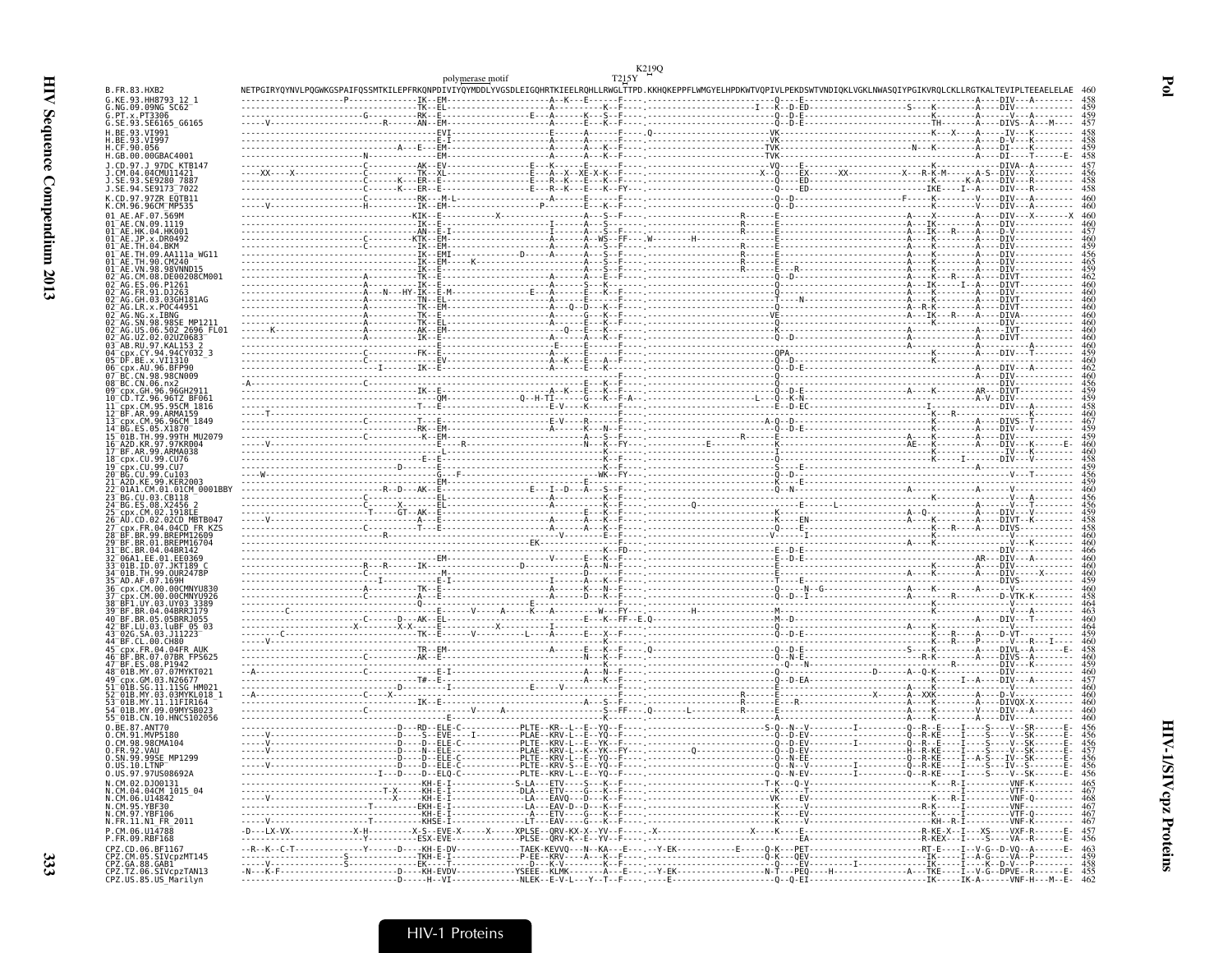|                                                                                          |                                                                                                                                                                                                                                                                                                                                                                                                                                                                                                                        | polymerase motif | T215Y |            |
|------------------------------------------------------------------------------------------|------------------------------------------------------------------------------------------------------------------------------------------------------------------------------------------------------------------------------------------------------------------------------------------------------------------------------------------------------------------------------------------------------------------------------------------------------------------------------------------------------------------------|------------------|-------|------------|
| B.FR.83.HXB2<br>G.KE.93.HH8793 12 1                                                      | NETPGIRYOYNVLPOGWKGSPAIFQSSMTKILEPFRKQNPDIVIYQYMDDLYVGSDLEIGQHRTKIEELRQHLLRWGLTTPD.KKHQKEPPFLWMGYELHPDKWTVQPIVLPEKDSWTVNDIQKLVGKLNWASQIYPGIKVRQLCKLLRGTKALTEVIPLTEEAELELAE                                                                                                                                                                                                                                                                                                                                             |                  |       |            |
| G.NG.09.09NG SC62<br>G. PT. x. PT3306                                                    |                                                                                                                                                                                                                                                                                                                                                                                                                                                                                                                        |                  |       |            |
| G.SE.93.SE6165 G6165<br>H.BE.93.VI991                                                    |                                                                                                                                                                                                                                                                                                                                                                                                                                                                                                                        |                  |       | -457       |
| H.BE.93.VI997<br>H.CF.90.056                                                             |                                                                                                                                                                                                                                                                                                                                                                                                                                                                                                                        |                  |       |            |
| H.GB.00.00GBAC4001                                                                       |                                                                                                                                                                                                                                                                                                                                                                                                                                                                                                                        |                  |       | 458        |
| 1.CD.97.1 97DC KTB147<br>.04CMU11421                                                     |                                                                                                                                                                                                                                                                                                                                                                                                                                                                                                                        |                  |       | 457        |
| SE.93.SE9280 7887<br>J.SE.94.SE9173 <sup>-</sup> 7022                                    |                                                                                                                                                                                                                                                                                                                                                                                                                                                                                                                        |                  |       | 458        |
| K.CD.97.97ZR EQTB11<br>K.CM.96.96CMTMP535                                                |                                                                                                                                                                                                                                                                                                                                                                                                                                                                                                                        |                  |       |            |
| 01 <sup>-</sup> AE.CN.09.1119                                                            |                                                                                                                                                                                                                                                                                                                                                                                                                                                                                                                        |                  |       |            |
| 01 AE HK 04 HK001<br>01 <sup>-</sup> AE.JP.x.DR0492                                      |                                                                                                                                                                                                                                                                                                                                                                                                                                                                                                                        |                  |       |            |
| 91 <sup>-</sup> AF TH 09 AA111a WG11                                                     |                                                                                                                                                                                                                                                                                                                                                                                                                                                                                                                        |                  |       |            |
| A1 <sup>-</sup> AF VN QR                                                                 | $\begin{minipage}{0.5cm} \begin{minipage}{0.5cm} \begin{minipage}{0.5cm} \begin{minipage}{0.5cm} \begin{minipage}{0.5cm} \begin{minipage}{0.5cm} \begin{minipage}{0.5cm} \begin{minipage}{0.5cm} \begin{minipage}{0.5cm} \begin{minipage}{0.5cm} \begin{minipage}{0.5cm} \begin{minipage}{0.5cm} \begin{minipage}{0.5cm} \begin{minipage}{0.5cm} \begin{minipage}{0.5cm} \begin{minipage}{0.5cm} \begin{minipage}{0.5cm} \begin{minipage}{0.5cm} \begin{min$                                                           |                  |       |            |
| 02 <sup>-</sup> AG.CM.08.DE00208CM001                                                    |                                                                                                                                                                                                                                                                                                                                                                                                                                                                                                                        |                  |       |            |
| 02 <sup>-</sup> AG.GH.03.03GH181AG                                                       |                                                                                                                                                                                                                                                                                                                                                                                                                                                                                                                        |                  |       |            |
| 02 <sup>-</sup> AG.LR.x.POC44951<br>92 <sup>-</sup> AG.NG.x.IBNG                         | $\begin{minipage}{0.5\textwidth} \begin{minipage}{0.5\textwidth} \begin{minipage}{0.5\textwidth} \begin{minipage}{0.5\textwidth} \begin{minipage}{0.5\textwidth} \begin{minipage}{0.5\textwidth} \begin{minipage}{0.5\textwidth} \begin{minipage}{0.5\textwidth} \begin{minipage}{0.5\textwidth} \begin{minipage}{0.5\textwidth} \begin{minipage}{0.5\textwidth} \begin{minipage}{0.5\textwidth} \begin{minipage}{0.5\textwidth} \begin{minipage}{0.5\textwidth} \begin{minipage}{0.5\textwidth} \begin{minipage}{0.5$ |                  |       |            |
| 92 <sup>-</sup> AG.SN.98.98SE MP1211<br>US.06.502 2696 FL01                              |                                                                                                                                                                                                                                                                                                                                                                                                                                                                                                                        |                  |       |            |
| UZ.02.02UZ0683<br>3 AB RU 97 KAL153                                                      | $\begin{minipage}{0.5\textwidth} \begin{tabular}{ c c c c c } \hline \multicolumn{1}{ c }{\textbf{0.5}\textwidth} \begin{tabular}{ c c c c } \hline \multicolumn{1}{ c }{\textbf{0.5}\textwidth} \begin{tabular}{ c c c c } \hline \multicolumn{1}{ c }{\textbf{0.5}\textwidth} \begin{tabular}{ c c c } \hline \multicolumn{1}{ c }{\textbf{0.5}\textwidth} \begin{tabular}{ c c c } \hline \multicolumn{1}{ c }{\textbf{0.5}\textwidth} \begin{$                                                                     |                  |       |            |
| 94 <sup>-</sup> срх.CY.94.94CY032 3<br>05 DF.BE.x.VI1310                                 |                                                                                                                                                                                                                                                                                                                                                                                                                                                                                                                        |                  |       |            |
| cpx.AU.96.BFP90<br>C.CN.98.98CN009                                                       |                                                                                                                                                                                                                                                                                                                                                                                                                                                                                                                        |                  |       |            |
| 08 BC.CN.06.nx2<br>99 <sup>–</sup> cnx.GH.96.96GH291                                     |                                                                                                                                                                                                                                                                                                                                                                                                                                                                                                                        |                  |       |            |
| 10 <sup>-</sup> CD.TZ.96.96TZ BF061<br>ll cnx.CM.95.95CM 1816                            |                                                                                                                                                                                                                                                                                                                                                                                                                                                                                                                        |                  |       |            |
| 12 <sup>-</sup> BF.AR.99.ARMA159<br>13 cpx.CM.96.96CM 1849                               |                                                                                                                                                                                                                                                                                                                                                                                                                                                                                                                        |                  |       | 467<br>459 |
| ES.05.X1870<br>15 <sup>-</sup> 01B.TH.99.99TH MU2079                                     |                                                                                                                                                                                                                                                                                                                                                                                                                                                                                                                        |                  |       |            |
| 16 A2D.KR.97.97KR004<br>17 BF.AR.99.ARMA038                                              |                                                                                                                                                                                                                                                                                                                                                                                                                                                                                                                        |                  |       |            |
| 18 <sup>-</sup> cpx.CU.99.CU76                                                           |                                                                                                                                                                                                                                                                                                                                                                                                                                                                                                                        |                  |       |            |
| BG CH 99 Cu103                                                                           |                                                                                                                                                                                                                                                                                                                                                                                                                                                                                                                        |                  |       |            |
| 01A1.CM.01.01CM 0001BBY<br>'3 BG.CU.03.CB118                                             |                                                                                                                                                                                                                                                                                                                                                                                                                                                                                                                        |                  |       |            |
| 24 BG.ES.08.X2456                                                                        |                                                                                                                                                                                                                                                                                                                                                                                                                                                                                                                        |                  |       |            |
| FR.04.04CD FR KZS                                                                        |                                                                                                                                                                                                                                                                                                                                                                                                                                                                                                                        |                  |       |            |
|                                                                                          |                                                                                                                                                                                                                                                                                                                                                                                                                                                                                                                        |                  |       | 460        |
| 33 01B.ID.07.JKT189 C                                                                    |                                                                                                                                                                                                                                                                                                                                                                                                                                                                                                                        |                  |       |            |
|                                                                                          |                                                                                                                                                                                                                                                                                                                                                                                                                                                                                                                        |                  |       |            |
|                                                                                          |                                                                                                                                                                                                                                                                                                                                                                                                                                                                                                                        |                  |       |            |
| BF1.UY.03.UY03.3389                                                                      |                                                                                                                                                                                                                                                                                                                                                                                                                                                                                                                        |                  |       |            |
| 40 BF.BR.05.05BRR.1055<br>42 BF.LU.03.luBF 05 03                                         |                                                                                                                                                                                                                                                                                                                                                                                                                                                                                                                        |                  |       |            |
|                                                                                          |                                                                                                                                                                                                                                                                                                                                                                                                                                                                                                                        |                  |       |            |
| CDX.FR.04.04FR AUK<br>BR.07.07BR FPS625                                                  |                                                                                                                                                                                                                                                                                                                                                                                                                                                                                                                        |                  |       |            |
| 47 BF ES 08 P1942                                                                        |                                                                                                                                                                                                                                                                                                                                                                                                                                                                                                                        |                  |       |            |
| GM.03.N26677<br>01B.SG.11.11SG HM021                                                     |                                                                                                                                                                                                                                                                                                                                                                                                                                                                                                                        |                  |       |            |
| MY.03.03MYKL018<br>01B.MY.11.11FIR164<br>Г01В.MY.09.09MYSВ023                            |                                                                                                                                                                                                                                                                                                                                                                                                                                                                                                                        |                  |       |            |
| 55 <sup>-</sup> 01B.CN.10.HNCS102056                                                     |                                                                                                                                                                                                                                                                                                                                                                                                                                                                                                                        |                  |       |            |
| 0.BE.87.ANT70<br>0.CM.91.MVP5180                                                         | -----------------------D---RD--ELE-C-----------PLTE--KR--L--E--YQ--F---- -----------------S-Q--N--V---------I---------Q--R--E----I----S----V-                                                                                                                                                                                                                                                                                                                                                                          |                  |       |            |
| 0.CM.98.98CMA104                                                                         |                                                                                                                                                                                                                                                                                                                                                                                                                                                                                                                        |                  |       |            |
| 0.SN.99.99SE MP1299<br>0.US.10.LTNP <sup>-4</sup><br>0.US.97.97US08692A                  |                                                                                                                                                                                                                                                                                                                                                                                                                                                                                                                        |                  |       |            |
| N.CM.02.DJ00131                                                                          |                                                                                                                                                                                                                                                                                                                                                                                                                                                                                                                        |                  |       |            |
| N.CM.04.04CM 1015_04<br>N.CM.06.U14842<br>N.CM.95.YBF30                                  |                                                                                                                                                                                                                                                                                                                                                                                                                                                                                                                        |                  |       |            |
| N.CM.97.YBF106                                                                           |                                                                                                                                                                                                                                                                                                                                                                                                                                                                                                                        |                  |       |            |
| N.FR.11.N1 FR 2011                                                                       |                                                                                                                                                                                                                                                                                                                                                                                                                                                                                                                        |                  |       |            |
| P.CM.06.U14788<br>P.FR.09.RBF168<br>CPZ.CD.06.BF1167                                     |                                                                                                                                                                                                                                                                                                                                                                                                                                                                                                                        |                  |       |            |
|                                                                                          |                                                                                                                                                                                                                                                                                                                                                                                                                                                                                                                        |                  |       |            |
| CPZ.CM.05.SIVcpzMT145<br>CPZ.GA.88.GAB1<br>CPZ.TZ.06.SIVcpzTAN13<br>CPZ.US.85.US_Marilyn |                                                                                                                                                                                                                                                                                                                                                                                                                                                                                                                        |                  |       |            |

 $Pol$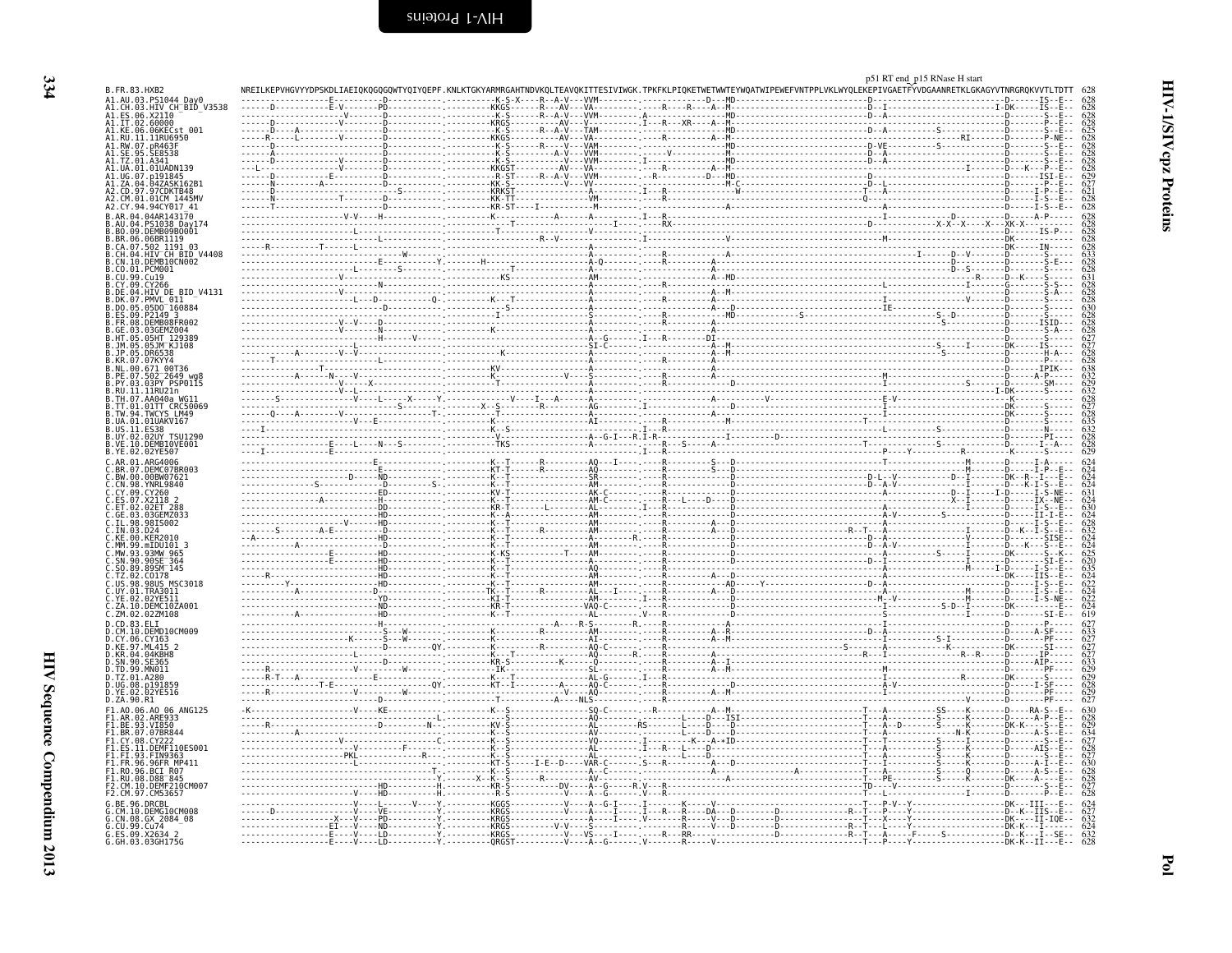<span id="page-23-0"></span>

|                                                                    |  | p51 RT end_p15 RNase H start<br>NREILKEPVHGVYYDPSKDLIAEIQKQGQGQWTYQIYQEPF.KNLKTGKYARMRGAHTNDVKQLTEAVQKITTESIVIWGK.TPKFKLPIQKETWETWNTEYWQATWIPEWEFVNTPPLVKLWYQLEKEPIVGAETFYVDGAANRETKLGKAGYVTNRGRQKVVTLTDT |  |
|--------------------------------------------------------------------|--|-----------------------------------------------------------------------------------------------------------------------------------------------------------------------------------------------------------|--|
| A1.AU.03.PS1044 Day0                                               |  |                                                                                                                                                                                                           |  |
| A1.CH.03.HTV CH_BTD_V3538<br>A1.ES.06.X2110<br>A1.LT.02.60000      |  |                                                                                                                                                                                                           |  |
| 41.KE.06.06KECst 001                                               |  |                                                                                                                                                                                                           |  |
| A1.RŪ.ĪĪ.ĪĪRŪĞ9Š0<br>A1.RW.07.pR463F                               |  |                                                                                                                                                                                                           |  |
|                                                                    |  |                                                                                                                                                                                                           |  |
|                                                                    |  |                                                                                                                                                                                                           |  |
|                                                                    |  |                                                                                                                                                                                                           |  |
|                                                                    |  |                                                                                                                                                                                                           |  |
|                                                                    |  |                                                                                                                                                                                                           |  |
| A2.CY.94.94CY017 41                                                |  |                                                                                                                                                                                                           |  |
|                                                                    |  |                                                                                                                                                                                                           |  |
|                                                                    |  |                                                                                                                                                                                                           |  |
| BR.06.06BR1119                                                     |  |                                                                                                                                                                                                           |  |
| HIV CH BID V4408                                                   |  |                                                                                                                                                                                                           |  |
| DEMB10CN002<br>CO.01.PCM001                                        |  |                                                                                                                                                                                                           |  |
|                                                                    |  |                                                                                                                                                                                                           |  |
| CY 09 CY266<br>B.DE.04.HIV_DE_BID V4131                            |  |                                                                                                                                                                                                           |  |
| DK.07.PMVL 011                                                     |  |                                                                                                                                                                                                           |  |
| .05DO <sup>-</sup> 160884<br>ES.09.P2149 3                         |  |                                                                                                                                                                                                           |  |
| .DEMB08FR002                                                       |  |                                                                                                                                                                                                           |  |
|                                                                    |  |                                                                                                                                                                                                           |  |
|                                                                    |  |                                                                                                                                                                                                           |  |
|                                                                    |  |                                                                                                                                                                                                           |  |
|                                                                    |  |                                                                                                                                                                                                           |  |
|                                                                    |  |                                                                                                                                                                                                           |  |
| 11RU21n                                                            |  |                                                                                                                                                                                                           |  |
| B.TH.07.AA040a WG11<br>B.TT.01.01TT CRC50069<br>B.TW.94.TWCYS LM49 |  |                                                                                                                                                                                                           |  |
| UA.01.01UAKV167                                                    |  |                                                                                                                                                                                                           |  |
| .US . 11 . ES38                                                    |  |                                                                                                                                                                                                           |  |
| .02UY TSU1290<br>B.UY.02.<br>B.VE.10.DEMB10VE001                   |  |                                                                                                                                                                                                           |  |
| B.YE.02.02YE507                                                    |  |                                                                                                                                                                                                           |  |
| .DEMC07BR003                                                       |  |                                                                                                                                                                                                           |  |
| .BW.00.00BW07621                                                   |  |                                                                                                                                                                                                           |  |
| C.CN.98.YNRL9840<br>.CY.09.CY260                                   |  |                                                                                                                                                                                                           |  |
|                                                                    |  |                                                                                                                                                                                                           |  |
| 02FT 288                                                           |  |                                                                                                                                                                                                           |  |
|                                                                    |  |                                                                                                                                                                                                           |  |
|                                                                    |  |                                                                                                                                                                                                           |  |
|                                                                    |  |                                                                                                                                                                                                           |  |
| C.SN.90.90SE <sup>-</sup> 364                                      |  |                                                                                                                                                                                                           |  |
|                                                                    |  |                                                                                                                                                                                                           |  |
| MSC3018                                                            |  |                                                                                                                                                                                                           |  |
| .UY.01.TRA3011<br>YE.02<br>02YE511                                 |  |                                                                                                                                                                                                           |  |
| C.ZA.10.DEMC10ZA001                                                |  |                                                                                                                                                                                                           |  |
| C.ZM.02.02ZM108<br>D.CD.83.ELI                                     |  |                                                                                                                                                                                                           |  |
| D.CM.10.DEMD10CM009                                                |  |                                                                                                                                                                                                           |  |
| D.CY.06.CY163                                                      |  |                                                                                                                                                                                                           |  |
| .KR.04.04KBH8                                                      |  |                                                                                                                                                                                                           |  |
| .TD.99.MN011                                                       |  |                                                                                                                                                                                                           |  |
|                                                                    |  |                                                                                                                                                                                                           |  |
| D.UG.08.p191859                                                    |  |                                                                                                                                                                                                           |  |
| D.ZA.90.R1                                                         |  |                                                                                                                                                                                                           |  |
| F1.A0.06.A0 06 ANG125<br>$-1.$ AR. $02.$ ARE933                    |  |                                                                                                                                                                                                           |  |
| 1.BE.93.VI850                                                      |  |                                                                                                                                                                                                           |  |
| F1.BR.07.07BR844<br>1.CY.08.CY22                                   |  |                                                                                                                                                                                                           |  |
|                                                                    |  |                                                                                                                                                                                                           |  |
| 96.96FR MP411                                                      |  |                                                                                                                                                                                                           |  |
| 1.RO.96.BCI R07-                                                   |  |                                                                                                                                                                                                           |  |
| F1.RU.08.D88 <sup>-</sup> 845<br>10.DEMF210CM00                    |  |                                                                                                                                                                                                           |  |
|                                                                    |  |                                                                                                                                                                                                           |  |
| DEMG10CM008                                                        |  |                                                                                                                                                                                                           |  |
| 3.CN.08.GX_2084_08<br>5.CN.08.GX_2084_08                           |  |                                                                                                                                                                                                           |  |
|                                                                    |  |                                                                                                                                                                                                           |  |
| G.ES.09.X2634 2<br>G.GH.03.03GH175                                 |  |                                                                                                                                                                                                           |  |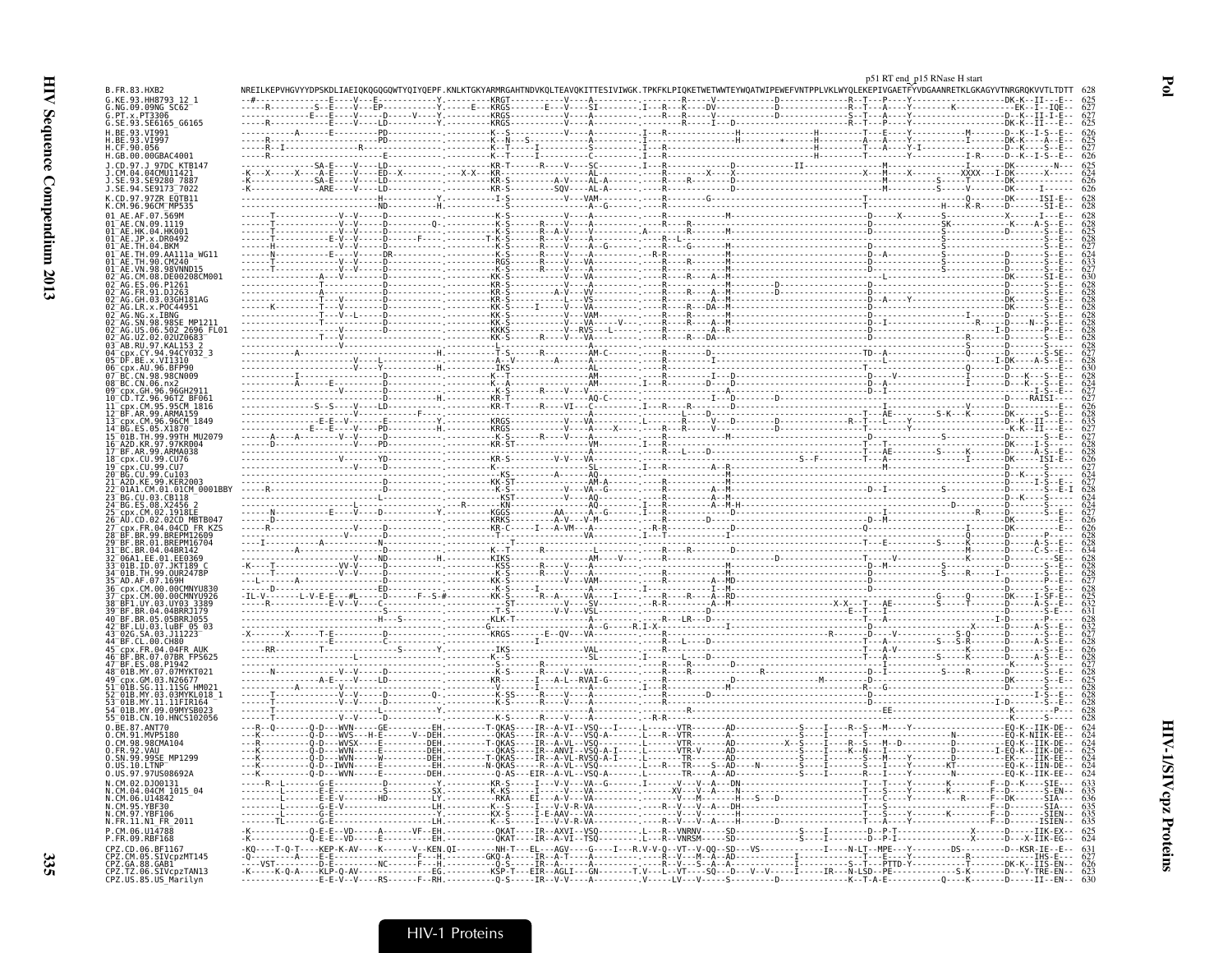|                                                                 |  |  | p51 RT end p15 RNase H start                                        |  |
|-----------------------------------------------------------------|--|--|---------------------------------------------------------------------|--|
|                                                                 |  |  | TWETWWTEYWQATWIPEWEFVNTPPLVKLWYQLEKEPIVGAETFYVDGAANRETKLGKAGYVTNRGR |  |
|                                                                 |  |  |                                                                     |  |
| G.SE.93.SE6165_G6165<br>H.BE.93.VI991                           |  |  |                                                                     |  |
|                                                                 |  |  |                                                                     |  |
| H.GB.00.00GBAC400.                                              |  |  |                                                                     |  |
|                                                                 |  |  |                                                                     |  |
| J.SE.94.SE9173 <sup>-</sup> 7022                                |  |  |                                                                     |  |
| CD 97 977R E0TR11                                               |  |  |                                                                     |  |
| .09.1119                                                        |  |  |                                                                     |  |
|                                                                 |  |  |                                                                     |  |
|                                                                 |  |  |                                                                     |  |
|                                                                 |  |  |                                                                     |  |
|                                                                 |  |  |                                                                     |  |
|                                                                 |  |  |                                                                     |  |
|                                                                 |  |  |                                                                     |  |
| SE MP1211<br>2696 FL0                                           |  |  |                                                                     |  |
|                                                                 |  |  |                                                                     |  |
|                                                                 |  |  |                                                                     |  |
|                                                                 |  |  |                                                                     |  |
|                                                                 |  |  |                                                                     |  |
| .96.96TZ BF061                                                  |  |  |                                                                     |  |
|                                                                 |  |  |                                                                     |  |
|                                                                 |  |  |                                                                     |  |
| TH.99.99TH MU2079<br>97.97KR004                                 |  |  |                                                                     |  |
| .ARMA038                                                        |  |  |                                                                     |  |
|                                                                 |  |  |                                                                     |  |
|                                                                 |  |  |                                                                     |  |
|                                                                 |  |  |                                                                     |  |
|                                                                 |  |  |                                                                     |  |
|                                                                 |  |  |                                                                     |  |
|                                                                 |  |  |                                                                     |  |
|                                                                 |  |  |                                                                     |  |
|                                                                 |  |  |                                                                     |  |
|                                                                 |  |  |                                                                     |  |
|                                                                 |  |  |                                                                     |  |
|                                                                 |  |  |                                                                     |  |
|                                                                 |  |  |                                                                     |  |
|                                                                 |  |  |                                                                     |  |
|                                                                 |  |  |                                                                     |  |
| .11.11SG HM02                                                   |  |  |                                                                     |  |
| 03.03MYKL018<br>MY 11 11FIR164                                  |  |  |                                                                     |  |
| MY.09.09MYSB02<br>01B.CN.10.HNCS102056"                         |  |  |                                                                     |  |
| 0.BE.87.ANT70<br>.MVP5180                                       |  |  |                                                                     |  |
| .98CMA104                                                       |  |  |                                                                     |  |
| 99SE MP1299                                                     |  |  |                                                                     |  |
| 0.US.97.97US08692A                                              |  |  |                                                                     |  |
|                                                                 |  |  |                                                                     |  |
| U14842                                                          |  |  |                                                                     |  |
| .FR.11.N1 FR 2011                                               |  |  |                                                                     |  |
|                                                                 |  |  |                                                                     |  |
|                                                                 |  |  |                                                                     |  |
| CPZ.GA.88.GAB1<br>CPZ.TZ.06.SIVcpzTAN13<br>CPZ.US.85.US_Marilyn |  |  |                                                                     |  |
|                                                                 |  |  |                                                                     |  |

 $\mathbf{P}\mathbf{0}$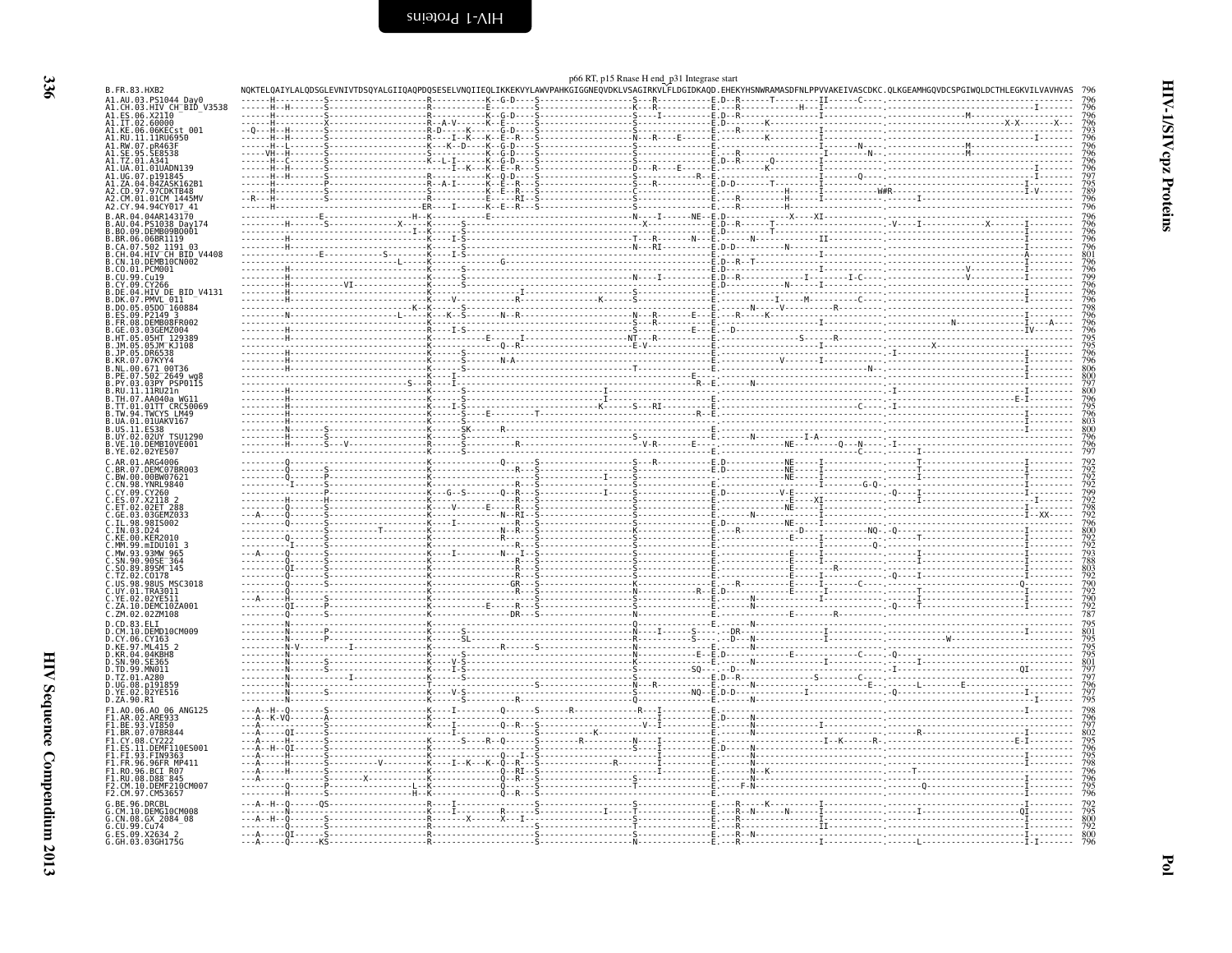<span id="page-25-0"></span>

|                                                                                               |                 | p66 RT, p15 Rnase H end_p31 Integrase start |                                                                                                                                                                            |                                                                    |
|-----------------------------------------------------------------------------------------------|-----------------|---------------------------------------------|----------------------------------------------------------------------------------------------------------------------------------------------------------------------------|--------------------------------------------------------------------|
| B.FR.83.HXB2                                                                                  |                 |                                             | NOKTELOAIYLALODSGLEVNIVTDSOYALGIIOAOPDOSESELVNOIIEOLIKKEKVYLAWVPAHKGIGGNEOVDKLVSAGIRKVLFLDGIDKAOD.EHEKYHSNWRAMASDFNLPPVVAKEIVASCDKC.OLKGEAMHGOVDCSPGIWOLDCTHLEGKVILVAVHVAS |                                                                    |
| A1.AU.03.PS1044_Day0<br>A1.CH.03.HIV_CH_BID_V3538                                             |                 |                                             |                                                                                                                                                                            |                                                                    |
| A1.ES.06.X2110<br>A1.IT.02.60000                                                              |                 |                                             |                                                                                                                                                                            | 796<br>7963<br>7966<br>7967<br>796<br>797                          |
| A1.KE.06.06KECst 001                                                                          |                 |                                             |                                                                                                                                                                            |                                                                    |
| A1.RU.11.11RU6950<br>A1.RW.07.pR463F<br>A1.SE.95.SE8538                                       |                 |                                             |                                                                                                                                                                            |                                                                    |
| A1.TZ.01                                                                                      |                 |                                             |                                                                                                                                                                            |                                                                    |
|                                                                                               |                 |                                             |                                                                                                                                                                            |                                                                    |
| A1.ZA.04.04ZASK162B1<br>A2.CD.97.97CDKTB48                                                    |                 |                                             |                                                                                                                                                                            | 795<br>789<br>796<br>796                                           |
| A2.CM.01.01CM 1445MV<br>A2.CY.94.94CY017 41                                                   |                 |                                             |                                                                                                                                                                            |                                                                    |
| B.AR.04.04AR143170                                                                            |                 |                                             |                                                                                                                                                                            |                                                                    |
| PS1038 Day174<br>.BO.09.DEMB09B0001                                                           |                 |                                             |                                                                                                                                                                            | 796<br>796<br>796<br>796                                           |
| B.BR.06.06BR1119                                                                              |                 |                                             |                                                                                                                                                                            |                                                                    |
| B.CA.07.502.1191 03<br>B.CA.07.502 1191 03<br>B.CN.04.HIV CH BID V4408<br>B.CN.10.DEMB10CN002 |                 |                                             |                                                                                                                                                                            | 796<br>801<br>796<br>796<br>796<br>796                             |
| .CO.01.PCM001                                                                                 |                 |                                             |                                                                                                                                                                            |                                                                    |
| .CU.99.Cu19<br>3. CY.09. CY266                                                                |                 |                                             |                                                                                                                                                                            |                                                                    |
| B.DE.04.HIV_DE_BID V4131                                                                      |                 |                                             |                                                                                                                                                                            |                                                                    |
| B.DK.07.PMVL 011<br>.DO.05.05D0 <sup>-</sup> 160884                                           |                 |                                             |                                                                                                                                                                            |                                                                    |
| 09.P2149<br>DEMB08FR002                                                                       |                 |                                             |                                                                                                                                                                            | 79866667977977777880797                                            |
| GE.03.03GEMZ004                                                                               |                 |                                             |                                                                                                                                                                            |                                                                    |
| .05HT<br>129389<br>.JM.05.05JM KJ108                                                          |                 |                                             |                                                                                                                                                                            |                                                                    |
| .JP.05<br>DR6538.<br>.KR.07.07KYY4                                                            |                 |                                             |                                                                                                                                                                            |                                                                    |
| .NL.00.671 00T36<br>B.PE.07.502 <sup>—</sup> 2649 wal                                         |                 |                                             |                                                                                                                                                                            |                                                                    |
| B.PY.03.03PY PSP0115                                                                          |                 |                                             |                                                                                                                                                                            |                                                                    |
| B.RU.11.11RU21n<br>.TH.07.AA040a WG11                                                         |                 |                                             |                                                                                                                                                                            | 800<br>796<br>795<br>796                                           |
| .TT.01.01TT CRC50069<br>.TW.94.TWCYS LM49                                                     |                 |                                             |                                                                                                                                                                            |                                                                    |
| UA.01.01UAKV167                                                                               |                 |                                             |                                                                                                                                                                            |                                                                    |
| US.11.ES38<br>02UY TSU1290<br>B.UY.02.                                                        |                 |                                             |                                                                                                                                                                            |                                                                    |
| B.VE.10.DEMB10VE001<br>B.YE.02.02YE507                                                        |                 |                                             |                                                                                                                                                                            | 803<br>803<br>800<br>796<br>796<br>797                             |
| C.AR.01.ARG4006                                                                               |                 |                                             |                                                                                                                                                                            |                                                                    |
| .BR.07.DEMC07BR003<br>. RW 00 00RW07621                                                       |                 |                                             |                                                                                                                                                                            |                                                                    |
| .CN.98.YNRL9840<br>.CY.09.                                                                    |                 |                                             |                                                                                                                                                                            | 792229292822002233822922928200223383                               |
|                                                                                               |                 |                                             |                                                                                                                                                                            |                                                                    |
| 03GEMZ033                                                                                     |                 |                                             |                                                                                                                                                                            |                                                                    |
| .IL.98.98IS002<br>IN.03<br>D <sub>24</sub>                                                    |                 |                                             |                                                                                                                                                                            |                                                                    |
| C.KE.00.KER2010                                                                               |                 |                                             |                                                                                                                                                                            |                                                                    |
| Č.MM.99.mIDU101 3<br>C.MW.93.93MW 965<br>C.SN.90.90SE <sup>-</sup> 364                        |                 |                                             |                                                                                                                                                                            |                                                                    |
| S0.89.89SM 145                                                                                |                 |                                             |                                                                                                                                                                            |                                                                    |
| <b>CO178</b>                                                                                  |                 |                                             |                                                                                                                                                                            |                                                                    |
| .98US<br>MSC3018<br>. . US . 98<br>$: 0Y.01.$ TRA3011                                         |                 |                                             |                                                                                                                                                                            |                                                                    |
| Č.YE.02.02YEŠÎÎ<br>C.ZA.10.DEMC10ZA001                                                        |                 |                                             |                                                                                                                                                                            | 803<br>792<br>790<br>792<br>792<br>792<br>787                      |
| C.ZM.02.02ZM108                                                                               |                 |                                             |                                                                                                                                                                            |                                                                    |
| D.CD.83.ELI<br>D.CM.10.DEMD10CM009                                                            |                 |                                             |                                                                                                                                                                            |                                                                    |
| D.CY.06.CY163                                                                                 |                 |                                             |                                                                                                                                                                            |                                                                    |
| D.KE.97.ML415 2<br>D.KR.04.04KBH8<br>D.SN.90.SE365                                            |                 |                                             |                                                                                                                                                                            |                                                                    |
| ).TD.99.MN011                                                                                 |                 |                                             |                                                                                                                                                                            |                                                                    |
| 0.TZ.01.A280<br>D.UG.08.p191859                                                               |                 |                                             |                                                                                                                                                                            |                                                                    |
| 02YE516<br>D.YE.02                                                                            |                 |                                             |                                                                                                                                                                            | 795<br>801<br>795<br>795<br>797<br>801<br>797<br>797<br>795<br>795 |
| D.ZA.90.R1<br>F1.A0.06.A0 06 ANG125                                                           |                 |                                             |                                                                                                                                                                            |                                                                    |
| F1.AR.02.ARE933<br>F1.BE.93.VI850                                                             |                 |                                             |                                                                                                                                                                            | 798<br>796797<br>796796<br>796798<br>796796                        |
| F1.BR.07.07BR844                                                                              |                 |                                             |                                                                                                                                                                            |                                                                    |
| F1.CY.08.CY22<br>.DEMF110ES001<br>F1.ES.11                                                    |                 |                                             |                                                                                                                                                                            |                                                                    |
| F1.FI.93.FIN9363<br>FI.FR.96.96FR MP411                                                       |                 |                                             |                                                                                                                                                                            |                                                                    |
| F1.RO.96.BCI R07                                                                              |                 |                                             |                                                                                                                                                                            |                                                                    |
| F1.RU.08.D88 <sup>-</sup> 845<br>F2.CM.10.DEMF210CM007                                        |                 |                                             |                                                                                                                                                                            | 795<br>796                                                         |
| F2.CM.97.CM5365                                                                               |                 |                                             |                                                                                                                                                                            |                                                                    |
| DRCBL<br>DEMG10CM008                                                                          |                 |                                             |                                                                                                                                                                            | 792<br>795<br>800<br>792<br>800<br>796                             |
| CN.08.GX 2084 08                                                                              |                 |                                             |                                                                                                                                                                            |                                                                    |
| G.CU.99.Cu74<br>G.ES.09.X2634 2<br>G.GH.03.03GH175G                                           | . 0.            |                                             |                                                                                                                                                                            |                                                                    |
|                                                                                               | - - - A - - - - |                                             |                                                                                                                                                                            |                                                                    |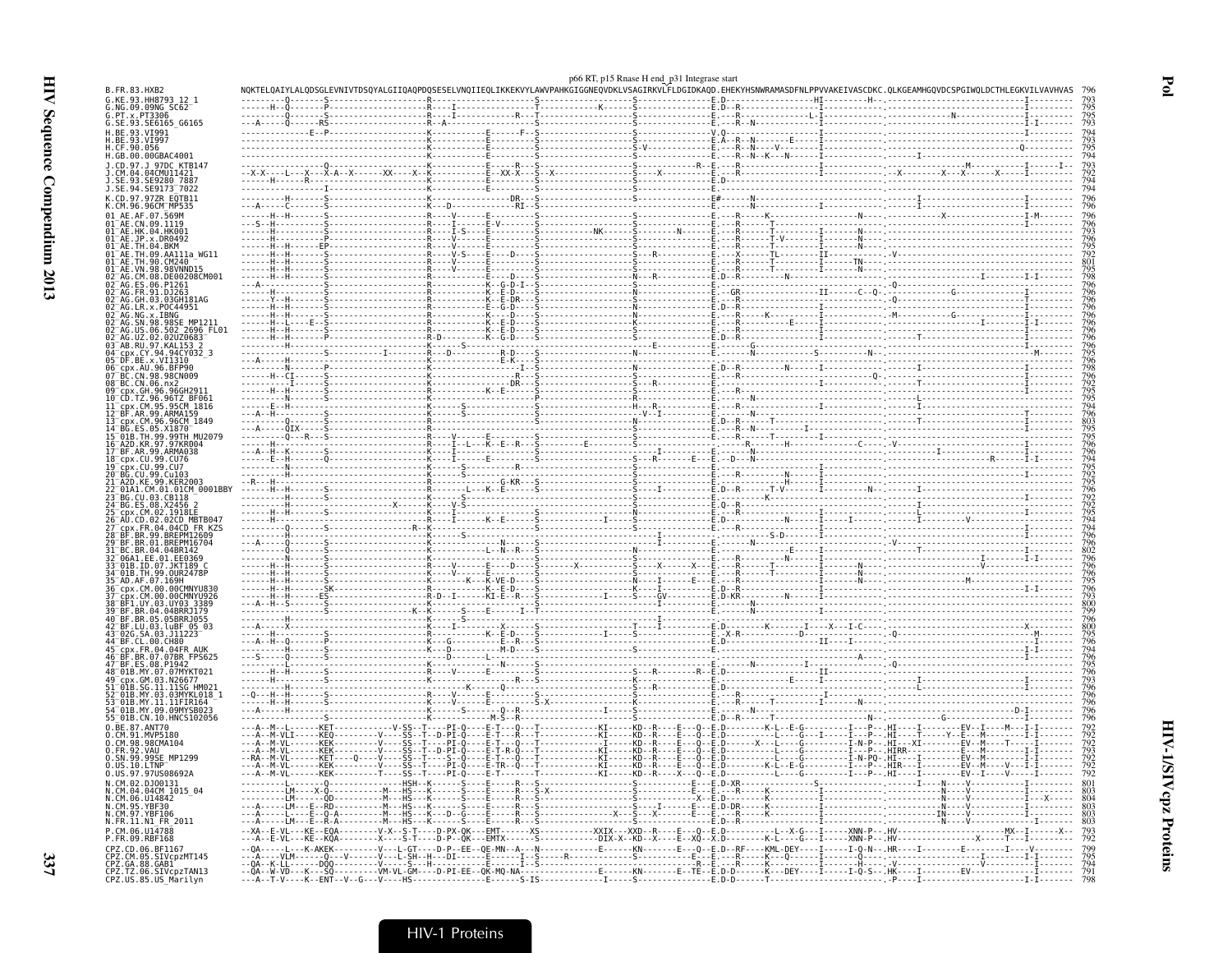| 93 HH8793                                                                                                  |                                                 |               |                                                                                                                                                  |                                |                                                                                                                                                                                                                                                                                                                                                                                                                                               |                                                                                                                                                                                                                                                                                                                                                                                                                                                                                      |  |
|------------------------------------------------------------------------------------------------------------|-------------------------------------------------|---------------|--------------------------------------------------------------------------------------------------------------------------------------------------|--------------------------------|-----------------------------------------------------------------------------------------------------------------------------------------------------------------------------------------------------------------------------------------------------------------------------------------------------------------------------------------------------------------------------------------------------------------------------------------------|--------------------------------------------------------------------------------------------------------------------------------------------------------------------------------------------------------------------------------------------------------------------------------------------------------------------------------------------------------------------------------------------------------------------------------------------------------------------------------------|--|
| G.NG.09.09NG SC62                                                                                          |                                                 |               |                                                                                                                                                  |                                |                                                                                                                                                                                                                                                                                                                                                                                                                                               |                                                                                                                                                                                                                                                                                                                                                                                                                                                                                      |  |
| G.PT.x.PT3306<br>G.SE.93.SE6165 G6165                                                                      |                                                 |               |                                                                                                                                                  |                                |                                                                                                                                                                                                                                                                                                                                                                                                                                               |                                                                                                                                                                                                                                                                                                                                                                                                                                                                                      |  |
| H.BE.93.VI991<br>93.VI997                                                                                  |                                                 |               |                                                                                                                                                  |                                |                                                                                                                                                                                                                                                                                                                                                                                                                                               |                                                                                                                                                                                                                                                                                                                                                                                                                                                                                      |  |
| H.CF.90.056<br>H.GB.00.00GBAC4001                                                                          |                                                 |               |                                                                                                                                                  |                                |                                                                                                                                                                                                                                                                                                                                                                                                                                               |                                                                                                                                                                                                                                                                                                                                                                                                                                                                                      |  |
| J.CD.97.J 97DC KTB14                                                                                       |                                                 |               |                                                                                                                                                  |                                |                                                                                                                                                                                                                                                                                                                                                                                                                                               |                                                                                                                                                                                                                                                                                                                                                                                                                                                                                      |  |
| .CM.04.04CMU11421<br>93. SE9280                                                                            |                                                 |               |                                                                                                                                                  |                                |                                                                                                                                                                                                                                                                                                                                                                                                                                               |                                                                                                                                                                                                                                                                                                                                                                                                                                                                                      |  |
| .SE.94.SE9173 <sup>-</sup> 7022<br>CD.97.97ZR E0TB11                                                       |                                                 |               |                                                                                                                                                  |                                |                                                                                                                                                                                                                                                                                                                                                                                                                                               | $\begin{minipage}[t]{.00\textwidth} \begin{minipage}[t]{0.00\textwidth} \begin{minipage}[t]{0.00\textwidth} \begin{minipage}[t]{0.00\textwidth} \begin{minipage}[t]{0.00\textwidth} \begin{minipage}[t]{0.00\textwidth} \begin{minipage}[t]{0.00\textwidth} \begin{minipage}[t]{0.00\textwidth} \begin{minipage}[t]{0.00\textwidth} \begin{minipage}[t]{0.00\textwidth} \begin{minipage}[t]{0.00\textwidth} \begin{minipage}[t]{0.00\textwidth} \begin{minipage}[t]{0.00\textwidth}$ |  |
| K.CM.96.96CM⊤MP535<br>01 AE.AF.07.569M                                                                     |                                                 |               |                                                                                                                                                  |                                |                                                                                                                                                                                                                                                                                                                                                                                                                                               |                                                                                                                                                                                                                                                                                                                                                                                                                                                                                      |  |
| 01 AE.CN.09.1119                                                                                           |                                                 |               |                                                                                                                                                  |                                |                                                                                                                                                                                                                                                                                                                                                                                                                                               |                                                                                                                                                                                                                                                                                                                                                                                                                                                                                      |  |
| 01 <sup>-</sup> AE.HK.04.HK001<br>$01^-$ AE.JP.x.DR0492                                                    |                                                 |               |                                                                                                                                                  |                                |                                                                                                                                                                                                                                                                                                                                                                                                                                               |                                                                                                                                                                                                                                                                                                                                                                                                                                                                                      |  |
| 01 AE. TH.04. BKM<br>09.AA111a WG11                                                                        |                                                 |               |                                                                                                                                                  |                                |                                                                                                                                                                                                                                                                                                                                                                                                                                               |                                                                                                                                                                                                                                                                                                                                                                                                                                                                                      |  |
| 90.CM240<br>98.98VNND15                                                                                    |                                                 |               |                                                                                                                                                  |                                |                                                                                                                                                                                                                                                                                                                                                                                                                                               |                                                                                                                                                                                                                                                                                                                                                                                                                                                                                      |  |
| AG.CM.08.DE00208CM001<br>06.P1261                                                                          |                                                 |               |                                                                                                                                                  |                                |                                                                                                                                                                                                                                                                                                                                                                                                                                               |                                                                                                                                                                                                                                                                                                                                                                                                                                                                                      |  |
| GH.03.03GH181AG                                                                                            |                                                 |               |                                                                                                                                                  |                                |                                                                                                                                                                                                                                                                                                                                                                                                                                               |                                                                                                                                                                                                                                                                                                                                                                                                                                                                                      |  |
| LR.x.POC44951                                                                                              |                                                 |               |                                                                                                                                                  |                                |                                                                                                                                                                                                                                                                                                                                                                                                                                               |                                                                                                                                                                                                                                                                                                                                                                                                                                                                                      |  |
| -AG. NG. X. IBNG<br>-AG. SN. 98.98SE_MP1211<br>-AG. US. 06.502_2696_FL01                                   |                                                 |               |                                                                                                                                                  |                                |                                                                                                                                                                                                                                                                                                                                                                                                                                               |                                                                                                                                                                                                                                                                                                                                                                                                                                                                                      |  |
| JZ.02.02UZ0683<br>AB.RU.97.KAL153                                                                          |                                                 |               |                                                                                                                                                  |                                |                                                                                                                                                                                                                                                                                                                                                                                                                                               |                                                                                                                                                                                                                                                                                                                                                                                                                                                                                      |  |
| CY.94.94CY032 3                                                                                            |                                                 |               |                                                                                                                                                  |                                |                                                                                                                                                                                                                                                                                                                                                                                                                                               |                                                                                                                                                                                                                                                                                                                                                                                                                                                                                      |  |
| BE.x.VI1310<br>cnx.AU.96.BFP90                                                                             |                                                 |               |                                                                                                                                                  |                                |                                                                                                                                                                                                                                                                                                                                                                                                                                               |                                                                                                                                                                                                                                                                                                                                                                                                                                                                                      |  |
| BC.CN.98.98CN009<br>BC.CN.06.nx2                                                                           |                                                 |               |                                                                                                                                                  |                                |                                                                                                                                                                                                                                                                                                                                                                                                                                               |                                                                                                                                                                                                                                                                                                                                                                                                                                                                                      |  |
| cpx.GH.96.96GH291                                                                                          |                                                 |               |                                                                                                                                                  |                                |                                                                                                                                                                                                                                                                                                                                                                                                                                               |                                                                                                                                                                                                                                                                                                                                                                                                                                                                                      |  |
| .TZ.96.96TZ BF061<br>x.CM.95.95CM 1816<br>.AR.99.ARMA159                                                   |                                                 |               |                                                                                                                                                  |                                |                                                                                                                                                                                                                                                                                                                                                                                                                                               |                                                                                                                                                                                                                                                                                                                                                                                                                                                                                      |  |
| CM.96.96CM 1849                                                                                            |                                                 |               |                                                                                                                                                  |                                |                                                                                                                                                                                                                                                                                                                                                                                                                                               |                                                                                                                                                                                                                                                                                                                                                                                                                                                                                      |  |
| KR.97.97KR004                                                                                              |                                                 |               |                                                                                                                                                  |                                |                                                                                                                                                                                                                                                                                                                                                                                                                                               |                                                                                                                                                                                                                                                                                                                                                                                                                                                                                      |  |
| 99.ARMA038<br>18 <sup>–</sup> cnx.CU.99.CU76                                                               |                                                 |               |                                                                                                                                                  |                                |                                                                                                                                                                                                                                                                                                                                                                                                                                               |                                                                                                                                                                                                                                                                                                                                                                                                                                                                                      |  |
| cpx.CU.99.CU7<br>BG.CU.99.Cu103                                                                            |                                                 |               |                                                                                                                                                  |                                |                                                                                                                                                                                                                                                                                                                                                                                                                                               |                                                                                                                                                                                                                                                                                                                                                                                                                                                                                      |  |
|                                                                                                            |                                                 |               |                                                                                                                                                  |                                |                                                                                                                                                                                                                                                                                                                                                                                                                                               |                                                                                                                                                                                                                                                                                                                                                                                                                                                                                      |  |
| .CM.01.01CM_0001BBY<br>BG.CU.03.CB118<br>08 X2456                                                          |                                                 |               |                                                                                                                                                  |                                |                                                                                                                                                                                                                                                                                                                                                                                                                                               |                                                                                                                                                                                                                                                                                                                                                                                                                                                                                      |  |
| CM.02.1918EE                                                                                               |                                                 |               |                                                                                                                                                  |                                |                                                                                                                                                                                                                                                                                                                                                                                                                                               |                                                                                                                                                                                                                                                                                                                                                                                                                                                                                      |  |
|                                                                                                            |                                                 |               |                                                                                                                                                  |                                |                                                                                                                                                                                                                                                                                                                                                                                                                                               |                                                                                                                                                                                                                                                                                                                                                                                                                                                                                      |  |
| BF.BR.99.BREPM12609                                                                                        |                                                 |               |                                                                                                                                                  |                                |                                                                                                                                                                                                                                                                                                                                                                                                                                               |                                                                                                                                                                                                                                                                                                                                                                                                                                                                                      |  |
| BC.BR.04.04BR142<br>06A1.EE.01.EE0369                                                                      |                                                 |               |                                                                                                                                                  |                                |                                                                                                                                                                                                                                                                                                                                                                                                                                               |                                                                                                                                                                                                                                                                                                                                                                                                                                                                                      |  |
| TH.99.0UR2478P                                                                                             |                                                 |               |                                                                                                                                                  |                                |                                                                                                                                                                                                                                                                                                                                                                                                                                               |                                                                                                                                                                                                                                                                                                                                                                                                                                                                                      |  |
| AD.AF.07.169H_-<br>CM 00 00CMNYU836                                                                        |                                                 |               |                                                                                                                                                  |                                |                                                                                                                                                                                                                                                                                                                                                                                                                                               |                                                                                                                                                                                                                                                                                                                                                                                                                                                                                      |  |
| CM.00.00CMNYU926<br>.UY.03.UY03.338<br>BR.04.04BRRJ179                                                     |                                                 |               |                                                                                                                                                  |                                |                                                                                                                                                                                                                                                                                                                                                                                                                                               |                                                                                                                                                                                                                                                                                                                                                                                                                                                                                      |  |
| 05.05BRRJ055                                                                                               |                                                 |               |                                                                                                                                                  |                                |                                                                                                                                                                                                                                                                                                                                                                                                                                               |                                                                                                                                                                                                                                                                                                                                                                                                                                                                                      |  |
| BF.LU.03.luBF 05 03"<br>.03.J11223                                                                         |                                                 |               |                                                                                                                                                  |                                |                                                                                                                                                                                                                                                                                                                                                                                                                                               |                                                                                                                                                                                                                                                                                                                                                                                                                                                                                      |  |
|                                                                                                            |                                                 |               |                                                                                                                                                  |                                |                                                                                                                                                                                                                                                                                                                                                                                                                                               |                                                                                                                                                                                                                                                                                                                                                                                                                                                                                      |  |
| 08.P1942<br>BF.ES                                                                                          |                                                 |               |                                                                                                                                                  |                                |                                                                                                                                                                                                                                                                                                                                                                                                                                               |                                                                                                                                                                                                                                                                                                                                                                                                                                                                                      |  |
| 48 <sup>-</sup> 01B.MY.07.07MYKT021                                                                        |                                                 |               |                                                                                                                                                  |                                | $\begin{minipage}{0.03\textwidth} \begin{tabular}{ c c c } \hline \multicolumn{1}{ c }{0.03\textwidth} \begin{tabular}{ c c c } \hline \multicolumn{1}{ c }{0.03\textwidth} \begin{tabular}{ c c c } \hline \multicolumn{1}{ c }{0.03\textwidth} \begin{tabular}{ c c c } \hline \multicolumn{1}{ c }{0.03\textwidth} \begin{tabular}{ c c c } \hline \multicolumn{1}{ c }{0.03\textwidth} \begin{tabular}{ c c c } \hline \multicolumn{1}{ $ |                                                                                                                                                                                                                                                                                                                                                                                                                                                                                      |  |
| .GM.03.N26677<br>SG.11.11SG H.<br>MY.03.03MYKL018                                                          |                                                 |               |                                                                                                                                                  |                                |                                                                                                                                                                                                                                                                                                                                                                                                                                               |                                                                                                                                                                                                                                                                                                                                                                                                                                                                                      |  |
| MY.11.11FIR164<br>09.09MYSB02                                                                              |                                                 |               |                                                                                                                                                  |                                |                                                                                                                                                                                                                                                                                                                                                                                                                                               |                                                                                                                                                                                                                                                                                                                                                                                                                                                                                      |  |
| 55 <sup>-</sup> 01B.CN.10.HNCS102056                                                                       |                                                 |               |                                                                                                                                                  |                                |                                                                                                                                                                                                                                                                                                                                                                                                                                               |                                                                                                                                                                                                                                                                                                                                                                                                                                                                                      |  |
| $0.\overline{B}E.87.$ ANT70<br>0.CM.91.MVP5180                                                             |                                                 | VSSTD.PI.OE.T |                                                                                                                                                  |                                |                                                                                                                                                                                                                                                                                                                                                                                                                                               |                                                                                                                                                                                                                                                                                                                                                                                                                                                                                      |  |
| 0.CM.98.98CMA104<br>0.FR.92.VAU                                                                            |                                                 |               |                                                                                                                                                  | KD--R----E---Q--E.D----------L |                                                                                                                                                                                                                                                                                                                                                                                                                                               | .----G----------I-N-P-- .HI---XI---------EV--M----<br>----G----------I---P-- .HIRR-----------E---M----                                                                                                                                                                                                                                                                                                                                                                               |  |
| 0.SN.99.99SE MP1299<br>0.05.10.LIMP                                                                        | ------KEK---------V----SS--T----PI-0----E-TR--0 |               | . † - - - - - - - - - - - KT - - - - KD - - R - - - - E - - - Õ - - E<br>. † - - - - - - - - - - - KI - - - - - KD - - R - - - - E - - - Q - - E |                                |                                                                                                                                                                                                                                                                                                                                                                                                                                               |                                                                                                                                                                                                                                                                                                                                                                                                                                                                                      |  |
| 0.US.97.97US08692A                                                                                         |                                                 |               |                                                                                                                                                  |                                |                                                                                                                                                                                                                                                                                                                                                                                                                                               |                                                                                                                                                                                                                                                                                                                                                                                                                                                                                      |  |
| N.CM.02.DJ00131<br>04.04CM 1015 04                                                                         |                                                 |               |                                                                                                                                                  |                                |                                                                                                                                                                                                                                                                                                                                                                                                                                               |                                                                                                                                                                                                                                                                                                                                                                                                                                                                                      |  |
| N.CM.06.U14842<br>N.CM.95.YBF30                                                                            |                                                 |               |                                                                                                                                                  |                                | E.D-DR-----K-----------I-<br>---E.---R-----K-----------I-                                                                                                                                                                                                                                                                                                                                                                                     |                                                                                                                                                                                                                                                                                                                                                                                                                                                                                      |  |
| N.CM.97.YRF106<br>N.FR.11.N1_FR_2011                                                                       |                                                 |               |                                                                                                                                                  |                                |                                                                                                                                                                                                                                                                                                                                                                                                                                               |                                                                                                                                                                                                                                                                                                                                                                                                                                                                                      |  |
| P.FR.09.RBF168                                                                                             |                                                 |               |                                                                                                                                                  |                                |                                                                                                                                                                                                                                                                                                                                                                                                                                               |                                                                                                                                                                                                                                                                                                                                                                                                                                                                                      |  |
| CPZ.CD.06.BF1167                                                                                           |                                                 |               |                                                                                                                                                  |                                |                                                                                                                                                                                                                                                                                                                                                                                                                                               |                                                                                                                                                                                                                                                                                                                                                                                                                                                                                      |  |
|                                                                                                            |                                                 |               |                                                                                                                                                  |                                |                                                                                                                                                                                                                                                                                                                                                                                                                                               |                                                                                                                                                                                                                                                                                                                                                                                                                                                                                      |  |
| CFZ.CM.05.SIVCPZMT145<br>CPZ.GA.88.GAB1<br>CPZ.GA.88.GAB1<br>CPZ.TZ.06.SIVCPzTAN13<br>CPZ.US.85.US_Marilyn |                                                 |               |                                                                                                                                                  |                                |                                                                                                                                                                                                                                                                                                                                                                                                                                               |                                                                                                                                                                                                                                                                                                                                                                                                                                                                                      |  |

p66 RT, p15 Rnase H end\_p31 Integrase start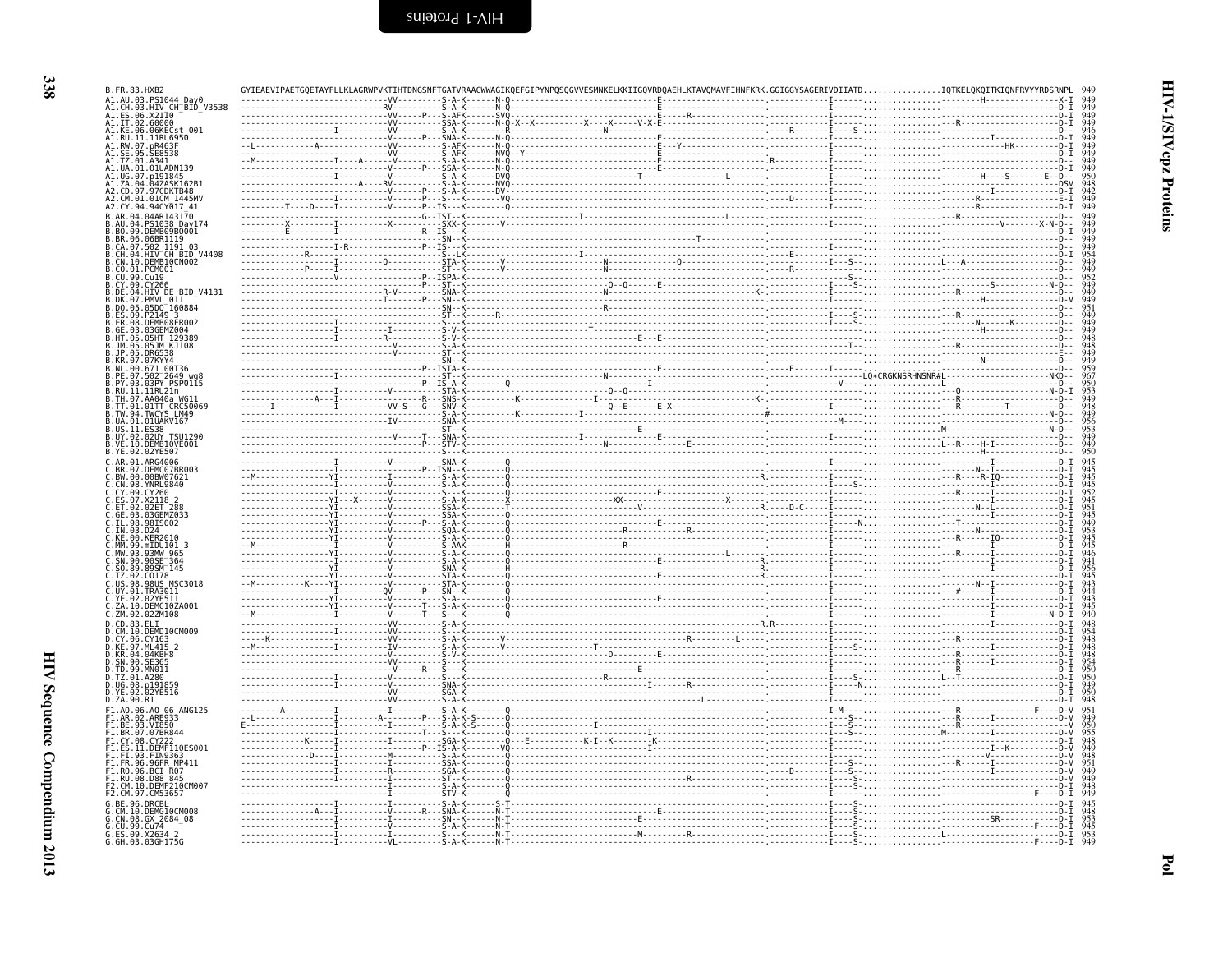| B.FR.83.HXB2                                                          |                                          |  |  |                                                                           |
|-----------------------------------------------------------------------|------------------------------------------|--|--|---------------------------------------------------------------------------|
| A1.AU.03.PS1044 Day0<br>A1.CH.03.HIV_CH_BID_V3538                     |                                          |  |  |                                                                           |
| A1.ES.06.X2110<br>Al.IT.02.60000<br>Al.KE.06.06KECst_001              |                                          |  |  | 949<br>949<br>949<br>949<br>949<br>949                                    |
| A1.RU.11.11RU6950<br>A1.RW.07.pR463F                                  |                                          |  |  |                                                                           |
| 95. SE8538                                                            |                                          |  |  |                                                                           |
| .01UADN139                                                            |                                          |  |  |                                                                           |
| 41.UG.07.n191845<br>A1.ZA.04.04ZASK162B1                              |                                          |  |  | 949<br>950<br>948<br>942                                                  |
| A2.CD.97.97CDKTB48<br>A2.CM.01.01CM 1445MV                            |                                          |  |  |                                                                           |
| A2.CY.94.94CY017 41                                                   |                                          |  |  | $\frac{949}{949}$                                                         |
| B.AR.04.04AR143170<br>B.AU.04.PS1038 Day174<br>B.BO.09.DEMB09B0001    |                                          |  |  |                                                                           |
| B.BR.06.06BR1119                                                      |                                          |  |  |                                                                           |
| .CA.07.502_1191_03<br>B.CH.04.HIV⊤CH BID V4408<br>B.CN.10.DEMB10CN002 |                                          |  |  |                                                                           |
| B.CO.01.PCM001                                                        |                                          |  |  |                                                                           |
| B.CU.99.Cu19<br>B.CY.09<br>.CY266                                     |                                          |  |  |                                                                           |
| B.DE.04.HIV_DE BID V4131<br>B.DK.07<br>PMVL 011.                      |                                          |  |  |                                                                           |
| .DO.05.05D0 160884<br>B.ES.09<br>P2149                                |                                          |  |  |                                                                           |
| .DEMB08FR002<br>.FR.08<br>B.GE.03.03GEMZ004                           |                                          |  |  |                                                                           |
| B.HT.05.05HT 129389<br>B.JM.05.05JM KJ108                             |                                          |  |  |                                                                           |
| . 1P . 05<br>R KR 07 07KYY4                                           |                                          |  |  |                                                                           |
| B.NL.00.671 00T36<br>B.PE.07.502 2649 wg8                             |                                          |  |  |                                                                           |
| B.PY.03.03PY PSP0115                                                  |                                          |  |  |                                                                           |
| B.RU.11.11RU21n<br>3.TH.07.AA040a WG1                                 |                                          |  |  |                                                                           |
| B.TT.01.01TT CRC50069<br>B.TW.94.TWCYS LM49                           |                                          |  |  |                                                                           |
| .UA.01.01UAKV167<br>US.11                                             |                                          |  |  |                                                                           |
| B. UY. 02.<br>.02UY TSU1290<br>B.VE.10<br>DEMBI0VE001.                |                                          |  |  |                                                                           |
| B.YE.02.02YE507<br>C.AR.01.ARG4006                                    |                                          |  |  |                                                                           |
| .BR.07.DEMC07BR003<br>.BW.00.00BW07621<br>.CN.98.YNRL9840             |                                          |  |  | 945<br>945<br>945<br>952<br>951<br>945<br>945<br>945<br>945<br>944<br>941 |
|                                                                       |                                          |  |  |                                                                           |
| C.CY.09.CY260<br>C.ES.07.X2118                                        |                                          |  |  |                                                                           |
| 02ET 288<br>.GE.03                                                    |                                          |  |  |                                                                           |
| . IL . 98<br>98IS002<br>C.IN.03.                                      |                                          |  |  |                                                                           |
| C.KE.00<br>mIDU101 3.                                                 |                                          |  |  |                                                                           |
| C.SN.90.90SE <sup>-</sup> 364                                         |                                          |  |  |                                                                           |
| $C.50.89.89$ SM $-145$<br>Č.TŽ.02.<br>C0178                           |                                          |  |  | 956<br>945<br>943<br>943<br>945                                           |
| US.98.98US MSC3018<br>C.UY.01.TRA3011                                 |                                          |  |  |                                                                           |
| C.YE.02.02YE511<br>C.ZA.10.DEMC10ZA001                                |                                          |  |  |                                                                           |
| C.ZM.02.02ZM108<br>D.CD.83.ELI                                        |                                          |  |  | 940                                                                       |
| .CM.10<br>DEMD10CM009.<br>.CY.06                                      |                                          |  |  | 948<br>954<br>948<br>948<br>950<br>950<br>950<br>950<br>949               |
| D.KE.97.ML415 2                                                       |                                          |  |  |                                                                           |
| D.KR.04.04KBH8<br>D.SN.90.<br>.SE365                                  |                                          |  |  |                                                                           |
| D.TD.99.MN011<br>D.TZ.01.A280                                         |                                          |  |  |                                                                           |
| D.UG.08.p191859<br>02YE516<br>D.YE.02                                 |                                          |  |  |                                                                           |
| D.ZA.90.R1<br>F1.A0.06.A0 06 ANG125                                   |                                          |  |  |                                                                           |
| F1.AR.02.ARE933<br>F1.BE.93.VI850                                     |                                          |  |  |                                                                           |
| F1.BR.07.07BR844<br>F1.CY.08.CY222                                    |                                          |  |  |                                                                           |
| F1.ES.11.DEMF110ES001<br>F1.FI.93.FIN9363                             |                                          |  |  | 955<br>948<br>949<br>948<br>951<br>949<br>949                             |
| F1.FR.96.96FR MP411<br>F1.RO.96.BCI R07                               |                                          |  |  |                                                                           |
| F1.RU.08.D88 <sup>-</sup> 845<br>F2.CM.10.DEMF210CM007                |                                          |  |  |                                                                           |
| F2.CM.97.CM53657                                                      |                                          |  |  | $\frac{948}{949}$                                                         |
| G.BE.96<br>G.CM.10.DEMG10CM008                                        |                                          |  |  |                                                                           |
| G.CN.08.GX 2084 08<br>G.CU.99.Cu74                                    |                                          |  |  | 945<br>948<br>953<br>945<br>953                                           |
| G.ES.09.X2634 2<br>G.GH.03.03GH175G                                   | - - - - - VL - - - - - - - - - S - A - K |  |  |                                                                           |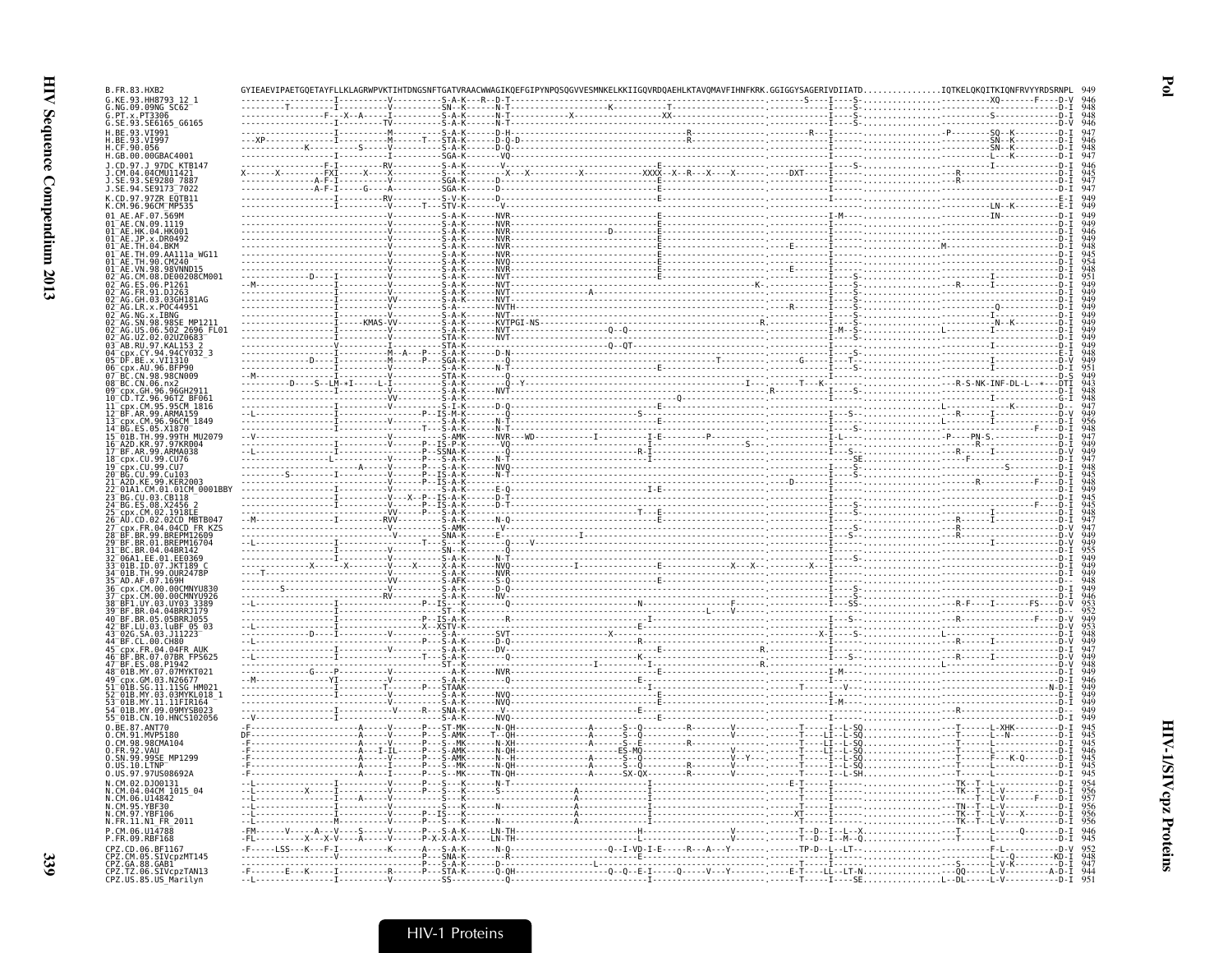$\mathbf{F}$ ol

| G.SE.93.SE6165 G6165                                                                      |  |  |  |  |  |
|-------------------------------------------------------------------------------------------|--|--|--|--|--|
|                                                                                           |  |  |  |  |  |
|                                                                                           |  |  |  |  |  |
|                                                                                           |  |  |  |  |  |
|                                                                                           |  |  |  |  |  |
|                                                                                           |  |  |  |  |  |
|                                                                                           |  |  |  |  |  |
|                                                                                           |  |  |  |  |  |
| 01 AE. TH.09. AA111a WG11                                                                 |  |  |  |  |  |
|                                                                                           |  |  |  |  |  |
| 02 AG.CM.08.DE00208CM001                                                                  |  |  |  |  |  |
|                                                                                           |  |  |  |  |  |
| 02 AG.GH.03.03GH181AG                                                                     |  |  |  |  |  |
| 02 AG. SN. 98. 98SE MP1211                                                                |  |  |  |  |  |
| 02 AG.US.06.502 2696 FL01                                                                 |  |  |  |  |  |
| 04 cpx.CY.94.94CY032 3                                                                    |  |  |  |  |  |
|                                                                                           |  |  |  |  |  |
|                                                                                           |  |  |  |  |  |
| 10 CD. TZ. 96. 96TZ BF061                                                                 |  |  |  |  |  |
| 11 cpx.CM.95.95CM_1816                                                                    |  |  |  |  |  |
| 13 <sup>-</sup> cpx.CM.96.96CM 1849<br>14-BG.ES.05.X1870-1947<br>15-01B.TH.99.99TH_MU2079 |  |  |  |  |  |
|                                                                                           |  |  |  |  |  |
|                                                                                           |  |  |  |  |  |
|                                                                                           |  |  |  |  |  |
| 21-A2D.KE.99.KER2003<br>22-01A1.CM.01.01CM_0001BBY<br>23-BG.CU.03.CB118                   |  |  |  |  |  |
|                                                                                           |  |  |  |  |  |
| 25-cpx.cm.02.1918LE<br>26-AU.CD.02.02CD MBTB047<br>27-cpx.FR.04.04CD_FR_KZS               |  |  |  |  |  |
| 28 BF.BR.99.BREPM12609                                                                    |  |  |  |  |  |
| 29 BF.BR.01.BREPM16704                                                                    |  |  |  |  |  |
|                                                                                           |  |  |  |  |  |
|                                                                                           |  |  |  |  |  |
| 36 cpx.CM.00.00CMNYU830<br>37 cpx.CM.00.00CMNYU926                                        |  |  |  |  |  |
| 38 BF1.UY.03.UY03 3389                                                                    |  |  |  |  |  |
|                                                                                           |  |  |  |  |  |
|                                                                                           |  |  |  |  |  |
|                                                                                           |  |  |  |  |  |
| 46 BF.BR.07.07BR FPS625                                                                   |  |  |  |  |  |
| 48 01B.MY.07.07MYKT021<br>51 01B.SG.11.11SG HM021                                         |  |  |  |  |  |
| 52 01B.MY.03.03MYKL018 1                                                                  |  |  |  |  |  |
| 54 01B.MY.09.09MYSB023                                                                    |  |  |  |  |  |
| 55 01B. CN. 10. HNCS102056                                                                |  |  |  |  |  |
|                                                                                           |  |  |  |  |  |
|                                                                                           |  |  |  |  |  |
|                                                                                           |  |  |  |  |  |
|                                                                                           |  |  |  |  |  |
|                                                                                           |  |  |  |  |  |
|                                                                                           |  |  |  |  |  |
|                                                                                           |  |  |  |  |  |
|                                                                                           |  |  |  |  |  |
|                                                                                           |  |  |  |  |  |
|                                                                                           |  |  |  |  |  |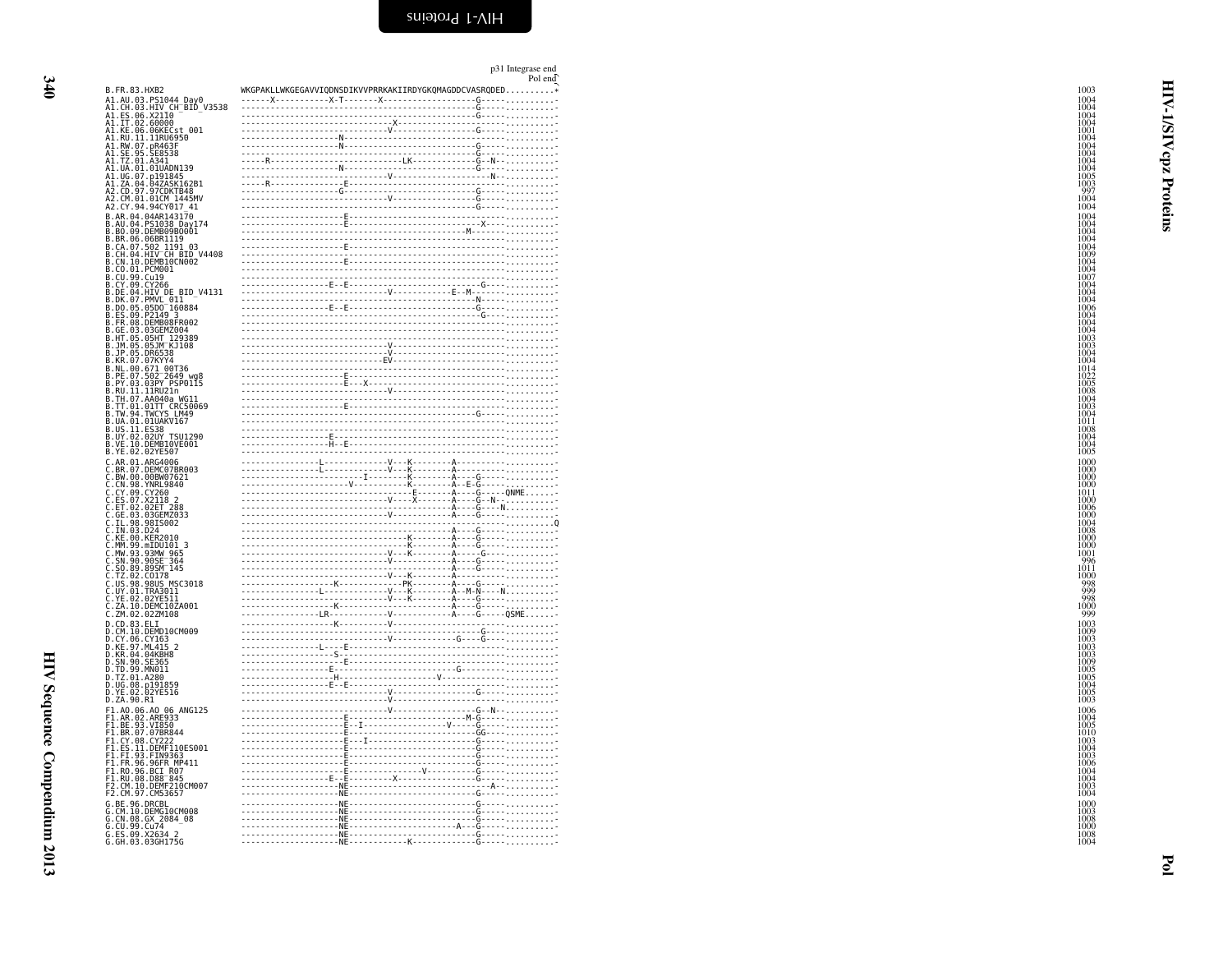<span id="page-29-0"></span>

|                                                                                                                                                                                                                                                                       |                                                        | p31 Integrase end<br>Pol end |
|-----------------------------------------------------------------------------------------------------------------------------------------------------------------------------------------------------------------------------------------------------------------------|--------------------------------------------------------|------------------------------|
| B.FR.83.HXB2                                                                                                                                                                                                                                                          | WKGPAKLLWKGEGAVVIQDNSDIKVVPRRKAKIIRDYGKQMAGDDCVASRQDED |                              |
|                                                                                                                                                                                                                                                                       |                                                        |                              |
|                                                                                                                                                                                                                                                                       |                                                        |                              |
|                                                                                                                                                                                                                                                                       |                                                        |                              |
|                                                                                                                                                                                                                                                                       |                                                        |                              |
|                                                                                                                                                                                                                                                                       |                                                        |                              |
|                                                                                                                                                                                                                                                                       |                                                        |                              |
|                                                                                                                                                                                                                                                                       |                                                        |                              |
|                                                                                                                                                                                                                                                                       |                                                        |                              |
|                                                                                                                                                                                                                                                                       |                                                        |                              |
|                                                                                                                                                                                                                                                                       |                                                        |                              |
| B. FR. 83. HXB2<br>A1. AU. 83. HXP<br>A1. CH. 83. HXP<br>A1. ET. 80. X2104<br>A1. ET. 80. X2104<br>A1. IT. 80. 600602<br>A1. IT. 80. 600602<br>A1. RU. 11. DR05025<br>A1. RU. 11. DR05928<br>A1. RU. 11. AU. 8338<br>A1. JS. 95. SE6338<br>A1. JS. 9                  |                                                        |                              |
|                                                                                                                                                                                                                                                                       |                                                        |                              |
|                                                                                                                                                                                                                                                                       |                                                        |                              |
|                                                                                                                                                                                                                                                                       |                                                        |                              |
|                                                                                                                                                                                                                                                                       |                                                        |                              |
|                                                                                                                                                                                                                                                                       |                                                        |                              |
|                                                                                                                                                                                                                                                                       |                                                        |                              |
|                                                                                                                                                                                                                                                                       |                                                        |                              |
|                                                                                                                                                                                                                                                                       |                                                        |                              |
|                                                                                                                                                                                                                                                                       |                                                        |                              |
|                                                                                                                                                                                                                                                                       |                                                        |                              |
|                                                                                                                                                                                                                                                                       |                                                        |                              |
|                                                                                                                                                                                                                                                                       |                                                        |                              |
|                                                                                                                                                                                                                                                                       |                                                        |                              |
|                                                                                                                                                                                                                                                                       |                                                        |                              |
|                                                                                                                                                                                                                                                                       |                                                        |                              |
|                                                                                                                                                                                                                                                                       |                                                        |                              |
|                                                                                                                                                                                                                                                                       |                                                        |                              |
|                                                                                                                                                                                                                                                                       |                                                        |                              |
|                                                                                                                                                                                                                                                                       |                                                        |                              |
|                                                                                                                                                                                                                                                                       |                                                        |                              |
|                                                                                                                                                                                                                                                                       |                                                        |                              |
|                                                                                                                                                                                                                                                                       |                                                        |                              |
|                                                                                                                                                                                                                                                                       |                                                        |                              |
|                                                                                                                                                                                                                                                                       |                                                        |                              |
|                                                                                                                                                                                                                                                                       |                                                        |                              |
|                                                                                                                                                                                                                                                                       |                                                        |                              |
|                                                                                                                                                                                                                                                                       |                                                        |                              |
|                                                                                                                                                                                                                                                                       |                                                        |                              |
|                                                                                                                                                                                                                                                                       |                                                        |                              |
|                                                                                                                                                                                                                                                                       |                                                        |                              |
|                                                                                                                                                                                                                                                                       |                                                        |                              |
| : .KE.00.KER2010<br>:.MN 93.93MW 965<br>:.SN 90.9905164<br>:.SN 90.99051644<br>:.TZ.02.CO178<br>:.TZ.02.CO178<br>:.TZ.02.CO178<br>:.VN 01.TRA3011<br>:.W.01.TRA3011<br>:.ZN 10.DEMC10ZA001<br>:.ZN 10.DEMC10ZA001<br>:.ZN 10.DEMC10ZA001                              |                                                        |                              |
|                                                                                                                                                                                                                                                                       |                                                        |                              |
|                                                                                                                                                                                                                                                                       |                                                        |                              |
|                                                                                                                                                                                                                                                                       |                                                        |                              |
|                                                                                                                                                                                                                                                                       |                                                        |                              |
| C. (2010)<br>D.C. (1938)<br>D.C. (1966)<br>D.C. (1966)<br>D.C. (1966)<br>D.C. (1967)<br>D.C. (1967)<br>D.C. (1976)<br>D.T. (1999)<br>D.T. (1999)<br>D.T. (1999)<br>D.C. (1989)<br>D.C. (1989)<br>D.C. (1989)<br>D.C. (1989)<br>D.C. (1990)<br>D.T. (1990)<br>D.T      |                                                        |                              |
|                                                                                                                                                                                                                                                                       |                                                        |                              |
|                                                                                                                                                                                                                                                                       |                                                        |                              |
|                                                                                                                                                                                                                                                                       |                                                        |                              |
|                                                                                                                                                                                                                                                                       |                                                        |                              |
|                                                                                                                                                                                                                                                                       |                                                        |                              |
|                                                                                                                                                                                                                                                                       |                                                        |                              |
|                                                                                                                                                                                                                                                                       |                                                        |                              |
|                                                                                                                                                                                                                                                                       |                                                        |                              |
|                                                                                                                                                                                                                                                                       |                                                        |                              |
|                                                                                                                                                                                                                                                                       |                                                        |                              |
| D.ZA. 90.R1<br>F1.A0.06.A006 ANG125<br>F1.A0.06.A006 ANG125<br>F1.BE.93.VI850<br>F1.BE.93.VI850<br>F1.E8.07.0788844<br>F1.E5.11.OCC222<br>F1.F1.93.F1N9363<br>F1.F1.93.F1N9363<br>F1.F1.93.F1N9363<br>F1.R0.96.BCT R07<br>F1.R0.96.BCT R07<br>F1.R0.96.BCT R07<br>F2. |                                                        |                              |
|                                                                                                                                                                                                                                                                       |                                                        |                              |
|                                                                                                                                                                                                                                                                       |                                                        |                              |
|                                                                                                                                                                                                                                                                       |                                                        |                              |
|                                                                                                                                                                                                                                                                       |                                                        |                              |
| C. BE. 96. DRCBL<br>G. CM. 10. DEMG10CM008<br>G. CM. 08. GX 2084_08<br>G. CU. 99. Cu74<br>G. ES. 09. X2634_2<br>G. GU. 99. X2634_2<br>G. GH. 03. 03GH175G                                                                                                             |                                                        | $G - - -$                    |
|                                                                                                                                                                                                                                                                       |                                                        |                              |
|                                                                                                                                                                                                                                                                       |                                                        |                              |
|                                                                                                                                                                                                                                                                       |                                                        |                              |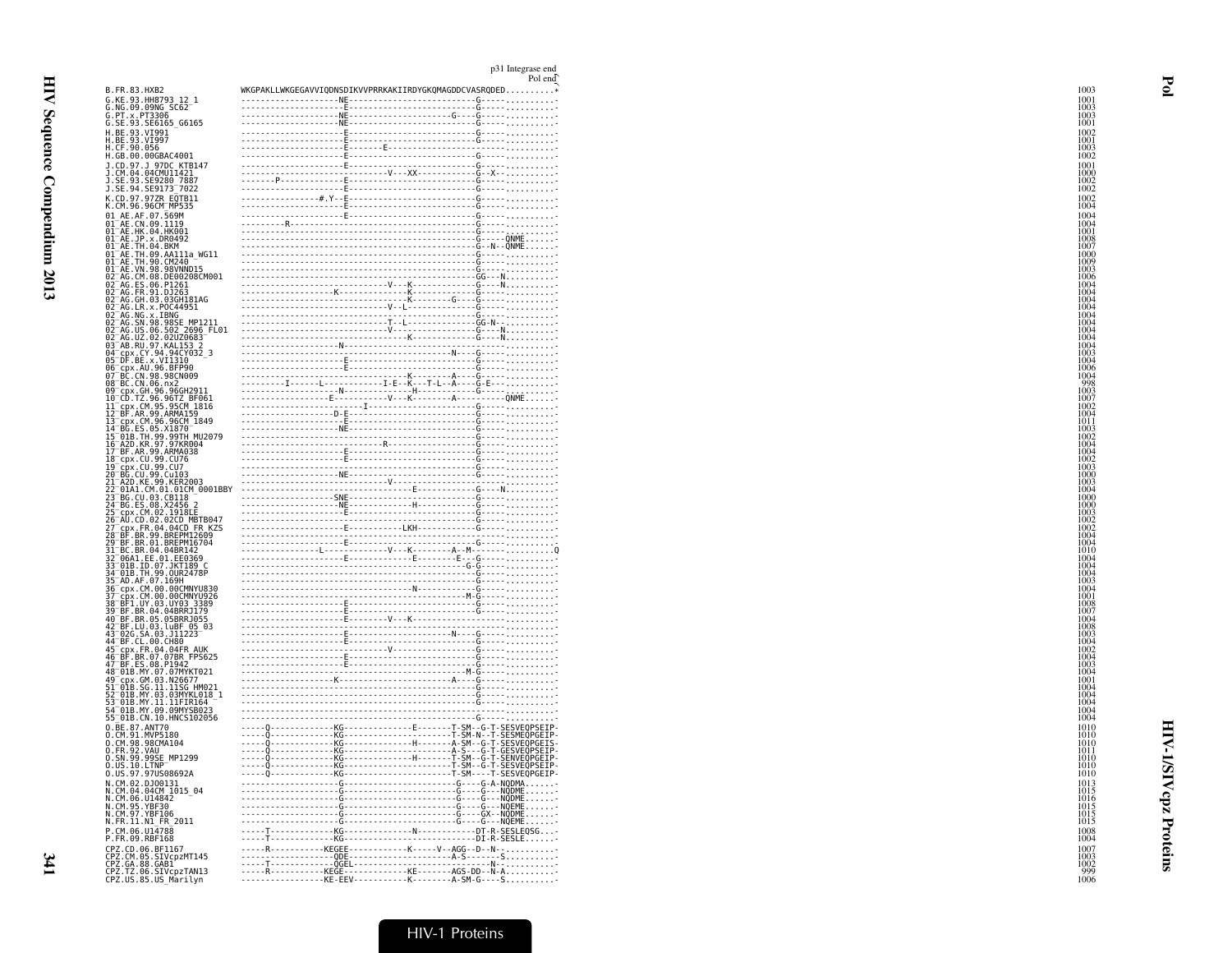| B.FR.83.HXB2                                                                                                                                                                                                                 | WKGPAKLLWKGEGAVVIQDNSDIKVVPRRKAKIIRDYGKQMAGDDCVASRQDE                                                                                                                                                                                                                                                                                                                                                                     |  |
|------------------------------------------------------------------------------------------------------------------------------------------------------------------------------------------------------------------------------|---------------------------------------------------------------------------------------------------------------------------------------------------------------------------------------------------------------------------------------------------------------------------------------------------------------------------------------------------------------------------------------------------------------------------|--|
| G.KE.93.HH8793 12<br>G.NG.09.09NG SC62<br>G.PT.x.PT3306                                                                                                                                                                      | $NF -$                                                                                                                                                                                                                                                                                                                                                                                                                    |  |
|                                                                                                                                                                                                                              |                                                                                                                                                                                                                                                                                                                                                                                                                           |  |
| SE.93.SE6165 G6165                                                                                                                                                                                                           |                                                                                                                                                                                                                                                                                                                                                                                                                           |  |
|                                                                                                                                                                                                                              |                                                                                                                                                                                                                                                                                                                                                                                                                           |  |
|                                                                                                                                                                                                                              |                                                                                                                                                                                                                                                                                                                                                                                                                           |  |
|                                                                                                                                                                                                                              |                                                                                                                                                                                                                                                                                                                                                                                                                           |  |
|                                                                                                                                                                                                                              |                                                                                                                                                                                                                                                                                                                                                                                                                           |  |
|                                                                                                                                                                                                                              |                                                                                                                                                                                                                                                                                                                                                                                                                           |  |
|                                                                                                                                                                                                                              |                                                                                                                                                                                                                                                                                                                                                                                                                           |  |
| K.CD.97.97ZR EQTB11<br>K.CM.96.96CM MP535                                                                                                                                                                                    |                                                                                                                                                                                                                                                                                                                                                                                                                           |  |
|                                                                                                                                                                                                                              |                                                                                                                                                                                                                                                                                                                                                                                                                           |  |
|                                                                                                                                                                                                                              |                                                                                                                                                                                                                                                                                                                                                                                                                           |  |
|                                                                                                                                                                                                                              |                                                                                                                                                                                                                                                                                                                                                                                                                           |  |
|                                                                                                                                                                                                                              |                                                                                                                                                                                                                                                                                                                                                                                                                           |  |
|                                                                                                                                                                                                                              |                                                                                                                                                                                                                                                                                                                                                                                                                           |  |
|                                                                                                                                                                                                                              |                                                                                                                                                                                                                                                                                                                                                                                                                           |  |
|                                                                                                                                                                                                                              |                                                                                                                                                                                                                                                                                                                                                                                                                           |  |
|                                                                                                                                                                                                                              |                                                                                                                                                                                                                                                                                                                                                                                                                           |  |
|                                                                                                                                                                                                                              |                                                                                                                                                                                                                                                                                                                                                                                                                           |  |
|                                                                                                                                                                                                                              |                                                                                                                                                                                                                                                                                                                                                                                                                           |  |
|                                                                                                                                                                                                                              |                                                                                                                                                                                                                                                                                                                                                                                                                           |  |
|                                                                                                                                                                                                                              |                                                                                                                                                                                                                                                                                                                                                                                                                           |  |
|                                                                                                                                                                                                                              |                                                                                                                                                                                                                                                                                                                                                                                                                           |  |
|                                                                                                                                                                                                                              |                                                                                                                                                                                                                                                                                                                                                                                                                           |  |
|                                                                                                                                                                                                                              |                                                                                                                                                                                                                                                                                                                                                                                                                           |  |
|                                                                                                                                                                                                                              |                                                                                                                                                                                                                                                                                                                                                                                                                           |  |
|                                                                                                                                                                                                                              |                                                                                                                                                                                                                                                                                                                                                                                                                           |  |
|                                                                                                                                                                                                                              |                                                                                                                                                                                                                                                                                                                                                                                                                           |  |
|                                                                                                                                                                                                                              |                                                                                                                                                                                                                                                                                                                                                                                                                           |  |
|                                                                                                                                                                                                                              | $\begin{picture}(100,100)(0,0) \put(0,0){\vector(1,0){100}} \put(0,0){\vector(1,0){100}} \put(0,0){\vector(1,0){100}} \put(0,0){\vector(1,0){100}} \put(0,0){\vector(1,0){100}} \put(0,0){\vector(1,0){100}} \put(0,0){\vector(1,0){100}} \put(0,0){\vector(1,0){100}} \put(0,0){\vector(1,0){100}} \put(0,0){\vector(1,0){100}} \put(0,0){\vector(1,0){100}} \put(0,$                                                    |  |
|                                                                                                                                                                                                                              |                                                                                                                                                                                                                                                                                                                                                                                                                           |  |
|                                                                                                                                                                                                                              |                                                                                                                                                                                                                                                                                                                                                                                                                           |  |
|                                                                                                                                                                                                                              |                                                                                                                                                                                                                                                                                                                                                                                                                           |  |
|                                                                                                                                                                                                                              |                                                                                                                                                                                                                                                                                                                                                                                                                           |  |
|                                                                                                                                                                                                                              |                                                                                                                                                                                                                                                                                                                                                                                                                           |  |
|                                                                                                                                                                                                                              |                                                                                                                                                                                                                                                                                                                                                                                                                           |  |
|                                                                                                                                                                                                                              |                                                                                                                                                                                                                                                                                                                                                                                                                           |  |
|                                                                                                                                                                                                                              |                                                                                                                                                                                                                                                                                                                                                                                                                           |  |
|                                                                                                                                                                                                                              |                                                                                                                                                                                                                                                                                                                                                                                                                           |  |
|                                                                                                                                                                                                                              |                                                                                                                                                                                                                                                                                                                                                                                                                           |  |
|                                                                                                                                                                                                                              | $\begin{array}{ c c c c }\hline \textbf{0} & \textbf{0} & \textbf{0} & \textbf{0} & \textbf{0} & \textbf{0} & \textbf{0} & \textbf{0} & \textbf{0} & \textbf{0} & \textbf{0} & \textbf{0} & \textbf{0} & \textbf{0} & \textbf{0} & \textbf{0} & \textbf{0} & \textbf{0} & \textbf{0} & \textbf{0} & \textbf{0} & \textbf{0} & \textbf{0} & \textbf{0} & \textbf{0} & \textbf{0} & \textbf{0} & \textbf{0} & \textbf{0} &$ |  |
|                                                                                                                                                                                                                              |                                                                                                                                                                                                                                                                                                                                                                                                                           |  |
|                                                                                                                                                                                                                              |                                                                                                                                                                                                                                                                                                                                                                                                                           |  |
|                                                                                                                                                                                                                              |                                                                                                                                                                                                                                                                                                                                                                                                                           |  |
|                                                                                                                                                                                                                              |                                                                                                                                                                                                                                                                                                                                                                                                                           |  |
|                                                                                                                                                                                                                              |                                                                                                                                                                                                                                                                                                                                                                                                                           |  |
|                                                                                                                                                                                                                              |                                                                                                                                                                                                                                                                                                                                                                                                                           |  |
|                                                                                                                                                                                                                              |                                                                                                                                                                                                                                                                                                                                                                                                                           |  |
|                                                                                                                                                                                                                              |                                                                                                                                                                                                                                                                                                                                                                                                                           |  |
|                                                                                                                                                                                                                              |                                                                                                                                                                                                                                                                                                                                                                                                                           |  |
|                                                                                                                                                                                                                              |                                                                                                                                                                                                                                                                                                                                                                                                                           |  |
|                                                                                                                                                                                                                              |                                                                                                                                                                                                                                                                                                                                                                                                                           |  |
|                                                                                                                                                                                                                              |                                                                                                                                                                                                                                                                                                                                                                                                                           |  |
|                                                                                                                                                                                                                              |                                                                                                                                                                                                                                                                                                                                                                                                                           |  |
|                                                                                                                                                                                                                              |                                                                                                                                                                                                                                                                                                                                                                                                                           |  |
|                                                                                                                                                                                                                              |                                                                                                                                                                                                                                                                                                                                                                                                                           |  |
|                                                                                                                                                                                                                              |                                                                                                                                                                                                                                                                                                                                                                                                                           |  |
|                                                                                                                                                                                                                              |                                                                                                                                                                                                                                                                                                                                                                                                                           |  |
|                                                                                                                                                                                                                              |                                                                                                                                                                                                                                                                                                                                                                                                                           |  |
| чи. эо. чость при 1900 в 100 в 100 в 100 в 100 в 100 в 100 в 100 в 100 в 100 в 100 в 100 в 100 в 100 в 100 в 100 в 100 в 100 в 100 в 100 в 100 в 100 в 100 в 100 в 100 в 100 в 100 в 100 в 100 в 100 в 100 в 100 в 100 в 100 |                                                                                                                                                                                                                                                                                                                                                                                                                           |  |
|                                                                                                                                                                                                                              |                                                                                                                                                                                                                                                                                                                                                                                                                           |  |
|                                                                                                                                                                                                                              |                                                                                                                                                                                                                                                                                                                                                                                                                           |  |
|                                                                                                                                                                                                                              |                                                                                                                                                                                                                                                                                                                                                                                                                           |  |
|                                                                                                                                                                                                                              |                                                                                                                                                                                                                                                                                                                                                                                                                           |  |
| 010.00.10.10.101<br>BE.87.ANT70<br>CM.98.98CMA104<br>CM.98.98CMA104<br>FR.92.VAU<br>SN.99.99SE<br>MP1299<br>US.10.LTMP<br>CM.97.070508692A<br>CM.92.0106121                                                                  |                                                                                                                                                                                                                                                                                                                                                                                                                           |  |
|                                                                                                                                                                                                                              |                                                                                                                                                                                                                                                                                                                                                                                                                           |  |
|                                                                                                                                                                                                                              |                                                                                                                                                                                                                                                                                                                                                                                                                           |  |
|                                                                                                                                                                                                                              |                                                                                                                                                                                                                                                                                                                                                                                                                           |  |
|                                                                                                                                                                                                                              |                                                                                                                                                                                                                                                                                                                                                                                                                           |  |
| US. 97. 27. 000131<br>CM. 04. 04CM 1015_04<br>CM. 06. 014842<br>CM. 95. YBF30<br>CM. 97. YBF106<br>FM. 11. N1_FR_2011<br>CM. 16. 111.7RR                                                                                     |                                                                                                                                                                                                                                                                                                                                                                                                                           |  |
| __<br>CM.06.U14788<br>FR.09.RBF168                                                                                                                                                                                           |                                                                                                                                                                                                                                                                                                                                                                                                                           |  |
|                                                                                                                                                                                                                              |                                                                                                                                                                                                                                                                                                                                                                                                                           |  |
| o<br>.CD.06.BF1167<br>CM.05.SIVcpzMT145<br>GA.88.GAB1<br>TZ.06.SIVcpzTAN13<br>.US.85.US_Marilyn                                                                                                                              | ${\tiny \begin{tabular}{ c c c c c } \hline \textbf{G} & \textbf{KG} & \textbf{G} & \textbf{G} & \textbf{G} & \textbf{G} & \textbf{G} & \textbf{G} & \textbf{G} & \textbf{G} & \textbf{G} & \textbf{G} & \textbf{G} & \textbf{G} & \textbf{G} & \textbf{G} & \textbf{G} & \textbf{G} & \textbf{G} & \textbf{G} & \textbf{G} & \textbf{G} & \textbf{G} & \textbf{G} & \textbf{G} & \textbf{G} & \textbf{G} & \textbf{G} &$ |  |

p31 Integrase end<br>Pol end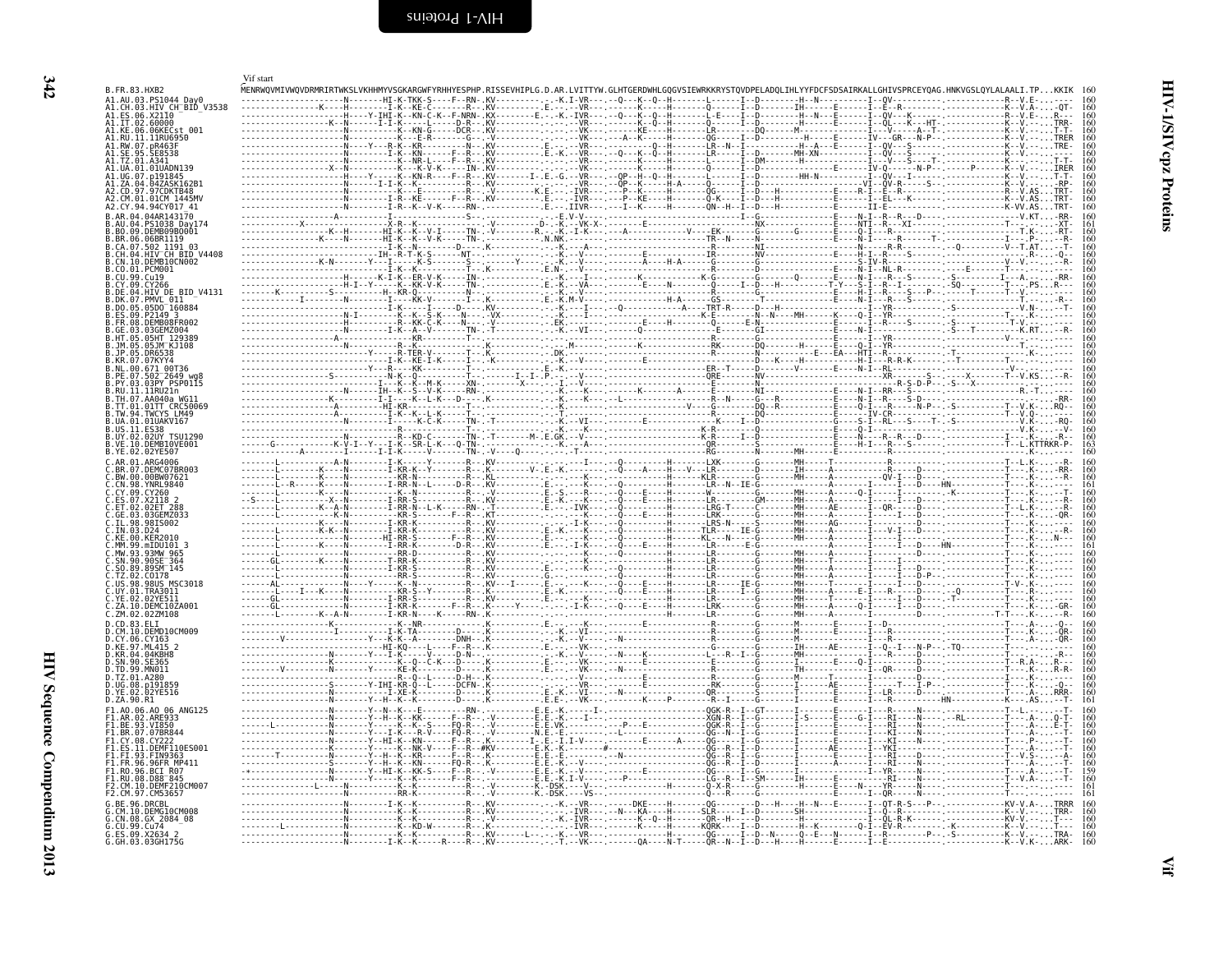<span id="page-31-1"></span><span id="page-31-0"></span>

|                                                    | Vif start                                                                                                                                                                                                                                                                                                                                                                                                            |                           |
|----------------------------------------------------|----------------------------------------------------------------------------------------------------------------------------------------------------------------------------------------------------------------------------------------------------------------------------------------------------------------------------------------------------------------------------------------------------------------------|---------------------------|
| B.FR.83.HXB2<br>A1.AU.03.PS1044_Day0               | MENRWQVMIVWQVDRMRIRTWKSLVKHHMYVSGKARGWFYRHHYESPHP.RISSEVHIPLG.D.AR.LVITTYW.GLHTGERDWHLGQGVSIEWRKKRYSTQVDPELADQLIHLYYFDCFSDSAIRKALLGHIVSPRCEYQAG.HNKVGSLQYLALAALI.TP                                                                                                                                                                                                                                                  |                           |
| A1.CH.03.HIV CH_BID V3538<br>06.X2110              |                                                                                                                                                                                                                                                                                                                                                                                                                      | 160                       |
| A1.IT.02<br>60000<br>.06KECst 001<br>41.KF<br>. 06 |                                                                                                                                                                                                                                                                                                                                                                                                                      | 160<br>160                |
| A1.RU.<br>.11RU6950<br>41.RW.07.pR463F             |                                                                                                                                                                                                                                                                                                                                                                                                                      |                           |
|                                                    |                                                                                                                                                                                                                                                                                                                                                                                                                      |                           |
|                                                    |                                                                                                                                                                                                                                                                                                                                                                                                                      |                           |
| 01CM 1445MV                                        |                                                                                                                                                                                                                                                                                                                                                                                                                      |                           |
| A2.CY.94.94CY017 41                                |                                                                                                                                                                                                                                                                                                                                                                                                                      | 160                       |
| R.AR.04.04AR143170<br>PS1038 Dav174                |                                                                                                                                                                                                                                                                                                                                                                                                                      |                           |
| B.BO.09.DEMB09BO001<br>B.BR.06.06BR1119            |                                                                                                                                                                                                                                                                                                                                                                                                                      | 160                       |
| .CA.07.502 1191 03<br>HIV CH BID V4408             |                                                                                                                                                                                                                                                                                                                                                                                                                      |                           |
| CN.10.DEMB10CN002<br>PCM001                        |                                                                                                                                                                                                                                                                                                                                                                                                                      |                           |
| Cu19                                               |                                                                                                                                                                                                                                                                                                                                                                                                                      |                           |
| BID V4131<br>HIV DE<br>PMVL 011                    |                                                                                                                                                                                                                                                                                                                                                                                                                      | 160<br>160                |
| 05D0 <sup>-160884</sup><br>P2149 3<br>. ES .       |                                                                                                                                                                                                                                                                                                                                                                                                                      |                           |
| DEMR08ER002<br>FR 08<br>03GEMZ004                  |                                                                                                                                                                                                                                                                                                                                                                                                                      | 160<br>160                |
| 05HT 129389<br>05.1M KJ108                         |                                                                                                                                                                                                                                                                                                                                                                                                                      |                           |
| <b>DR6538</b><br>.KR.07.07KYY4                     |                                                                                                                                                                                                                                                                                                                                                                                                                      |                           |
| $502^-2649$ wal                                    |                                                                                                                                                                                                                                                                                                                                                                                                                      |                           |
| PSP0115<br>.1.11RU21n                              |                                                                                                                                                                                                                                                                                                                                                                                                                      |                           |
| .TH.07.AA040a WG11<br>.TT.01.01TT CRC50069         |                                                                                                                                                                                                                                                                                                                                                                                                                      |                           |
| .TW.94.TWCYS LM49<br>.UA.01.01UAKV167              |                                                                                                                                                                                                                                                                                                                                                                                                                      | 160<br>160                |
| .US.11<br>B.UY.02<br>02UY TSU1290                  |                                                                                                                                                                                                                                                                                                                                                                                                                      | $\frac{160}{160}$         |
| DEMBIOVE001<br>R. VE. 10<br>B.YE.02.02YE507        |                                                                                                                                                                                                                                                                                                                                                                                                                      |                           |
| C.AR.01.ARG4006<br>DEMC07BR003                     |                                                                                                                                                                                                                                                                                                                                                                                                                      | 160                       |
| 00BW07621<br><b>YNRL9840</b>                       |                                                                                                                                                                                                                                                                                                                                                                                                                      |                           |
| CY.09                                              |                                                                                                                                                                                                                                                                                                                                                                                                                      | 160                       |
| $\therefore$ FT . 02<br>02ET 288<br>03GEMZ033      |                                                                                                                                                                                                                                                                                                                                                                                                                      | 160                       |
| .TI 98<br>98IS002                                  |                                                                                                                                                                                                                                                                                                                                                                                                                      | 160<br>160                |
| <b>KFR2010</b><br>.KF 00<br>99.mIDU101 3           |                                                                                                                                                                                                                                                                                                                                                                                                                      |                           |
| 93MW 965<br>SN.90<br>90SE <sup>-</sup> 364         |                                                                                                                                                                                                                                                                                                                                                                                                                      |                           |
| $.895M^-145$<br>C0178                              |                                                                                                                                                                                                                                                                                                                                                                                                                      |                           |
| .US.98.98US MSC3018<br>.UY.01.TRA3011              |                                                                                                                                                                                                                                                                                                                                                                                                                      | 160                       |
| 02YE511<br>.YE.02<br>.10.<br>DEMC10ZA001           |                                                                                                                                                                                                                                                                                                                                                                                                                      | 160                       |
| ZM.02.02ZM108<br>D.CD.83.ELI                       |                                                                                                                                                                                                                                                                                                                                                                                                                      | 160<br>160                |
| .CM.10.DEMD10CM009<br>D.CY.06<br>CY163             |                                                                                                                                                                                                                                                                                                                                                                                                                      | $\frac{160}{160}$         |
| .97.ML415 2<br>0.KR.04.04KBH8                      |                                                                                                                                                                                                                                                                                                                                                                                                                      | 160<br>i ŏŏ               |
| SE365<br>. SN . 90<br>.TD.99.MN011                 |                                                                                                                                                                                                                                                                                                                                                                                                                      | 160<br>160                |
| .TZ.01.A280<br>D.UG.08                             |                                                                                                                                                                                                                                                                                                                                                                                                                      |                           |
| D.ZA.90.R1                                         |                                                                                                                                                                                                                                                                                                                                                                                                                      | 161                       |
| F1.A0.06.A0 06 ANG125                              |                                                                                                                                                                                                                                                                                                                                                                                                                      | $\frac{160}{160}$         |
| F1.AR.02.ARE933<br>F1.BE.93.VI850<br>.07BR844      |                                                                                                                                                                                                                                                                                                                                                                                                                      | 160<br>160                |
| DEMF110ES001                                       | - - - - - - Y - - HĨ - K - - KN -                                                                                                                                                                                                                                                                                                                                                                                    | 160<br>160                |
| 93. FIN9363<br>96FR MP411                          | . F0 - R                                                                                                                                                                                                                                                                                                                                                                                                             | 160                       |
| .BCI R07                                           | -------Y--HI-K--KK-S----F--                                                                                                                                                                                                                                                                                                                                                                                          | $\frac{160}{159}$<br>159  |
| D88 <sup>-</sup> 845<br>.10.DEMF210CM007           |                                                                                                                                                                                                                                                                                                                                                                                                                      | 161                       |
| 97.CM53657                                         | $\begin{bmatrix} \mathbf{F}_{11} & \mathbf{F}_{22} & \mathbf{F}_{23} & \mathbf{F}_{24} & \mathbf{F}_{25} & \mathbf{F}_{26} & \mathbf{F}_{27} & \mathbf{F}_{28} & \mathbf{F}_{29} & \mathbf{F}_{20} & \mathbf{F}_{21} & \mathbf{F}_{22} & \mathbf{F}_{23} & \mathbf{F}_{24} & \mathbf{F}_{25} & \mathbf{F}_{26} & \mathbf{F}_{27} & \mathbf{F}_{28} & \mathbf{F}_{29} & \mathbf{F}_{20} & \mathbf{F}_{21} & \mathbf{$ | 161<br>160                |
| DEMG10CM008<br>CN.08.<br>GX 2084 08                |                                                                                                                                                                                                                                                                                                                                                                                                                      | 160                       |
| G.CU.99.Cu74<br>G.ES.09.X2634 2<br>G.GH.03.03GH175 | ---- <u>--K--K------------R---KV------L-----</u> -K                                                                                                                                                                                                                                                                                                                                                                  | 160                       |
| 03GH175G                                           | -QA----N-T-----QR--N--I--D---H----H                                                                                                                                                                                                                                                                                                                                                                                  | $\frac{160}{160}$<br>ARK. |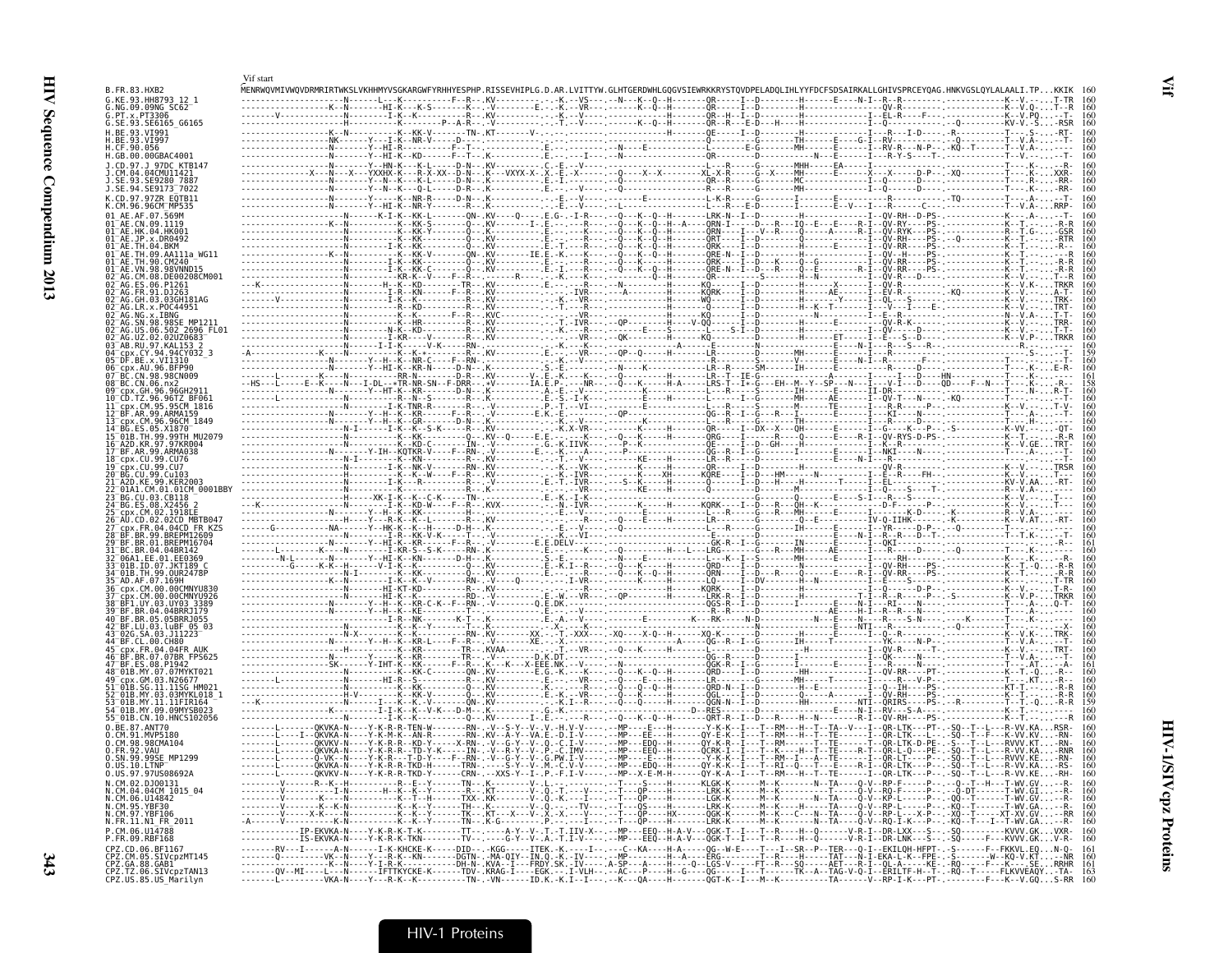| B.FR.83.HXB2                                                                                                                      | Vif start |  |  |                                                                                                                                                                                                                                                                                                                                                                                                                                                           |  |
|-----------------------------------------------------------------------------------------------------------------------------------|-----------|--|--|-----------------------------------------------------------------------------------------------------------------------------------------------------------------------------------------------------------------------------------------------------------------------------------------------------------------------------------------------------------------------------------------------------------------------------------------------------------|--|
| G.KE.93.HH8793 12 1<br>G.NG.09.09NG SC62                                                                                          |           |  |  |                                                                                                                                                                                                                                                                                                                                                                                                                                                           |  |
| G.PT.x.PT3306<br>G.SE.93.SE6165 G6165                                                                                             |           |  |  |                                                                                                                                                                                                                                                                                                                                                                                                                                                           |  |
| H.BE.93.VI991<br>H. BE. 93. VT997<br>H.CF.90.056                                                                                  |           |  |  |                                                                                                                                                                                                                                                                                                                                                                                                                                                           |  |
| H.GB.00.00GBAC4001<br>J.CD.97.J 97DC KTB147                                                                                       |           |  |  |                                                                                                                                                                                                                                                                                                                                                                                                                                                           |  |
| .CM.04.04CMU11421<br>SE.93.SE9280 7887                                                                                            |           |  |  |                                                                                                                                                                                                                                                                                                                                                                                                                                                           |  |
| J.SE.94.SE9173 <sup>-</sup> 7022<br>K.CD.97.97ZR E0TB11                                                                           |           |  |  |                                                                                                                                                                                                                                                                                                                                                                                                                                                           |  |
| K.CM.96.96CM MP535<br>.AF.07.569M<br>01 AF CN 09 1119                                                                             |           |  |  |                                                                                                                                                                                                                                                                                                                                                                                                                                                           |  |
| $01^-$ AE.HK.04.HK001<br>01 AE.JP.x.DR0492                                                                                        |           |  |  |                                                                                                                                                                                                                                                                                                                                                                                                                                                           |  |
| TH.04.BKM<br>E.TH.09.AA111a WG11                                                                                                  |           |  |  |                                                                                                                                                                                                                                                                                                                                                                                                                                                           |  |
| IE.TH.90.CM240<br>VN.98.98VNND15<br>CM.08.DE00208CM001                                                                            |           |  |  |                                                                                                                                                                                                                                                                                                                                                                                                                                                           |  |
|                                                                                                                                   |           |  |  |                                                                                                                                                                                                                                                                                                                                                                                                                                                           |  |
| GH.03.03GH181AG<br>LR.x.POC44951                                                                                                  |           |  |  |                                                                                                                                                                                                                                                                                                                                                                                                                                                           |  |
| NG.x.IBNG<br>US.06.502 2696 FL01                                                                                                  |           |  |  |                                                                                                                                                                                                                                                                                                                                                                                                                                                           |  |
| UZ.02.02UZ0683<br>AB.RU.97.KAL153                                                                                                 |           |  |  |                                                                                                                                                                                                                                                                                                                                                                                                                                                           |  |
| cpx.CY.94.94CY032 3<br>05 DF.BE.x.VI1310<br>cpx.AU.96.BFP90                                                                       |           |  |  |                                                                                                                                                                                                                                                                                                                                                                                                                                                           |  |
| CN.98.98CN009<br>08 BC.CN.06.nx2                                                                                                  |           |  |  |                                                                                                                                                                                                                                                                                                                                                                                                                                                           |  |
| .GH.96.96GH291<br>TZ.96.96TZ BF061                                                                                                |           |  |  |                                                                                                                                                                                                                                                                                                                                                                                                                                                           |  |
| 95CM 1816<br>F.AR.99.ARMA159<br>13 cpx.CM.96.96CM 1849                                                                            |           |  |  |                                                                                                                                                                                                                                                                                                                                                                                                                                                           |  |
| 15 <sup>-</sup> 01B.TH.99.99TH MU2079                                                                                             |           |  |  |                                                                                                                                                                                                                                                                                                                                                                                                                                                           |  |
| 16 A2D.KR.97.97KR004<br>3F.AR.99.ARMA038                                                                                          |           |  |  |                                                                                                                                                                                                                                                                                                                                                                                                                                                           |  |
| 18 cpx.CU.99.CU76<br>cpx.CU.99.CU7<br>CU.99.Cu103                                                                                 |           |  |  |                                                                                                                                                                                                                                                                                                                                                                                                                                                           |  |
| .A1.CM.01.01CM 0001BBY                                                                                                            |           |  |  |                                                                                                                                                                                                                                                                                                                                                                                                                                                           |  |
| .CU.03.CB118<br>3G.ES.08.X2456 2                                                                                                  |           |  |  |                                                                                                                                                                                                                                                                                                                                                                                                                                                           |  |
| .CM.02.1918LB<br>CD.02.02CD MBTB041<br>.FR.04.04CD FR KZS                                                                         |           |  |  |                                                                                                                                                                                                                                                                                                                                                                                                                                                           |  |
| BR.99.BREPM12609                                                                                                                  |           |  |  |                                                                                                                                                                                                                                                                                                                                                                                                                                                           |  |
| .BR.04.04BR142<br>6A1.EE.01.EE0369                                                                                                |           |  |  |                                                                                                                                                                                                                                                                                                                                                                                                                                                           |  |
| 01B.ID.07.JKT189"<br>99.0UR2478P<br>AD.AF.07.169H                                                                                 |           |  |  |                                                                                                                                                                                                                                                                                                                                                                                                                                                           |  |
| CDX.CM.00.00CMNYU830<br>CM.00.00CMNYU926                                                                                          |           |  |  |                                                                                                                                                                                                                                                                                                                                                                                                                                                           |  |
| F1.UY.03.UY03 3389<br>BR.04.04BRR1179                                                                                             |           |  |  |                                                                                                                                                                                                                                                                                                                                                                                                                                                           |  |
| 3F.BR.05.05BRR1055<br>BF.LU.03.luBF 05 03<br>.SA.03.J11223 <sup>-</sup>                                                           |           |  |  |                                                                                                                                                                                                                                                                                                                                                                                                                                                           |  |
| CL.00.CH80<br>x.FR.04.04FR AUK                                                                                                    |           |  |  |                                                                                                                                                                                                                                                                                                                                                                                                                                                           |  |
| BR.07.07BR FPS625<br>BF.ES.08.P1942                                                                                               |           |  |  |                                                                                                                                                                                                                                                                                                                                                                                                                                                           |  |
| .GM.03.N26677<br>.SG.11.11SG HM021                                                                                                |           |  |  |                                                                                                                                                                                                                                                                                                                                                                                                                                                           |  |
| MY.03.03MYKL018 1<br>LB.MY.11.11FIR164                                                                                            |           |  |  |                                                                                                                                                                                                                                                                                                                                                                                                                                                           |  |
| 54 <sup>-</sup> 01B.MY.09.09MYSB023<br>55 01B.CN.10.HNCS102056                                                                    |           |  |  |                                                                                                                                                                                                                                                                                                                                                                                                                                                           |  |
| 0.BE.87.ANT70<br>0.CM.91.MVP5180                                                                                                  |           |  |  | -------L--------0KVKA-N----Y-K-R-R-TEN-W-------RN-.-V--S-Y--V-.V.-H.V-V----.--MP----E---H-------Y-K-K--I---T--RM---H--T--TA--V--I--QR-LTK---PT-.-S0--T--L---R-VV.KARSR-<br>-------[---]--QKVKA-N----Y-K-M-K--AN-R-------RN-.KV--A-Y--VA.E.-D.I-V----.--MP---EE---H-----QY-E-K--I---T--RM---H--T--TE------I--QR-LTK---L--.-SQ--T--F---K-VV.KV-RN-                                                                                                          |  |
| CM.98.98CMA104<br><b>FR.92.VAU</b><br>0.SN.99.99SE MP1299                                                                         |           |  |  | -------L-------Q-VK--N----Y-K-R---T-D-Y----F--RN-.-V--G-Y--V-.G.PW.I-V---- --MP----E---H------Y-K-K--I---T--RM--I--A--TE----A--TE------I--QR-LT----P-- -SQ--T--L---RVVV.KE-RN-                                                                                                                                                                                                                                                                            |  |
| 0.US.10.LTNP <sup>-</sup><br>0.US.97.97US08692A                                                                                   |           |  |  | -------[-------ðkVKA-N----Y-R-R-TKD-H------TRN- -----S-Y--V-M'-C'V-V-------WP---EDQ--H------QY-R-K----T---RI--Q--T--E----R-T--QR-CTK---P---SQ--T--C---R-VV.KA-RS-<br>-------C------QKVKV-N----Y-K-R-R-TKD-Y------CRN-.--XXS-Y-                                                                                                                                                                                                                            |  |
| N.CM.02.DJ00131<br>N.CM.04.04CM_1015_04                                                                                           |           |  |  | $\frac{1}{1} \cdot \frac{1}{1} \cdot \frac{1}{1} \cdot \frac{1}{1} \cdot \frac{1}{1} \cdot \frac{1}{1} \cdot \frac{1}{1} \cdot \frac{1}{1} \cdot \frac{1}{1} \cdot \frac{1}{1} \cdot \frac{1}{1} \cdot \frac{1}{1} \cdot \frac{1}{1} \cdot \frac{1}{1} \cdot \frac{1}{1} \cdot \frac{1}{1} \cdot \frac{1}{1} \cdot \frac{1}{1} \cdot \frac{1}{1} \cdot \frac{1}{1} \cdot \frac{1}{1} \cdot \frac{1}{1} \cdot \frac{1}{1} \cdot \frac{1}{1} \cdot \frac{1$ |  |
| N.CM.06.014842<br>N.CM.95.YBF30                                                                                                   |           |  |  |                                                                                                                                                                                                                                                                                                                                                                                                                                                           |  |
| N.CM.97.YBF106<br>N.FR.11.N1_FR_2011                                                                                              |           |  |  |                                                                                                                                                                                                                                                                                                                                                                                                                                                           |  |
| P.CM.06.U14788<br>P.FR.09.RBF168                                                                                                  |           |  |  | -------------IP-EKVKA-N----Y-K-R-K-T-K--------IT--.----A-Y--V-.T.-T.IIV-X--.--MP---EEQ--H-A-V---QGK-T--I----R------R----------R-I--DR-L-XX---S--.-SQ----------KVVV.GKVXR-<br>-------------IS-EKVKA-N---Y-K-R-K-TKN--------TV--                                                                                                                                                                                                                            |  |
| . P. O. 06.BE1167<br>CPZ.CD.06.BE1167<br>CPZ.CM.05.SIVCpZMT145<br>CPZ.GA.88.GAB1<br>CPZ.TZ.06.SIVCpZTAN13<br>CPZ.US.85.US_Marilyn |           |  |  |                                                                                                                                                                                                                                                                                                                                                                                                                                                           |  |
|                                                                                                                                   |           |  |  |                                                                                                                                                                                                                                                                                                                                                                                                                                                           |  |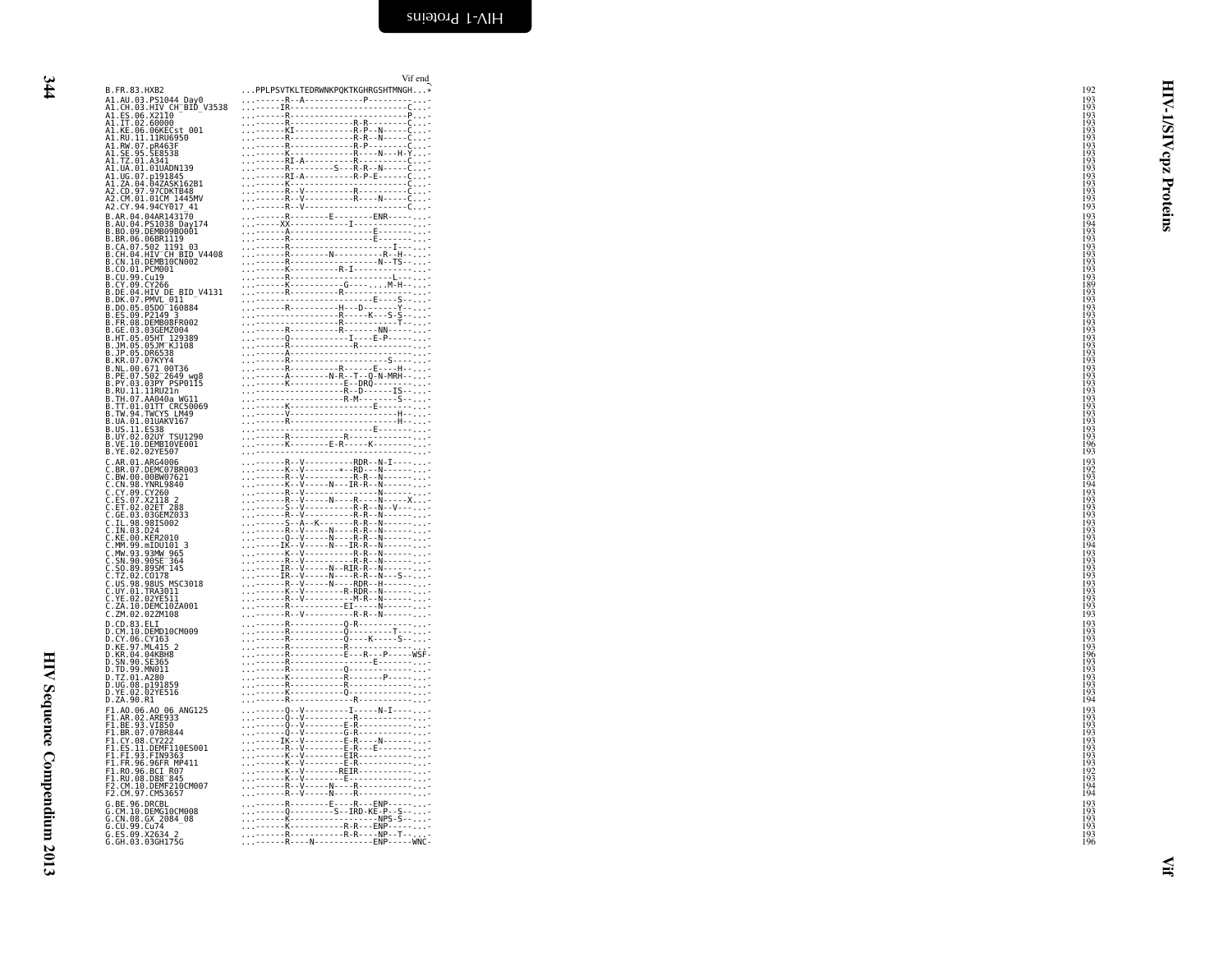HIV Sequence Compendium 2013 HIV Sequence Compendium 2013

<span id="page-33-0"></span>

|                                                                                                    | Vif end                                                                                                                                                                                                                                                                                                                                                                                                                                            |                                                             |              |
|----------------------------------------------------------------------------------------------------|----------------------------------------------------------------------------------------------------------------------------------------------------------------------------------------------------------------------------------------------------------------------------------------------------------------------------------------------------------------------------------------------------------------------------------------------------|-------------------------------------------------------------|--------------|
| B.FR.83.HXB2                                                                                       | PPLPSVTKLTEDRWNKPQKTKGHRGSHTMNGH*                                                                                                                                                                                                                                                                                                                                                                                                                  | 192                                                         |              |
| A1.AU.03.PS1044_Day0<br>A1.CH.03.HIV_CH_BID_V3538<br>A1.ES.06.X21I0<br>A1.IT.02.60000              | ------R--A-------------P---------                                                                                                                                                                                                                                                                                                                                                                                                                  | 193<br>193                                                  | ₹            |
|                                                                                                    |                                                                                                                                                                                                                                                                                                                                                                                                                                                    | $\frac{193}{193}$<br>$\frac{193}{193}$<br>$\frac{193}{193}$ |              |
|                                                                                                    |                                                                                                                                                                                                                                                                                                                                                                                                                                                    |                                                             |              |
| A1.KE.06.06KECst 001                                                                               |                                                                                                                                                                                                                                                                                                                                                                                                                                                    |                                                             | <b>AIS/I</b> |
| A1.RU.11.11RU6950<br>A1.RW.07.pR463F<br>A1.SE.95.SE8538                                            |                                                                                                                                                                                                                                                                                                                                                                                                                                                    |                                                             |              |
| A1.TZ.01.A341                                                                                      |                                                                                                                                                                                                                                                                                                                                                                                                                                                    | 193                                                         | zdo          |
| A1.UA.01.01UADN139                                                                                 |                                                                                                                                                                                                                                                                                                                                                                                                                                                    | $\frac{193}{193}$                                           |              |
|                                                                                                    |                                                                                                                                                                                                                                                                                                                                                                                                                                                    |                                                             |              |
| A1.UG.07.p191845<br>A1.ZA.04.04ZASK162B1<br>A2.CD.97.97CDKTB48<br>A2.CM.01.01CM_1445MV             |                                                                                                                                                                                                                                                                                                                                                                                                                                                    | 193<br>193                                                  |              |
|                                                                                                    |                                                                                                                                                                                                                                                                                                                                                                                                                                                    | 193                                                         |              |
| A2.CY.94.94CY017 41<br>B.AR.04.04AR143170                                                          |                                                                                                                                                                                                                                                                                                                                                                                                                                                    | 193                                                         | Proteins     |
| B.AU.04.PS1038_Day174                                                                              |                                                                                                                                                                                                                                                                                                                                                                                                                                                    | $\begin{array}{c} 193 \\ 194 \\ 193 \\ 193 \end{array}$     |              |
| B.BO.09.DEMB09B0001                                                                                |                                                                                                                                                                                                                                                                                                                                                                                                                                                    |                                                             |              |
| B.BR.06.06BR1119<br>B.CA.07.502 1191 03                                                            |                                                                                                                                                                                                                                                                                                                                                                                                                                                    | 193                                                         |              |
| B.CH.04.HIV CH BID V4408                                                                           |                                                                                                                                                                                                                                                                                                                                                                                                                                                    |                                                             |              |
| B.CN.10.DEMB10CN002<br>B.CO.01.PCM001                                                              |                                                                                                                                                                                                                                                                                                                                                                                                                                                    |                                                             |              |
| B.CU.99.Cu19                                                                                       |                                                                                                                                                                                                                                                                                                                                                                                                                                                    |                                                             |              |
| B.CY.09.CY266<br>B.DE.04.HIV_DE_BID_V4131                                                          |                                                                                                                                                                                                                                                                                                                                                                                                                                                    | 193<br>193<br>193<br>193<br>189<br>189                      |              |
| B.DK.07.PMVL 011                                                                                   |                                                                                                                                                                                                                                                                                                                                                                                                                                                    | 193                                                         |              |
| B.DO.05.05DO 160884                                                                                |                                                                                                                                                                                                                                                                                                                                                                                                                                                    |                                                             |              |
| B.ES.09.P2149 3<br>B.FR.08.DEMB08FR002                                                             |                                                                                                                                                                                                                                                                                                                                                                                                                                                    |                                                             |              |
| B.GE.03.03GEMZ004                                                                                  |                                                                                                                                                                                                                                                                                                                                                                                                                                                    |                                                             |              |
| B.HT.05.05HT 129389<br>B.JM.05.05JM KJ108<br>B.JP.05.DR6538                                        |                                                                                                                                                                                                                                                                                                                                                                                                                                                    | 193<br>193<br>193<br>193<br>193<br>193                      |              |
|                                                                                                    |                                                                                                                                                                                                                                                                                                                                                                                                                                                    | 193                                                         |              |
| B.KR.07.07KYY4<br>B.NL.00.671 00T36                                                                | $\begin{tabular}{ c c c c } \hline & $R$-1 & $R$-1 & $R$-1 & $R$-1 & $R$-1 & $R$-1 & $R$-1 & $R$-1 & $R$-1 & $R$-1 & $R$-1 & $R$-1 & $R$-1 & $R$-1 & $R$-1 & $R$-1 & $R$-1 & $R$-1 & $R$-1 & $R$-1 & $R$-1 & $R$-1 & $R$-1 & $R$-1 & $R$-1 & $R$-1 & $R$-1 & $R$-1 & $R$-1 & $R$-1 & $R$-1 & $R$-1 & $R$-1 & $R$                                                                                                                                   | 193<br>193<br>193<br>193<br>193<br>193                      |              |
| B.PE.07.502 <sup>-2649</sup> wg8<br>B.PY.03.03PY PSP0115<br>B.RU.11.11RU21n<br>B.TH.07.AA040a_WG11 |                                                                                                                                                                                                                                                                                                                                                                                                                                                    |                                                             |              |
|                                                                                                    |                                                                                                                                                                                                                                                                                                                                                                                                                                                    |                                                             |              |
|                                                                                                    |                                                                                                                                                                                                                                                                                                                                                                                                                                                    |                                                             |              |
| B.TT.01.01TT CRC50069<br>B.TW.94.TWCYS LM49                                                        |                                                                                                                                                                                                                                                                                                                                                                                                                                                    | 193<br>193<br>193<br>193<br>193<br>193                      |              |
| B.UA.01.01UAKV167                                                                                  |                                                                                                                                                                                                                                                                                                                                                                                                                                                    |                                                             |              |
| B.US.11.ES38                                                                                       |                                                                                                                                                                                                                                                                                                                                                                                                                                                    |                                                             |              |
| B.09.11.620Y TSU1290<br>B.VE.10.DEMBI0VE001                                                        |                                                                                                                                                                                                                                                                                                                                                                                                                                                    | 196                                                         |              |
| B.YE.02.02YE507                                                                                    |                                                                                                                                                                                                                                                                                                                                                                                                                                                    | 193                                                         |              |
| C.AR.01.ARG4006                                                                                    | $\begin{minipage}{0.99\textwidth} \begin{tabular}{@{}c c c c} \hline \multicolumn{3}{ c }{0.99\textwidth} \begin{tabular}{@{}c c c} \hline \multicolumn{3}{ c }{0.99\textwidth} \begin{tabular}{@{}c c c} \hline \multicolumn{3}{ c }{0.99\textwidth} \begin{tabular}{@{}c c c} \hline \multicolumn{3}{ c }{0.99\textwidth} \begin{tabular}{@{}c c c} \hline \multicolumn{3}{ c }{0.99\textwidth} \begin{tabular}{@{}c c c} \hline \multicolumn{3$ | $\begin{array}{c} 193 \\ 192 \\ 193 \\ 194 \end{array}$     |              |
| C.BR.07.DEMC07BR003                                                                                |                                                                                                                                                                                                                                                                                                                                                                                                                                                    |                                                             |              |
|                                                                                                    |                                                                                                                                                                                                                                                                                                                                                                                                                                                    | 193                                                         |              |
| C.BW.00.00BW07621<br>C.CN.98.YNRL9840<br>C.CY.09.CY260<br>C.ES.07.X2118 2<br>C.ET.02.02EET288      |                                                                                                                                                                                                                                                                                                                                                                                                                                                    |                                                             |              |
|                                                                                                    |                                                                                                                                                                                                                                                                                                                                                                                                                                                    | 193<br>193<br>193<br>193<br>193<br>193                      |              |
| C.GE.03.03GEMZ033<br>C.IL.98.98IS002                                                               |                                                                                                                                                                                                                                                                                                                                                                                                                                                    |                                                             |              |
| C.IN.03.D24<br>C.KE.00.KER2010                                                                     |                                                                                                                                                                                                                                                                                                                                                                                                                                                    |                                                             |              |
|                                                                                                    |                                                                                                                                                                                                                                                                                                                                                                                                                                                    |                                                             |              |
| C.MM.99.mIDU101 3<br>C.MW.93.93MW 965<br>C.SN.90.90SE_364                                          |                                                                                                                                                                                                                                                                                                                                                                                                                                                    | 194<br>193<br>193                                           |              |
| $C.50.89.895M^-145$                                                                                | ------R--V----------R-R--N------                                                                                                                                                                                                                                                                                                                                                                                                                   |                                                             |              |
| C.TZ.02.<br>C0178                                                                                  |                                                                                                                                                                                                                                                                                                                                                                                                                                                    | $\frac{193}{193}$<br>$\frac{193}{193}$                      |              |
| C.US.98.980S MSC3018<br>C.UY.01.TRA3011                                                            |                                                                                                                                                                                                                                                                                                                                                                                                                                                    |                                                             |              |
| C.YE.02.02YE511                                                                                    |                                                                                                                                                                                                                                                                                                                                                                                                                                                    | 193                                                         |              |
| C. ZA. 10. DEMC10ZA001                                                                             |                                                                                                                                                                                                                                                                                                                                                                                                                                                    | 193<br>193                                                  |              |
| C.ZM.02.02ZM108                                                                                    |                                                                                                                                                                                                                                                                                                                                                                                                                                                    |                                                             |              |
| D.CD.83.ELI<br>D.CM.10.DEMD10CM009<br>D.CY.06.CY163<br>D.KE.97.ML415_2                             |                                                                                                                                                                                                                                                                                                                                                                                                                                                    | $\frac{193}{193}$                                           |              |
|                                                                                                    |                                                                                                                                                                                                                                                                                                                                                                                                                                                    | 193                                                         |              |
| D.KR.04.04KBH8                                                                                     |                                                                                                                                                                                                                                                                                                                                                                                                                                                    | 193                                                         |              |
| D.SN.90.SE365                                                                                      |                                                                                                                                                                                                                                                                                                                                                                                                                                                    | 196<br>193                                                  |              |
| D.TD.99.MN011                                                                                      |                                                                                                                                                                                                                                                                                                                                                                                                                                                    | $\frac{193}{193}$                                           |              |
| D.TZ.01.A280<br>D.UG.08.p191859<br>D.YE.02.02YE516                                                 |                                                                                                                                                                                                                                                                                                                                                                                                                                                    | 193                                                         |              |
| D.ZA.90.R1                                                                                         |                                                                                                                                                                                                                                                                                                                                                                                                                                                    | 193<br>194                                                  |              |
| F1.A0.06.A0_06_ANG125                                                                              |                                                                                                                                                                                                                                                                                                                                                                                                                                                    |                                                             |              |
|                                                                                                    |                                                                                                                                                                                                                                                                                                                                                                                                                                                    | $\frac{193}{193}$                                           |              |
| F1.AR.02.ARE933<br>F1.BE.93.VI850<br>F1.BR.07.07BR844                                              |                                                                                                                                                                                                                                                                                                                                                                                                                                                    | 193                                                         |              |
| F1.CY.08.CY222                                                                                     | . - - - - - IK - - V - - - - - - - - E - R - - - - - N - - - - - - -                                                                                                                                                                                                                                                                                                                                                                               | 193<br>193<br>193<br>193<br>193<br>192<br>193               |              |
| F1.ES.11.DEMF110ES001<br>F1.FI.93.FIN9363                                                          | . R . - V - E - R - E -<br>------K--V--------EIR-----------                                                                                                                                                                                                                                                                                                                                                                                        |                                                             |              |
| F1.FR.96.96FR_MP411                                                                                |                                                                                                                                                                                                                                                                                                                                                                                                                                                    |                                                             |              |
| F1.R0.96.BCI R07<br>F1.RU.08.D88-845                                                               |                                                                                                                                                                                                                                                                                                                                                                                                                                                    |                                                             |              |
| F2.CM.10.DEMF210CM007                                                                              | ------R--V-----N----R---------------                                                                                                                                                                                                                                                                                                                                                                                                               | 194                                                         |              |
| F2.CM.97.CM53657                                                                                   |                                                                                                                                                                                                                                                                                                                                                                                                                                                    | 194                                                         |              |
| G.BE.96.DRCBL<br>G.CM.10.DEMG10CM008                                                               |                                                                                                                                                                                                                                                                                                                                                                                                                                                    | 193<br>193<br>193<br>193<br>193                             |              |
|                                                                                                    |                                                                                                                                                                                                                                                                                                                                                                                                                                                    |                                                             |              |
| G.CN.08.GX 2084_08<br>G.CU.99.Cu74<br>G.ES.09.X2634_2                                              |                                                                                                                                                                                                                                                                                                                                                                                                                                                    |                                                             |              |
| G. GH. 03.03GH175G                                                                                 |                                                                                                                                                                                                                                                                                                                                                                                                                                                    | 196                                                         |              |
|                                                                                                    |                                                                                                                                                                                                                                                                                                                                                                                                                                                    |                                                             |              |
|                                                                                                    |                                                                                                                                                                                                                                                                                                                                                                                                                                                    |                                                             |              |
|                                                                                                    |                                                                                                                                                                                                                                                                                                                                                                                                                                                    |                                                             |              |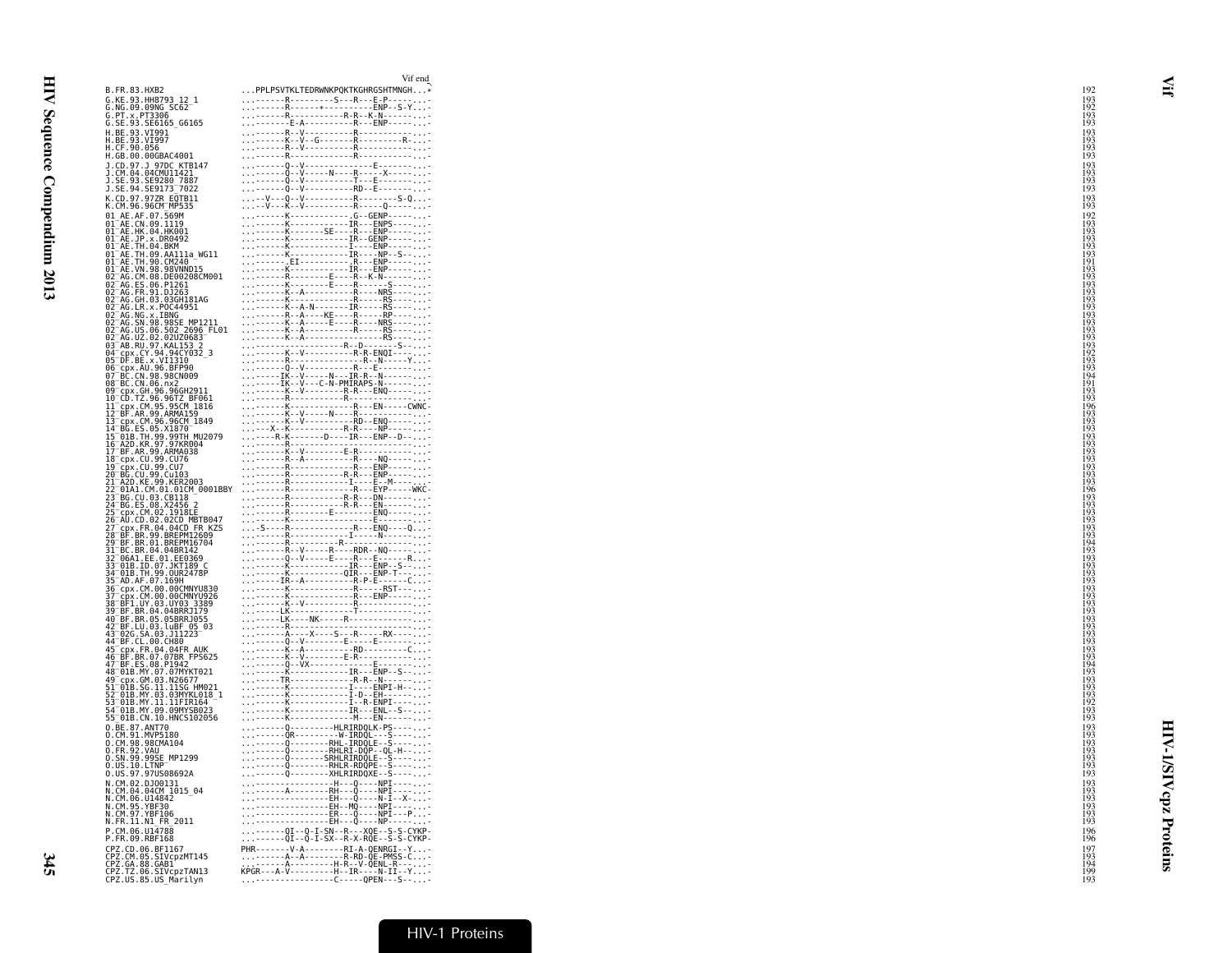| B.FR.83.HXB2                                                                                                                                                                 | VII CIKI<br>PPLPSVTKLTEDRWNKPQKTKGHRGSHTMNGH*                                                                                                                                                                                                                                                                                                                                                                                                      |  |
|------------------------------------------------------------------------------------------------------------------------------------------------------------------------------|----------------------------------------------------------------------------------------------------------------------------------------------------------------------------------------------------------------------------------------------------------------------------------------------------------------------------------------------------------------------------------------------------------------------------------------------------|--|
| G.KE.93.HH8793 12 1<br>G.NG.09.09NG SC62                                                                                                                                     |                                                                                                                                                                                                                                                                                                                                                                                                                                                    |  |
| G.PT.X.PT3306<br>G.SE.93.SE6165_G6165                                                                                                                                        |                                                                                                                                                                                                                                                                                                                                                                                                                                                    |  |
|                                                                                                                                                                              |                                                                                                                                                                                                                                                                                                                                                                                                                                                    |  |
| H.BE.93.VI991<br>H.BE.93.VI997<br>H.CF.90.056<br>H.GB.00.00GBAC4001                                                                                                          |                                                                                                                                                                                                                                                                                                                                                                                                                                                    |  |
|                                                                                                                                                                              |                                                                                                                                                                                                                                                                                                                                                                                                                                                    |  |
| J.CD.97.J 97DC KTB147<br>J.CM.04.04CMU11421<br>J.SE.93.SE9280 7887<br>J.SE.94.SE9173_7022                                                                                    |                                                                                                                                                                                                                                                                                                                                                                                                                                                    |  |
|                                                                                                                                                                              |                                                                                                                                                                                                                                                                                                                                                                                                                                                    |  |
| K.CD.97.97ZR EQTB11<br>K.CM.96.96CM_MP535                                                                                                                                    |                                                                                                                                                                                                                                                                                                                                                                                                                                                    |  |
| 01_AE.AF.07.569M<br>01 AE.CN.09.1119                                                                                                                                         |                                                                                                                                                                                                                                                                                                                                                                                                                                                    |  |
| 01 AE.HK.04.HK001<br>01 AE. JP. x. DR0492                                                                                                                                    |                                                                                                                                                                                                                                                                                                                                                                                                                                                    |  |
| 01 AE.TH.04.BKM<br>01 AE.TH.09.AA111a WG11<br>01 AE.TH.90.CM240                                                                                                              |                                                                                                                                                                                                                                                                                                                                                                                                                                                    |  |
| 01 AE. VN. 98. 98VNND15                                                                                                                                                      |                                                                                                                                                                                                                                                                                                                                                                                                                                                    |  |
| 02 AG.CM.08.DE00208CM001<br>02 AG.ES.06.P1261                                                                                                                                |                                                                                                                                                                                                                                                                                                                                                                                                                                                    |  |
|                                                                                                                                                                              |                                                                                                                                                                                                                                                                                                                                                                                                                                                    |  |
| 02 AG. FR. 91. bJ263<br>02 AG. GH. 03. 03GH181AG<br>02 AG. LR. x. POC44951                                                                                                   |                                                                                                                                                                                                                                                                                                                                                                                                                                                    |  |
|                                                                                                                                                                              |                                                                                                                                                                                                                                                                                                                                                                                                                                                    |  |
| 02-AG. NG. x .: TUCH4931<br>02-AG. NG. x .: TBNG<br>02-AG. SN. 98.98SE_MP1211<br>02-AG. UZ. 02. 02.02020683<br>03-AB. RU. 97. KAL15332                                       |                                                                                                                                                                                                                                                                                                                                                                                                                                                    |  |
|                                                                                                                                                                              |                                                                                                                                                                                                                                                                                                                                                                                                                                                    |  |
| 04 = p.r. CY. 94. 94. 252<br>05 = DF. BE. x. VI1310<br>06 = cpx. AU. 96. BFP90<br>07 = BC. CN. 98. 98CN009<br>08 = BC. CN. 98. 98CN009<br>08 = BC. CN. 06. nx2               |                                                                                                                                                                                                                                                                                                                                                                                                                                                    |  |
|                                                                                                                                                                              |                                                                                                                                                                                                                                                                                                                                                                                                                                                    |  |
| 09 Cpx. GH. 96.96GH2911<br>10 CD. TZ. 96.96TZ BF061<br>11 Cpx. CM. 95.95CM 1816<br>12 BF. AR. 99. ARMA159<br>13 Cpx. CM. 96.96CM 1849                                        |                                                                                                                                                                                                                                                                                                                                                                                                                                                    |  |
|                                                                                                                                                                              |                                                                                                                                                                                                                                                                                                                                                                                                                                                    |  |
| 14 BG.ES.05.X1870                                                                                                                                                            |                                                                                                                                                                                                                                                                                                                                                                                                                                                    |  |
|                                                                                                                                                                              |                                                                                                                                                                                                                                                                                                                                                                                                                                                    |  |
|                                                                                                                                                                              |                                                                                                                                                                                                                                                                                                                                                                                                                                                    |  |
| 14 BG. ES. 05. X1870<br>15 GDB. TH. 99. 99TH MU2079<br>16 A2D. KR. 97. 97KR004<br>17 BF. AR. 99. ARMA038<br>18 Cpx. CU. 99. CU7<br>29 GB. CU. 99. CU7<br>29 TA3D. UE99. CU89 |                                                                                                                                                                                                                                                                                                                                                                                                                                                    |  |
| 21-A2D.KE.99.KER2003<br>22-01A1.CM.01.01CM_0001BBY                                                                                                                           |                                                                                                                                                                                                                                                                                                                                                                                                                                                    |  |
| 23-BG.CU.03.CB118<br>24-BG.ES.08.X2456 2<br>25-cpx.CM.02.1918LE                                                                                                              |                                                                                                                                                                                                                                                                                                                                                                                                                                                    |  |
| 26 AU. CD.02.02CD MBTB047                                                                                                                                                    |                                                                                                                                                                                                                                                                                                                                                                                                                                                    |  |
| 27 cpx.FR.04.04CD FR KZS<br>28 BF.BR.99.BREPM12609                                                                                                                           |                                                                                                                                                                                                                                                                                                                                                                                                                                                    |  |
| 29 BF.BR.01.BREPM16704<br>31 BC.BR.04.04BR142                                                                                                                                |                                                                                                                                                                                                                                                                                                                                                                                                                                                    |  |
| 32 06A1.EE.01.EE0369                                                                                                                                                         |                                                                                                                                                                                                                                                                                                                                                                                                                                                    |  |
| 33-018.1D.07.JKT189 C<br>34-01B.TH.99.0UR2478P                                                                                                                               |                                                                                                                                                                                                                                                                                                                                                                                                                                                    |  |
| 35-AD.AF.07.169H<br>36-cpx.CM.00.00CMNYU830<br>37-cpx.CM.00.00CMNYU830<br>38-BF1.UY.03.UY03_3389                                                                             |                                                                                                                                                                                                                                                                                                                                                                                                                                                    |  |
|                                                                                                                                                                              |                                                                                                                                                                                                                                                                                                                                                                                                                                                    |  |
| 39 BF.BR.04.04BRRJ179                                                                                                                                                        |                                                                                                                                                                                                                                                                                                                                                                                                                                                    |  |
| 40 BF.BR.05.05BRRJ055<br>42 BF.LU.03.luBF 05 03<br>43 02G.SA.03.J11223<br>44 BF.CL.00.CH80                                                                                   |                                                                                                                                                                                                                                                                                                                                                                                                                                                    |  |
|                                                                                                                                                                              |                                                                                                                                                                                                                                                                                                                                                                                                                                                    |  |
| 45 CDX.FR.04.04FR AUK<br>46 BF.BR.07.07BR FPS625<br>47 BF.ES.08.P1942<br>48 01B.MY.07.07MYKT021                                                                              |                                                                                                                                                                                                                                                                                                                                                                                                                                                    |  |
|                                                                                                                                                                              |                                                                                                                                                                                                                                                                                                                                                                                                                                                    |  |
|                                                                                                                                                                              |                                                                                                                                                                                                                                                                                                                                                                                                                                                    |  |
| 49 CDS. GM. 03. N26677<br>51 GMB. SG. 11. 11SG HM021<br>52 O1B. MY. 03. 03MYKL018 -<br>53 O1B. MY. 03. 03MYKL018 -<br>54 O1B. MY. 09. 09MYSB023                              |                                                                                                                                                                                                                                                                                                                                                                                                                                                    |  |
| 55 01B.CN.10.HNCS102056<br>0.BE.87.ANT70                                                                                                                                     |                                                                                                                                                                                                                                                                                                                                                                                                                                                    |  |
| 0.CM.91.MVP5180                                                                                                                                                              |                                                                                                                                                                                                                                                                                                                                                                                                                                                    |  |
| 0.CM.98.98CMA104<br>0.FR.92.VAU<br>0.SN.99.99SE MP1299                                                                                                                       |                                                                                                                                                                                                                                                                                                                                                                                                                                                    |  |
| 0.05.10.LTNP<br>0.05.10.LTNP<br>0.05.97.970508692A                                                                                                                           |                                                                                                                                                                                                                                                                                                                                                                                                                                                    |  |
|                                                                                                                                                                              |                                                                                                                                                                                                                                                                                                                                                                                                                                                    |  |
| N.CM.02.DJ00131<br>N.CM.04.04CM 1015_04<br>N.CM.06.U14842<br>N.CM.95.YBF30                                                                                                   | $\begin{minipage}{0.99\textwidth} \begin{tabular}{ c c c } \hline & \multicolumn{2}{ c }{0.99\textwidth} \begin{tabular}{ c c } \hline \multicolumn{2}{ c }{0.99\textwidth} \begin{tabular}{ c c } \hline \multicolumn{2}{ c }{0.99\textwidth} \begin{tabular}{ c c } \hline \multicolumn{2}{ c }{0.99\textwidth} \begin{tabular}{ c c } \hline \multicolumn{2}{ c }{0.99\textwidth} \begin{tabular}{ c c } \hline \multicolumn{2}{ c }{0.99\text$ |  |
| N.CM.97.YBF106                                                                                                                                                               |                                                                                                                                                                                                                                                                                                                                                                                                                                                    |  |
| N.FR.11.N1 FR 2011<br>P.CM.06.U14788                                                                                                                                         |                                                                                                                                                                                                                                                                                                                                                                                                                                                    |  |
| P.FR.09.RBF168                                                                                                                                                               | <br>------0I--0-I-SN--R---X0E--S-S-CYKP-<br>-------0I--0-I-SX--R-X-R0E--S-S-CYKP-                                                                                                                                                                                                                                                                                                                                                                  |  |
| CPZ.CD.06.BF1167                                                                                                                                                             |                                                                                                                                                                                                                                                                                                                                                                                                                                                    |  |
| CPZ.CM.05.SIVcpzMT145<br>CPZ.GA.88.GAB1<br>CPZ.TZ.06.SIVcpzTAN13<br>CPZ.US.85.US_Marilyn                                                                                     |                                                                                                                                                                                                                                                                                                                                                                                                                                                    |  |
|                                                                                                                                                                              |                                                                                                                                                                                                                                                                                                                                                                                                                                                    |  |

|                                                                                                                   | Vif end                                                                           |
|-------------------------------------------------------------------------------------------------------------------|-----------------------------------------------------------------------------------|
| 2                                                                                                                 | PPLPSVTKLTEDRWNKPQKTKGHRGSHTMNGH*                                                 |
| 793 12_1<br>G_SC62 <sup>_1</sup>                                                                                  |                                                                                   |
| 06                                                                                                                |                                                                                   |
| 165 G6165                                                                                                         |                                                                                   |
| 91<br>97                                                                                                          |                                                                                   |
|                                                                                                                   |                                                                                   |
| BAC4001                                                                                                           |                                                                                   |
|                                                                                                                   |                                                                                   |
| <i>u</i><br>7DC KTB147<br>MU11421<br>2 <u>80 7</u> 887                                                            |                                                                                   |
|                                                                                                                   |                                                                                   |
| 173 7022                                                                                                          |                                                                                   |
| R EQTB11<br>M_MP535                                                                                               |                                                                                   |
|                                                                                                                   |                                                                                   |
| .569M<br>1119                                                                                                     |                                                                                   |
| .HK001                                                                                                            |                                                                                   |
| DR0492                                                                                                            |                                                                                   |
| . BKM                                                                                                             |                                                                                   |
| .AA111a_WG11<br>.CM240 -<br>.98VNND15                                                                             |                                                                                   |
|                                                                                                                   |                                                                                   |
| DE00208CM001                                                                                                      |                                                                                   |
| P1261                                                                                                             |                                                                                   |
| DJ263.                                                                                                            |                                                                                   |
| .03GĤĪ81AG<br>POC44951<br>IBNG                                                                                    |                                                                                   |
|                                                                                                                   |                                                                                   |
|                                                                                                                   |                                                                                   |
|                                                                                                                   |                                                                                   |
| POC44951<br>IBNG<br>.98SE MP1211<br>.502 2696 FL01<br>.02UZ0683<br>.KAL153 2<br>.KAL153 2<br>.194CY032_3          |                                                                                   |
|                                                                                                                   |                                                                                   |
| VI1310                                                                                                            |                                                                                   |
| 6.BFP90<br>.98CN009                                                                                               |                                                                                   |
|                                                                                                                   |                                                                                   |
|                                                                                                                   |                                                                                   |
|                                                                                                                   |                                                                                   |
|                                                                                                                   |                                                                                   |
|                                                                                                                   |                                                                                   |
| : (196CM_1849<br>.X1870 -<br>9.99TH_MU2079<br>7.97KR004                                                           |                                                                                   |
|                                                                                                                   |                                                                                   |
|                                                                                                                   |                                                                                   |
| .ARMA038                                                                                                          |                                                                                   |
| 9.CU76<br>9.CU7                                                                                                   |                                                                                   |
| .Cu103                                                                                                            |                                                                                   |
| 9.KER2003                                                                                                         |                                                                                   |
| 9.KER2003<br>01.01CM 0001BBY<br>.CB118 -<br>.X2456 2<br>1918LE<br>.02CD MBTB047<br>4.02CD MBTB047<br>4.04CD TREAC |                                                                                   |
|                                                                                                                   |                                                                                   |
|                                                                                                                   |                                                                                   |
|                                                                                                                   |                                                                                   |
|                                                                                                                   |                                                                                   |
|                                                                                                                   |                                                                                   |
|                                                                                                                   |                                                                                   |
| 04BR142                                                                                                           |                                                                                   |
|                                                                                                                   |                                                                                   |
| 01.EE0369<br>7.JKT189 C<br>9.QUR2478P                                                                             |                                                                                   |
| .169H                                                                                                             |                                                                                   |
| 0.00CMNYU830                                                                                                      |                                                                                   |
| 0.00CMNYU926<br>3.UY03 3389<br>.04BRRJ179                                                                         |                                                                                   |
|                                                                                                                   |                                                                                   |
| 05BRRJ055                                                                                                         |                                                                                   |
|                                                                                                                   |                                                                                   |
| .luBF 05_03<br>3.J11223                                                                                           |                                                                                   |
| .CH80<br>4.04FR AUK                                                                                               |                                                                                   |
|                                                                                                                   |                                                                                   |
| $07B$ R FPS625<br>P1942                                                                                           |                                                                                   |
| 7.07MYKT021                                                                                                       |                                                                                   |
|                                                                                                                   |                                                                                   |
| 3.N26677<br>1.11SG HM021<br>3.03MYKL018_1                                                                         |                                                                                   |
|                                                                                                                   |                                                                                   |
| 1.11FIR164                                                                                                        |                                                                                   |
| 9.09MYSB023<br>0.HNCS102056                                                                                       |                                                                                   |
| 70                                                                                                                |                                                                                   |
|                                                                                                                   |                                                                                   |
| 5180<br>MA104                                                                                                     |                                                                                   |
|                                                                                                                   |                                                                                   |
| E MP1299                                                                                                          |                                                                                   |
| .<br>S08692A                                                                                                      |                                                                                   |
|                                                                                                                   |                                                                                   |
| 0131<br>M 1015 04                                                                                                 |                                                                                   |
| 842                                                                                                               |                                                                                   |
| 30                                                                                                                |                                                                                   |
| 106                                                                                                               |                                                                                   |
| FR 2011                                                                                                           |                                                                                   |
| 788                                                                                                               | <br>------0I--0-I-SN--R---X0E--S-S-CYKP-<br>-------0I--0-I-SX--R-X-R0E--S-S-CYKP- |
| 168                                                                                                               |                                                                                   |
| F1167<br>IVcpzMT145                                                                                               |                                                                                   |
| AB1                                                                                                               |                                                                                   |
| IVcpzTAN13<br>S Morten                                                                                            |                                                                                   |
|                                                                                                                   |                                                                                   |

HIV-1/SIVcpz Proteins

**HIV-1/SIV cpz Proteins**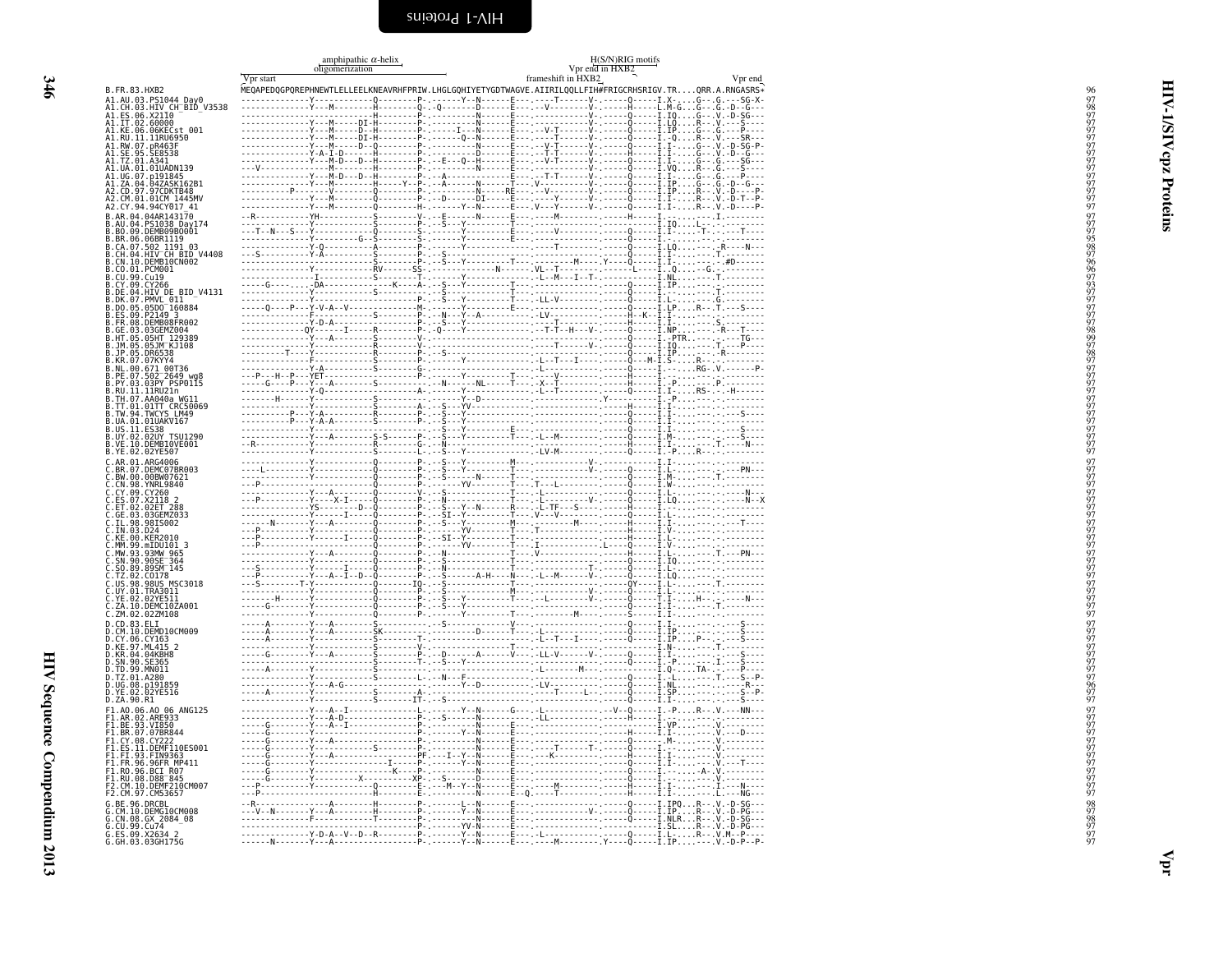<span id="page-35-1"></span><span id="page-35-0"></span>

|                                                                                                                                                                                                                                                                              | amphipathic $\alpha$ -helix<br>oligomerization | H(S/N)RIG motifs<br>$Vpr$ end in $\overline{HXB2}$<br>frameshift in $HXB2$                              |         |
|------------------------------------------------------------------------------------------------------------------------------------------------------------------------------------------------------------------------------------------------------------------------------|------------------------------------------------|---------------------------------------------------------------------------------------------------------|---------|
|                                                                                                                                                                                                                                                                              | Vpr start                                      | MEQAPEDQGPQREPHNEWTLELLEELKNEAVRHFPRIW.LHGLGQHIYETYGDTWAGVE.AIIRILQQLLFIH#FRIGCRHSRIGV.TRQRR.A.RNGASRS* | Vpr end |
| B. FR. 83. HXB2<br>B. FR. 83. HXB2<br>A1. AU. 83. PS1044 Day0<br>A1. CH. 83. HYD CHERD - V3538<br>A1. ES. 96. X2110 - PBD - V3538<br>A1. ET. 82. 66. X2110<br>A1. KE. 06. 66KECst 001<br>A1. RU. 01. 11RU6956<br>A1. RU. 07. DR463F<br>A1. CH. 89. SE8538<br>A1. CH. 01. A34 |                                                |                                                                                                         |         |
|                                                                                                                                                                                                                                                                              |                                                |                                                                                                         |         |
|                                                                                                                                                                                                                                                                              |                                                |                                                                                                         |         |
|                                                                                                                                                                                                                                                                              |                                                |                                                                                                         |         |
|                                                                                                                                                                                                                                                                              |                                                |                                                                                                         |         |
|                                                                                                                                                                                                                                                                              |                                                |                                                                                                         |         |
|                                                                                                                                                                                                                                                                              |                                                |                                                                                                         |         |
|                                                                                                                                                                                                                                                                              |                                                |                                                                                                         |         |
| A2.CD.97.97CDKTB48<br>A2.CM.01.01CM_1445MV                                                                                                                                                                                                                                   |                                                |                                                                                                         |         |
| A2.CY.94.94CY017_41                                                                                                                                                                                                                                                          |                                                |                                                                                                         |         |
| B.AR.04.04AR143170                                                                                                                                                                                                                                                           |                                                |                                                                                                         |         |
| B.AN.04.04AN145170<br>B.AU.04.PS1038 Day174<br>B.BO.09.DEMB09B0001                                                                                                                                                                                                           |                                                |                                                                                                         |         |
|                                                                                                                                                                                                                                                                              |                                                |                                                                                                         |         |
| <b>B.BR.06.06BR1119<br/>B.CA.07.502 1191 03<br/>B.CA.07.502 1191 03<br/>B.CN.10.10EMB10CN002<br/>B.CO.10.10EMB10CN002</b>                                                                                                                                                    |                                                |                                                                                                         |         |
|                                                                                                                                                                                                                                                                              |                                                |                                                                                                         |         |
| B.CU.99.Cu19<br>B.CY.09.CY266                                                                                                                                                                                                                                                |                                                |                                                                                                         |         |
|                                                                                                                                                                                                                                                                              |                                                |                                                                                                         |         |
|                                                                                                                                                                                                                                                                              |                                                |                                                                                                         |         |
| B. CY, 69 (27266<br>B.DE. 04. HTV DE BID V4131<br>B.DE. 05. PMVL 011<br>B.D. 05. 0500 160884<br>B.ES. 09. DEMBER<br>B.ES. 09. DEMBER<br>B.GE. 03. 0500 16088<br>B.M. 05. 0511 129389<br>B.M. 05. 0511 129389<br>B.W. 09. 6511 00736<br>B.R. 00. 67                           |                                                |                                                                                                         |         |
|                                                                                                                                                                                                                                                                              |                                                |                                                                                                         |         |
|                                                                                                                                                                                                                                                                              |                                                |                                                                                                         |         |
|                                                                                                                                                                                                                                                                              |                                                |                                                                                                         |         |
|                                                                                                                                                                                                                                                                              |                                                |                                                                                                         |         |
|                                                                                                                                                                                                                                                                              |                                                |                                                                                                         |         |
|                                                                                                                                                                                                                                                                              |                                                |                                                                                                         |         |
| B.RU.11.1HRUZIN<br>B.TH.07.AA040a WG11<br>B.TH.01.01TT CRC50069<br>B.TW.94.TWCY5 LM49<br>B.UA.01.01UAKV167<br>B.US.11.E538<br>B.UY.02.02UY T5U1290<br>B.VE.10.0EME10VE001                                                                                                    |                                                |                                                                                                         |         |
|                                                                                                                                                                                                                                                                              |                                                |                                                                                                         |         |
|                                                                                                                                                                                                                                                                              |                                                |                                                                                                         |         |
|                                                                                                                                                                                                                                                                              |                                                |                                                                                                         |         |
| B.YE.02.02YE507                                                                                                                                                                                                                                                              |                                                |                                                                                                         |         |
| B. YE. 02.027599<br>C.BR. 01. ARG4906<br>C.BR. 00. 000007621<br>C.BR. 00. 000007621<br>C.CY. 09. CY260<br>C.ET. 02. 0257728<br>C.ET. 02. 02577288<br>C.ET. 02. 02577288<br>C.TL. 03. 0255002<br>C.TL. 03. 0255002<br>C.TL. 03. 0255002                                       |                                                |                                                                                                         |         |
|                                                                                                                                                                                                                                                                              |                                                |                                                                                                         |         |
|                                                                                                                                                                                                                                                                              |                                                |                                                                                                         |         |
|                                                                                                                                                                                                                                                                              |                                                |                                                                                                         |         |
|                                                                                                                                                                                                                                                                              |                                                |                                                                                                         |         |
|                                                                                                                                                                                                                                                                              |                                                |                                                                                                         |         |
| KE.00.KER2010                                                                                                                                                                                                                                                                |                                                |                                                                                                         |         |
| MM.99.mIDU101                                                                                                                                                                                                                                                                |                                                |                                                                                                         |         |
|                                                                                                                                                                                                                                                                              |                                                |                                                                                                         |         |
| C.MW.93.93MW 965<br>C.SN.90.90SE 364<br>C.S0.89.89SM 145                                                                                                                                                                                                                     |                                                |                                                                                                         |         |
| C. TZ. 02. C0178<br>C. US. 98. 98US MSC3018<br>C. UY. 01. TRA3011<br>C. YE. 02. 02YE511                                                                                                                                                                                      |                                                |                                                                                                         |         |
|                                                                                                                                                                                                                                                                              |                                                |                                                                                                         |         |
| C.ZA.10.DEMC10ZA001                                                                                                                                                                                                                                                          |                                                |                                                                                                         |         |
| C.ZM.02.02ZM108                                                                                                                                                                                                                                                              |                                                |                                                                                                         |         |
| 0.20.83.621<br>D.CD.83.ELI<br>D.CM.10.DEMD10CM009<br>D.CY.06.CY163<br>D.KE.97.ML415.2                                                                                                                                                                                        |                                                |                                                                                                         |         |
|                                                                                                                                                                                                                                                                              |                                                |                                                                                                         |         |
| D.KR.04.04KBH8                                                                                                                                                                                                                                                               |                                                |                                                                                                         |         |
| D.TD.99.MN011                                                                                                                                                                                                                                                                |                                                |                                                                                                         |         |
| 0.172.01.A280<br>D.UG.08.p191859<br>D.VE.02.02YE516<br>D.ZA.90.R1                                                                                                                                                                                                            |                                                |                                                                                                         |         |
|                                                                                                                                                                                                                                                                              |                                                |                                                                                                         |         |
|                                                                                                                                                                                                                                                                              |                                                |                                                                                                         |         |
|                                                                                                                                                                                                                                                                              |                                                |                                                                                                         |         |
| F1.A0.06.A0 06 ANG125<br>F1.AR.02.ARE933<br>F1.BE.93.VI850<br>F1.BR.07.07BR844<br>F1.CY.08.CY222<br>F1.CY.08.CY222                                                                                                                                                           |                                                |                                                                                                         |         |
|                                                                                                                                                                                                                                                                              |                                                |                                                                                                         |         |
| S.11.DEMF110ES001<br>1.FI.93.FIN9363 <del>-</del>                                                                                                                                                                                                                            |                                                |                                                                                                         |         |
|                                                                                                                                                                                                                                                                              |                                                |                                                                                                         |         |
| F1.FR.96.96FR.W9509<br>F1.FR.96.96FR.MP411<br>F1.R0.96.BCI_R07<br>F2.CM.10.DEMF210CM007<br>F2.CM.97.CM53657                                                                                                                                                                  |                                                |                                                                                                         |         |
|                                                                                                                                                                                                                                                                              |                                                |                                                                                                         |         |
| G.BE.96.DRCBL                                                                                                                                                                                                                                                                |                                                |                                                                                                         |         |
|                                                                                                                                                                                                                                                                              |                                                |                                                                                                         |         |
|                                                                                                                                                                                                                                                                              |                                                |                                                                                                         |         |
| G.CM.10.DEMG10CM008<br>G.CN.08.GX_2084_08<br>G.CU.99.Cu74<br>G.ES.09.X2634_2<br>G.GH.03.03GH175G                                                                                                                                                                             |                                                |                                                                                                         |         |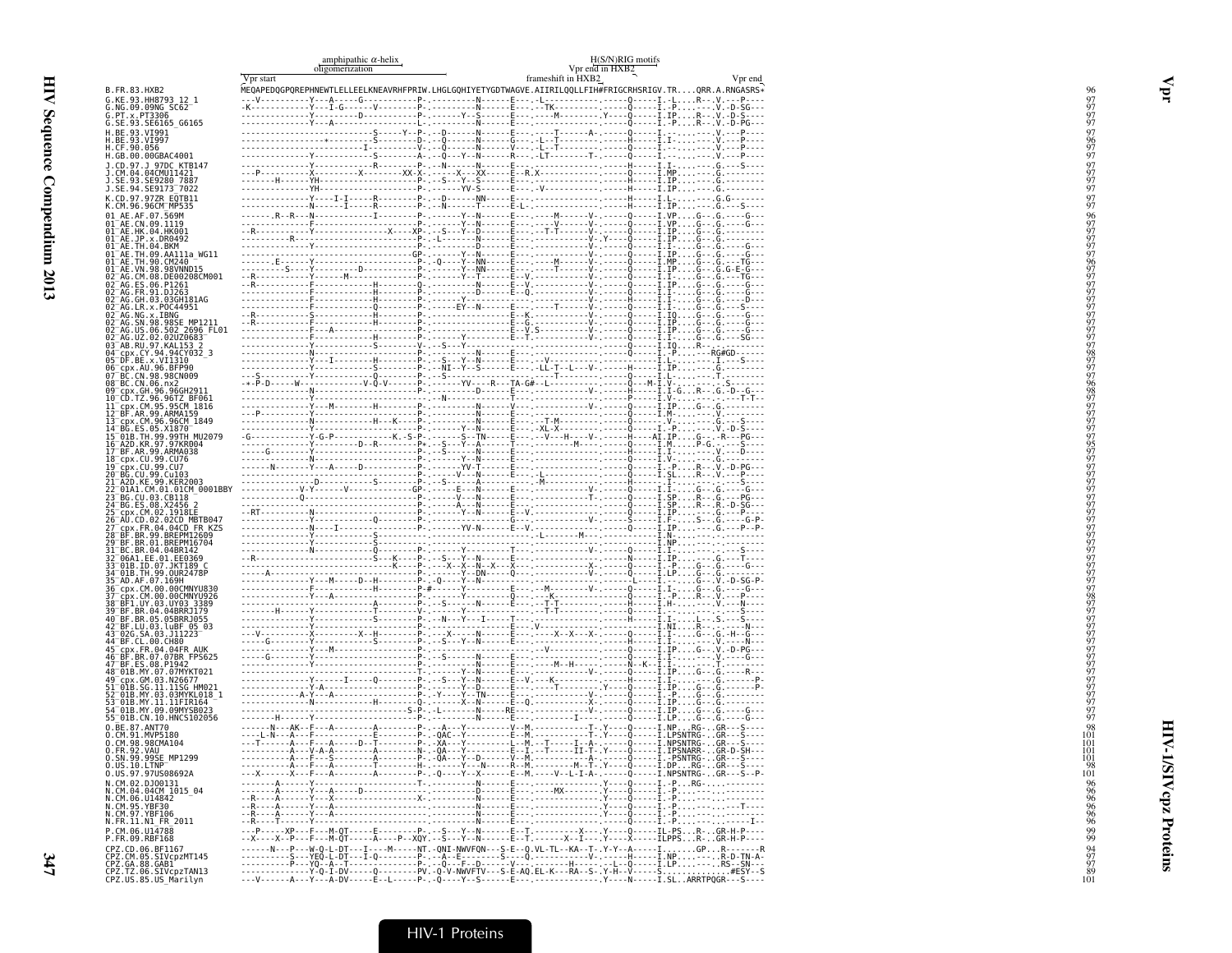|                                                                                                          |           | amphipathic $\alpha$ -helix<br>oligomerization | H(S/N)RIG motifs                      |                                                                                                                                                                                                                                                                                                                                                                                                                                         |
|----------------------------------------------------------------------------------------------------------|-----------|------------------------------------------------|---------------------------------------|-----------------------------------------------------------------------------------------------------------------------------------------------------------------------------------------------------------------------------------------------------------------------------------------------------------------------------------------------------------------------------------------------------------------------------------------|
|                                                                                                          | Vpr start |                                                | Vpr end in HXB2<br>frameshift in HXB2 | Vpr end                                                                                                                                                                                                                                                                                                                                                                                                                                 |
| B.FR.83.HXB2<br>G.KE.93.HH8793 12 1                                                                      |           |                                                |                                       | MEQAPEDQGPQREPHNEWTLELLEELKNEAVRHFPRIW.LHGLGQHIYETYGDTWAGVE.AIIRILQQLLFIH#FRIGCRHSRIGV.TRQRR.A.RNGASRS*                                                                                                                                                                                                                                                                                                                                 |
| G.NG.09.09NG SC62<br>G.PT.x.PT3306                                                                       |           |                                                |                                       |                                                                                                                                                                                                                                                                                                                                                                                                                                         |
| G.SE.93.SE6165_G6165<br>H.BE.93.VI991                                                                    |           |                                                |                                       |                                                                                                                                                                                                                                                                                                                                                                                                                                         |
| H.BE.93.VI997<br>H.CF.90.056                                                                             |           |                                                |                                       |                                                                                                                                                                                                                                                                                                                                                                                                                                         |
| H.GB.00.00GBAC4001                                                                                       |           |                                                |                                       |                                                                                                                                                                                                                                                                                                                                                                                                                                         |
| J.CD.97.J 97DC KTB147<br>J.CM.04.04CMU11421                                                              |           |                                                |                                       |                                                                                                                                                                                                                                                                                                                                                                                                                                         |
| J. SE. 93. SE9280 7887<br>J. SE. 94. SE9173 7022                                                         |           |                                                |                                       |                                                                                                                                                                                                                                                                                                                                                                                                                                         |
| K.CD.97.97ZR EQTB11<br>K.CM.96.96CM MP535                                                                |           |                                                |                                       |                                                                                                                                                                                                                                                                                                                                                                                                                                         |
| 01 AE.AF.07.569M<br>01 AE.CN.09.1119<br>01 AE.HK.04.HK001                                                |           |                                                |                                       |                                                                                                                                                                                                                                                                                                                                                                                                                                         |
| 01 <sup>-</sup> AE.JP.x.DR0492                                                                           |           |                                                |                                       |                                                                                                                                                                                                                                                                                                                                                                                                                                         |
| 01-AE.TH.04.BKM<br>01-AE.TH.09.AA111a_WG11                                                               |           |                                                |                                       |                                                                                                                                                                                                                                                                                                                                                                                                                                         |
| 01 <sup>-</sup> AE.TH.90.CM240<br>01 AE.VN.98.98VNND15                                                   |           |                                                |                                       |                                                                                                                                                                                                                                                                                                                                                                                                                                         |
| 02 AG.CM.08.DE00208CM001                                                                                 |           |                                                |                                       |                                                                                                                                                                                                                                                                                                                                                                                                                                         |
| 02 <sup>-</sup> AG.ES.06.P1261<br>02 <sup>-</sup> AG.FR.91.DJ263                                         |           |                                                |                                       |                                                                                                                                                                                                                                                                                                                                                                                                                                         |
| 02 <sup>-</sup> AG.GH.03.03GH181AG<br>02 AG.LR.X.POC44951<br>02 AG.NG.X.IBNG                             |           |                                                |                                       |                                                                                                                                                                                                                                                                                                                                                                                                                                         |
|                                                                                                          |           |                                                |                                       |                                                                                                                                                                                                                                                                                                                                                                                                                                         |
| 02-AG.SN.98.98SE MP1211<br>02-AG.US.06.502 2696 FL01<br>02-AG.UZ.02.02UZ0683<br>03-AB.RU.97.KAL153.2     |           |                                                |                                       |                                                                                                                                                                                                                                                                                                                                                                                                                                         |
|                                                                                                          |           |                                                |                                       |                                                                                                                                                                                                                                                                                                                                                                                                                                         |
| 04 Cpx.CY.94.94CY032_3<br>05 DF.BE.x.VI1310<br>06 Cpx.AU.96.BFP90<br>07 BC.CN.98.98CN009                 |           |                                                |                                       |                                                                                                                                                                                                                                                                                                                                                                                                                                         |
| 08 BC.CN.06.nx2                                                                                          |           |                                                |                                       |                                                                                                                                                                                                                                                                                                                                                                                                                                         |
| 09 CD: CH. 96.96GH2911<br>10 CD. TZ. 96.96TZ BF061<br>11 Cpx. CM. 95.95CM 1816<br>12 BF. AR. 99. ARMA159 |           |                                                |                                       |                                                                                                                                                                                                                                                                                                                                                                                                                                         |
|                                                                                                          |           |                                                |                                       |                                                                                                                                                                                                                                                                                                                                                                                                                                         |
| 13 <sup>-</sup> срх.СМ.96.96СМ 1849                                                                      |           |                                                |                                       |                                                                                                                                                                                                                                                                                                                                                                                                                                         |
| 14-BG.ES.05.X1870-<br>15-01B.TH.99.99TH_MU2079<br>15-01B.TH.99.99TH_MU2079                               |           |                                                |                                       |                                                                                                                                                                                                                                                                                                                                                                                                                                         |
| BF.AR.99.ARMA038<br>18 cpx.CU.99.CU76<br>19 cpx.CU.99.CU7                                                |           |                                                |                                       |                                                                                                                                                                                                                                                                                                                                                                                                                                         |
| 20–BG.CU.99.Cu103<br>21–A2D.KE.99.KER2003                                                                |           |                                                |                                       |                                                                                                                                                                                                                                                                                                                                                                                                                                         |
| 22 01A1.CM.01.01CM 0001BBY                                                                               |           |                                                |                                       |                                                                                                                                                                                                                                                                                                                                                                                                                                         |
| BG.CU.03.CB118<br>BG.ES.08.X2456                                                                         |           |                                                |                                       |                                                                                                                                                                                                                                                                                                                                                                                                                                         |
| 25 cpx.CM.02.1918LE<br>26 AU.CD.02.02CD_MBTB047                                                          |           |                                                |                                       |                                                                                                                                                                                                                                                                                                                                                                                                                                         |
| cpx.FR.04.04CD FR KZS                                                                                    |           |                                                |                                       |                                                                                                                                                                                                                                                                                                                                                                                                                                         |
| 28-BF.BR.99.BREPM12609<br>29-BF.BR.01.BREPM16704<br>31-BC.BR.04.04BR142<br>32-06A1.EE.01.EE0369          |           |                                                |                                       |                                                                                                                                                                                                                                                                                                                                                                                                                                         |
| 33 <sup>-</sup> 01B.ID.07.JKT189 C                                                                       |           |                                                |                                       |                                                                                                                                                                                                                                                                                                                                                                                                                                         |
| 34-01B.TH.99.0UR2478P<br>35-AD.AF.07.169H                                                                |           |                                                |                                       |                                                                                                                                                                                                                                                                                                                                                                                                                                         |
| cpx.CM.00.00CMNYU830<br>-cpx.CM.00.00CMNYU926<br>-BF1.UY.03.UY03.3389<br>-BF1.DY.03.UY03.3389            |           |                                                |                                       |                                                                                                                                                                                                                                                                                                                                                                                                                                         |
| 39 BF BR 04.04BRRJ179                                                                                    |           |                                                |                                       |                                                                                                                                                                                                                                                                                                                                                                                                                                         |
| 40 BF.BR.05.05BRRJ055<br>42 BF.LU.03.luBF_05_03                                                          |           |                                                |                                       |                                                                                                                                                                                                                                                                                                                                                                                                                                         |
| 43-026. ŠA. 03. JI1223-<br>44-BF. CL. 00. CH80                                                           |           |                                                |                                       |                                                                                                                                                                                                                                                                                                                                                                                                                                         |
| cpx.FR.04.04FR AUK<br>BF.BR.07.07BR FPS625<br>BF.ES.08.P1942                                             |           |                                                |                                       |                                                                                                                                                                                                                                                                                                                                                                                                                                         |
| 48-01B.MY.07.07MYKT021<br>49-cpx.GM.03.N26677                                                            |           |                                                |                                       |                                                                                                                                                                                                                                                                                                                                                                                                                                         |
| LB.SG.11.11SG HM021                                                                                      |           |                                                |                                       |                                                                                                                                                                                                                                                                                                                                                                                                                                         |
| 01B.MY.03.03MYKL018_1<br>01B.MY.11.11FIR164                                                              |           |                                                |                                       |                                                                                                                                                                                                                                                                                                                                                                                                                                         |
| 54 01B.MY.09.09MYSB023<br>55 <sup>-</sup> 01B.CN.10.HNCS102056                                           |           |                                                |                                       |                                                                                                                                                                                                                                                                                                                                                                                                                                         |
| 0.BE.87.ANT70<br>0.CM.91.MVP5180                                                                         |           |                                                |                                       |                                                                                                                                                                                                                                                                                                                                                                                                                                         |
| 0.CM.98.98CMA104                                                                                         |           |                                                |                                       |                                                                                                                                                                                                                                                                                                                                                                                                                                         |
| 0.FR.92.VAU<br>0.SN.99.99SE_MP1299<br>0.05.10.LIMP                                                       |           |                                                |                                       |                                                                                                                                                                                                                                                                                                                                                                                                                                         |
| 0.US.97.97US08692A                                                                                       |           |                                                |                                       | ---X------X---F---A--------A--------P- -Q----Y--X------E--M.----V--L-I-A-.-----Q-----I.NPSNTRG-GR---S--P-                                                                                                                                                                                                                                                                                                                               |
| N.CM.02.DJ00131<br>N.CM.04.04CM_1015_04<br>N.CM.06.U14842                                                |           |                                                |                                       | $\begin{minipage}{0.99\textwidth} \begin{tabular}{ c c c c c } \hline \multicolumn{1}{ c }{0.99\textwidth} \begin{tabular}{ c c c c } \hline \multicolumn{1}{ c }{0.99\textwidth} \begin{tabular}{ c c c } \hline \multicolumn{1}{ c }{0.99\textwidth} \begin{tabular}{ c c c } \hline \multicolumn{1}{ c }{0.99\textwidth} \begin{tabular}{ c c c } \hline \multicolumn{1}{ c }{0.99\textwidth} \begin{tabular}{ c c c } \hline \mult$ |
| N.CM.95.YBF30<br>N.CM.97.YBF106                                                                          |           |                                                |                                       |                                                                                                                                                                                                                                                                                                                                                                                                                                         |
| N.FR.11.N1 FR 2011                                                                                       |           |                                                |                                       |                                                                                                                                                                                                                                                                                                                                                                                                                                         |
| P.CM.06.U14788<br>P.FR.09.RBF168                                                                         |           |                                                |                                       |                                                                                                                                                                                                                                                                                                                                                                                                                                         |
| CPZ.CD.06.BF1167<br>CPZ.CM.05.SIVcpzMT145                                                                |           |                                                |                                       |                                                                                                                                                                                                                                                                                                                                                                                                                                         |
| CPZ.GA.88.GAB1<br>CPZ.TZ.06.SIVcpzTAN13<br>CPZ.US.85.US_Marilyn                                          |           |                                                |                                       |                                                                                                                                                                                                                                                                                                                                                                                                                                         |
|                                                                                                          |           |                                                |                                       |                                                                                                                                                                                                                                                                                                                                                                                                                                         |

**Apr**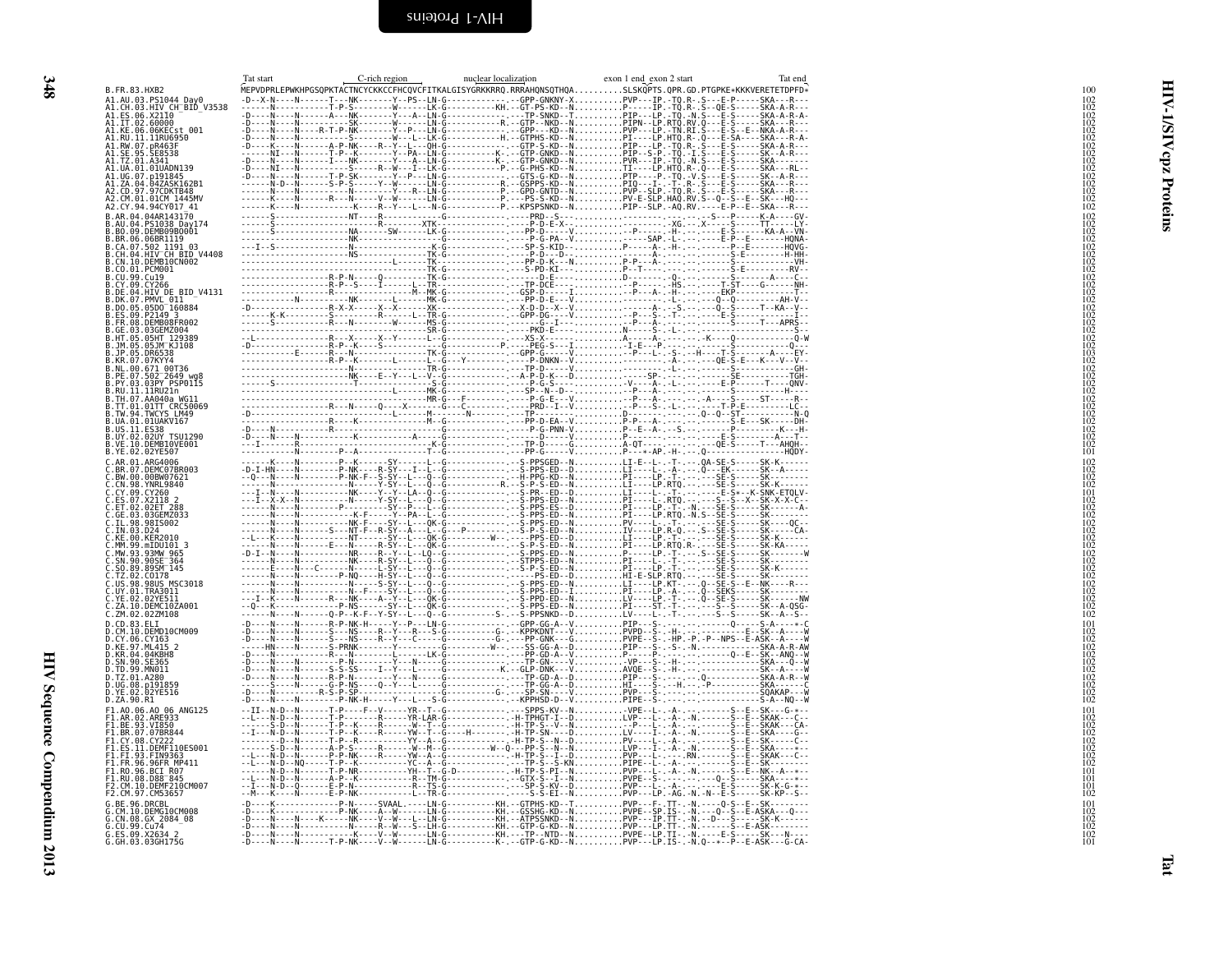<span id="page-37-0"></span>

| ۰.        |
|-----------|
|           |
| o m<br>۰. |

<span id="page-37-1"></span>

|                                                                                                                                                                                                                                                  | Tat start | C-rich region | nuclear localization | exon 1 end exon 2 start<br>Tat end<br>MEPVDPRLEPWKHPGSQPKTACTNCYCKKCCFHCQVCFITKALGISYGRKKRRQ.RRRAHQNSQTHQASLSKQPTS.QPR.GD.PTGPKE*KKKVERETETDPFD* |  |
|--------------------------------------------------------------------------------------------------------------------------------------------------------------------------------------------------------------------------------------------------|-----------|---------------|----------------------|--------------------------------------------------------------------------------------------------------------------------------------------------|--|
| A1.AU.03.PS1044_Day0<br>A1.CH.03.HIV_CH_BID_V3538<br>A1.ES.06.X21I0                                                                                                                                                                              |           |               |                      |                                                                                                                                                  |  |
| A1.IT.02.60000<br>A1.KE.06.06KECst 001                                                                                                                                                                                                           |           |               |                      |                                                                                                                                                  |  |
| A1.RU.11.11RU6950<br>A1.RW.07.pR463F<br>A1.SE.95.SE8538<br>A1.TZ.01.A341                                                                                                                                                                         |           |               |                      |                                                                                                                                                  |  |
| A1.UA.01.01UADN139                                                                                                                                                                                                                               |           |               |                      |                                                                                                                                                  |  |
|                                                                                                                                                                                                                                                  |           |               |                      |                                                                                                                                                  |  |
| A1.UG.07.p191845<br>A1.UG.07.p191845<br>A1.ZA.04.04ZASK162B1<br>A2.CM.01.01CM 1445MV<br>A2.CY.94.94CY017_41                                                                                                                                      |           |               |                      |                                                                                                                                                  |  |
| B.AR.04.04AR143170                                                                                                                                                                                                                               |           |               |                      |                                                                                                                                                  |  |
| B.AU.04.PS1038_Day174<br>B.BO.09.DEMB09B0001<br>.BR.06.06BR1119                                                                                                                                                                                  |           |               |                      |                                                                                                                                                  |  |
| .CA.07.502 1191 03<br>CH.04.HIV CH BID V4408                                                                                                                                                                                                     |           |               |                      |                                                                                                                                                  |  |
| B.CN.10.DEMB10CN002<br>B.CO.01.PCM001<br>B.CU.99.Cu19                                                                                                                                                                                            |           |               |                      |                                                                                                                                                  |  |
| CY.09.CY266<br>B.DE.04.HIV DE BID V4131                                                                                                                                                                                                          |           |               |                      |                                                                                                                                                  |  |
| B.DK.07.PMVL 011<br>B.DO.05.05D0 160884                                                                                                                                                                                                          |           |               |                      |                                                                                                                                                  |  |
| B.ES.09.P2149 3<br>B.FR.08.DEMB08FR002<br>B.GE.03.03GEMZ004                                                                                                                                                                                      |           |               |                      |                                                                                                                                                  |  |
| B.HT.05.05HT 129389<br>B.JM.05.05JM KJ108                                                                                                                                                                                                        |           |               |                      |                                                                                                                                                  |  |
| B.JP.05.DR6538<br>B.KR.07.07KYY4<br>B.NL.00.671_00T36<br>B.PE.07.502_2649_wg8                                                                                                                                                                    |           |               |                      |                                                                                                                                                  |  |
| PY.03.03PY PSP0115                                                                                                                                                                                                                               |           |               |                      |                                                                                                                                                  |  |
| B.RU.11.11RU21n<br>B.TH.07.AA040a WG11<br>B.TT.01.01TT_CRC50069                                                                                                                                                                                  |           |               |                      |                                                                                                                                                  |  |
| B.TW.94.TWCYS LM49<br>UA.01.01UAKV167                                                                                                                                                                                                            |           |               |                      |                                                                                                                                                  |  |
| B.US.11.ES38<br>B.US.11.ES38<br>B.UY.02.02UY_TSU1290                                                                                                                                                                                             |           |               |                      |                                                                                                                                                  |  |
| B.VE.10.DEMB10VE001<br>B.YE.02.02YE507                                                                                                                                                                                                           |           |               |                      |                                                                                                                                                  |  |
| <b>C.AR. 01.ARG4006</b><br>C.BR. 07.DEMC07BR003<br>C.BW. 00.00BW07621<br>C.CW. 98. YNRL9840<br>C.CV. 09. CY260<br>C.CY. 09. CY260<br>C.ET. 02. 02ET 288<br>C.ET. 02. 02ET 288<br>C.ET. 02. 02ET 288<br>C.ET. 02. 02ET 288<br>C.ET. 03. 0356M2033 |           |               |                      |                                                                                                                                                  |  |
|                                                                                                                                                                                                                                                  |           |               |                      |                                                                                                                                                  |  |
|                                                                                                                                                                                                                                                  |           |               |                      |                                                                                                                                                  |  |
|                                                                                                                                                                                                                                                  |           |               |                      |                                                                                                                                                  |  |
| C.IL.98.98IS002<br>C.IN.03.D24<br>C.KE.00.KER2010<br>C.MM.99.mIDU101_3                                                                                                                                                                           |           |               |                      |                                                                                                                                                  |  |
| C.MW.93.93MW 965<br>SN.90.90SE <sup>-</sup> 364                                                                                                                                                                                                  |           |               |                      |                                                                                                                                                  |  |
|                                                                                                                                                                                                                                                  |           |               |                      |                                                                                                                                                  |  |
| C.50.89.895M-145<br>C.TZ.02.C0178<br>C.TZ.02.C0178<br>MSC.01.17RA3011<br>C.YA.02.02YE511<br>C.YA.02.02YE511                                                                                                                                      |           |               |                      |                                                                                                                                                  |  |
| Č.ZA.10.DEMČIOŽA001<br>C.ZM.02.02ZM108                                                                                                                                                                                                           |           |               |                      |                                                                                                                                                  |  |
| D.CM.10.DEMD10CM009<br>CY.06.CY163                                                                                                                                                                                                               |           |               |                      |                                                                                                                                                  |  |
| D.KE.97.ML415 2<br>D.KR.04.04KBH8                                                                                                                                                                                                                |           |               |                      |                                                                                                                                                  |  |
|                                                                                                                                                                                                                                                  |           |               |                      |                                                                                                                                                  |  |
| D.UG.08.p191859                                                                                                                                                                                                                                  |           |               |                      |                                                                                                                                                  |  |
| D.YE.02.02YE516<br>D.ZA.90.R1<br>F1.A0.06.A0 06 ANG125                                                                                                                                                                                           |           |               |                      |                                                                                                                                                  |  |
| F1.AR.02.ARE933<br>F1.BE.93.VI850<br>F1.BR.07.07BR844                                                                                                                                                                                            |           |               |                      |                                                                                                                                                  |  |
| FI.CY.08.CY222<br>F1.ES.11.DEMF110ES001                                                                                                                                                                                                          |           |               |                      |                                                                                                                                                  |  |
| F1.FI.93.FIN9363<br>F1.FR.96.96FR MP411                                                                                                                                                                                                          |           |               |                      |                                                                                                                                                  |  |
| F1.R0.96.BCI_R07<br>F1.RU.08.D88 845                                                                                                                                                                                                             |           |               |                      |                                                                                                                                                  |  |
| F2.CM.10.DEMF210CM007<br>F2.CM.97.CM53657<br>E.c., C., C., G., BE., 96. DRCBL.<br>G. CM. 10. DEMC14                                                                                                                                              |           |               |                      |                                                                                                                                                  |  |
| CM.10.DEMG10CM008<br>CN.08.GX_2084_08                                                                                                                                                                                                            |           |               |                      |                                                                                                                                                  |  |
| G.CU.99.Cu74<br>G.ES.09.X2634 2<br>G.GH.03.03GH175G                                                                                                                                                                                              |           |               |                      |                                                                                                                                                  |  |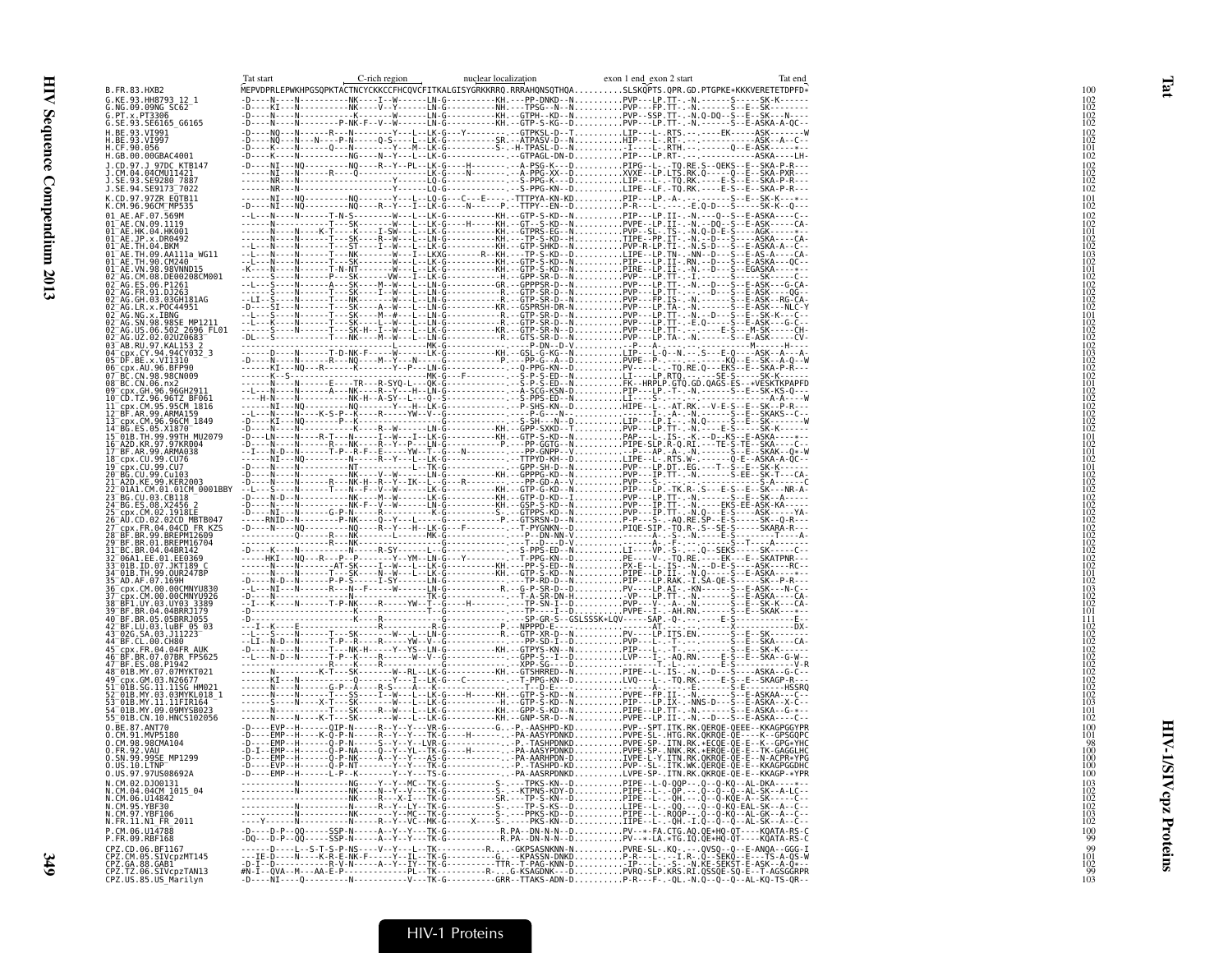|             |                                                                                                                                                                                                                                                              | C-rich region | nuclear localization | exon 1 end exon 2 start | Tat end |                                                                                 |
|-------------|--------------------------------------------------------------------------------------------------------------------------------------------------------------------------------------------------------------------------------------------------------------|---------------|----------------------|-------------------------|---------|---------------------------------------------------------------------------------|
|             | B. FR. 83. HXB2                                                                                                                                                                                                                                              |               |                      |                         |         |                                                                                 |
|             | G.KE.93.HH8793_12_1<br>G.NG.09.09NG_SC62                                                                                                                                                                                                                     |               |                      |                         |         | 102<br>102<br>102<br>102                                                        |
|             | G.PT.x.PT3306<br>G.SE.93.SE6165_G6165                                                                                                                                                                                                                        |               |                      |                         |         |                                                                                 |
|             |                                                                                                                                                                                                                                                              |               |                      |                         |         |                                                                                 |
|             |                                                                                                                                                                                                                                                              |               |                      |                         |         | 102<br>102<br>101<br>102                                                        |
|             | J.CD.97.J 97DC KTB147                                                                                                                                                                                                                                        |               |                      |                         |         |                                                                                 |
|             | J.CM.04.04CMU11421<br>J.SE.93.SE9280_7887                                                                                                                                                                                                                    |               |                      |                         |         | 102<br>102<br>102<br>102                                                        |
|             | J.SE.94.SE9173_7022                                                                                                                                                                                                                                          |               |                      |                         |         | 101                                                                             |
|             | K.CD.97.97ZR_EQTB11<br>K.CM.96.96CM_MP535                                                                                                                                                                                                                    |               |                      |                         |         | 102                                                                             |
|             | к. с.н. эо. эосы-г-н. эээ<br>01 -AE . CN. 09. 1119<br>01 -AE . CN. 09. 1119<br>01 -AE . JP. x. DR0492<br>01 -AE . TH. 04. BKM<br>01 -AE . TH. 09. AA111a_WG11<br>01 -AE . TH. 99. CM240<br>01 -AE . TH. 99. CM240<br>01 -AE . TH. 99. CM240                  |               |                      |                         |         | $\frac{102}{102}$                                                               |
|             |                                                                                                                                                                                                                                                              |               |                      |                         |         |                                                                                 |
|             |                                                                                                                                                                                                                                                              |               |                      |                         |         | $\frac{102}{102}$                                                               |
|             | 01 AE.VN.98.98VNND15                                                                                                                                                                                                                                         |               |                      |                         |         | iŏž                                                                             |
|             | 02 AG.CM.08.DE00208CM001                                                                                                                                                                                                                                     |               |                      |                         |         | 102<br>102<br>102<br>102<br>102                                                 |
|             |                                                                                                                                                                                                                                                              |               |                      |                         |         |                                                                                 |
|             |                                                                                                                                                                                                                                                              |               |                      |                         |         | 101                                                                             |
|             |                                                                                                                                                                                                                                                              |               |                      |                         |         |                                                                                 |
|             |                                                                                                                                                                                                                                                              |               |                      |                         |         |                                                                                 |
|             | 04 - pr. CY. 94.94219932_3<br>05 - DF. BE. x. VI1310<br>05 - DF. BE. x. VI1310<br>07 - BC. CN. 98.98CN009<br>07 - BC. CN. 96.98CN009<br>08 - BC. CN. 06. nXccu2011                                                                                           |               |                      |                         |         | 102<br>102<br>102<br>102<br>103<br>102<br>102                                   |
|             |                                                                                                                                                                                                                                                              |               |                      |                         |         |                                                                                 |
|             |                                                                                                                                                                                                                                                              |               |                      |                         |         |                                                                                 |
|             |                                                                                                                                                                                                                                                              |               |                      |                         |         | 102<br>102<br>102<br>102<br>102<br>102<br>101                                   |
|             |                                                                                                                                                                                                                                                              |               |                      |                         |         |                                                                                 |
|             |                                                                                                                                                                                                                                                              |               |                      |                         |         |                                                                                 |
|             |                                                                                                                                                                                                                                                              |               |                      |                         |         |                                                                                 |
|             | 7 BF.AR.99.ARMA038<br>l8_cpx.CU.99.CU76                                                                                                                                                                                                                      |               |                      |                         |         | 102                                                                             |
|             | 19–cpx.CU.99.CU7<br>20–BG.CU.99.Cu103<br>21–A2D.KE.99.KER2003                                                                                                                                                                                                |               |                      |                         |         |                                                                                 |
|             | 01A1.CM.01.01CM 0001BBY                                                                                                                                                                                                                                      |               |                      |                         |         | $\begin{array}{c} 101 \\ 102 \\ 102 \\ 102 \\ 102 \\ 102 \\ \hline \end{array}$ |
|             |                                                                                                                                                                                                                                                              |               |                      |                         |         |                                                                                 |
|             |                                                                                                                                                                                                                                                              |               |                      |                         |         | $\frac{102}{102}$                                                               |
|             |                                                                                                                                                                                                                                                              |               |                      |                         |         |                                                                                 |
|             | 20 AU.CD., CD., 2020<br>27 CDX.FR.04.04CD FR.KZS<br>28 BF.BR.99.BREPM12609<br>31 BC.BR.04.04BR142<br>31 BC.BR.04.04BR142<br>32 06A1.FE.01.EE0369                                                                                                             |               |                      |                         |         | 102<br>102<br>102<br>102<br>102<br>102                                          |
|             |                                                                                                                                                                                                                                                              |               |                      |                         |         |                                                                                 |
|             |                                                                                                                                                                                                                                                              |               |                      |                         |         | 101<br>102<br>103                                                               |
|             | 32 00A1.EE.01.EE0309<br>33 01B.ID.07.JKT189 C<br>34 01B.TH.99.OUR2478P<br>35 AD.AF.07.169.OOMNYU830<br>37 cpx.CM.00.00CMNYU926<br>37 EF1.UY.03.00CMNYU926<br>38 BE1.UY.03.040BP1170                                                                          |               |                      |                         |         |                                                                                 |
|             |                                                                                                                                                                                                                                                              |               |                      |                         |         | 102<br>102                                                                      |
|             |                                                                                                                                                                                                                                                              |               |                      |                         |         | $\frac{101}{111}$                                                               |
|             |                                                                                                                                                                                                                                                              |               |                      |                         |         |                                                                                 |
|             | 38 BF1.UV.03.UV03<br>39 BF.BR.04.04BRRJ179<br>42 BF.BR.05.05BRRJ055<br>42 BF.LU.03.LuBF 05<br>43 02G.SA.03.JUBF 05<br>43 DC.SA.03.JUBF 05<br>45 CP.C.FR.04.04FR<br>45 CP.S.FR.04.04FR<br>47 BF.ES.08.P1942<br>48 OB.MY.07.07/MYKT021<br>48 OB.MY.07.07/MYKT0 |               |                      |                         |         | 102<br>102<br>102<br>102<br>102<br>102<br>102<br>102<br>102<br>102              |
|             |                                                                                                                                                                                                                                                              |               |                      |                         |         |                                                                                 |
|             |                                                                                                                                                                                                                                                              |               |                      |                         |         |                                                                                 |
|             | 49–cpx.GM.03.N26677<br>51–01B.SG.11.11SG HM021<br>52–01B.MY.03.03MYKL018_1                                                                                                                                                                                   |               |                      |                         |         |                                                                                 |
|             | 53=01B.MY.11.11FIR164<br>54=01B.MY.11.11FIR164<br>54=01B.MY.09.09MYSB023                                                                                                                                                                                     |               |                      |                         |         |                                                                                 |
|             | 55 <sup>-</sup> 01B.CN.10.HNCS102056<br>$0.\overline{\mathsf{BE}}.87.\mathsf{ANT70}$                                                                                                                                                                         |               |                      |                         |         | 102<br>100                                                                      |
|             | 0.CM.91.MVP5180<br>0.CM.98.98CMA104                                                                                                                                                                                                                          |               |                      |                         |         | $^{101}_{98}$                                                                   |
| 0.FR.92.VAU |                                                                                                                                                                                                                                                              |               |                      |                         |         |                                                                                 |
|             | 0.:SN.99.99SE_MP1299<br>0.US.10.LTNP<br>0.US.97.97US08692A                                                                                                                                                                                                   |               |                      |                         |         | 100<br>100<br>100                                                               |
|             | N.CM.02.DJ00131                                                                                                                                                                                                                                              |               |                      |                         |         | 103                                                                             |
|             | N.CM.04.04CM_1015_04<br>N.CM.06.U14842<br>N.CM.95.YBF30                                                                                                                                                                                                      |               |                      |                         |         |                                                                                 |
|             | N.CM.97.YBF106                                                                                                                                                                                                                                               |               |                      |                         |         | $\frac{102}{103}$<br>$\frac{103}{102}$                                          |
|             | N.FR.11.N1 FR 2011                                                                                                                                                                                                                                           |               |                      |                         |         |                                                                                 |
|             | P.CM.06.U14788<br>P.FR.09.RBF168                                                                                                                                                                                                                             |               |                      |                         |         | $^{100}_{99}$                                                                   |
|             | CPZ.CD.06.BF1167<br>CPZ.CD.06.BF1167<br>CPZ.CM.05.SIVcpzMT145<br>CPZ.GA.88.GAD<br>CPZ.TZ.06.SIVcpzTAN13<br>CPZ.US.85.US_Marilyn                                                                                                                              |               |                      |                         |         | 101<br>102<br>99                                                                |
|             |                                                                                                                                                                                                                                                              |               |                      |                         |         | 103                                                                             |
|             |                                                                                                                                                                                                                                                              |               |                      |                         |         |                                                                                 |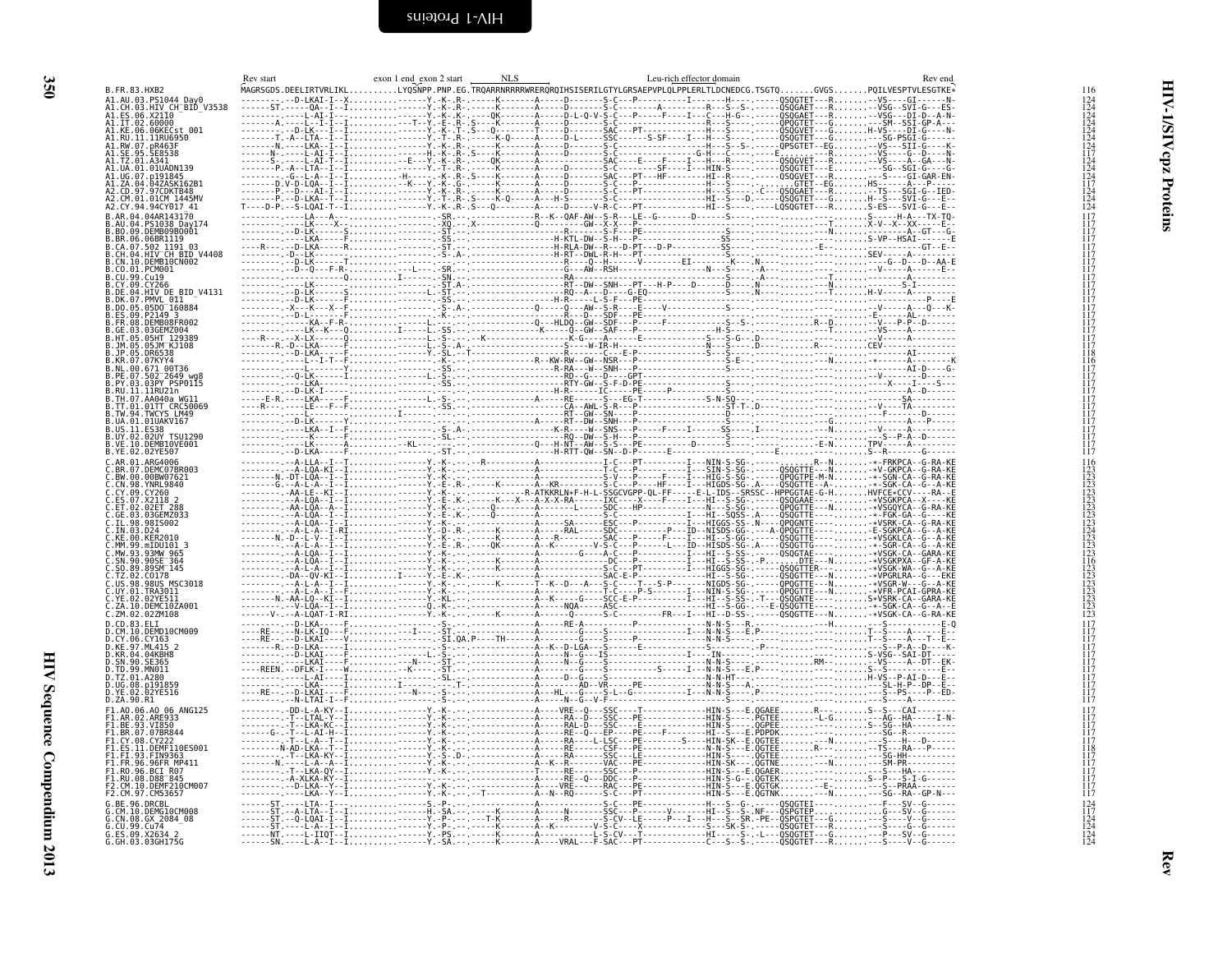<span id="page-39-0"></span>

<span id="page-39-1"></span>

| B.FR.83.HXB2                                                                                       |  |  |  |
|----------------------------------------------------------------------------------------------------|--|--|--|
|                                                                                                    |  |  |  |
| A1.ES.06.X2110<br>A1.ES.06.X2110                                                                   |  |  |  |
| 1.RW.07.pR463                                                                                      |  |  |  |
| A1.SE.95.SE8538                                                                                    |  |  |  |
| A1.UA.01.01UADN139                                                                                 |  |  |  |
| \1.UG.07.p191845<br>\1.ZA.04.04ZASK162B1                                                           |  |  |  |
| 2.CM.01.01CM 1445MV                                                                                |  |  |  |
| 94.94CY017 41                                                                                      |  |  |  |
| 09.DEMB09B0001                                                                                     |  |  |  |
| 06.06BR1119                                                                                        |  |  |  |
| .cx.cy.com.1119<br>.CH.07.502 1191 03<br>.CH.04.HIV CH BID V4408<br>.CQ.01.PCM001<br>.CQ.01.PCM001 |  |  |  |
|                                                                                                    |  |  |  |
| DE.04.HIV DE BID V4131                                                                             |  |  |  |
| 07. PMVL 011<br>$.05.05D0^-160884$                                                                 |  |  |  |
| P2149 3<br>DEMB08FR002                                                                             |  |  |  |
|                                                                                                    |  |  |  |
| 05JM KJ108                                                                                         |  |  |  |
|                                                                                                    |  |  |  |
| 00 671 00T36<br>.502 <sup>-</sup> 2649 wg8<br>.03PY PSP0115                                        |  |  |  |
| RU.11.11RU21n<br>TH.07.AA040a WG1                                                                  |  |  |  |
| TT.01.01TT CRC50069                                                                                |  |  |  |
| A.01.01UAKV167                                                                                     |  |  |  |
| .02UY TSU1290                                                                                      |  |  |  |
| VE.10.DEMB10VE001<br>YE.02.02YE507.                                                                |  |  |  |
| AR.01.ARG4006<br>.DEMC07BR003                                                                      |  |  |  |
|                                                                                                    |  |  |  |
| 98. YNRL 9840<br>CY260                                                                             |  |  |  |
|                                                                                                    |  |  |  |
|                                                                                                    |  |  |  |
| 00.KER2010                                                                                         |  |  |  |
| 99 mTDI1101<br>.MW.93.93MW 965                                                                     |  |  |  |
| SN.90.90SE 364<br>SO.89.89SM 145                                                                   |  |  |  |
| .C0178<br>.98US MSC3018<br>.TRA3011                                                                |  |  |  |
| 02.02YE511                                                                                         |  |  |  |
| 10.DEMC10ZA001<br>.ZM.02.02ZM108                                                                   |  |  |  |
| CM.10.DEMD10CM009                                                                                  |  |  |  |
| 06.CY163<br>.KE.97.ML415 2                                                                         |  |  |  |
| KR.04.04KBH8.                                                                                      |  |  |  |
| SN.90.SE365<br>.99.MN011                                                                           |  |  |  |
| .TZ.01.A280<br>UG.08.p191859                                                                       |  |  |  |
| 02.02YE516<br>D.ZA.90.R1                                                                           |  |  |  |
| AO.06.AO 06 ANG125                                                                                 |  |  |  |
|                                                                                                    |  |  |  |
|                                                                                                    |  |  |  |
| FI.93.FIN9363<br>FR.96.96FR MP411                                                                  |  |  |  |
| .96.BCI R07                                                                                        |  |  |  |
| DEME210CM007                                                                                       |  |  |  |
|                                                                                                    |  |  |  |
| DEMG10CM008                                                                                        |  |  |  |
| ES.09.X2634                                                                                        |  |  |  |
| .GH.03.03GH175G                                                                                    |  |  |  |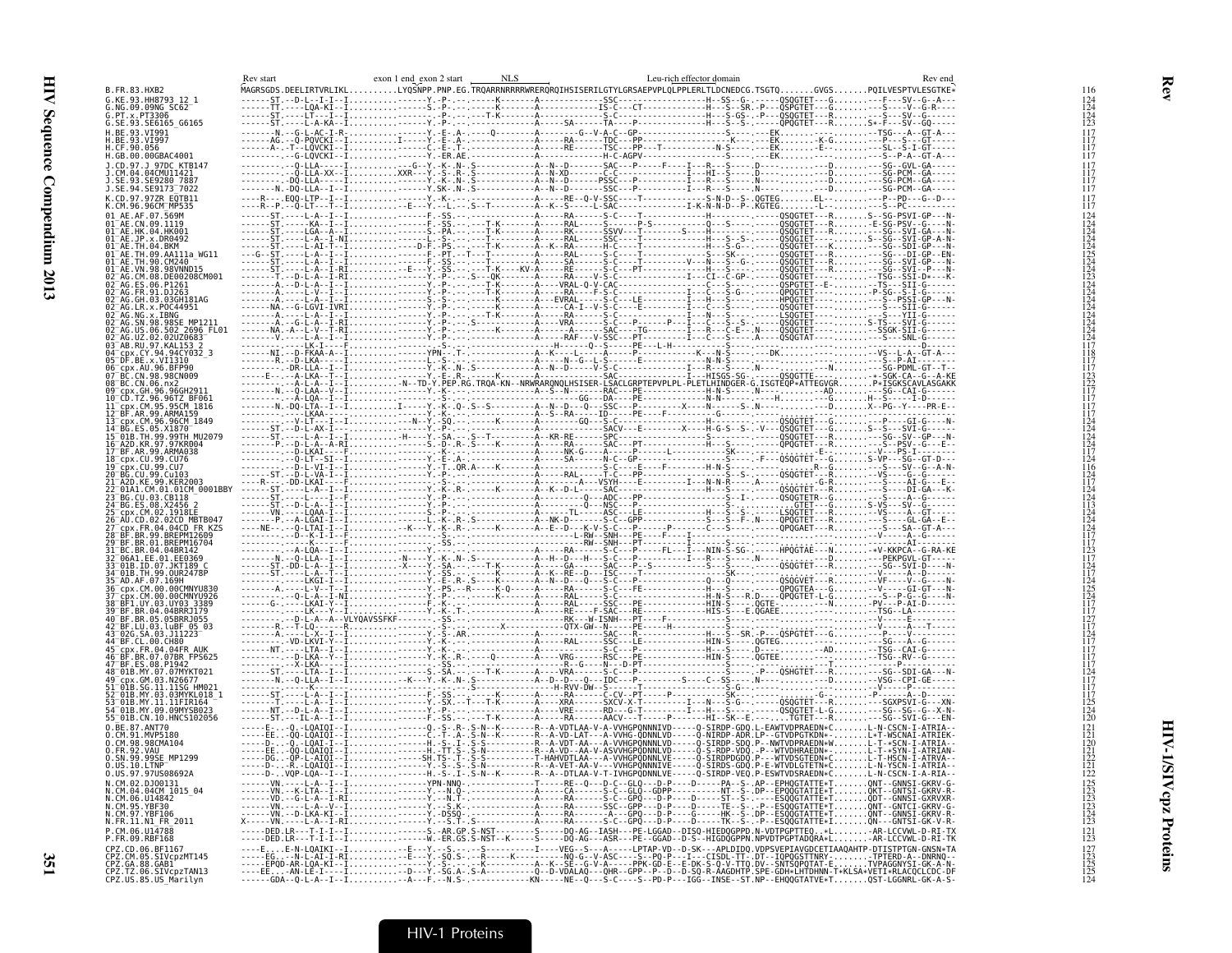|                                                                                                                                                                                                                                                                        | exon 1 end exon 2 start<br>Rev start | NLS | Leu-rich effector domain | Rev end |
|------------------------------------------------------------------------------------------------------------------------------------------------------------------------------------------------------------------------------------------------------------------------|--------------------------------------|-----|--------------------------|---------|
| B.FR.83.HXB2<br>G.KE.93.HH8793 12 1                                                                                                                                                                                                                                    |                                      |     |                          |         |
| G.NG.09.09NG SC62                                                                                                                                                                                                                                                      |                                      |     |                          |         |
| G.PT.x.PT3306<br>G.SE.93.SE6165_G6165                                                                                                                                                                                                                                  |                                      |     |                          |         |
| H.BE.93.VI991                                                                                                                                                                                                                                                          |                                      |     |                          |         |
| .BE.93.VĪ997<br>.CF.90.056                                                                                                                                                                                                                                             |                                      |     |                          |         |
| H.GB.00.00GBAC4001                                                                                                                                                                                                                                                     |                                      |     |                          |         |
| J.CD.97.J 97DC KTB147<br>J.CM.04.04CMU11421                                                                                                                                                                                                                            |                                      |     |                          |         |
| SE 93 SE9280                                                                                                                                                                                                                                                           |                                      |     |                          |         |
| J.SE.94.SE9173 <sup>-</sup> 7022                                                                                                                                                                                                                                       |                                      |     |                          |         |
| K.CD.97.97ZR EQTB11<br>K.CM.96.96CM_MP535                                                                                                                                                                                                                              |                                      |     |                          |         |
| 01 AE.AF.07.569M                                                                                                                                                                                                                                                       |                                      |     |                          |         |
| 01 <sup>–</sup> AE.HK.04.HK001<br>01 <sup>–</sup> AE.JP.x.DR0492                                                                                                                                                                                                       |                                      |     |                          |         |
| -AE.TH.04.BKM<br>-AE.TH.09.AA111a WG11                                                                                                                                                                                                                                 |                                      |     |                          |         |
| 01 <sup>-</sup> AE.TH.90.CM240                                                                                                                                                                                                                                         |                                      |     |                          |         |
| -AE.VN.98.98VNND15<br>-AE.VN.98.98VNND15<br>-AG.CM.08.DE00208CM001                                                                                                                                                                                                     |                                      |     |                          |         |
|                                                                                                                                                                                                                                                                        |                                      |     |                          |         |
|                                                                                                                                                                                                                                                                        |                                      |     |                          |         |
|                                                                                                                                                                                                                                                                        |                                      |     |                          |         |
|                                                                                                                                                                                                                                                                        |                                      |     |                          |         |
|                                                                                                                                                                                                                                                                        |                                      |     |                          |         |
|                                                                                                                                                                                                                                                                        |                                      |     |                          |         |
|                                                                                                                                                                                                                                                                        |                                      |     |                          |         |
|                                                                                                                                                                                                                                                                        |                                      |     |                          |         |
|                                                                                                                                                                                                                                                                        |                                      |     |                          |         |
|                                                                                                                                                                                                                                                                        |                                      |     |                          |         |
|                                                                                                                                                                                                                                                                        |                                      |     |                          |         |
|                                                                                                                                                                                                                                                                        |                                      |     |                          |         |
|                                                                                                                                                                                                                                                                        |                                      |     |                          |         |
|                                                                                                                                                                                                                                                                        |                                      |     |                          |         |
| 09 <sup>-</sup> cpx. GH. 96. 96GH2911<br>11 <sup>-</sup> cpx. CM. 96. 96T2 ВF061<br>12 - BE. AR. 99. ARMA159<br>12 - BE. AR. 99. ARMA159<br>13 - GK. CM. 99. ARMA159<br>15 - 01B. TH. 99. 99TH MU2079<br>15 - 01B. TH. 99. 99TH MU2079<br>17 BF. AR. 99. ARMA038<br>17 |                                      |     |                          |         |
|                                                                                                                                                                                                                                                                        |                                      |     |                          |         |
| A2D.KE.99.KER2003                                                                                                                                                                                                                                                      |                                      |     |                          |         |
| -01A1.CM.01.01CM_0001BBY<br>-BG.CU.03.CB118<br>-BG.ES.08.X2456_2                                                                                                                                                                                                       |                                      |     |                          |         |
|                                                                                                                                                                                                                                                                        |                                      |     |                          |         |
|                                                                                                                                                                                                                                                                        |                                      |     |                          |         |
| -ro.c.e.c.2.3.3.4.04CD FR KZS<br>-BF.BR.99.BREPM12609<br>-BF.BR.01.BREPM16704                                                                                                                                                                                          |                                      |     |                          |         |
| " BC.BR.04.04BR142<br>- BC.BR.04.04BR142<br>- 06A1.EE.01.EE0369<br>- 01B.TH.99.0UR2478P<br>- AD.AF.07.169H                                                                                                                                                             |                                      |     |                          |         |
|                                                                                                                                                                                                                                                                        |                                      |     |                          |         |
|                                                                                                                                                                                                                                                                        |                                      |     |                          |         |
|                                                                                                                                                                                                                                                                        |                                      |     |                          |         |
|                                                                                                                                                                                                                                                                        |                                      |     |                          |         |
|                                                                                                                                                                                                                                                                        |                                      |     |                          |         |
|                                                                                                                                                                                                                                                                        |                                      |     |                          |         |
|                                                                                                                                                                                                                                                                        |                                      |     |                          |         |
|                                                                                                                                                                                                                                                                        |                                      |     |                          |         |
|                                                                                                                                                                                                                                                                        |                                      |     |                          |         |
|                                                                                                                                                                                                                                                                        |                                      |     |                          |         |
| 01B.MY.11.11FIR164                                                                                                                                                                                                                                                     |                                      |     |                          |         |
| ,4-01B.MY.09.09MYSB023<br>5-01B.CN.10.HNCS102056                                                                                                                                                                                                                       |                                      |     |                          |         |
| $0.\overline{\mathsf{BE}}.87.\mathsf{ANT70}$                                                                                                                                                                                                                           |                                      |     |                          |         |
| 0.CM.91.MVP5180<br>0.CM.98.98CMA104                                                                                                                                                                                                                                    |                                      |     |                          |         |
|                                                                                                                                                                                                                                                                        |                                      |     |                          |         |
| 0.FR.92.VAU<br>0.SN.99.99SE_MP1299<br>0.US.10.LTNP                                                                                                                                                                                                                     |                                      |     |                          |         |
| 0.US.97.97US08692A                                                                                                                                                                                                                                                     |                                      |     |                          |         |
| v. CM. 02. DJ00131<br>N. CM. 02. DJ00131<br>N. CM. 04. 04CM_1015_04<br>N. CM. 06. U14842                                                                                                                                                                               |                                      |     |                          |         |
|                                                                                                                                                                                                                                                                        |                                      |     |                          |         |
| N.CM.95.YBF30<br>N.CM.95.YBF30<br>N.CM.97.YBF106<br>N.FR.11.N1_FR_2011                                                                                                                                                                                                 |                                      |     |                          |         |
| P.CM.06.U14788                                                                                                                                                                                                                                                         |                                      |     |                          |         |
| P.FR.09.RBF168                                                                                                                                                                                                                                                         |                                      |     |                          |         |
|                                                                                                                                                                                                                                                                        |                                      |     |                          |         |
|                                                                                                                                                                                                                                                                        |                                      |     |                          |         |
|                                                                                                                                                                                                                                                                        |                                      |     |                          |         |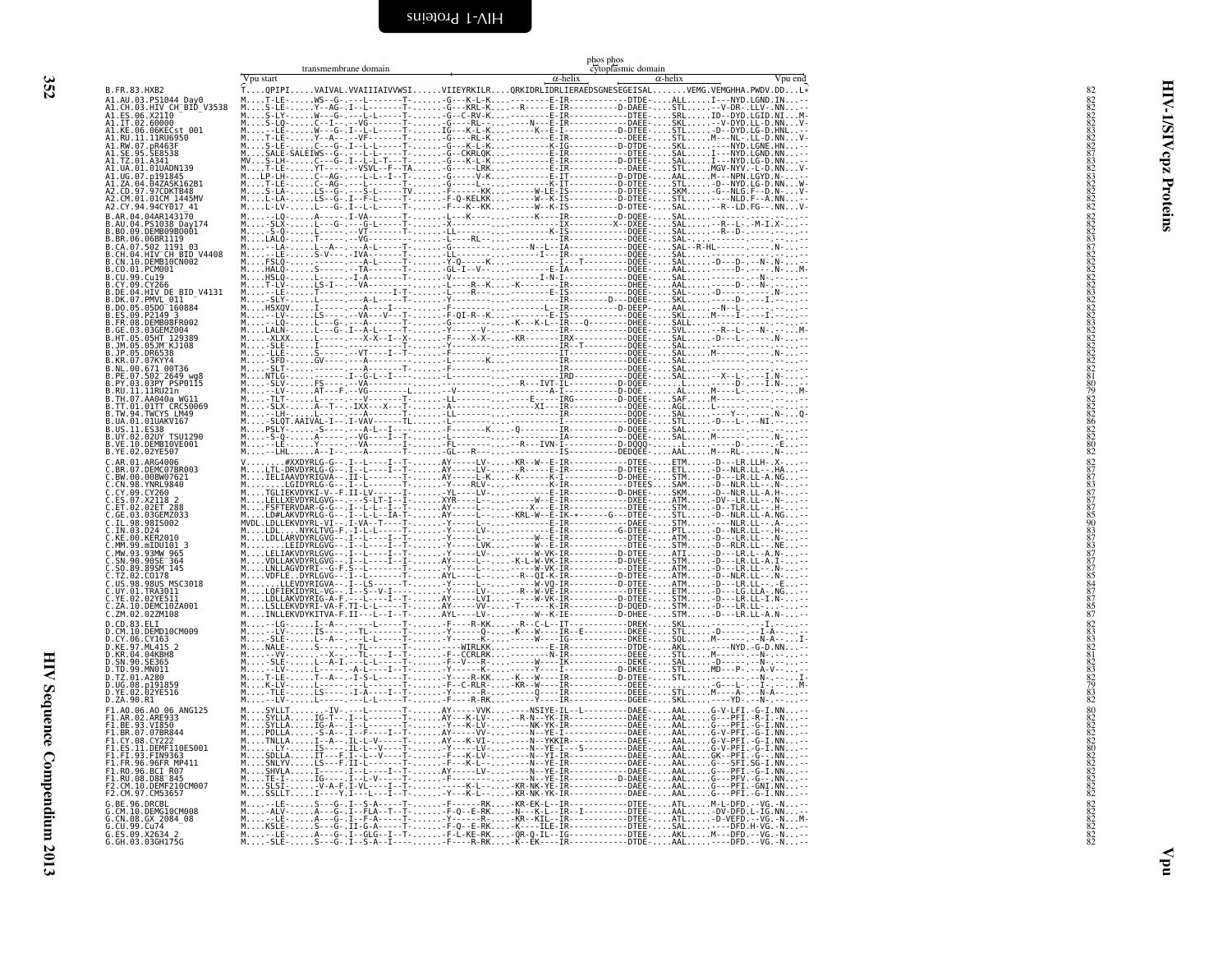transmembrane domain

<span id="page-41-1"></span>phos phos<br>cytoplasmic domain

|                                                                                                                                                                                                                                                 | Vpu start | суюртамия социац<br>$\alpha$ -helix<br>$\alpha$ -helix | Vpu end |
|-------------------------------------------------------------------------------------------------------------------------------------------------------------------------------------------------------------------------------------------------|-----------|--------------------------------------------------------|---------|
| B.FR.83.HXB2                                                                                                                                                                                                                                    |           |                                                        |         |
|                                                                                                                                                                                                                                                 |           |                                                        |         |
|                                                                                                                                                                                                                                                 |           |                                                        |         |
|                                                                                                                                                                                                                                                 |           |                                                        |         |
|                                                                                                                                                                                                                                                 |           |                                                        |         |
|                                                                                                                                                                                                                                                 |           |                                                        |         |
| A.01.01UADN139                                                                                                                                                                                                                                  |           |                                                        |         |
| G.07.p191845                                                                                                                                                                                                                                    |           |                                                        |         |
| 4.04.04ZASK162B1                                                                                                                                                                                                                                |           |                                                        |         |
| CD.97.97CDKTB48<br>CM.01.01CM 1445MV<br>CY.94.94CY017_41                                                                                                                                                                                        |           |                                                        |         |
| B.AR.04.04AR143170                                                                                                                                                                                                                              |           |                                                        |         |
| 04.PS1038 Day174                                                                                                                                                                                                                                |           |                                                        |         |
| .80.09.DEMB09B0001<br>.BR.00.06END10001<br>.BR.00.06EN1119<br>.CA.07.502 1191 03<br>.CH.04.HIV_CH_BID_V4408                                                                                                                                     |           |                                                        |         |
|                                                                                                                                                                                                                                                 |           |                                                        |         |
|                                                                                                                                                                                                                                                 |           |                                                        |         |
| CN.10.DEMB10CN002<br>CO.01.PCM001                                                                                                                                                                                                               |           |                                                        |         |
| ).99.Cu19<br>?.09.CY266                                                                                                                                                                                                                         |           |                                                        |         |
| B.DE.04.HIV DE_BID_V4131<br>B.DK.07.PMVL_011                                                                                                                                                                                                    |           |                                                        |         |
|                                                                                                                                                                                                                                                 |           |                                                        |         |
|                                                                                                                                                                                                                                                 |           |                                                        |         |
|                                                                                                                                                                                                                                                 |           |                                                        |         |
|                                                                                                                                                                                                                                                 |           |                                                        |         |
|                                                                                                                                                                                                                                                 |           |                                                        |         |
|                                                                                                                                                                                                                                                 |           |                                                        |         |
|                                                                                                                                                                                                                                                 |           |                                                        |         |
|                                                                                                                                                                                                                                                 |           |                                                        |         |
|                                                                                                                                                                                                                                                 |           |                                                        |         |
| B. DK. 87, FRVD. 100<br>B. D. 65, 6950 166884<br>B. D. 65, 6950 166884<br>B. FR. 68, DEMB988FR602<br>B. FR. 68, DEMB988FR602<br>B. FR. 68, 036472064<br>B. HT. 05, 695HT 129389<br>B. J. P. 65, 505HT 129389<br>B. J. P. 69, 505HT 129389<br>B. |           |                                                        |         |
|                                                                                                                                                                                                                                                 |           |                                                        |         |
|                                                                                                                                                                                                                                                 |           |                                                        |         |
| .US.11.ES38<br>.US.11.ES38<br>.UY.02.02UY TSU1290<br>.VE.10.DEMBI0VE001<br>.YE.02.02YE507                                                                                                                                                       |           |                                                        |         |
| C.AR.01.ARG4006                                                                                                                                                                                                                                 |           |                                                        |         |
| .BR.07.DEMC07BR003<br>.BW.00.00BW07621                                                                                                                                                                                                          |           |                                                        |         |
|                                                                                                                                                                                                                                                 |           |                                                        |         |
| C.BM.98.YNRL9840<br>C.CY.99.CY260<br>C.CY.99.CY260<br>C.ES.07.X2118 28<br>C.ET.02.036EMZ033<br>C.EL.98.9855002                                                                                                                                  |           |                                                        |         |
|                                                                                                                                                                                                                                                 |           |                                                        |         |
|                                                                                                                                                                                                                                                 |           |                                                        |         |
|                                                                                                                                                                                                                                                 |           |                                                        |         |
| 00.KER2010                                                                                                                                                                                                                                      |           |                                                        |         |
| 99.mIDU101 3                                                                                                                                                                                                                                    |           |                                                        |         |
| .93.93MW 965<br>.90.90SE 364<br>SO.89.89SM 145                                                                                                                                                                                                  |           |                                                        |         |
|                                                                                                                                                                                                                                                 |           |                                                        |         |
| .TZ.02.C0178<br>US.98.98US MSC3018<br>UY.01.TRA3011                                                                                                                                                                                             |           |                                                        |         |
| .02.02YE511<br>.10.DEMC10ZA001                                                                                                                                                                                                                  |           |                                                        |         |
| 1.02.02ZM108                                                                                                                                                                                                                                    |           |                                                        |         |
|                                                                                                                                                                                                                                                 |           |                                                        |         |
| D.CD.83.ELI<br>D.CM.10.DEMD10CM009                                                                                                                                                                                                              |           |                                                        |         |
|                                                                                                                                                                                                                                                 |           |                                                        |         |
|                                                                                                                                                                                                                                                 |           |                                                        |         |
| D.CY.06.CY163<br>D.CY.06.CY163<br>D.KR.04.04KBH8<br>D.SN.90.SE365<br>D.TD.99.MN011                                                                                                                                                              |           |                                                        |         |
| D.TZ.01.A280                                                                                                                                                                                                                                    |           |                                                        |         |
| D.16.01.A200<br>D.UG.08.p191859<br>D.YE.02.02YE516                                                                                                                                                                                              |           |                                                        |         |
| D.ZA.90.R1                                                                                                                                                                                                                                      |           |                                                        |         |
| <b><i>D. ZA. 30. 0.1</i></b><br>F1. AR. 02. ARE933<br>F1. AR. 02. ARE933<br>F1. BE. 93. VI850<br>E1. BR. 07. 07BR844                                                                                                                            |           |                                                        |         |
|                                                                                                                                                                                                                                                 |           |                                                        |         |
| Y.08.CY222                                                                                                                                                                                                                                      |           |                                                        |         |
| S.11.DEMF110ES001<br>I.93.FIN9363                                                                                                                                                                                                               |           |                                                        |         |
| .96.96FR MP411                                                                                                                                                                                                                                  |           |                                                        |         |
| 10.96.BCI R07<br>10.96.BCI R07<br>1U.08.D88 845                                                                                                                                                                                                 |           |                                                        |         |
| M.10.DEMF210CM007                                                                                                                                                                                                                               |           |                                                        |         |
| 97. CM53657<br>96.DRCBL                                                                                                                                                                                                                         |           |                                                        |         |
| 10.DEMG10CM008                                                                                                                                                                                                                                  |           |                                                        |         |
| .CN.08.GX 2084 08                                                                                                                                                                                                                               |           |                                                        |         |
| G.CU.99.Cu74<br>G.ES.09.X2634 2<br>G.GH.03.03GH175G                                                                                                                                                                                             |           |                                                        |         |
|                                                                                                                                                                                                                                                 |           |                                                        |         |

დელია დე დე სახელი და სახელი დე და და და და სახელი დე სახელი დე სახელი დე სახელი დე სახელი დე დე სახელი დე სახ<br>დე სახელი დე სახელი დე სახელი დე სახელი დე სახელი დე სახელი დე სახელი დე სახელი დე სახელი დე სახელი დე სახელ

<span id="page-41-0"></span>352

 $\mathbf{u}$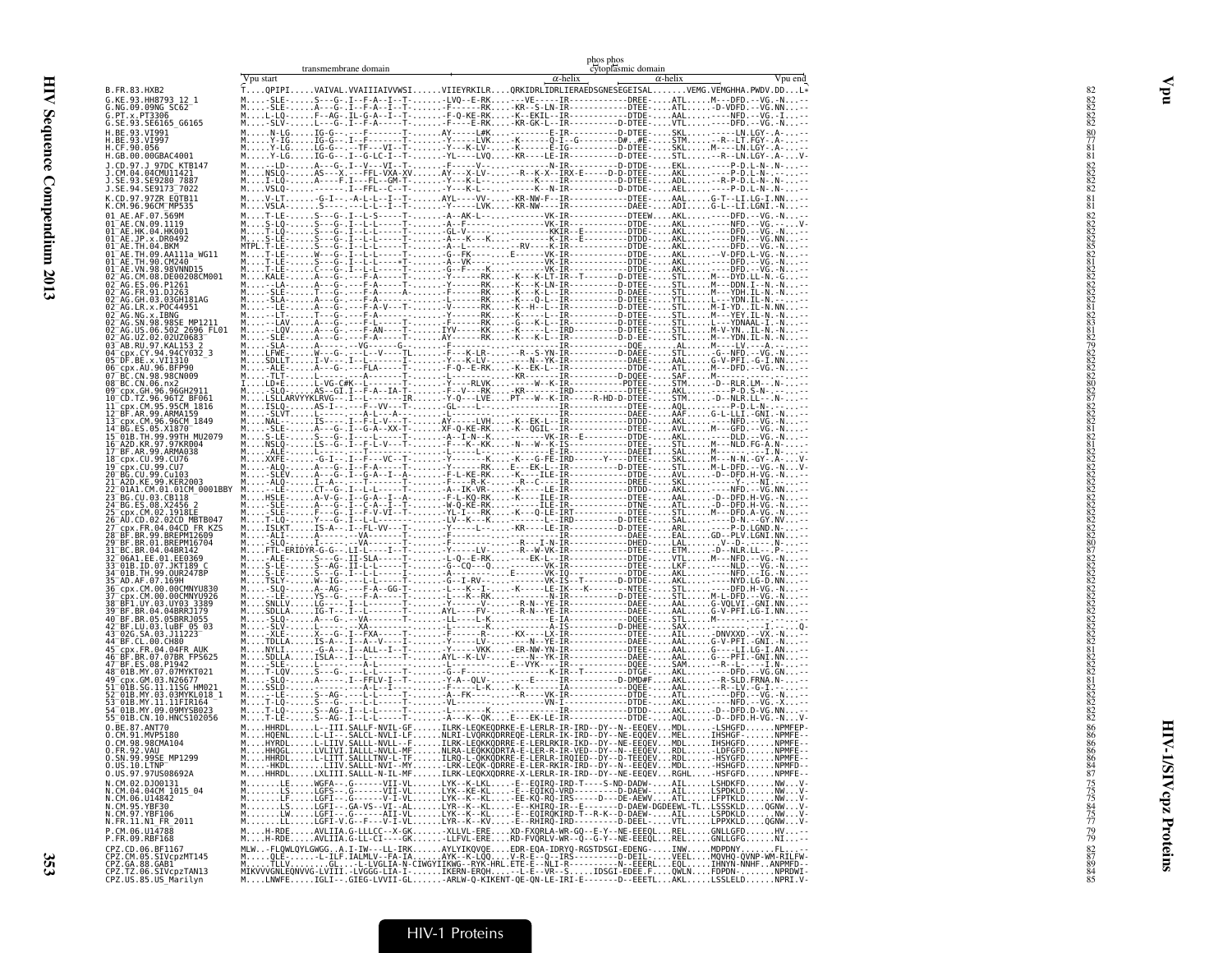|                                                                                                             |           | transmembrane domain                                                                                                                                                                                                                 |  | phos phos<br>cytoplasmic domain |                 |         |
|-------------------------------------------------------------------------------------------------------------|-----------|--------------------------------------------------------------------------------------------------------------------------------------------------------------------------------------------------------------------------------------|--|---------------------------------|-----------------|---------|
| B.FR.83.HXB2                                                                                                | Vpu start | TQPIPIVAIVAL.VVAIIIAIVVWSIVIIEYRKILRQRKIDRLIDRLIERAEDSGNESEGEISALVEMG.VEMGHHA.PWDV.DDL*                                                                                                                                              |  | $\alpha$ -helix                 | $\alpha$ -helix | Vpu end |
| G.KE.93.HH8793_12_1<br>G.NG.09.09NG SC62                                                                    |           | -SLE-S---G-.I--F-A--I--T--LVQ--E-RK---VE-----IR------------DREE-ATLM---DFD.--VG.-N                                                                                                                                                   |  |                                 |                 |         |
| G.PT.x.PT3306<br>G.SE.93.SE6165_G6165                                                                       |           |                                                                                                                                                                                                                                      |  |                                 |                 |         |
| H.BE.93.VI991<br>H.BE.93.VI997                                                                              |           |                                                                                                                                                                                                                                      |  |                                 |                 |         |
| H.CF.90.056<br>H.GB.00.00GBAC4001                                                                           |           |                                                                                                                                                                                                                                      |  |                                 |                 |         |
| J.CD.97.J 97DC KTB147<br>J.CM.04.04CMU11421<br>J.SE.93.SE9280 7887                                          |           |                                                                                                                                                                                                                                      |  |                                 |                 |         |
| J.SE.94.SE9173 <sup>-</sup> 7022                                                                            |           |                                                                                                                                                                                                                                      |  |                                 |                 |         |
| K.CD.97.97ZR EQTB11<br>K.CM.96.96CM_MP535                                                                   |           |                                                                                                                                                                                                                                      |  |                                 |                 |         |
| 01 AE.AF.07.569M<br>01 <sup>-</sup> AE.CN.09.1119<br>01 <sup>-</sup> AE.HK.04.HK001                         |           |                                                                                                                                                                                                                                      |  |                                 |                 |         |
| 01 <sup>-</sup> AE.JP.x.DR0492<br>01 <sup>-</sup> AE.TH.04.BKM                                              |           |                                                                                                                                                                                                                                      |  |                                 |                 |         |
| 01 <sup>-</sup> AE.TH.09.AA111a WG11<br>01 <sup>-</sup> AE.TH.90.CM240<br>01 <sup>-</sup> AE.VN.98.98VNND15 |           |                                                                                                                                                                                                                                      |  |                                 |                 |         |
| 02 <sup>-</sup> AG.CM.08.DE00208CM001<br>02 <sup>-</sup> AG.ES.06.P1261                                     |           |                                                                                                                                                                                                                                      |  |                                 |                 |         |
| 02 <sup>-</sup> AG.FR.91.DJ263<br>02 AG.GH.03.03GH181AG<br>02 AG.LR.x.POC44951                              |           |                                                                                                                                                                                                                                      |  |                                 |                 |         |
| 02 <sup>-</sup> AG.NG.x.IBNG                                                                                |           |                                                                                                                                                                                                                                      |  |                                 |                 |         |
| 02 <sup>-</sup> AG.SN.98.98SE MP1211<br>02_AG.US.06.502_2696_FL01<br>02_AG.UZ.02.02UZ0683_                  |           |                                                                                                                                                                                                                                      |  |                                 |                 |         |
| 03 <sup>-</sup> AB.RU.97.KAL153 2<br>04 <sup>-</sup> cpx.CY.94.94CY032 3                                    |           |                                                                                                                                                                                                                                      |  |                                 |                 |         |
| 05 DF.BE.x.VII310<br>06 cpx.AU.96.BFP90                                                                     |           |                                                                                                                                                                                                                                      |  |                                 |                 |         |
| 07 BC.CN.98.98CN009<br>08 <sup>-</sup> BC.CN.06.nx2<br>09 cpx.GH.96.96GH2911                                |           |                                                                                                                                                                                                                                      |  |                                 |                 |         |
| 10 <sup>-</sup> CD.TZ.96.96TZ_BF061<br>L1 cpx.CM.95.95CM 1816<br>L2 BF.AR.99.ARMA159                        |           |                                                                                                                                                                                                                                      |  |                                 |                 |         |
| 13 cpx.CM.96.96CM_1849<br>14 BG.ES.05.X1870                                                                 |           |                                                                                                                                                                                                                                      |  |                                 |                 |         |
| L5 <sup>-</sup> 01B.TH.99.99TH MU2079<br>L6 <sup>-</sup> A2D.KR.97.97KR004                                  |           |                                                                                                                                                                                                                                      |  |                                 |                 |         |
| 17 BF.AR.99.ARMA038<br>18_cpx.CU.99.CU76                                                                    |           |                                                                                                                                                                                                                                      |  |                                 |                 |         |
| L9 cpx.CU.99.CU7<br>20 BG.CU.99.Cu103                                                                       |           |                                                                                                                                                                                                                                      |  |                                 |                 |         |
| 1 <sup>-</sup> A2D.KE.99.KER2003<br>01A1.CM.01.01CM 0001BBY=                                                |           |                                                                                                                                                                                                                                      |  |                                 |                 |         |
|                                                                                                             |           |                                                                                                                                                                                                                                      |  |                                 |                 |         |
| 6 <sup>-</sup> AU.CD.02.02CD MBTB047                                                                        |           |                                                                                                                                                                                                                                      |  |                                 |                 |         |
| !9 BF.BR.01.BREPM16704                                                                                      |           |                                                                                                                                                                                                                                      |  |                                 |                 |         |
| 1 <sup>-</sup> BC.BR.04.04BR142<br>2 <sup>-</sup> 06A1.EE.01.EE0369                                         |           |                                                                                                                                                                                                                                      |  |                                 |                 |         |
| 3 <sup>-</sup> 01B.ID.07.JKT189 C<br>4 <sup>-</sup> 01B.TH.99.OUR2478P<br>5 <sup>-</sup> AD.AF.07.169H      |           |                                                                                                                                                                                                                                      |  |                                 |                 |         |
| 86 <sup>−</sup> срх.СМ.00.00СМNYU830<br>37 cpx.cm.00.00CMNYU926<br>38 BF1.UY.03.UY03.3389                   |           |                                                                                                                                                                                                                                      |  |                                 |                 |         |
| 39 <sup>-</sup> BF.BR.04.04BRRJ179<br>40 BF.BR.05.05BRRJ055                                                 |           |                                                                                                                                                                                                                                      |  |                                 |                 |         |
| 42 BF.LU.03.luBF 05 03<br>43 02G.SA.03.J11223                                                               |           |                                                                                                                                                                                                                                      |  |                                 |                 |         |
| 44 <sup>-</sup> BF.CL.00.CH80<br>45 cpx.FR.04.04FR AUK<br>46 BF.BR.07.07BR FPS625                           |           |                                                                                                                                                                                                                                      |  |                                 |                 |         |
| 47 BF.ES.08.P1942<br>48 <sup>-</sup> 01B.MY.07.07MYKT021                                                    |           |                                                                                                                                                                                                                                      |  |                                 |                 |         |
| 49 <sup>-</sup> cpx.GM.03.N26677                                                                            |           |                                                                                                                                                                                                                                      |  |                                 |                 |         |
| 1-01B.SG.11.11SG HM021<br>2-01B.MY.03.03MYKL018 1<br>3 <sup>-</sup> 01B.MY.11.11FIR164                      |           |                                                                                                                                                                                                                                      |  |                                 |                 |         |
| i4 <sup>−</sup> 01В.MY.09.09MYSB023<br>55_01B.CN.10.HNCS102056                                              |           |                                                                                                                                                                                                                                      |  |                                 |                 |         |
| 0.BE.87.ANT70<br>0.CM.91.MVP5180                                                                            |           |                                                                                                                                                                                                                                      |  |                                 |                 |         |
| Ŏ.ČM.98.98CMĀIŎ4<br>O.FR.92.VAU                                                                             |           | MONORHOLOGICAL SALL-NVLI-LE-ONORA LLVORRODREGE-LERLR-IR-IRD--DY--NE-EEQGEVMELIHSHGFNPMFE--<br>MONORHOLOGICAL LEIV-SALL-NVLI-FILRK-LEQKRODREGE-LERLRKIR-IRD--DY--NE-EEQGEVMELIHSHGFNPMFE-<br>MONO                                     |  |                                 |                 |         |
| 0.SN.99.99SE_MP1299<br>0.US.10.LTNP <sup>------</sup> -<br>0.US.97.97US08692A                               |           | MIIIIHADEIIIIEIETTISALLETNVILITEIIIIKO-LOKKODKRE-E-LERLR-IROIED--DY--D-TEEOEVIIRDEIIII-HSYGEDIIIIHMMEE--<br>MIIIIIHMOEIIIIIIIIKOALLETNYI-MYIIIIKOOROOROORRE-E-LER-RKIR-IRO--DY--N--EEOEVIIMDEIIIIIHMOOROORIIIIHMMOOROORII<br>MIIIIHH |  |                                 |                 |         |
|                                                                                                             |           |                                                                                                                                                                                                                                      |  |                                 |                 |         |
| N.CM.02.DJ00131<br>N.CM.02.DJ00131<br>N.CM.06.U14842<br>N.CM.95.YBF30<br>N.CM.95.YBF30<br>N.CM.97.YBF106    |           |                                                                                                                                                                                                                                      |  |                                 |                 |         |
| N.FR.11.N1 FR 2011                                                                                          |           |                                                                                                                                                                                                                                      |  |                                 |                 |         |
| P.CM.06.U14788<br>P.FR.09.RBF168                                                                            |           | MH-RDEAVLIIA.G-LLLCC--X-GK-XLLVL-EREXD-FXQRLA-WR-GQ--E-Y--NE-EEEQLRELGNLLGFDHV<br>MH-RDEAVLIIA.G-LL-CI----GK-LLFVL-ERERD-FVQRLV-WR--Q--G-Y--NE-EEEQLRELGNLLGFGN                                                                      |  |                                 |                 |         |
|                                                                                                             |           |                                                                                                                                                                                                                                      |  |                                 |                 |         |
|                                                                                                             |           |                                                                                                                                                                                                                                      |  |                                 |                 |         |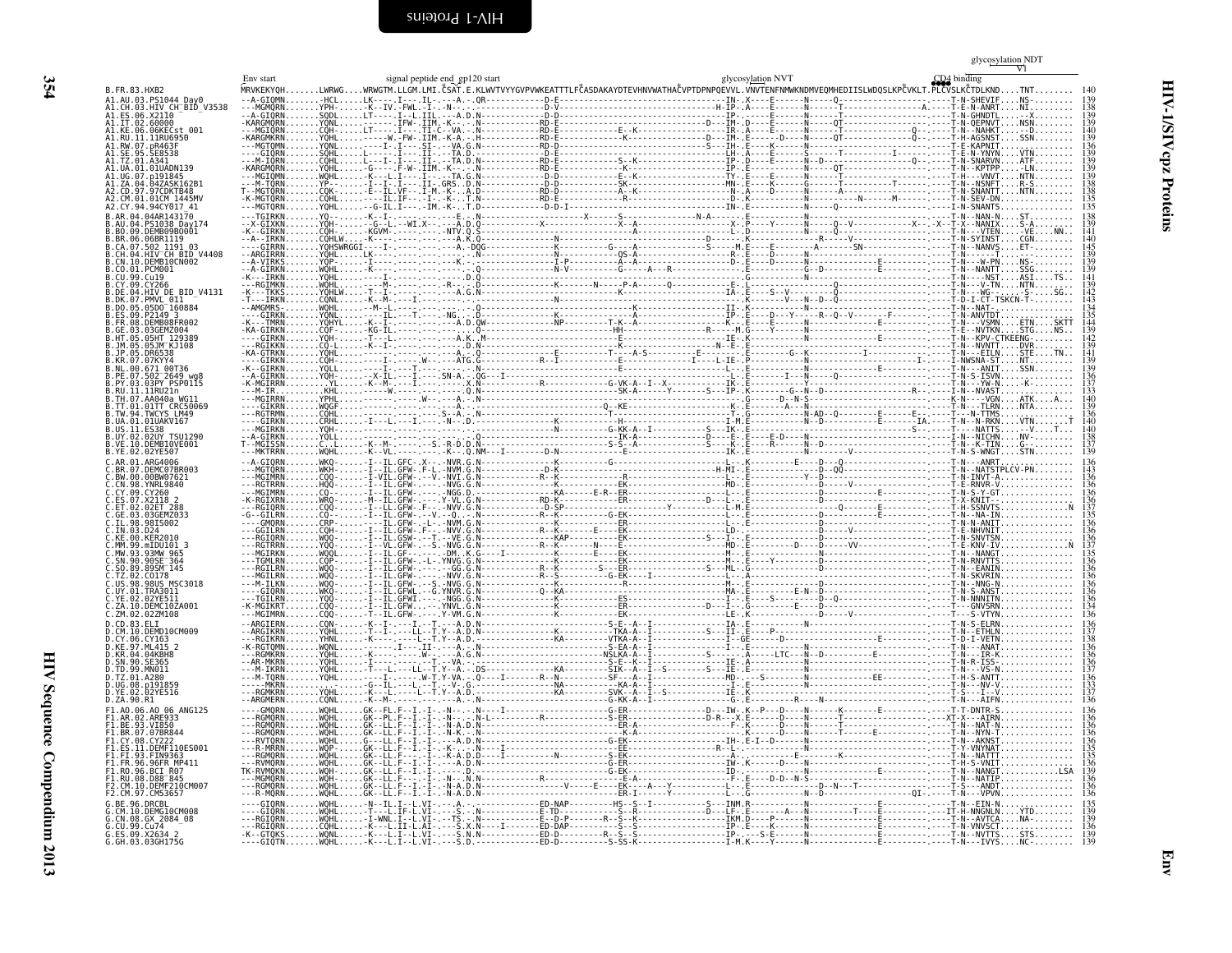<span id="page-43-1"></span>

|                                                                                                                         |  |  |  |                                                                                                                                                                                                                               |  |  | glycosylation NDT |  |
|-------------------------------------------------------------------------------------------------------------------------|--|--|--|-------------------------------------------------------------------------------------------------------------------------------------------------------------------------------------------------------------------------------|--|--|-------------------|--|
|                                                                                                                         |  |  |  | Env start (DA bindling of the signal peptide end gp120 start of the start and spicesylation NVT (DA bindling the CDA bindling of the Same of the Same of the Same of the Same of the Same of the Same of the Same of the Same |  |  |                   |  |
| B.FR.83.HXB2<br>A1.AU.03.PS1044 Day0                                                                                    |  |  |  |                                                                                                                                                                                                                               |  |  | T-N-SHEVIF        |  |
| A1.CH.03.HIV CH-BID<br>A1.ES.06.X21I0<br>A1.ES.06.X21I0<br>A1.IT.02.60000<br>A1.IKE.06.06KECst 001<br>A1.RU.11.11RU6950 |  |  |  |                                                                                                                                                                                                                               |  |  |                   |  |
|                                                                                                                         |  |  |  |                                                                                                                                                                                                                               |  |  |                   |  |
| A1.RW.07.pR463F                                                                                                         |  |  |  |                                                                                                                                                                                                                               |  |  |                   |  |
| 41.SE.95.SE8538                                                                                                         |  |  |  |                                                                                                                                                                                                                               |  |  |                   |  |
| A1.UA.01.01UADN139<br>41.UG.07.n191845                                                                                  |  |  |  |                                                                                                                                                                                                                               |  |  |                   |  |
| AI.ZA.04.04ZASK162B1<br>A2.CD.97.97CDKTB48                                                                              |  |  |  |                                                                                                                                                                                                                               |  |  |                   |  |
| A2.CY.94.94CY017 41                                                                                                     |  |  |  |                                                                                                                                                                                                                               |  |  |                   |  |
| B.AR.04.04AR143170                                                                                                      |  |  |  |                                                                                                                                                                                                                               |  |  |                   |  |
| B.AU.04.PS1038 Day174<br>B.BO.09.DEMB09B0001                                                                            |  |  |  |                                                                                                                                                                                                                               |  |  |                   |  |
| B.BR.06.06BR1119<br>B.CA.07.502 1191 03<br>B.CA.07.502 1191 03<br>B.CH.04.H <u>IV CH BID</u> V4408                      |  |  |  |                                                                                                                                                                                                                               |  |  |                   |  |
| CN.10.DEMB10CN002                                                                                                       |  |  |  |                                                                                                                                                                                                                               |  |  |                   |  |
| B.CO.O1.PCM001<br>B.CU.99.Cu19                                                                                          |  |  |  |                                                                                                                                                                                                                               |  |  |                   |  |
| 3. CY.09. CY266<br>B.DE.04.HIV DE BID V4131                                                                             |  |  |  |                                                                                                                                                                                                                               |  |  |                   |  |
| B.DK.07.PMVL 011<br>B.DO.05.05DO 160884                                                                                 |  |  |  |                                                                                                                                                                                                                               |  |  |                   |  |
| B.ES.09.P2149<br>B.ER.08.DEMB08FR002<br>B.GE.03.03GEMZ004<br>B.HT.05.05HT_129389<br>B.JM.05.05HT_129389                 |  |  |  |                                                                                                                                                                                                                               |  |  |                   |  |
|                                                                                                                         |  |  |  |                                                                                                                                                                                                                               |  |  |                   |  |
|                                                                                                                         |  |  |  |                                                                                                                                                                                                                               |  |  |                   |  |
|                                                                                                                         |  |  |  |                                                                                                                                                                                                                               |  |  |                   |  |
| .PE.07.502 <sup>-</sup> 2649 wq                                                                                         |  |  |  |                                                                                                                                                                                                                               |  |  |                   |  |
| .PY.03.03PY PSP0115<br>.RU.11.11RU21n<br>.TH.07.AA040a_WG11                                                             |  |  |  |                                                                                                                                                                                                                               |  |  |                   |  |
|                                                                                                                         |  |  |  |                                                                                                                                                                                                                               |  |  |                   |  |
| B.TT.01.01TT CRC50069<br>B.TW.94.TWCYS_LM49                                                                             |  |  |  |                                                                                                                                                                                                                               |  |  |                   |  |
| .UA.01.01UAKV167                                                                                                        |  |  |  |                                                                                                                                                                                                                               |  |  |                   |  |
| B.US.11.ES38<br>B.UY.02.02UY TSU1290<br>B.VE.10.DEMB10VE001<br>B.YE.02.02YE507                                          |  |  |  |                                                                                                                                                                                                                               |  |  |                   |  |
| .ARG4006                                                                                                                |  |  |  |                                                                                                                                                                                                                               |  |  |                   |  |
| DEMC07BR003                                                                                                             |  |  |  |                                                                                                                                                                                                                               |  |  |                   |  |
| C.BW.00.00BW07621<br>C.CN.98.YNRL9840                                                                                   |  |  |  |                                                                                                                                                                                                                               |  |  |                   |  |
| C.CY.09.CY260<br>C.ES.07.X2118 2                                                                                        |  |  |  |                                                                                                                                                                                                                               |  |  |                   |  |
| Č.ĒŤ.02.02ĒŤ 288<br>C.GE.03.03GEMZ033                                                                                   |  |  |  |                                                                                                                                                                                                                               |  |  |                   |  |
| 98IS002<br>C.IN.03.D24                                                                                                  |  |  |  |                                                                                                                                                                                                                               |  |  |                   |  |
| KE.00.KER2010                                                                                                           |  |  |  |                                                                                                                                                                                                                               |  |  |                   |  |
| Č.MM.99.mIDU101 3<br>C.MW.93.93MW 965<br>C.SN.90.90SE 364                                                               |  |  |  |                                                                                                                                                                                                                               |  |  |                   |  |
| C.SO.89.89SM 145                                                                                                        |  |  |  |                                                                                                                                                                                                                               |  |  |                   |  |
| C.TZ.02.C0178<br>C.US.98.98US M<br>_<br>MSC3018                                                                         |  |  |  |                                                                                                                                                                                                                               |  |  |                   |  |
| .UY.01.TRA3011                                                                                                          |  |  |  |                                                                                                                                                                                                                               |  |  |                   |  |
|                                                                                                                         |  |  |  |                                                                                                                                                                                                                               |  |  |                   |  |
| C.YE.02.02YE511<br>C.ZA.10.DEMC10ZA001<br>C.ZM.02.02ZM108<br>D.CD.83.ELI<br>D.CM.10.DEMD10CM009                         |  |  |  |                                                                                                                                                                                                                               |  |  |                   |  |
|                                                                                                                         |  |  |  |                                                                                                                                                                                                                               |  |  |                   |  |
| D.CY.06.CY163<br>D.KE.97.ML415 2<br>D.KR.04.04KBH8                                                                      |  |  |  |                                                                                                                                                                                                                               |  |  |                   |  |
| <b>SE365</b><br>).TD.99.MN011                                                                                           |  |  |  |                                                                                                                                                                                                                               |  |  |                   |  |
| D.TZ.01.A280<br>D.UG.08.p191859                                                                                         |  |  |  |                                                                                                                                                                                                                               |  |  |                   |  |
| D.YE.02.02YE516<br>D.ZA.90.R1                                                                                           |  |  |  |                                                                                                                                                                                                                               |  |  |                   |  |
| F1.A0.06.A0 06 ANG125<br>F1.AR.02.ARE933                                                                                |  |  |  |                                                                                                                                                                                                                               |  |  |                   |  |
| F1.BE.93.VI850                                                                                                          |  |  |  |                                                                                                                                                                                                                               |  |  |                   |  |
| F1.BR.07.07BR844<br>F1.CY.08.CY222                                                                                      |  |  |  |                                                                                                                                                                                                                               |  |  |                   |  |
| F1.ES.11.DEMF110ES001<br>F1.FI.93.FIN9363<br>F1.FR.96.96FR MP411                                                        |  |  |  |                                                                                                                                                                                                                               |  |  |                   |  |
| FI.RO.96.BCI R07                                                                                                        |  |  |  |                                                                                                                                                                                                                               |  |  |                   |  |
| $-1.00.08.088 - 845$<br>F2.CM.10.DEMF210CM007                                                                           |  |  |  |                                                                                                                                                                                                                               |  |  |                   |  |
| 2.CM.97.CM53657                                                                                                         |  |  |  |                                                                                                                                                                                                                               |  |  |                   |  |
| BE.96.DRCBL<br>DEWG10CM008                                                                                              |  |  |  |                                                                                                                                                                                                                               |  |  |                   |  |
| G.CN.08.DEMS10CM008<br>G.CN.08.GX 2084_08<br>G.CU.99.Cu74<br>G.ES.09.X2634 2<br>G.GH.03.03GH175G                        |  |  |  |                                                                                                                                                                                                                               |  |  |                   |  |
|                                                                                                                         |  |  |  |                                                                                                                                                                                                                               |  |  |                   |  |

<span id="page-43-0"></span>354

Env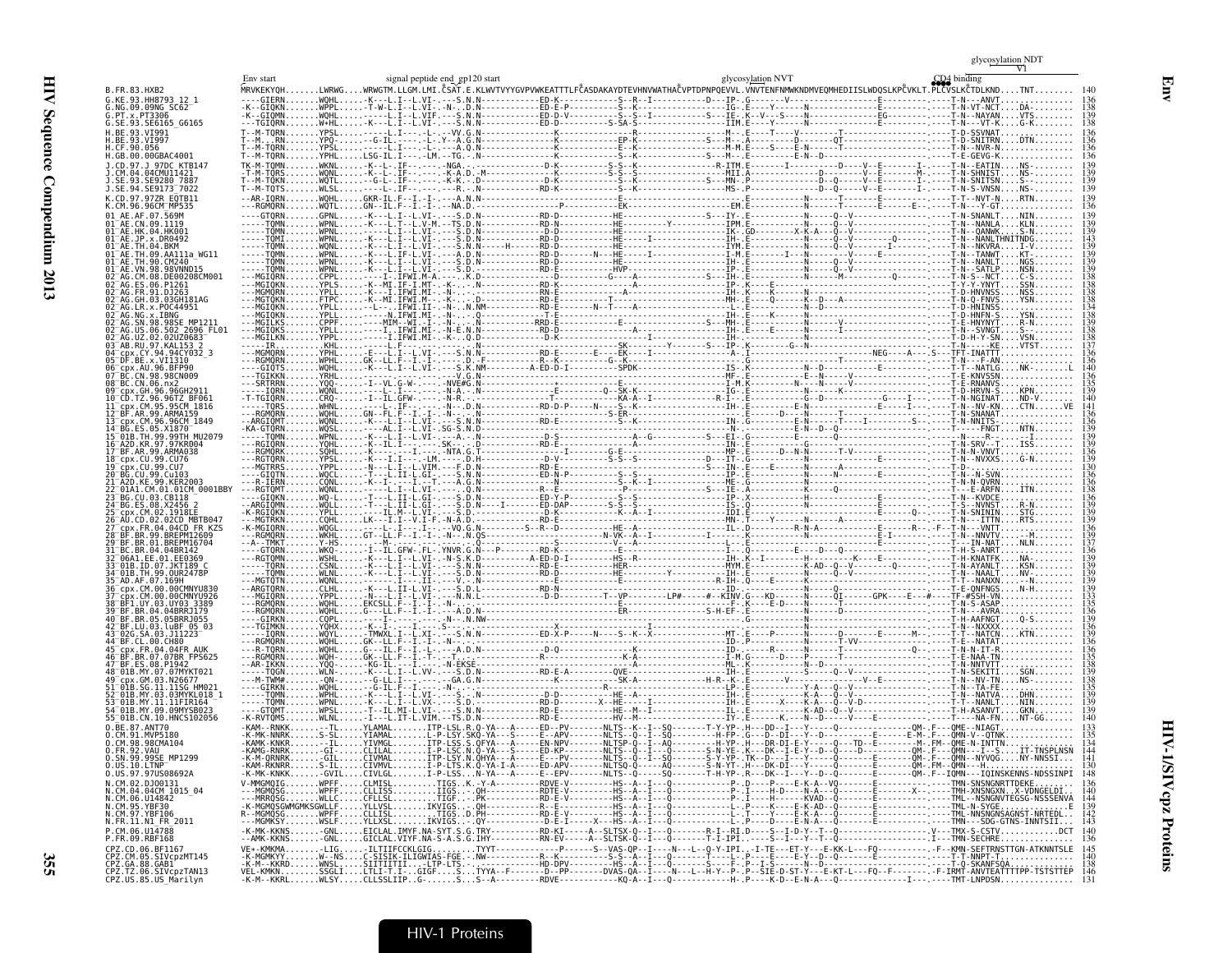|                                                            |                                  | signal peptide end gp120 start                                                                                                              |                                                     |                                                                                                   | glycosylation NVT | CD <sub>4</sub> binding                         |
|------------------------------------------------------------|----------------------------------|---------------------------------------------------------------------------------------------------------------------------------------------|-----------------------------------------------------|---------------------------------------------------------------------------------------------------|-------------------|-------------------------------------------------|
| FR 83 HXR2                                                 | <b>MRVKFKY0H</b>                 | .LWRWGWRWGTM.LLGM.LMI.ČSAT.E.KLWVTVYYGVPVWKEATTTLFČASDAKAYDTEVHNVWATHAČVPTDPNPQEVVL.VNVTENFNMWKNDMVEQMHEDIISLWDQSLKPČVKLT.PLČVSLKČTDLKNDTNT |                                                     |                                                                                                   |                   |                                                 |
|                                                            |                                  |                                                                                                                                             |                                                     |                                                                                                   |                   |                                                 |
| SE.93.SE6165 G6165                                         | -TGIQRN.                         | .W*HL                                                                                                                                       |                                                     |                                                                                                   |                   |                                                 |
| BE.93.VI991                                                | M-TORN                           | YPSI<br>$-1 - -1$ $-1$ $\sqrt{V}$ $\sqrt{6}$ $N$ .                                                                                          |                                                     |                                                                                                   |                   |                                                 |
| GB.00.00GBAC4001                                           | -M-TORN.                         | . YPHL                                                                                                                                      |                                                     |                                                                                                   |                   |                                                 |
| 1 97DC KTR147                                              | <b>FK-M-TOMN</b>                 | . WKNL                                                                                                                                      |                                                     |                                                                                                   |                   |                                                 |
|                                                            |                                  |                                                                                                                                             |                                                     |                                                                                                   |                   |                                                 |
| SE.94.SE9173 <sup>-</sup> 7022<br>CD 97 977R FOTR11        | --M-TQTS                         |                                                                                                                                             |                                                     |                                                                                                   |                   |                                                 |
|                                                            |                                  |                                                                                                                                             |                                                     |                                                                                                   |                   |                                                 |
|                                                            |                                  |                                                                                                                                             |                                                     |                                                                                                   |                   |                                                 |
| 04 HK001<br>x.DR0492                                       | <b>TOMN</b><br>TÒMI.             | WPNI                                                                                                                                        |                                                     |                                                                                                   |                   |                                                 |
|                                                            |                                  |                                                                                                                                             |                                                     |                                                                                                   |                   |                                                 |
| 98VNND15                                                   |                                  | ·K---L.I--L.VI-.                                                                                                                            |                                                     |                                                                                                   |                   |                                                 |
| DE00208CM001                                               |                                  |                                                                                                                                             |                                                     |                                                                                                   |                   |                                                 |
| GH.03.03GH181AG                                            |                                  |                                                                                                                                             |                                                     |                                                                                                   |                   |                                                 |
| LR.x.POC44951                                              |                                  |                                                                                                                                             |                                                     |                                                                                                   |                   |                                                 |
| x.IBNG<br>98.98SE MP1211                                   |                                  |                                                                                                                                             |                                                     |                                                                                                   |                   |                                                 |
| 06.502_2696_FL01<br>AG.UZ.02.02UZ0683<br>AB.RU.97.KAL153 2 | -MGIQKS<br>---MGILKN             |                                                                                                                                             |                                                     |                                                                                                   |                   |                                                 |
| cpx.CY.94.94CY032 3                                        |                                  |                                                                                                                                             |                                                     |                                                                                                   |                   |                                                 |
| AU.96.BFP90                                                |                                  |                                                                                                                                             |                                                     |                                                                                                   |                   |                                                 |
| CN.98.98CN009<br>BC.CN.06.nx2                              | - SRTRRN.                        | <b>YRHI</b><br>$Y00 -$                                                                                                                      |                                                     |                                                                                                   |                   | RNANVS                                          |
|                                                            |                                  |                                                                                                                                             |                                                     |                                                                                                   |                   | HRVN-S                                          |
| 95.95CM 1816                                               | - - - TORS                       |                                                                                                                                             |                                                     |                                                                                                   |                   | N--NV-KNCTN<br>N-SNANAT                         |
| 99 ARMA159<br>96.96CM 1849                                 | <b>RGMORN</b><br>ARGIOMT.        |                                                                                                                                             |                                                     |                                                                                                   |                   |                                                 |
| MU2079                                                     | ·KA-GTÓRN                        |                                                                                                                                             |                                                     |                                                                                                   |                   |                                                 |
| KR.97.97KR004<br>99.ARMA038                                | -RGIQRN.<br>-RGMORK              |                                                                                                                                             |                                                     |                                                                                                   |                   |                                                 |
| 99.CU76<br>19. CLI7                                        | -RGTORN.<br>- MGTRRS             | YPSL                                                                                                                                        |                                                     |                                                                                                   |                   |                                                 |
|                                                            | -6101<br>R-TÉRN                  |                                                                                                                                             |                                                     |                                                                                                   |                   |                                                 |
| 01CM 0001BBY<br>CR118                                      | -GTOKN                           |                                                                                                                                             |                                                     |                                                                                                   |                   |                                                 |
|                                                            |                                  |                                                                                                                                             |                                                     |                                                                                                   |                   |                                                 |
| 02.02CD MBTB047                                            |                                  |                                                                                                                                             |                                                     |                                                                                                   |                   |                                                 |
| .04CD FR KZS<br>99 RRFPM12609                              | K-MGIORN<br>- RGMORN             |                                                                                                                                             |                                                     |                                                                                                   |                   | - N - - - VNTT<br>-N - -NNVTV                   |
| 01.BREPM16704                                              |                                  |                                                                                                                                             |                                                     |                                                                                                   |                   |                                                 |
| EE.01.EE0369<br>.JKT189 (                                  |                                  |                                                                                                                                             |                                                     |                                                                                                   |                   |                                                 |
| TH.99.0UR2478P                                             | - TOMN                           | <b>WLNL</b>                                                                                                                                 |                                                     |                                                                                                   |                   | $-NAALTNV-$                                     |
| M.00.00CMNYU926:                                           |                                  | YPPI                                                                                                                                        |                                                     |                                                                                                   |                   |                                                 |
| JY.03.UY03 3389<br>BF.BR.04.04BRRJ179                      | .RGMORN<br>- RGMÓRN.             | WOHL<br><b>WOHL</b>                                                                                                                         |                                                     |                                                                                                   |                   |                                                 |
| BR.05.05BRRJ055                                            | - GTRKN                          | .G---LL.F--I.-I-.<br>. CỘPL                                                                                                                 |                                                     |                                                                                                   |                   |                                                 |
| SA.03.J11223                                               | $-10RN$                          |                                                                                                                                             |                                                     |                                                                                                   |                   |                                                 |
| .00.CH80<br>$k$ . FR. 04. 04 FR AUK                        | -RGMORN<br>-R-TÒRN               | .WÒHL<br>.WÒHL<br>$G - -I L$ . $F - I$ . $-I -$                                                                                             |                                                     |                                                                                                   |                   |                                                 |
| BR.07.07BR FPS625                                          |                                  |                                                                                                                                             |                                                     |                                                                                                   |                   |                                                 |
| MY.07.07MYKT021<br>SM.03.N2667                             | - - - TOGN.                      |                                                                                                                                             |                                                     |                                                                                                   |                   |                                                 |
| SG.11.11SG HM021<br>IY.03.03MYKL018 1                      | ---GIRKN.                        | G-IL.                                                                                                                                       |                                                     |                                                                                                   |                   |                                                 |
| .11.11FIR164<br>MY 09 09MYSR023                            | - GTOMT                          |                                                                                                                                             |                                                     |                                                                                                   |                   |                                                 |
| 01B.CN.10.HNCS102056                                       |                                  | <b>WLNL</b>                                                                                                                                 |                                                     |                                                                                                   |                   |                                                 |
| BE.87.ANT70<br>MVP5180                                     |                                  |                                                                                                                                             |                                                     |                                                                                                   |                   |                                                 |
| 98CMA104                                                   | RNRK.                            |                                                                                                                                             |                                                     |                                                                                                   |                   |                                                 |
| <br>SN.99.99SE MP1299                                      |                                  |                                                                                                                                             |                                                     |                                                                                                   |                   |                                                 |
| US.97.97US08692A<br>CM.02.DJ00131                          | .-MK-KNKKGVIL.<br>V-MMGMQIGWPFF. |                                                                                                                                             |                                                     |                                                                                                   |                   |                                                 |
| CM.04.04CM 1015 04<br>CM.06.U14842                         |                                  | . IIGS - .<br>. TIGF                                                                                                                        | -A--------<br>RDTE---------RDTE<br>RD-E--------RD-E |                                                                                                   |                   |                                                 |
| YBF30                                                      | -MGMQSGWMGMKSGWLLF               | IKVIGS.                                                                                                                                     | $M - - - - - - -$                                   |                                                                                                   |                   | <u> TML - - NSNGN</u> VTEGSG - NSSSENV <i>E</i> |
| FR.11.N1 FR 2011                                           |                                  | IKVIGS-                                                                                                                                     |                                                     |                                                                                                   |                   |                                                 |
| CM 06 1114788<br>FR.09.RBF168                              |                                  | EICLAL.IMYF.NA-SYT.S.G.<br>GICLAL. VIYF. NA-S-A.S.G. IHY----------RN-EV                                                                     | $\cdots$ RD - KI                                    |                                                                                                   |                   |                                                 |
| 06.BF1167                                                  | $\ldots \ldots$ -LIG             | $-ILTIIFCCKLGIG$ TYYT-------------                                                                                                          |                                                     | -----A--SLTSK-Q--I---Q-------T-I-IPI----S--I---<br>------S--VAS-QP--I----N---L--Q-Y-IPI-I-TE---ET |                   |                                                 |
| Z.CM.05.SIVcpzMT145<br>.GA.88.GAB1                         | M--KKRDWNSL.                     |                                                                                                                                             |                                                     |                                                                                                   |                   |                                                 |
| .TZ.06.SIVcpzTAN13<br>US.85.US Marilyn                     | VEL-KMKNSSGLI.                   |                                                                                                                                             |                                                     |                                                                                                   |                   |                                                 |

glyco<u>sylation </u>NDT<br>V1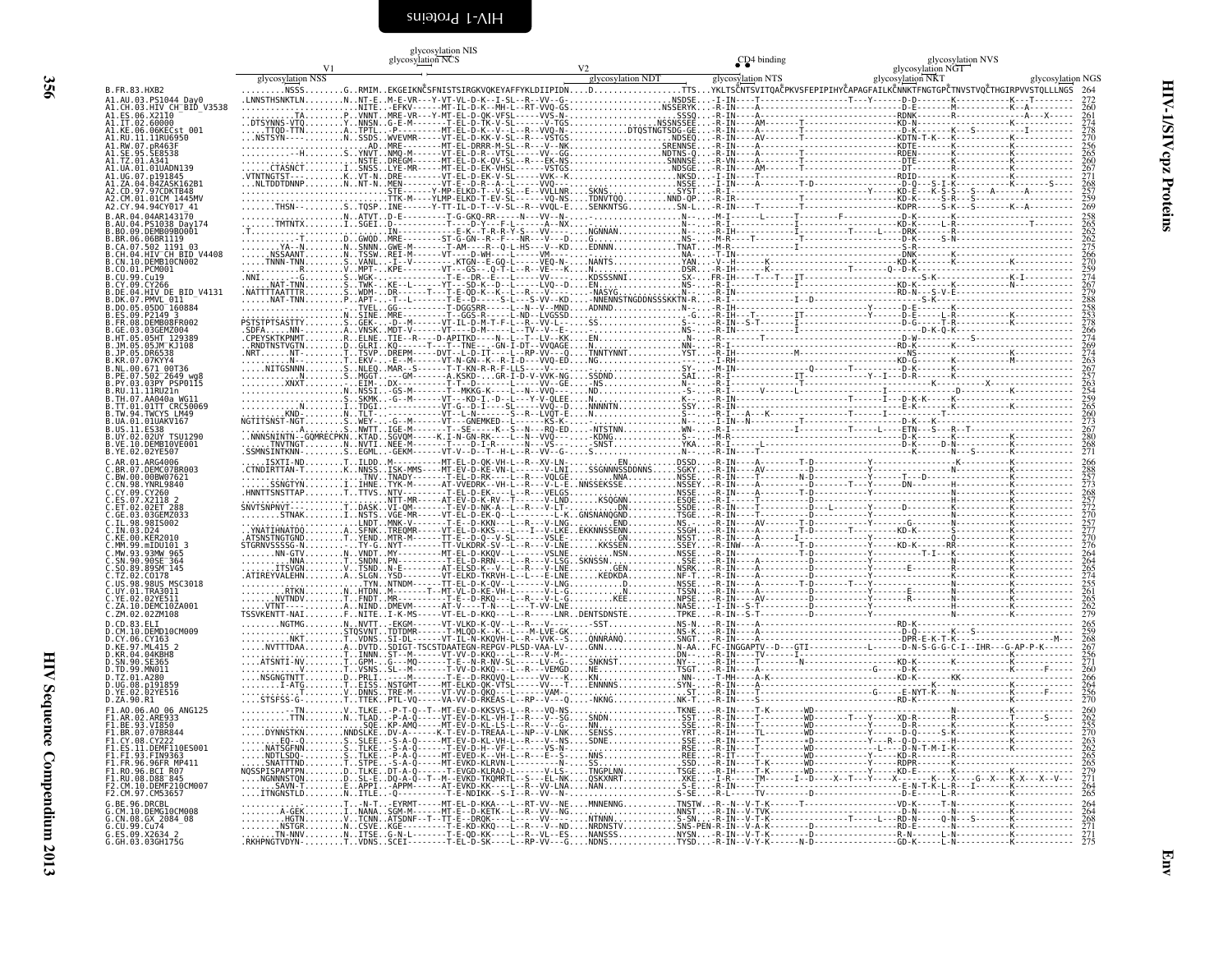<span id="page-45-0"></span>

|           | glycosylation NIS                               |                                                                                                                                                                 |                         |                                                                                                                      |
|-----------|-------------------------------------------------|-----------------------------------------------------------------------------------------------------------------------------------------------------------------|-------------------------|----------------------------------------------------------------------------------------------------------------------|
|           | glycosylation NCS                               |                                                                                                                                                                 | CD <sub>4</sub> binding | glycosylation NVS                                                                                                    |
|           |                                                 |                                                                                                                                                                 |                         | glycosylation NGT                                                                                                    |
| ation NSS |                                                 | glycosylation NDT                                                                                                                                               | glycosylation NTS       | glycosylation NKT                                                                                                    |
|           |                                                 |                                                                                                                                                                 |                         |                                                                                                                      |
|           | .G. .RMIMEKGEIKNČSFNISTSIRGKVQKEYAFFYKLDIIPIDN. |                                                                                                                                                                 |                         | .DTTSYKLTSCNTSVITQACPKVSFEPIPIHYCAPAGFAILKCNNKTFNGTGPCTNVSTVQCTI                                                     |
|           |                                                 | TLNNNT-EM-E-VR---Y-VT-VL-D-K--I-SL--R--VV--G-NSDSE-I-IN----T--------------------T---Y------D-D--                                                                |                         |                                                                                                                      |
|           |                                                 |                                                                                                                                                                 |                         |                                                                                                                      |
|           |                                                 | .TAPVNNTMRE-VR---Y-MT-EL-D-OK-VFSL-----VVS-N-SSSO-R-IN----A---<br>VTOYNNSNG-E-M-------T-EL-D-TK-V-SL------V-TGSNSSNSSEE-R-IN----AM------T----------------KD-N-- |                         |                                                                                                                      |
|           |                                                 |                                                                                                                                                                 |                         | TTNATPTL-P--------MT-EL-D-K--V--L--R--VVO-N-DTOSTNGTSDG-GE-R-IN----A-------T--------------------D-K-------K---S----  |
|           |                                                 |                                                                                                                                                                 |                         | ---NSSDSWVEVMR-----VT-EL-D-KK-V-SL--R---VSTGSNDSEO-R-IN----AV-------T----------------------KDTN-T-K---K--------      |
|           |                                                 | .ADMRE--------MT-EL-DRRR-M-SL--R---V--NKSRENNSE-R-IN----A-------------------------KDTE--------K                                                                 |                         |                                                                                                                      |
|           |                                                 |                                                                                                                                                                 |                         |                                                                                                                      |
|           |                                                 | .NSTEDREGM------MT-EL-D-K-QV-SL--R---EK-NSSNNNSE-R-VN·                                                                                                          |                         |                                                                                                                      |
|           |                                                 |                                                                                                                                                                 |                         |                                                                                                                      |
|           | .VT-NDRE-                                       | -VT-EL-D-EK-V-SL-----VVK--KNKSD-I-IN----T                                                                                                                       |                         | --RDID--                                                                                                             |
|           |                                                 | NNPNNT-NMEN--------VT-E--D-R--A--L-----VVQ---NSSE-I-IN----A--------T-D-----------------D-Q---S-I-K--                                                            |                         | STE------Y-MP-ELKD-T--V-SL--E--VVLLNRSKNSSYST-R-I---------------------------Y-----KD-E---K-S-S---S---A               |
|           |                                                 |                                                                                                                                                                 |                         | TTK-M----YLMP-ELKD-T-EV-SL------VQ-NSTDNVTQQNND-QP-R-IR----------T-------------------KD-K-----S-R---S-----           |
|           |                                                 |                                                                                                                                                                 |                         | N--STOSPINE------Y-TT-IL-D-T--V-SL--R--VVOL-ESENKNŤŚGSN-L-R-IN----T--------T-------------------KDPR-----S-K---S----- |
|           |                                                 |                                                                                                                                                                 |                         |                                                                                                                      |
| NTV       |                                                 | CCET N T NV EI ANV                                                                                                                                              |                         | N DT T KNK ID                                                                                                        |

glycosylation NGS

| B.FR.83.HXB2                                                                                               | glycosylation NSS |  |  | glycosylation NDT<br>NSSSGRMIMEKGEIKNČSFNISTSIRGKVQKEYAFFYKLDIIPIDNDTTSYKLTSČNTSVITQAČPKVSFEPIPIHYČAPAGFAILKČNNKTFNGTGPČTNVSTVQČTHGIRPVVSTQLLLNGS 264 | glycosylation NTS | glycosylation NKT | glycosylation NGS |
|------------------------------------------------------------------------------------------------------------|-------------------|--|--|-------------------------------------------------------------------------------------------------------------------------------------------------------|-------------------|-------------------|-------------------|
| A1.AU.03.PS1044_Day0<br>A1.CH.03.HIV_CH_BID_V3538                                                          |                   |  |  |                                                                                                                                                       |                   |                   |                   |
| A1.ES.06.X2110<br>A1.IT.02.60000                                                                           |                   |  |  |                                                                                                                                                       |                   |                   |                   |
| .<br>A1.RU.11.11RU6950<br>A1.RU.11.11RU6950<br>A1.RW.07.pR463F<br>A1.SE.95.SE8538                          |                   |  |  |                                                                                                                                                       |                   |                   |                   |
| A1.TZ.01.A341<br>A1.UA.01.01UADN139                                                                        |                   |  |  |                                                                                                                                                       |                   |                   |                   |
| A1.UG.07.0101845<br>A1.UG.07.p191845<br>A1.ZA.04.04ZASK162B1<br>A2.CD.97.97CDKTB48<br>A2.CM.01.01CM_1445MV |                   |  |  |                                                                                                                                                       |                   |                   |                   |
| A2.CY.94.94CY017 41                                                                                        |                   |  |  |                                                                                                                                                       |                   |                   |                   |
| B.AR.04.04AR143170                                                                                         |                   |  |  |                                                                                                                                                       |                   |                   |                   |
| B.AN.04.051038<br>B.AN.04.PS1038_Day174<br>B.BN.09.DEMB09B0001<br>B.BR.06.06BR1119<br>B.CA.07.502_1191_03  |                   |  |  |                                                                                                                                                       |                   |                   |                   |
| CH.04.HIV CH BID V4408<br>CN.10.DEMB10CN002                                                                |                   |  |  |                                                                                                                                                       |                   |                   |                   |
| .CO.01.PCM001<br>B.CU.99.Cu19<br>B.CU.99.Cu19<br>B.CY.09.CY266<br>B.DE.04.HIV_DE_BID_V4131                 |                   |  |  |                                                                                                                                                       |                   |                   |                   |
| DE.:07.PMVL_011__<br>.DK.07.PMVL_011__<br>.DO.05.05DO_160884                                               |                   |  |  |                                                                                                                                                       |                   |                   |                   |
| .ES.09.P2149-3<br>.ES.09.P2149-3<br>.FR.08.DEMB08FR002                                                     |                   |  |  |                                                                                                                                                       |                   |                   |                   |
| GE.03.03GEM2004<br>.HT.05.05HT 129389<br>.JM.05.05HT 129389                                                |                   |  |  |                                                                                                                                                       |                   |                   |                   |
| .JP.05.DR6538<br>.KR.07.07KYY4                                                                             |                   |  |  |                                                                                                                                                       |                   |                   |                   |
| 3.NL.00.671-00T36<br>3.NL.00.671-00T36<br>3.PE.07.502-2649-wg8<br>3.RU.11.11RU21n                          |                   |  |  |                                                                                                                                                       |                   |                   |                   |
| .TH.07.AA040a WG11                                                                                         |                   |  |  |                                                                                                                                                       |                   |                   |                   |
| .TT.01.01TT CRC50069<br>TW.94.TWCYS LM49                                                                   |                   |  |  |                                                                                                                                                       |                   |                   |                   |
| .UA.01.01UAKV167<br>B.US.11.E538<br>B.UY.02.02UY TSU1290<br>B.VE.10.DEMB10VE001                            |                   |  |  |                                                                                                                                                       |                   |                   |                   |
| B.YE.02.02YE507                                                                                            |                   |  |  |                                                                                                                                                       |                   |                   |                   |
| .AR.01.ARG4006<br>.BR.07.DEMC07BR003                                                                       |                   |  |  |                                                                                                                                                       |                   |                   |                   |
| .BW.00.00BW07621<br>.CN.98.YNRL9840<br>.CY.09.CY260                                                        |                   |  |  |                                                                                                                                                       |                   |                   |                   |
| ES.07.X2118 2<br>.ET.02.02ET 288<br>.GE.03.03GEMZ033                                                       |                   |  |  |                                                                                                                                                       |                   |                   |                   |
| .IL.98.98IS002<br>. IN .03.D24                                                                             |                   |  |  |                                                                                                                                                       |                   |                   |                   |
| .KE.00.KER2010<br>.MM.99.mIDU101 3<br>MW.93.93MW 965                                                       |                   |  |  |                                                                                                                                                       |                   |                   |                   |
| .SN.90.90SE <sup>-364</sup><br>.SO.89.89SM 145                                                             |                   |  |  |                                                                                                                                                       |                   |                   |                   |
| .TZ.02.C0178<br>.US.98.98US MSC3018<br>.UY.01.TRA3011                                                      |                   |  |  |                                                                                                                                                       |                   |                   |                   |
| C.YE.02.02YE511<br>C.ZA.10.DEMC10ZA001                                                                     |                   |  |  |                                                                                                                                                       |                   |                   |                   |
| C.ZM.02.02ZM108<br>D.CD.83.ELI                                                                             |                   |  |  |                                                                                                                                                       |                   |                   |                   |
| .CM.10.DEMD10CM009<br>.CY.06.CY163<br>.KE.97.ML415 2                                                       |                   |  |  |                                                                                                                                                       |                   |                   |                   |
| .KR.04.04KBH8<br>SN.90.SE365.                                                                              |                   |  |  |                                                                                                                                                       |                   |                   |                   |
| .TD.99.MN011<br>.TZ.01.A280<br>D.UG.08.p191859<br>D.YE.02.02YE516                                          |                   |  |  |                                                                                                                                                       |                   |                   |                   |
| D.ZA.90.R1<br>F1.A0.06.A0 06 ANG125                                                                        |                   |  |  |                                                                                                                                                       |                   |                   |                   |
| F1.AR.ÕŽ.ÄREŠŠ3<br>F1.BE.93.VI850                                                                          |                   |  |  |                                                                                                                                                       |                   |                   |                   |
| FI.BR.07.07BR844<br>F1.CY.08.CY222<br>F1.ES.11.DEMF110ES001                                                |                   |  |  |                                                                                                                                                       |                   |                   |                   |
| F1.F1.93.FIN9363<br>F1.FR.96.96FR_MP411                                                                    |                   |  |  |                                                                                                                                                       |                   |                   |                   |
| F1.RO.96.RCT R07<br>FI.RU.08.D88 845                                                                       |                   |  |  |                                                                                                                                                       |                   |                   |                   |
| G.BE.96.DRCBL                                                                                              |                   |  |  |                                                                                                                                                       |                   |                   |                   |
| CM.10.DEMGIOCM008                                                                                          |                   |  |  |                                                                                                                                                       |                   |                   |                   |
| G.CN.08.GX 2084_08<br>G.CU.99.Cu74<br>G.ES.09.X2634_2<br>G.GH.03.03GH175G                                  |                   |  |  |                                                                                                                                                       |                   |                   |                   |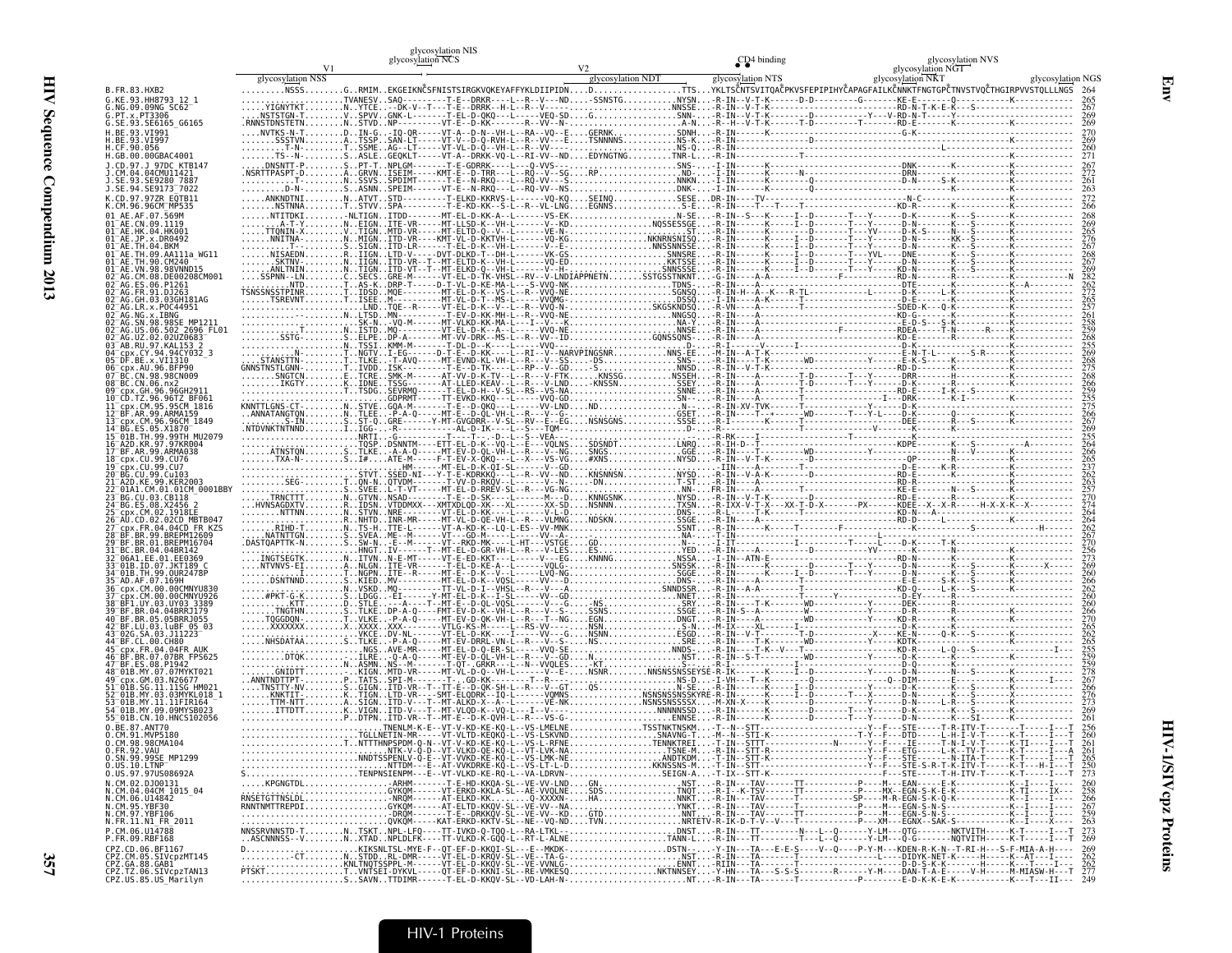| $\ddot{\phantom{a}}$ |  |
|----------------------|--|
|                      |  |
| j                    |  |
| Ē                    |  |

|                                                                         |                   | glycosylation NCS                                                                                                                |                   | CD <sub>4</sub> binding | glycosylation NVS<br>glycosylation NGT |                   |
|-------------------------------------------------------------------------|-------------------|----------------------------------------------------------------------------------------------------------------------------------|-------------------|-------------------------|----------------------------------------|-------------------|
|                                                                         | glycosylation NSS |                                                                                                                                  | glycosylation NDT | glycosylation NTS       | glycosylation NKT                      | glycosylation NGS |
| B.FR.83.HXB2                                                            |                   | NSSSGRMIMEKGEIKNČSFNISTSIRGKVQKEYAFFYKLDIIPIDNDTTSYKLISČNTSVITQAČPKVSFEPIPIHYČAPAGFAILKČNNKTFNGTGPČTNVSTVOČTHGIRPVVSTQLLLNGS 264 |                   |                         |                                        |                   |
| G.KE.93.HH8793 12 1<br>G.NG.09.09NG SC62                                |                   |                                                                                                                                  |                   |                         |                                        |                   |
| G.PT.x.PT3306<br>G.SE.93.SE6165_G6165                                   |                   |                                                                                                                                  |                   |                         |                                        |                   |
|                                                                         |                   |                                                                                                                                  |                   |                         |                                        |                   |
|                                                                         |                   |                                                                                                                                  |                   |                         |                                        |                   |
| .GB.00.00GBAC4001                                                       |                   |                                                                                                                                  |                   |                         |                                        |                   |
|                                                                         |                   |                                                                                                                                  |                   |                         |                                        |                   |
|                                                                         |                   |                                                                                                                                  |                   |                         |                                        |                   |
|                                                                         |                   |                                                                                                                                  |                   |                         |                                        |                   |
| CM.96.96CM MP535                                                        |                   |                                                                                                                                  |                   |                         |                                        |                   |
|                                                                         |                   |                                                                                                                                  |                   |                         |                                        |                   |
|                                                                         |                   |                                                                                                                                  |                   |                         |                                        |                   |
|                                                                         |                   |                                                                                                                                  |                   |                         |                                        |                   |
|                                                                         |                   |                                                                                                                                  |                   |                         |                                        |                   |
|                                                                         |                   |                                                                                                                                  |                   |                         |                                        |                   |
|                                                                         |                   |                                                                                                                                  |                   |                         |                                        |                   |
|                                                                         |                   |                                                                                                                                  |                   |                         |                                        |                   |
|                                                                         |                   |                                                                                                                                  |                   |                         |                                        |                   |
|                                                                         |                   |                                                                                                                                  |                   |                         |                                        |                   |
|                                                                         |                   |                                                                                                                                  |                   |                         |                                        |                   |
|                                                                         |                   |                                                                                                                                  |                   |                         |                                        |                   |
|                                                                         |                   |                                                                                                                                  |                   |                         |                                        |                   |
| BC.CN.06.nx2                                                            |                   |                                                                                                                                  |                   |                         |                                        |                   |
|                                                                         |                   |                                                                                                                                  |                   |                         |                                        |                   |
|                                                                         |                   |                                                                                                                                  |                   |                         |                                        |                   |
|                                                                         |                   |                                                                                                                                  |                   |                         |                                        |                   |
|                                                                         |                   |                                                                                                                                  |                   |                         |                                        |                   |
|                                                                         |                   |                                                                                                                                  |                   |                         |                                        |                   |
|                                                                         |                   |                                                                                                                                  |                   |                         |                                        |                   |
|                                                                         |                   |                                                                                                                                  |                   |                         |                                        |                   |
|                                                                         |                   |                                                                                                                                  |                   |                         |                                        |                   |
|                                                                         |                   |                                                                                                                                  |                   |                         |                                        |                   |
|                                                                         |                   |                                                                                                                                  |                   |                         |                                        |                   |
|                                                                         |                   |                                                                                                                                  |                   |                         |                                        |                   |
|                                                                         |                   |                                                                                                                                  |                   |                         |                                        |                   |
|                                                                         |                   |                                                                                                                                  |                   |                         |                                        |                   |
|                                                                         |                   |                                                                                                                                  |                   |                         |                                        |                   |
|                                                                         |                   |                                                                                                                                  |                   |                         |                                        |                   |
|                                                                         |                   |                                                                                                                                  |                   |                         |                                        |                   |
|                                                                         |                   |                                                                                                                                  |                   |                         |                                        |                   |
|                                                                         |                   |                                                                                                                                  |                   |                         |                                        |                   |
|                                                                         |                   |                                                                                                                                  |                   |                         |                                        |                   |
|                                                                         |                   |                                                                                                                                  |                   |                         |                                        |                   |
|                                                                         |                   |                                                                                                                                  |                   |                         |                                        |                   |
|                                                                         |                   |                                                                                                                                  |                   |                         |                                        |                   |
| 01B.MY.09.09MYSB023                                                     |                   |                                                                                                                                  |                   |                         |                                        |                   |
| 01B.CN.10.HNCS102056"                                                   |                   |                                                                                                                                  |                   |                         |                                        |                   |
| BE.87.ANT70<br>CM.91.MVP5180                                            |                   |                                                                                                                                  |                   |                         |                                        |                   |
| CM.98.98CMA104.<br>0.FR.92.VAU                                          |                   |                                                                                                                                  |                   |                         |                                        |                   |
| 0.SN.99.99SE MP1299                                                     |                   |                                                                                                                                  |                   |                         |                                        |                   |
| 0.US.10.LTNP <sup>------</sup> -<br>0.US.97.97US08692A                  |                   |                                                                                                                                  |                   |                         |                                        |                   |
| N.CM.02.DJ00131                                                         |                   |                                                                                                                                  |                   |                         |                                        |                   |
| N.CM.04.04CM<br>N.CM.04.04CM 1015_04<br>N.CM.05.YBF30<br>N.CM.97.YBF106 |                   |                                                                                                                                  |                   |                         |                                        |                   |
|                                                                         |                   |                                                                                                                                  |                   |                         |                                        |                   |
| N.FR.11.N1_FR_2011<br>P.CM.06.U14788                                    |                   |                                                                                                                                  |                   |                         |                                        |                   |
| P.FR.09.RBF168                                                          |                   |                                                                                                                                  |                   |                         |                                        |                   |
|                                                                         |                   |                                                                                                                                  |                   |                         |                                        |                   |
|                                                                         |                   |                                                                                                                                  |                   |                         |                                        |                   |
|                                                                         |                   |                                                                                                                                  |                   |                         |                                        |                   |

glycosylation NIS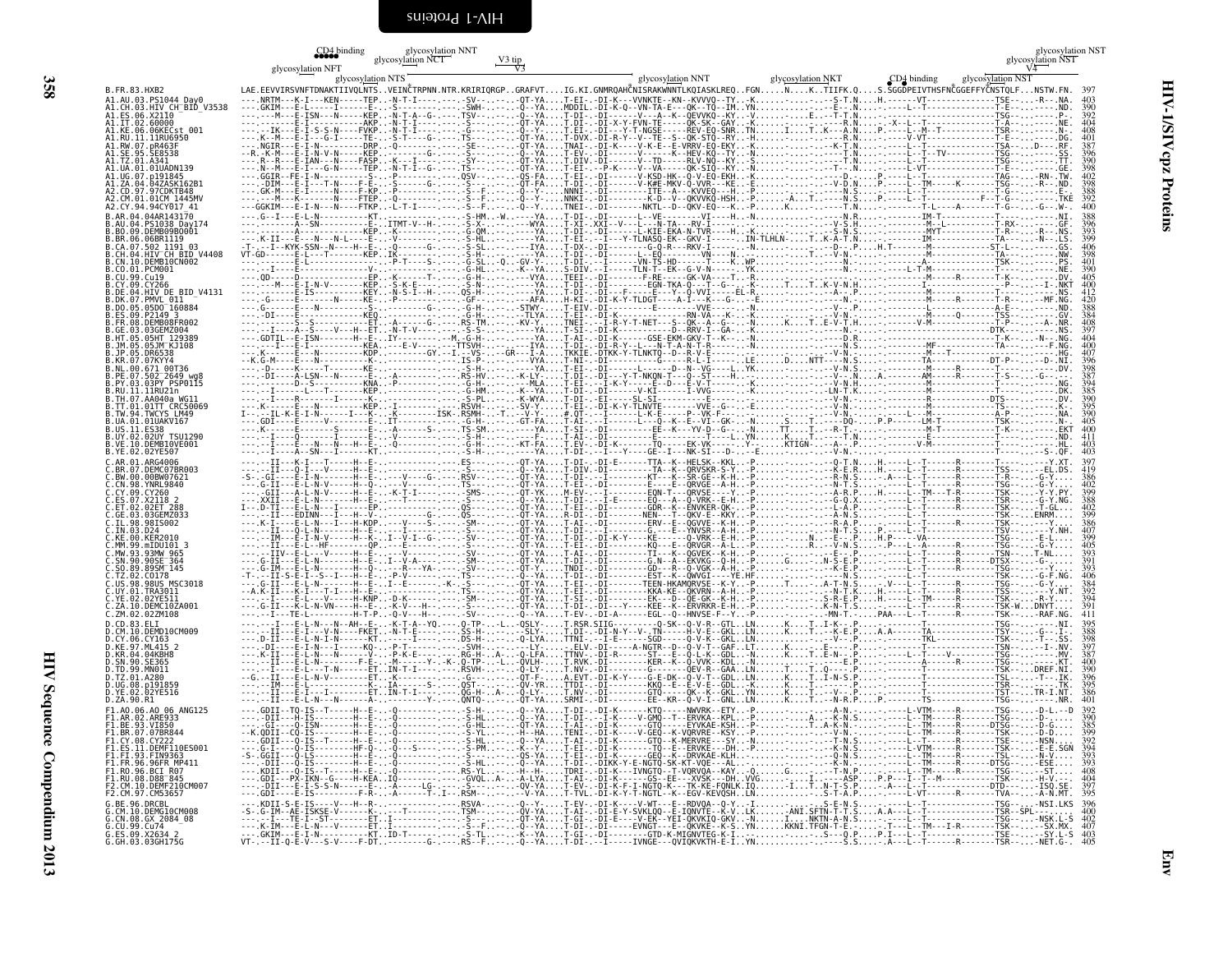<span id="page-47-0"></span>

|                                                                          | glycosylation NFT<br>glycosylation NTS                                                                                                             | glycosylation NNT<br>glycosylation NCT |  | glycosylation NNT | glycosylation NKT | CD4 binding | $\frac{\text{glycosylation NST}}{\text{V4}}$<br>glycosylation NST |
|--------------------------------------------------------------------------|----------------------------------------------------------------------------------------------------------------------------------------------------|----------------------------------------|--|-------------------|-------------------|-------------|-------------------------------------------------------------------|
| B.FR.83.HXB2<br>A1.AU.03.PS1044 Day0                                     | LAE.EEVVIRSVNFTDNAKTIIVQLNTSVEINČTRPNN.NTR.KRIRIQRGPGRAFVTIG.KI.GNMRQAHČNISRAKWNNTLKQIASKLREQFGNNKTIIFK.QS.SGGDPEIVTHSFNČGGEFFYČNSTQLFNSTW.FN. 397 |                                        |  |                   |                   |             |                                                                   |
| A1.CH.03.HIV CH BID V3538<br>A1.ES.06.X2110                              |                                                                                                                                                    |                                        |  |                   |                   |             | 390                                                               |
| A1.IT.02.60000<br>A1.KE.06.06KECst 001<br>A1.RU.11.11RU6950              |                                                                                                                                                    |                                        |  |                   |                   |             |                                                                   |
| A1.RW.07.nR463F<br>.SE8538                                               |                                                                                                                                                    |                                        |  |                   |                   |             |                                                                   |
| A1.TZ.01.A341<br>A1.UA.01.01UADN139                                      |                                                                                                                                                    |                                        |  |                   |                   |             | 398                                                               |
| A1.UG.07.p191845<br>A1.ZA.04.04ZASK162B1                                 |                                                                                                                                                    |                                        |  |                   |                   |             | 402<br>398                                                        |
| A2.CD.97.97CDKTB48<br>A2.CM.01.01CM 1445MV                               |                                                                                                                                                    |                                        |  |                   |                   |             |                                                                   |
| A2.CY.94.94CY017 41                                                      |                                                                                                                                                    |                                        |  |                   |                   |             | 400                                                               |
| B.AU.04.PS1038 Day174<br>.BO.09.DEMB09B0001                              |                                                                                                                                                    |                                        |  |                   |                   |             |                                                                   |
| .BR.06.06BR1119<br>.CA.07.502 1191 03                                    |                                                                                                                                                    |                                        |  |                   |                   |             | 399<br>406                                                        |
| .CH.04.HIV CH BID V4408<br>.CN.10.DEMB10CN002<br>.CO.01.PCM001           |                                                                                                                                                    |                                        |  |                   |                   |             |                                                                   |
| .CU.99.Cu19<br>.CY.09.CY266                                              |                                                                                                                                                    |                                        |  |                   |                   |             |                                                                   |
| .DE.04.HIV DE BID V4131<br>.DK.07.PMVL 011                               |                                                                                                                                                    |                                        |  |                   |                   |             |                                                                   |
| .DO.05.05D0 <sup>-</sup> 160884<br>ES.09.P2149 3.                        |                                                                                                                                                    |                                        |  |                   |                   |             |                                                                   |
| FR.08.DEMB08FR002<br>GE.03.03GEMZ004.                                    |                                                                                                                                                    |                                        |  |                   |                   |             |                                                                   |
| HT.05.05HT 129389<br>. IM.05.05JM KJ108<br>.JP.05.DR6538                 |                                                                                                                                                    |                                        |  |                   |                   |             |                                                                   |
| .KR.07.07KYY4<br>.NL.00.671 00T36                                        |                                                                                                                                                    |                                        |  |                   |                   |             |                                                                   |
| .PE.07.502 2649 wg8<br>PY.03.03PY PSP0115                                |                                                                                                                                                    |                                        |  |                   |                   |             |                                                                   |
| .RU.11.11RU21n<br>.TH.07.AA040a WG11                                     |                                                                                                                                                    |                                        |  |                   |                   |             |                                                                   |
| B.TT.01.01TT CRC50069<br>B.TW.94.TWCYS LM49                              |                                                                                                                                                    |                                        |  |                   |                   |             |                                                                   |
| .UA.01.01UAKV167<br>.US.11.ES38                                          |                                                                                                                                                    |                                        |  |                   |                   |             | 405                                                               |
| B.UY.02.02UY TSU1290<br>B.VE.10.DEMB10VE001<br>B.YE.02.02YE507           |                                                                                                                                                    |                                        |  |                   |                   |             | 403<br>403                                                        |
| .AR.01.ARG4006<br>.BR.07.DEMC07BR003                                     |                                                                                                                                                    |                                        |  |                   |                   |             | 397                                                               |
| .BW.00.00BW07621<br>.CN.98.YNRL9840                                      |                                                                                                                                                    |                                        |  |                   |                   |             | 402                                                               |
| .CY.09.CY260<br>ES.07.X2118 2.                                           |                                                                                                                                                    |                                        |  |                   |                   |             | 388                                                               |
| ET.02.02ET 288<br>GE.03.03GEMZ033                                        |                                                                                                                                                    |                                        |  |                   |                   |             | 402<br>399                                                        |
| .IL.98.98IS002<br>. In.03.024                                            |                                                                                                                                                    |                                        |  |                   |                   |             | 386                                                               |
| .KE.00.KER2010<br>MM.99.mIDU101 3                                        |                                                                                                                                                    |                                        |  |                   |                   |             | 399<br>405                                                        |
| MW.93.93MW 965.<br>SN.90.90SE <sup>-</sup> 364                           |                                                                                                                                                    |                                        |  |                   |                   |             | 393                                                               |
| .SO.89.89SM 145<br>.TZ.02.CO178<br>US.98.98US MSC3018                    |                                                                                                                                                    |                                        |  |                   |                   |             |                                                                   |
| .UY.01.TRA3011<br>.YE.02.02YE511                                         |                                                                                                                                                    |                                        |  |                   |                   |             |                                                                   |
| C.ZA.10.DEMC10ZA001<br>C.ZM.02.02ZM108                                   |                                                                                                                                                    |                                        |  |                   |                   |             |                                                                   |
| D.CD.83.ELI<br>.CM.10.DEMD10CM009                                        |                                                                                                                                                    |                                        |  |                   |                   |             | 395<br>388                                                        |
| .CY.06.CY163<br>.KE.97.ML415 2                                           |                                                                                                                                                    |                                        |  |                   |                   |             |                                                                   |
| KR 04 04KRHR<br>.SN.90.SE365                                             |                                                                                                                                                    |                                        |  |                   |                   |             |                                                                   |
| .TD.99.MN011<br>D. TZ. 01. A280<br>D.UG.08.p191859                       |                                                                                                                                                    |                                        |  |                   |                   |             |                                                                   |
| D.YE.02.02YE516<br>D.ZA.90.R1                                            |                                                                                                                                                    |                                        |  |                   |                   |             |                                                                   |
| F1.A0.06.A0 06 ANG125<br>F1.AR.02.ARE933                                 |                                                                                                                                                    |                                        |  |                   |                   |             | 390                                                               |
| F1.BE.93.VI850<br>F1.BR.07.07BR844                                       |                                                                                                                                                    |                                        |  |                   |                   |             |                                                                   |
| CY 08 CY222                                                              |                                                                                                                                                    |                                        |  |                   |                   |             |                                                                   |
|                                                                          |                                                                                                                                                    |                                        |  |                   |                   |             | $\frac{39\overline{4}}{393}$                                      |
| FI.RO.96.BČI R07<br>F1.RU.08.D88_845                                     |                                                                                                                                                    |                                        |  |                   |                   |             | 408<br>404                                                        |
| F2.CM.10.DEMF210CM007<br>F2.CM.97.CM53657                                |                                                                                                                                                    |                                        |  |                   |                   |             | 397<br>395                                                        |
| G.BE.96.DRCBL<br>G.CM.10.DEMG10CM008                                     |                                                                                                                                                    |                                        |  |                   |                   |             |                                                                   |
| G.CN.08.GX_2084_08                                                       |                                                                                                                                                    |                                        |  |                   |                   |             |                                                                   |
| d.cn.09.0x-2004_\<br>G.CU.99.Cu74<br>G.ES.09.X2634_2<br>G.GH.03.03GH175G |                                                                                                                                                    |                                        |  |                   |                   |             |                                                                   |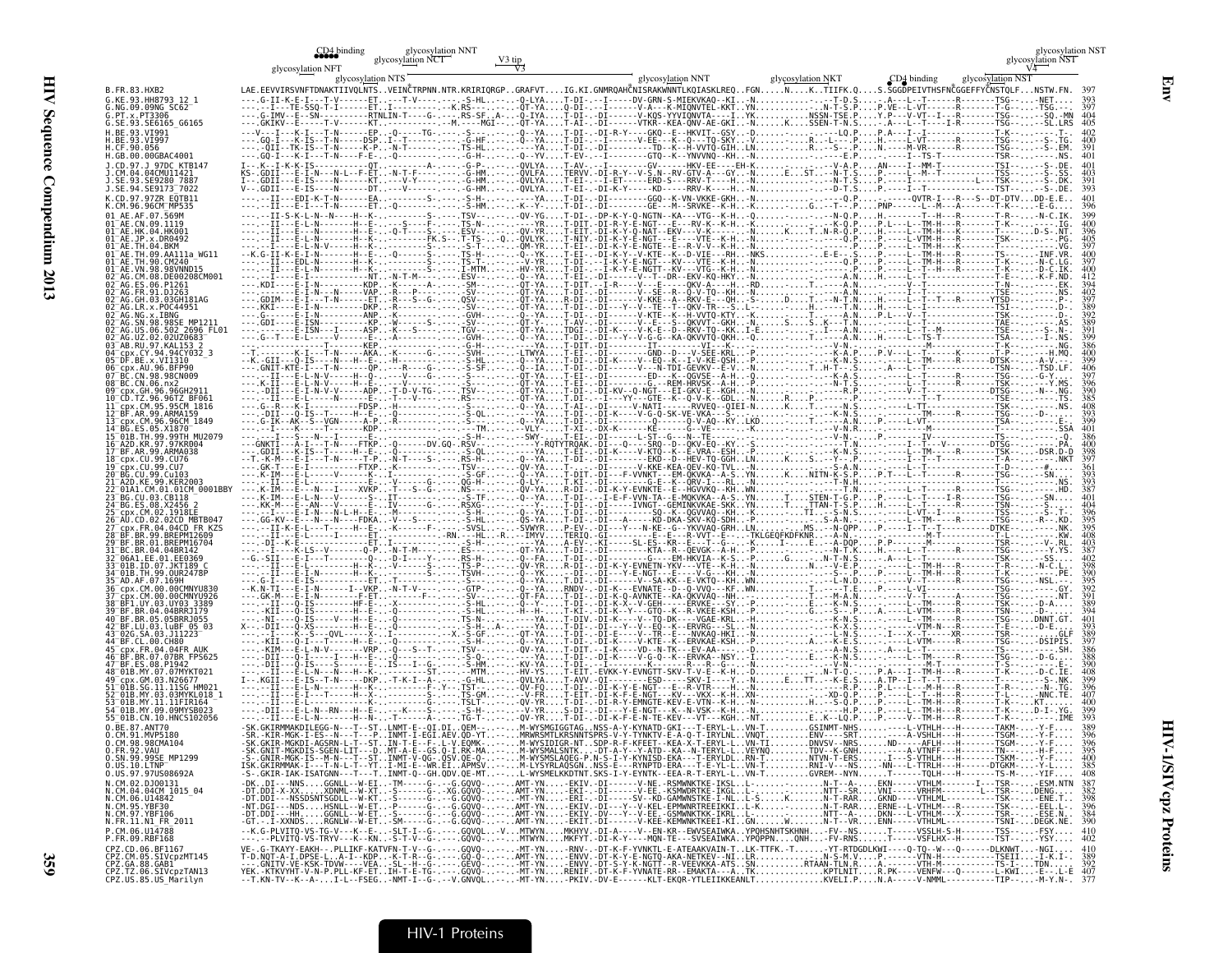|                                                                                                                     |                   | glycosylation NNT<br>glycosylation NCT |                                                                                                                                                                                                    |                   |             | lycosylation NST!<br>glycosylation NST |
|---------------------------------------------------------------------------------------------------------------------|-------------------|----------------------------------------|----------------------------------------------------------------------------------------------------------------------------------------------------------------------------------------------------|-------------------|-------------|----------------------------------------|
|                                                                                                                     | glycosylation NFT | glycosylation NTS                      | glycosylation NNT<br>LAE.EEVVIRSVNFTDNAKTIIVQLNTSVEINĈTRPNN.NTR.KRIRIQRGPGRAFVTIG.KI.GNMRQAHČNISRAKWNNTLKQIASKLREQFGNNKTIIFK.QS.SGGDPEIVTHSFNČGGEFFYČNSTQLFNSTW.FN. 397                            | glycosylation NKT | CD4 binding | glycosylation NST                      |
| B.FR.83.HXB2<br>G.KE.93.HH8793 12 1<br>G.NG.09.09NG SC62                                                            |                   |                                        |                                                                                                                                                                                                    |                   |             |                                        |
| PT.x.PT3306<br>G.SE.93.SE6165 G6165                                                                                 |                   |                                        |                                                                                                                                                                                                    |                   |             |                                        |
| .CF.90.056                                                                                                          |                   |                                        |                                                                                                                                                                                                    |                   |             |                                        |
| H.GB.00.00GBAC4001                                                                                                  |                   |                                        |                                                                                                                                                                                                    |                   |             |                                        |
|                                                                                                                     |                   |                                        |                                                                                                                                                                                                    |                   |             |                                        |
| .SE.94.SE9173 <sup>-</sup> 7022                                                                                     |                   |                                        |                                                                                                                                                                                                    |                   |             |                                        |
|                                                                                                                     |                   |                                        |                                                                                                                                                                                                    |                   |             |                                        |
|                                                                                                                     |                   |                                        |                                                                                                                                                                                                    |                   |             |                                        |
|                                                                                                                     |                   |                                        |                                                                                                                                                                                                    |                   |             |                                        |
|                                                                                                                     |                   |                                        |                                                                                                                                                                                                    |                   |             |                                        |
|                                                                                                                     |                   |                                        |                                                                                                                                                                                                    |                   |             |                                        |
|                                                                                                                     |                   |                                        |                                                                                                                                                                                                    |                   |             |                                        |
|                                                                                                                     |                   |                                        |                                                                                                                                                                                                    |                   |             |                                        |
|                                                                                                                     |                   |                                        |                                                                                                                                                                                                    |                   |             |                                        |
|                                                                                                                     |                   |                                        |                                                                                                                                                                                                    |                   |             |                                        |
|                                                                                                                     |                   |                                        |                                                                                                                                                                                                    |                   |             |                                        |
|                                                                                                                     |                   |                                        |                                                                                                                                                                                                    |                   |             |                                        |
|                                                                                                                     |                   |                                        |                                                                                                                                                                                                    |                   |             |                                        |
|                                                                                                                     |                   |                                        |                                                                                                                                                                                                    |                   |             |                                        |
|                                                                                                                     |                   |                                        |                                                                                                                                                                                                    |                   |             |                                        |
| .01CM 0001BB                                                                                                        |                   |                                        |                                                                                                                                                                                                    |                   |             |                                        |
|                                                                                                                     |                   |                                        |                                                                                                                                                                                                    |                   |             |                                        |
|                                                                                                                     |                   |                                        |                                                                                                                                                                                                    |                   |             |                                        |
|                                                                                                                     |                   |                                        |                                                                                                                                                                                                    |                   |             |                                        |
|                                                                                                                     |                   |                                        |                                                                                                                                                                                                    |                   |             |                                        |
|                                                                                                                     |                   |                                        |                                                                                                                                                                                                    |                   |             |                                        |
|                                                                                                                     |                   |                                        |                                                                                                                                                                                                    |                   |             |                                        |
|                                                                                                                     |                   |                                        |                                                                                                                                                                                                    |                   |             |                                        |
|                                                                                                                     |                   |                                        |                                                                                                                                                                                                    |                   |             |                                        |
|                                                                                                                     |                   |                                        |                                                                                                                                                                                                    |                   |             |                                        |
|                                                                                                                     |                   |                                        |                                                                                                                                                                                                    |                   |             |                                        |
|                                                                                                                     |                   |                                        |                                                                                                                                                                                                    |                   |             |                                        |
| CM.91.MVP5180<br>O.CM.98.98CMA104                                                                                   |                   |                                        |                                                                                                                                                                                                    |                   |             |                                        |
| 0.FR.92.VAU                                                                                                         |                   |                                        |                                                                                                                                                                                                    |                   |             | 400                                    |
| 0.1N.99.99SE_MP1299<br>0.US.10.LTNPT<br>0.US.97.97US08692A                                                          |                   |                                        |                                                                                                                                                                                                    |                   |             | 385<br>408                             |
| 0.107.97.97.970300032<br>N.CM.02.DJ00131<br>N.CM.06.U14842<br>N.CM.05.YBF30<br>N.CM.97.YBF106<br>N.FR.11.N1_FR_2011 |                   |                                        |                                                                                                                                                                                                    |                   |             |                                        |
|                                                                                                                     |                   |                                        |                                                                                                                                                                                                    |                   |             |                                        |
| P. CM. 06. U14788<br>P.FR.09.RBF168                                                                                 |                   |                                        | --K.G-PLVITQ-VS-TG-V---K--E--SLT-I--G-.---.GQVQL-VMTWYNMKHYV.-DI-A----V--EN-KR--EWVSEAIWKAYPQHSNHTSKHNH-FV--NST-----VSSLH-S-H-------TSS--FSY 410<br>---.--PLVITQ-VS-TRYV---K--KN-S-T-V--G-.---.GQV |                   |             |                                        |
| .<br>CPZ.CD.06.BF1167<br>CPZ.CM.05.SIVcpzMT145<br>CPZ.GA.88.GAB1<br>CPZ.TZ.06.SIVcpzTAN13                           |                   |                                        |                                                                                                                                                                                                    |                   |             |                                        |
| CPZ.US.85.US Marilyn                                                                                                |                   |                                        |                                                                                                                                                                                                    |                   |             |                                        |

CD4 binding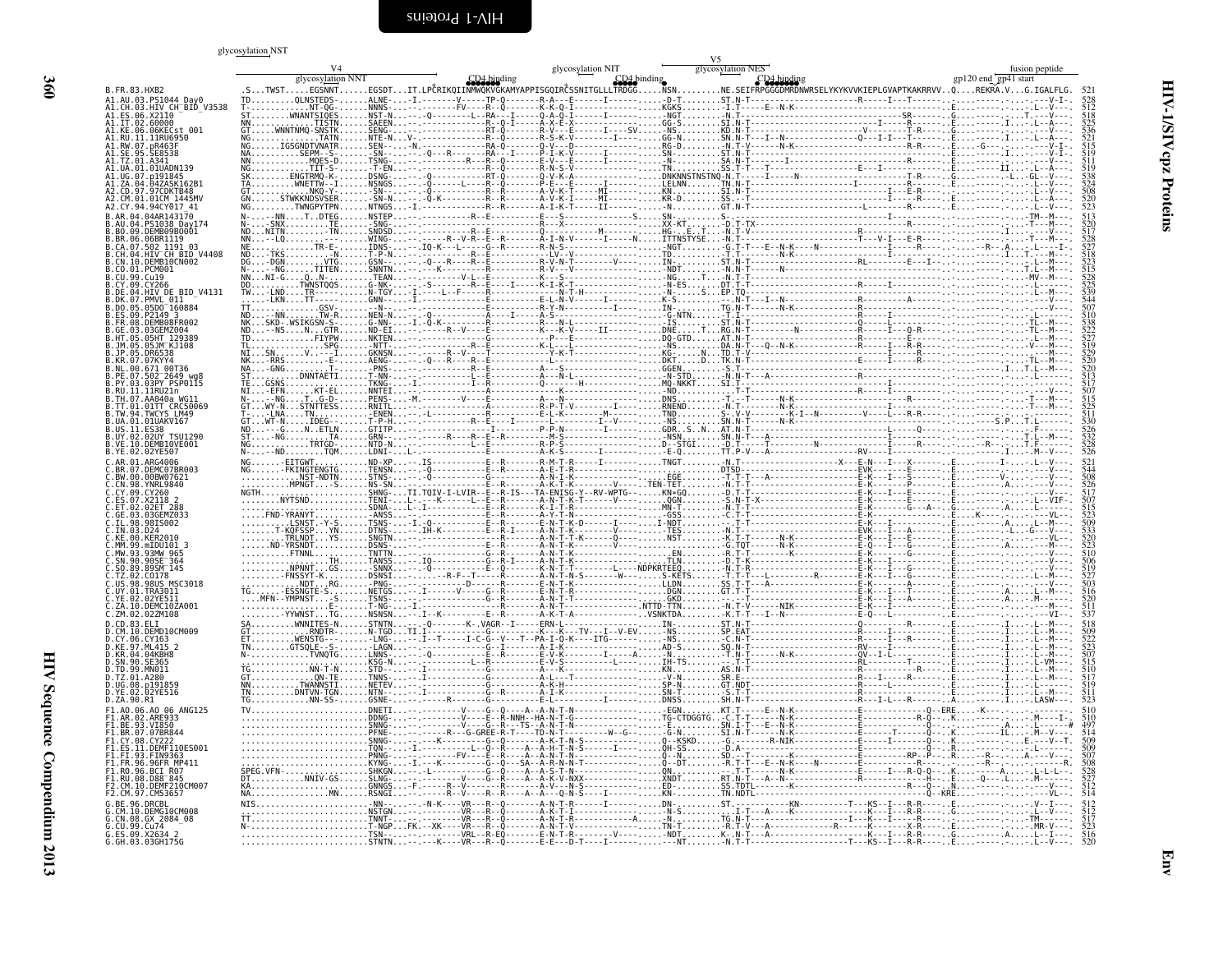#### <span id="page-49-0"></span>glycosylation.NST

|                                                            | giycosyiation NS I |  | V <sub>5</sub> |  |
|------------------------------------------------------------|--------------------|--|----------------|--|
|                                                            |                    |  |                |  |
| B. FR. 83. HXB2                                            |                    |  |                |  |
| .AU.03.PS1044_Day0<br>.CH.03.HIV CH <sup>-</sup> BID V3538 |                    |  |                |  |
| ES.06.X2110.<br>IT.02.60000.<br>A1.KE.06.06KECst 001       |                    |  |                |  |
| RU.11.11RU6950                                             |                    |  |                |  |
|                                                            |                    |  |                |  |
| 01 01 JIADN139                                             |                    |  |                |  |
|                                                            |                    |  |                |  |
|                                                            |                    |  |                |  |
|                                                            |                    |  |                |  |
| S1038 Dav174                                               |                    |  |                |  |
|                                                            |                    |  |                |  |
| .04.HIV CH BID V4408<br>10.DEMB10CN002                     |                    |  |                |  |
| 01 PCM001                                                  |                    |  |                |  |
| 94.HIV DE BID V4131                                        |                    |  |                |  |
| 7.PMVL 011                                                 |                    |  |                |  |
| ES.09.P2149 3<br>FR.08.DEMB08FR002                         |                    |  |                |  |
|                                                            |                    |  |                |  |
|                                                            |                    |  |                |  |
|                                                            |                    |  |                |  |
| .07.502 <sup>-</sup> 2649 wg                               |                    |  |                |  |
| RU. 11. 11RU21n                                            |                    |  |                |  |
| TW.94.TWCYS LM49                                           |                    |  |                |  |
| 01.01UAKV167<br>.11. ES38                                  |                    |  |                |  |
| .02UY TSU1290<br>.DEMBIOVE001                              |                    |  |                |  |
| ARG4006                                                    |                    |  |                |  |
| DEMC07BR003<br>BW.00.00BW07621                             |                    |  |                |  |
| CN.98. YNRL9840                                            |                    |  |                |  |
|                                                            |                    |  |                |  |
| 03GFM7033<br>98TS002                                       |                    |  |                |  |
|                                                            |                    |  |                |  |
|                                                            |                    |  |                |  |
|                                                            |                    |  |                |  |
| $9815$ MSC3018                                             |                    |  |                |  |
|                                                            |                    |  |                |  |
| DEMC10ZA001<br>ZM.02.02ZM108                               |                    |  |                |  |
|                                                            |                    |  |                |  |
| 10 DEMD10CM009                                             |                    |  |                |  |
| .CY.06.CY163<br>.KE.97.ML415 2<br>.KR.04.04KBH8            |                    |  |                |  |
|                                                            |                    |  |                |  |
| A280.<br>p191859                                           |                    |  |                |  |
| D.ZA.90.R1                                                 |                    |  |                |  |
|                                                            |                    |  |                |  |
| RR 07 07RR844                                              |                    |  |                |  |
| FS 11 DEME110ES001                                         |                    |  |                |  |
| <b>FRPUTE FR</b>                                           |                    |  |                |  |
| 96.BCI R07<br>.RU.08.D88 <sup>-</sup> 845                  |                    |  |                |  |
| 10.DEMF210CM007<br>CM5365                                  |                    |  |                |  |
| <b>LRE 96 DRCBL</b>                                        |                    |  |                |  |
| DEMG10CM008                                                |                    |  |                |  |
| 5.ES.09.X26342                                             |                    |  |                |  |
| G.GH.03.03GH175G                                           |                    |  |                |  |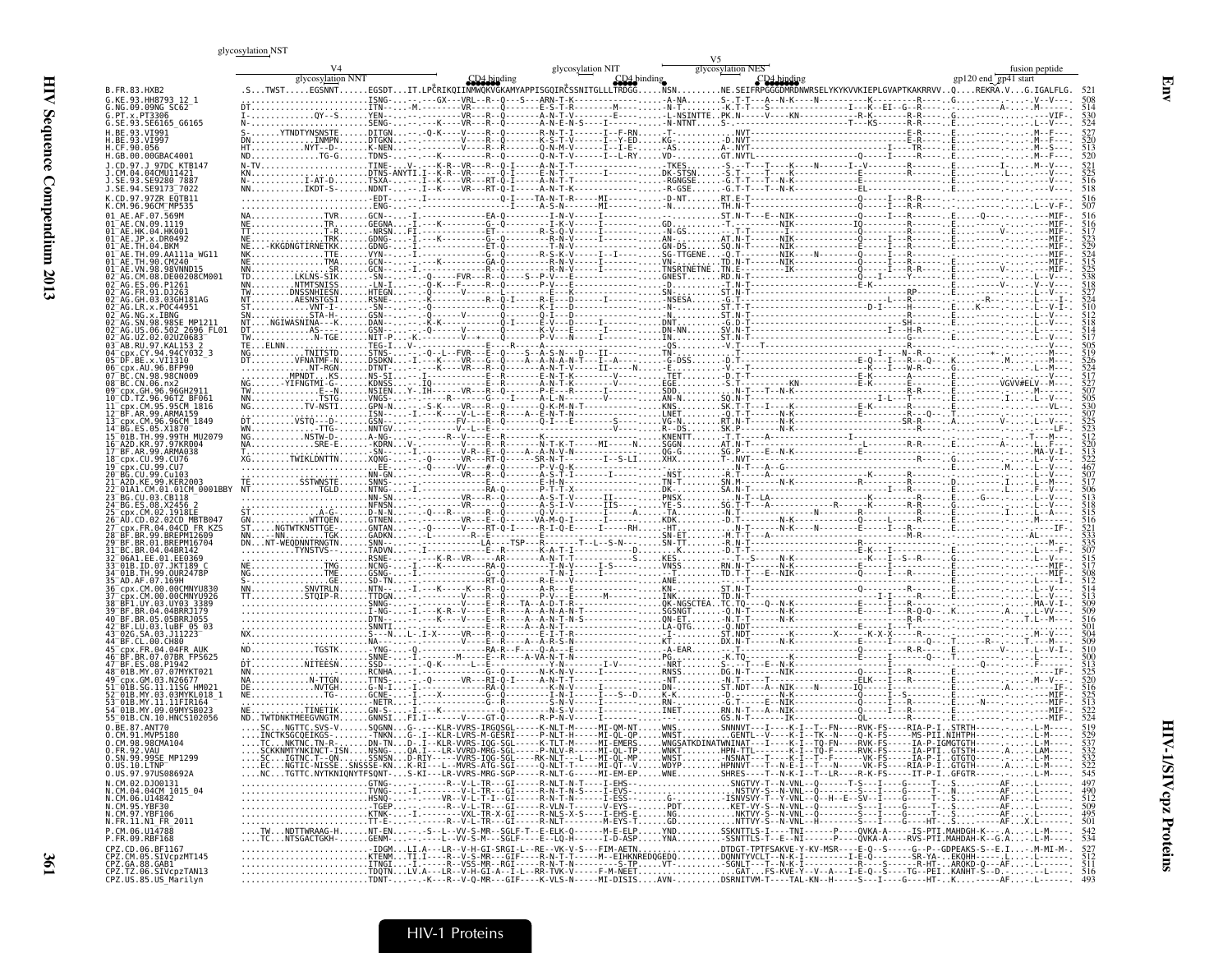#### glycosylation NST

|                                                                         | giycosyiation NS I |                   |             |                   |                                                                                                                                                                                        |                      |                |
|-------------------------------------------------------------------------|--------------------|-------------------|-------------|-------------------|----------------------------------------------------------------------------------------------------------------------------------------------------------------------------------------|----------------------|----------------|
|                                                                         | glycosylation NNT  | glycosylation NIT | CD4 binding | glycosylation NES |                                                                                                                                                                                        | gp120 end gp41 start | fusion peptide |
| B.FR.83.HXB2                                                            |                    |                   |             |                   | .EGSNNTEGSDTIT.LPČRIKOIINMWOKVGKAMYAPPISGOIRČSSNITGLLLTRDGGNSNNE.SEIFRPGGGDMRDNWRSELYKYKVVKIEPLGVAPTKAKRRVVOREKRA.VG.IGALFLG.                                                          |                      |                |
| G.KE.93.HH8793 12 1<br>.NG.09.09NG SC62                                 |                    |                   |             |                   |                                                                                                                                                                                        |                      |                |
| . PT . x . PT3306<br>G.SE.93.SE6165_G6165                               |                    |                   |             |                   |                                                                                                                                                                                        |                      |                |
| RF 93 VT991<br>BE.93.VT997                                              | S- YTNDTYNSNSTE    |                   |             |                   |                                                                                                                                                                                        |                      |                |
| CF.90.056<br>GB.00.00GBAC4001                                           |                    |                   |             |                   |                                                                                                                                                                                        |                      |                |
|                                                                         |                    |                   |             |                   |                                                                                                                                                                                        |                      |                |
|                                                                         |                    |                   |             |                   |                                                                                                                                                                                        |                      |                |
| SE.94.SE9173 <sup>-</sup> 7022<br>CD.97.97ZR E0TB11                     |                    |                   |             |                   |                                                                                                                                                                                        |                      |                |
|                                                                         |                    |                   |             |                   |                                                                                                                                                                                        |                      |                |
|                                                                         |                    |                   |             |                   |                                                                                                                                                                                        |                      |                |
|                                                                         |                    |                   |             |                   |                                                                                                                                                                                        |                      |                |
|                                                                         |                    |                   |             |                   |                                                                                                                                                                                        |                      |                |
|                                                                         |                    |                   |             |                   |                                                                                                                                                                                        |                      |                |
|                                                                         |                    |                   |             |                   |                                                                                                                                                                                        |                      |                |
| P0C44951                                                                |                    |                   |             |                   |                                                                                                                                                                                        |                      |                |
|                                                                         |                    |                   |             |                   |                                                                                                                                                                                        |                      |                |
|                                                                         |                    |                   |             |                   |                                                                                                                                                                                        |                      |                |
| .94CY032 3                                                              |                    |                   |             |                   |                                                                                                                                                                                        |                      |                |
|                                                                         |                    |                   |             |                   |                                                                                                                                                                                        |                      |                |
|                                                                         |                    |                   |             |                   |                                                                                                                                                                                        |                      |                |
|                                                                         |                    |                   |             |                   |                                                                                                                                                                                        |                      |                |
|                                                                         |                    |                   |             |                   |                                                                                                                                                                                        |                      |                |
|                                                                         |                    |                   |             |                   |                                                                                                                                                                                        |                      |                |
|                                                                         |                    |                   |             |                   |                                                                                                                                                                                        |                      |                |
| 99.CU76                                                                 |                    |                   |             |                   |                                                                                                                                                                                        |                      |                |
|                                                                         |                    |                   |             |                   |                                                                                                                                                                                        |                      |                |
|                                                                         |                    |                   |             |                   |                                                                                                                                                                                        |                      |                |
|                                                                         |                    |                   |             |                   |                                                                                                                                                                                        |                      |                |
| 02CD MBTB04.                                                            |                    |                   |             |                   |                                                                                                                                                                                        |                      |                |
|                                                                         |                    |                   |             |                   |                                                                                                                                                                                        |                      |                |
|                                                                         |                    |                   |             |                   |                                                                                                                                                                                        |                      |                |
|                                                                         |                    |                   |             |                   |                                                                                                                                                                                        |                      |                |
|                                                                         |                    |                   |             |                   |                                                                                                                                                                                        |                      |                |
|                                                                         |                    |                   |             |                   |                                                                                                                                                                                        |                      |                |
|                                                                         |                    |                   |             |                   |                                                                                                                                                                                        |                      |                |
|                                                                         |                    |                   |             |                   |                                                                                                                                                                                        |                      |                |
|                                                                         |                    |                   |             |                   |                                                                                                                                                                                        |                      |                |
|                                                                         |                    |                   |             |                   |                                                                                                                                                                                        |                      |                |
|                                                                         |                    |                   |             |                   |                                                                                                                                                                                        |                      |                |
| A9 09MYSB023                                                            |                    |                   |             |                   |                                                                                                                                                                                        |                      |                |
|                                                                         |                    |                   |             |                   | SOGNNG-.---KLR-VVRS-IRGOSGL-----K-NLT-M-----MI-OM-NTWNSSNNNVT---I---K-I--T--FN----RVK-FS----RTA-P-ISTRTH-----,-L-M--                                                                   |                      |                |
| CM.91.MVP5180                                                           |                    |                   |             |                   |                                                                                                                                                                                        |                      |                |
| CM 98 98CMA104<br>O FR 92 VALI                                          |                    |                   |             |                   |                                                                                                                                                                                        |                      |                |
| 0.SN.99.99SE_MP1299<br>0.US.10.LTNP <sup>-</sup><br>0.US.97.97US08692A  |                    |                   |             |                   | SCKKNMTYNKINCT-ISNNSNG-QA.I---LR-VVRD-MRG-SGL-----P-NLV-R-----MI-QL-TPWNKTNMTTI-----K-I-TQ-F----RVK-FS-----RVK-FS-----IA-PTIGTSTH------A-.LAM-----<br>ECIGTIC-NISSESSNSND-RIY---L-WVRS |                      |                |
| N.CM.02.DJ00131<br>N.CM.04.04CM_1015_04                                 |                    |                   |             |                   |                                                                                                                                                                                        |                      | 490            |
|                                                                         |                    |                   |             |                   |                                                                                                                                                                                        |                      |                |
| N.CM.06.U14842<br>N.CM.95.YBF30<br>N.CM.97.YBF106<br>N.FR.11.N1 FR 2011 |                    |                   |             |                   |                                                                                                                                                                                        |                      | 50)            |
| P.CM.06.U14788                                                          |                    |                   |             |                   | TWNDTTWRAAG-HNT-EN--.-S--L--VV-S-MR--SGLF-T--E-ELK-Q------M-E-ELPYNDYSKNTTLS-I----TNI------P----QVKA-A-----IS-PTI.MAHDGH-K---.A-.L-M----.<br>TCNTSGACTGKH-GENM---.----L--VV-S-M--      |                      |                |
| P.FR.09.RBF168                                                          |                    |                   |             |                   |                                                                                                                                                                                        |                      |                |
|                                                                         |                    |                   |             |                   |                                                                                                                                                                                        |                      |                |
|                                                                         |                    |                   |             |                   |                                                                                                                                                                                        |                      |                |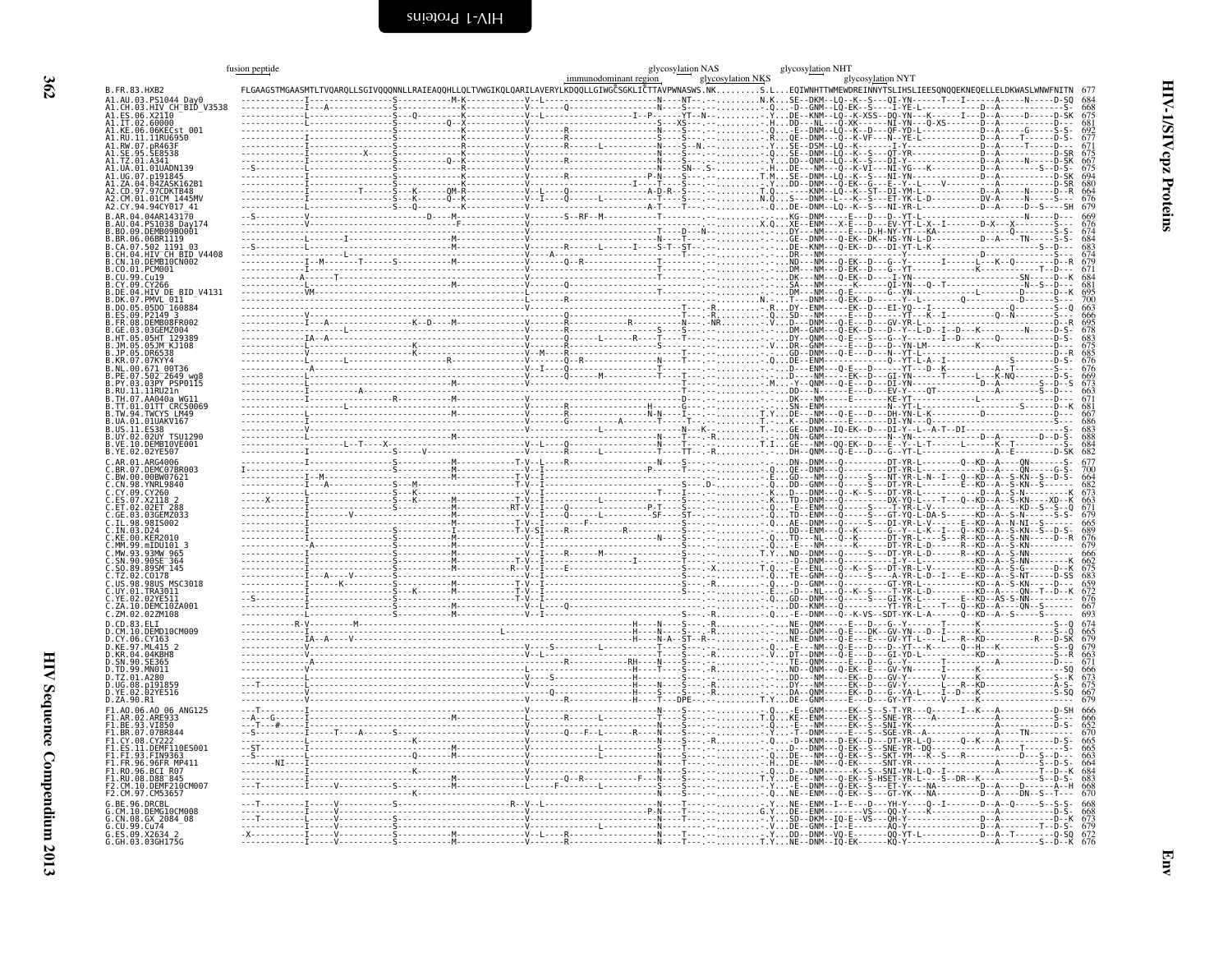<span id="page-51-0"></span>

|                                                                     | fusion peptide |  |  |                                                                                                                                         |                   | glycosylation NHT |                   |                                                                                      |
|---------------------------------------------------------------------|----------------|--|--|-----------------------------------------------------------------------------------------------------------------------------------------|-------------------|-------------------|-------------------|--------------------------------------------------------------------------------------|
| <b>B.FR.83.HXB2</b>                                                 |                |  |  | immunodominant region<br>TVQARQLLSGIVQQQNNLLRAIEAQQHLLQLTVWGIKQLQARILAVERYLKDQQLLGIWGČSGKLIČTTAVPWNASWS.NKS.LEQIWNHTTWMEWDREINNYTSLIHSL | glycosylation NKS |                   | glycosylation NYT |                                                                                      |
| A1.AU.03.PS1044                                                     |                |  |  |                                                                                                                                         |                   |                   |                   |                                                                                      |
| 03.HIV_CH BID V3538<br>. X2110                                      |                |  |  |                                                                                                                                         |                   |                   |                   |                                                                                      |
| 02.60000                                                            |                |  |  |                                                                                                                                         |                   |                   |                   |                                                                                      |
| Al.KE.06.06KECst 001<br>Al.RU.11.11RU6950                           |                |  |  |                                                                                                                                         |                   |                   |                   |                                                                                      |
|                                                                     |                |  |  |                                                                                                                                         |                   |                   |                   | 692<br>6771<br>675<br>675<br>680<br>680<br>680<br>676<br>679                         |
|                                                                     |                |  |  |                                                                                                                                         |                   |                   |                   |                                                                                      |
| A1.UA.01.01UADN139                                                  |                |  |  |                                                                                                                                         |                   |                   |                   |                                                                                      |
| 047ASK162R1<br>. 7 A                                                |                |  |  |                                                                                                                                         |                   |                   |                   |                                                                                      |
| 97.97CDKTB48<br>CM.01.01CM 1445MV                                   |                |  |  |                                                                                                                                         |                   |                   |                   |                                                                                      |
|                                                                     |                |  |  |                                                                                                                                         |                   |                   |                   |                                                                                      |
|                                                                     |                |  |  |                                                                                                                                         |                   |                   |                   | 669<br>676<br>674<br>684<br>683<br>674<br>671<br>684                                 |
| 09.DEMB09B0001.                                                     |                |  |  |                                                                                                                                         |                   |                   |                   |                                                                                      |
| .06.06BR1119<br>CA.07.502 1191 03                                   |                |  |  |                                                                                                                                         |                   |                   |                   |                                                                                      |
| HIV CH BID V4408                                                    |                |  |  |                                                                                                                                         |                   |                   |                   |                                                                                      |
| 10.DEMB10CN002                                                      |                |  |  |                                                                                                                                         |                   |                   |                   |                                                                                      |
|                                                                     |                |  |  |                                                                                                                                         |                   |                   |                   |                                                                                      |
| BID V4131                                                           |                |  |  |                                                                                                                                         |                   |                   |                   |                                                                                      |
| PMVL 011<br>05D0 <sup>-</sup> 160884                                |                |  |  |                                                                                                                                         |                   |                   |                   |                                                                                      |
| P2149 3                                                             |                |  |  |                                                                                                                                         |                   |                   |                   | 681<br>695<br>700 663<br>666 695 833<br>678 683<br>676 669 673<br>667 669 673<br>671 |
| DEMB08FR001<br>03GEMZ004                                            |                |  |  |                                                                                                                                         |                   |                   |                   |                                                                                      |
|                                                                     |                |  |  |                                                                                                                                         |                   |                   |                   |                                                                                      |
|                                                                     |                |  |  |                                                                                                                                         |                   |                   |                   |                                                                                      |
| .00.671 00T36                                                       |                |  |  |                                                                                                                                         |                   |                   |                   |                                                                                      |
| 502 <sup>-</sup> 2649 wg8                                           |                |  |  |                                                                                                                                         |                   |                   |                   |                                                                                      |
| .03.03PY PSP0115<br>11.11RU21n                                      |                |  |  |                                                                                                                                         |                   |                   |                   |                                                                                      |
| TH.07.AA040a WG11<br>01TT CRC50069                                  |                |  |  |                                                                                                                                         |                   |                   |                   |                                                                                      |
|                                                                     |                |  |  |                                                                                                                                         |                   |                   |                   |                                                                                      |
| 01.01UAKV167                                                        |                |  |  |                                                                                                                                         |                   |                   |                   |                                                                                      |
| <b>02UY TSU1290</b>                                                 |                |  |  |                                                                                                                                         |                   |                   |                   |                                                                                      |
| 10.DEMB10VE001<br>B.YE.02.02YE507                                   |                |  |  |                                                                                                                                         |                   |                   |                   | 667<br>686<br>683<br>683<br>684<br>684                                               |
| ARG4006<br>DEMC07BR003                                              |                |  |  |                                                                                                                                         |                   |                   |                   | 677<br>700                                                                           |
|                                                                     |                |  |  |                                                                                                                                         |                   |                   |                   |                                                                                      |
|                                                                     |                |  |  |                                                                                                                                         |                   |                   |                   |                                                                                      |
| A7.X2118 2                                                          |                |  |  |                                                                                                                                         |                   |                   |                   |                                                                                      |
|                                                                     |                |  |  |                                                                                                                                         |                   |                   |                   |                                                                                      |
|                                                                     |                |  |  |                                                                                                                                         |                   |                   |                   |                                                                                      |
|                                                                     |                |  |  |                                                                                                                                         |                   |                   |                   |                                                                                      |
|                                                                     |                |  |  |                                                                                                                                         |                   |                   |                   |                                                                                      |
| SN.90<br>90SE <sup>-364</sup>                                       |                |  |  |                                                                                                                                         |                   |                   |                   |                                                                                      |
| 89SM <sup>-145</sup>                                                |                |  |  |                                                                                                                                         |                   |                   |                   |                                                                                      |
| MSC3018<br>.98US<br><b>TRA3011</b>                                  |                |  |  |                                                                                                                                         |                   |                   |                   |                                                                                      |
|                                                                     |                |  |  |                                                                                                                                         |                   |                   |                   |                                                                                      |
| DEMC10ZA001<br>C.ZM.02.02ZM108                                      |                |  |  |                                                                                                                                         |                   |                   |                   |                                                                                      |
|                                                                     |                |  |  |                                                                                                                                         |                   |                   |                   |                                                                                      |
| CM.10.DEMD10CM009<br>.06.CY163                                      |                |  |  |                                                                                                                                         |                   |                   |                   | 674<br>665<br>679<br>679<br>666<br>673<br>675<br>679                                 |
| D.KE.97.ML415 2                                                     |                |  |  |                                                                                                                                         |                   |                   |                   |                                                                                      |
| .04.04KBH8<br>D. SN. 90. SE365                                      |                |  |  |                                                                                                                                         |                   |                   |                   |                                                                                      |
| .TZ.01.A280                                                         |                |  |  |                                                                                                                                         |                   |                   |                   |                                                                                      |
|                                                                     |                |  |  |                                                                                                                                         |                   |                   |                   |                                                                                      |
| D.ZA.90.R1                                                          |                |  |  |                                                                                                                                         |                   |                   |                   |                                                                                      |
| F1.A0.06.A0 06 ANG125<br>F1.AR.02.ARE933                            |                |  |  |                                                                                                                                         |                   |                   |                   |                                                                                      |
| F1.BE.93.VI850                                                      |                |  |  |                                                                                                                                         |                   |                   |                   | 666<br>666<br>652<br>670<br>665<br>665<br>663<br>683<br>683<br>683<br>683            |
| 07.07BR844                                                          |                |  |  |                                                                                                                                         |                   |                   |                   |                                                                                      |
|                                                                     |                |  |  |                                                                                                                                         |                   |                   |                   |                                                                                      |
| 96.96FR MP411                                                       |                |  |  |                                                                                                                                         |                   |                   |                   |                                                                                      |
| F1.RO.96.BCI R07                                                    |                |  |  |                                                                                                                                         |                   |                   |                   |                                                                                      |
| F1.RU.08.D88 <sup>-</sup> 845<br>10.DEMF210CM00                     |                |  |  |                                                                                                                                         |                   |                   |                   |                                                                                      |
| 2.CM.97.CM53657                                                     |                |  |  |                                                                                                                                         |                   |                   |                   |                                                                                      |
| 96 DRCRI<br>$\mathsf{G}$ . CM . 10 . DEMG $\mathsf{\bar{1}}$ 0CM008 |                |  |  |                                                                                                                                         |                   |                   |                   |                                                                                      |
| CN.08.GX 2084 08                                                    |                |  |  |                                                                                                                                         |                   |                   |                   |                                                                                      |
| G.ES.09.X2634 2                                                     |                |  |  |                                                                                                                                         |                   |                   |                   |                                                                                      |
| G.GH.03.03GH175G                                                    |                |  |  |                                                                                                                                         |                   |                   |                   |                                                                                      |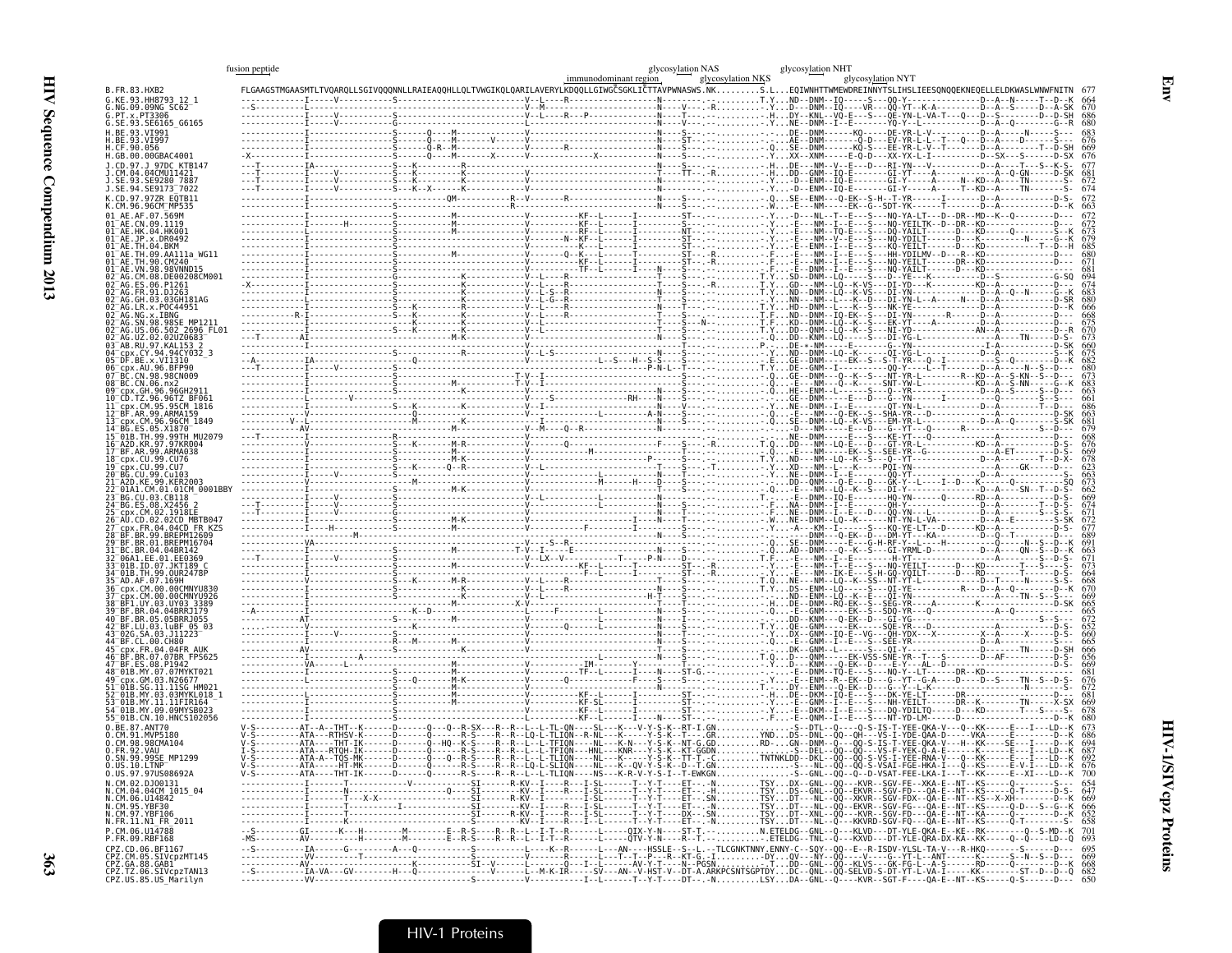|                                                                                                              | fusion peptide | immunodominant region | glycosylation NAS<br>glycosylation NKS | glycosylation NHT<br>glycosylation NYT                                                                                                                                                                                    |
|--------------------------------------------------------------------------------------------------------------|----------------|-----------------------|----------------------------------------|---------------------------------------------------------------------------------------------------------------------------------------------------------------------------------------------------------------------------|
| B.FR.83.HXB2<br>G.KE.93.HH8793 12 1                                                                          |                |                       |                                        | FLGAAGSTMGAASMTLTVQARQLLSGIVQQQNNLLRAIEAQQHLLQLTVWGIKQLQARILAVERYLKDQQLLGIWGCSGKLICTTAVPWNASWS.NKS.LEQIWNHTTWMEWDREINNYTSLIHSLIEESQNQQEKNEQELLELDKWASLWNWFNITN 677                                                        |
| G.NG.09.09NG SC62<br>G.PT.x.PT3306                                                                           |                |                       |                                        |                                                                                                                                                                                                                           |
| G.SE.93.SE6165_G6165<br>H.BE.93.VI991                                                                        |                |                       |                                        |                                                                                                                                                                                                                           |
| H.BE.93.VĪ997<br>H.CF.90.056<br>H.GB.00.00GBAC4001                                                           |                |                       |                                        |                                                                                                                                                                                                                           |
| J.CD.97.J 97DC KTB147<br>J.CM.04.04CMU11421                                                                  |                |                       |                                        |                                                                                                                                                                                                                           |
| SE.93.SE9280 7887<br>J.SE.94.SE9173 <sup>-</sup> 7022                                                        |                |                       |                                        |                                                                                                                                                                                                                           |
| K.CD.97.97ZR E0TB11<br>K.CM.96.96CM MP535                                                                    |                |                       |                                        |                                                                                                                                                                                                                           |
| 01 AE.AF.07.569M<br>01 AE.CN.09.1119                                                                         |                |                       |                                        |                                                                                                                                                                                                                           |
| 01 AE. HK. 04. HK001<br>01 AE. JP. x. DR0492                                                                 |                |                       |                                        |                                                                                                                                                                                                                           |
| 01 AE.TH.04.BKM<br>01 AE.TH.09.AA111a WG11<br>01 AE. TH. 90. CM240                                           |                |                       |                                        |                                                                                                                                                                                                                           |
| 01 AE.VN.98.98VNND15<br>02 AG.CM.08.DE00208CM001                                                             |                |                       |                                        |                                                                                                                                                                                                                           |
| 02 AG.ES.06.P1261                                                                                            |                |                       |                                        |                                                                                                                                                                                                                           |
| 02 AG. FR. 91. DJ263<br>02 AG. FR. 91. DJ263<br>02 AG. GH. 03. 03GH181AG<br>02 AG. LR. x. POC44951           |                |                       |                                        |                                                                                                                                                                                                                           |
| 02-AG.NG.x.IBNG<br>02-AG.SN.98.98SE_MP1211<br>02-AG.US.06.502_2696_FL01<br>02-AG.UZ.02.02UZ0683              |                |                       |                                        |                                                                                                                                                                                                                           |
| 03 AB RU 97 KAL153 2                                                                                         |                |                       |                                        |                                                                                                                                                                                                                           |
| 04 - CDX.CY.94.94CY032_3<br>05 - DF.BE.x.VI1310<br>06 - CDX.AU.96.BEP90                                      |                |                       |                                        |                                                                                                                                                                                                                           |
| 07 BC.CN.98.98CN009                                                                                          |                |                       |                                        |                                                                                                                                                                                                                           |
| 09-BC.CN.06.nx2<br>09-cpx.GH.96.96GH2911<br>10-CD.TZ.96.96TZ_BF061                                           |                |                       |                                        |                                                                                                                                                                                                                           |
| 11 cpx.CM.95.95CM 1816<br>12-BF.AR.99.ARMA159<br>13-cpx.CM.96.96CM_1849<br>14-BG.ES.05.X1870                 |                |                       |                                        |                                                                                                                                                                                                                           |
| 15 <sup>-</sup> 01B.TH.99.99TH MU2079                                                                        |                |                       |                                        |                                                                                                                                                                                                                           |
| 16 A2D.KR.97.97KR004<br>17 BF.AR.99.ARMA038<br>18 cpx.CU.99.CU76                                             |                |                       |                                        |                                                                                                                                                                                                                           |
| 19 cpx.cu.99.cu7<br>20 BG.cu.99.cu103<br>21 A2D.KE.99.KER2003                                                |                |                       |                                        |                                                                                                                                                                                                                           |
| 22 01A1.CM.01.01CM 0001BBY                                                                                   |                |                       |                                        |                                                                                                                                                                                                                           |
| 23 BG.CU.03.CB118<br>24-BG.ES.08.X2456 2<br>25-cpx.CM.02.1918LE                                              |                |                       |                                        |                                                                                                                                                                                                                           |
| AU.CD.02.02CD MBTB047<br>CDX.FR.04.04CD FR KZS                                                               |                |                       |                                        |                                                                                                                                                                                                                           |
| 28 <sup>-</sup> BF.BR.99.BREPM12609<br>29 <sup>-</sup> BF.BR.01.BREPM16704                                   |                |                       |                                        |                                                                                                                                                                                                                           |
| 31 BC.BR.04.04BR142<br>32-06A1.EE.01.EE0369<br>33-01B.ID.07.JKT189_C                                         |                |                       |                                        |                                                                                                                                                                                                                           |
| 34 <sup>-</sup> 01B.TH.99.0UR2478P<br>35 <sup>-</sup> AD.AF.07.169H                                          |                |                       |                                        |                                                                                                                                                                                                                           |
| 36 cpx.CM.00.00CMNYU830<br>37 cpx.cm.00.00CMNYU926<br>38 BF1.UY.03.UY03_3389                                 |                |                       |                                        |                                                                                                                                                                                                                           |
| 39 BF.BR.04.04BRRJ179                                                                                        |                |                       |                                        |                                                                                                                                                                                                                           |
| 40 BF.BR.05.05BRRJ055<br>42 BF.LU.03.luBF_05_03                                                              |                |                       |                                        |                                                                                                                                                                                                                           |
| 43-026.SA.03.J11223<br>44-BF.CL.00.CH80<br>cpx.FR.04.04FR AUK                                                |                |                       |                                        |                                                                                                                                                                                                                           |
| 46 BF.BR.07.07BR FPS625<br>47 BF.ES.08.P1942<br>48 <sup>-</sup> 01B.MY.07.07MYKT021                          |                |                       |                                        |                                                                                                                                                                                                                           |
| - cpx.GM.03.N26677<br>-01B.SG.11.11SG HM021                                                                  |                |                       |                                        |                                                                                                                                                                                                                           |
| 01B.MY.03.03MYKL018    1<br>01B.MY.11.11FIR164                                                               |                |                       |                                        |                                                                                                                                                                                                                           |
| 4-01B.MY.09.09MYSB023<br>55 01B.CN.10.HNCS102056                                                             |                |                       |                                        |                                                                                                                                                                                                                           |
| 0.BE.87.ANT70<br>0.CM.91.MVP5180<br>0.CM.98.98CMA104                                                         |                |                       |                                        |                                                                                                                                                                                                                           |
| 0. FR. 92. VAU<br>1299<br>0.SN.99.99SE MH                                                                    |                |                       |                                        |                                                                                                                                                                                                                           |
| $0.05.10.$ LTNP<br>0.US.97.97US08692A                                                                        |                |                       |                                        |                                                                                                                                                                                                                           |
| N. CM. 02. DJ00131<br>N. CM. 04. 04CM 1015_04<br>N. CM. 06. U14842<br>N. CM. 95. YBF30<br>N. CM. 97. YBF106  |                |                       |                                        |                                                                                                                                                                                                                           |
|                                                                                                              |                |                       |                                        |                                                                                                                                                                                                                           |
| N.FR.11.N1_FR_2011                                                                                           |                |                       |                                        |                                                                                                                                                                                                                           |
| P.CM.06.U14788<br>P.FR.09.RBF168                                                                             |                |                       |                                        | --S---------GI-------K---H--------M-------E--R-S----R--R--L--I-T--R------L----OIX-Y-N----ST-T.--N.ETELDG--GNL--Q----KLVD---DT-YLE-QKA-E--KE--RK-----------Q--S-MD--K 701<br>-MS---------AV---------H-------M-------E--R-S |
| CPZ.CD.06.BF1167<br>CPZ.CM.05.SIVcpzMT145<br>CPZ.GA.88.GAB1<br>CPZ.TZ.06.SIVcpzTAN13<br>CPZ.US.85.US_Marilyn |                |                       |                                        |                                                                                                                                                                                                                           |
|                                                                                                              |                |                       |                                        |                                                                                                                                                                                                                           |

Env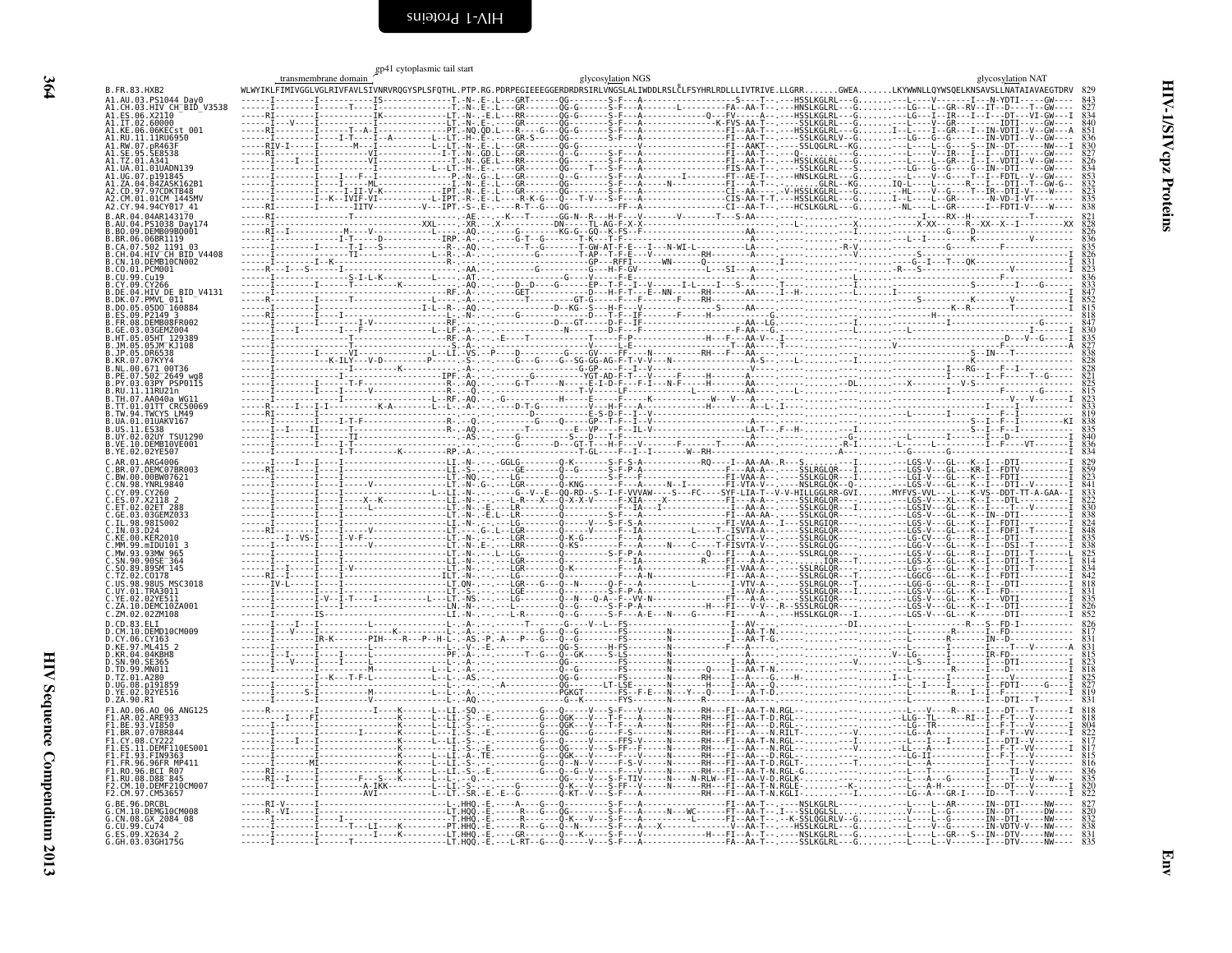<span id="page-53-0"></span>

|                                                   | transmembrane domain                                                                                                                                         | gp41 cytoplasmic tail start | glycosylation NGS |  | glycosylation NAT |
|---------------------------------------------------|--------------------------------------------------------------------------------------------------------------------------------------------------------------|-----------------------------|-------------------|--|-------------------|
| B.FR.83.HXB2                                      | WLWYIKLFIMIVGGLVGLRIVFAVLSIVNRVRQGYSPLSFQTHL.PTP.RG.PDRPEGIEEEGGERDRDRSIRLVNGSLALIWDDLRSLČLFSYHRLRDLLLIVTRIVE.LLGRRGWEALKYWWNLLQYWSQELKNSAVSLLNATAIAVAEGTDRV |                             |                   |  |                   |
| A1.AU.03.PS1044_Day0<br>A1.CH.03.HIV_CH_BID_V3538 |                                                                                                                                                              |                             |                   |  |                   |
| A1.IT.02.60000<br>Al.KE.06.06KECst 001            |                                                                                                                                                              |                             |                   |  |                   |
|                                                   |                                                                                                                                                              |                             |                   |  |                   |
|                                                   |                                                                                                                                                              |                             |                   |  |                   |
|                                                   |                                                                                                                                                              |                             |                   |  |                   |
|                                                   |                                                                                                                                                              |                             |                   |  |                   |
|                                                   |                                                                                                                                                              |                             |                   |  |                   |
|                                                   |                                                                                                                                                              |                             |                   |  |                   |
| RR 06 06RR1119                                    |                                                                                                                                                              |                             |                   |  |                   |
| .CH.04.HIV CH BID V4408<br>CN.10.DEMB10CN002      |                                                                                                                                                              |                             |                   |  |                   |
|                                                   |                                                                                                                                                              |                             |                   |  |                   |
| .DE.04.HIV_DE_BID_V4131                           |                                                                                                                                                              |                             |                   |  |                   |
| 05D0 160884                                       |                                                                                                                                                              |                             |                   |  |                   |
|                                                   |                                                                                                                                                              |                             |                   |  |                   |
|                                                   |                                                                                                                                                              |                             |                   |  |                   |
|                                                   |                                                                                                                                                              |                             |                   |  |                   |
|                                                   |                                                                                                                                                              |                             |                   |  |                   |
| 11RIJ71n                                          |                                                                                                                                                              |                             |                   |  |                   |
| IA.01.01UAK∇167                                   |                                                                                                                                                              |                             |                   |  |                   |
|                                                   |                                                                                                                                                              |                             |                   |  |                   |
| VE.10.DEMB10VE001                                 |                                                                                                                                                              |                             |                   |  |                   |
| DEMC07BR003<br>00BW07621                          |                                                                                                                                                              |                             |                   |  |                   |
|                                                   |                                                                                                                                                              |                             |                   |  |                   |
|                                                   |                                                                                                                                                              |                             |                   |  |                   |
|                                                   |                                                                                                                                                              |                             |                   |  |                   |
|                                                   |                                                                                                                                                              |                             |                   |  |                   |
|                                                   |                                                                                                                                                              |                             |                   |  |                   |
|                                                   |                                                                                                                                                              |                             |                   |  |                   |
| MSC3018<br><b>IIY 01 TRA3011</b>                  |                                                                                                                                                              |                             |                   |  |                   |
| DEMC10ZA001<br>.ZM.02.02ZM108                     |                                                                                                                                                              |                             |                   |  |                   |
|                                                   |                                                                                                                                                              |                             |                   |  |                   |
|                                                   |                                                                                                                                                              |                             |                   |  |                   |
| 04KRH <sub>8</sub>                                |                                                                                                                                                              |                             |                   |  |                   |
|                                                   |                                                                                                                                                              |                             |                   |  |                   |
| ).ZA.90.R1                                        |                                                                                                                                                              |                             |                   |  |                   |
| 1.A0.06.A0 06 ANG125                              |                                                                                                                                                              |                             |                   |  |                   |
|                                                   |                                                                                                                                                              |                             |                   |  |                   |
| DEMF110ES001                                      |                                                                                                                                                              |                             |                   |  |                   |
|                                                   |                                                                                                                                                              |                             |                   |  |                   |
| 1.RU.08.D88 <sup>-</sup> 845<br>10.DEME210CM003   |                                                                                                                                                              |                             |                   |  |                   |
|                                                   |                                                                                                                                                              |                             |                   |  |                   |
| GX 2084 08                                        |                                                                                                                                                              |                             |                   |  |                   |
| .CU.99.Cu74                                       |                                                                                                                                                              |                             |                   |  |                   |
|                                                   |                                                                                                                                                              |                             |                   |  |                   |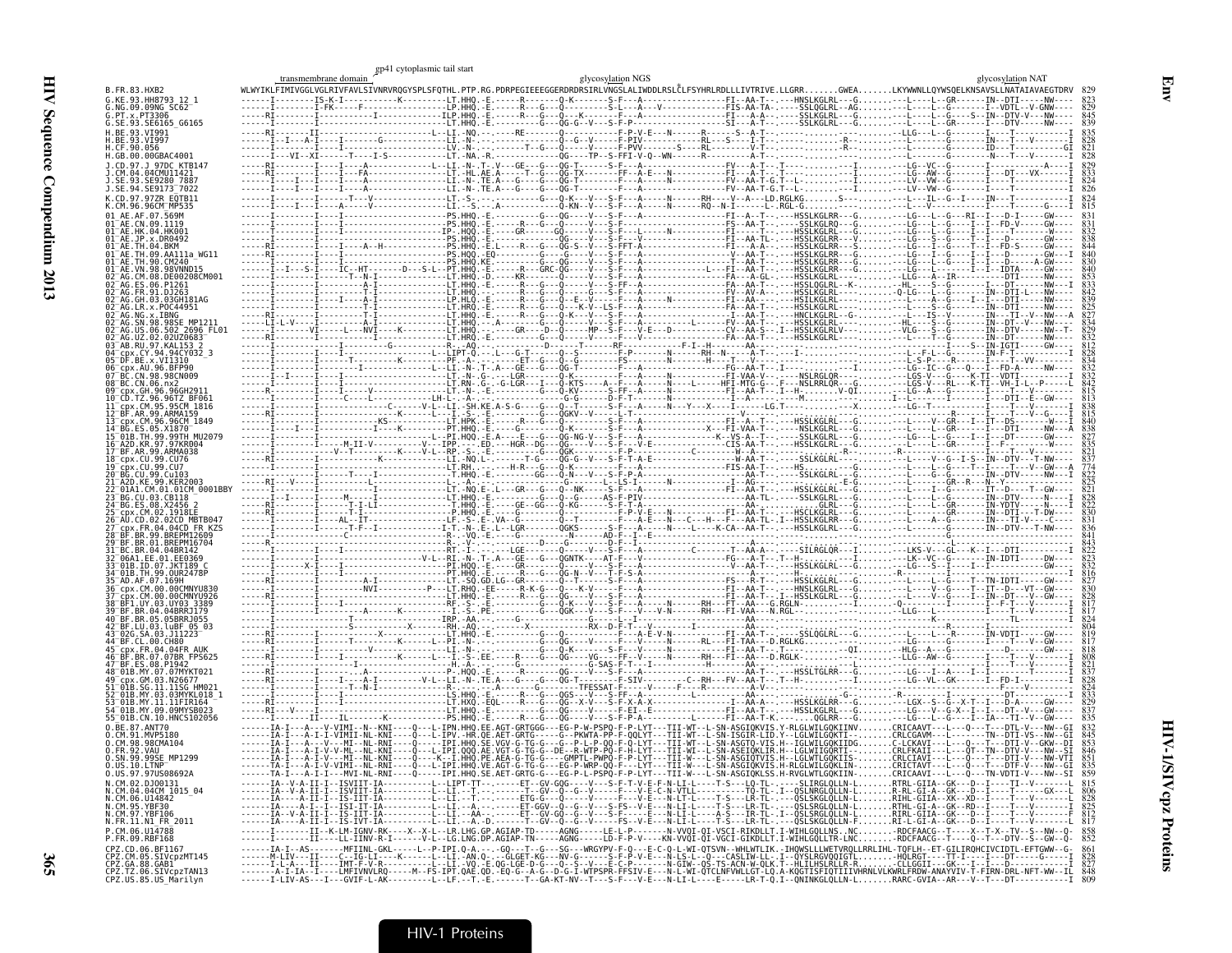|                                                                                                                     | gp41 cytoplasmic tail start<br>transmembrane domain                                                                                                                                                                        |  | glycosylation NGS |  |        | glycosylation NAT |
|---------------------------------------------------------------------------------------------------------------------|----------------------------------------------------------------------------------------------------------------------------------------------------------------------------------------------------------------------------|--|-------------------|--|--------|-------------------|
| B. FR. 83. HXB2<br>G.KE.93.HH8793 12 1                                                                              | WLWYIKLFIMIVGGLVGLRIVFAVLSIVNRVRQGYSPLSFQTHL.PTP.RG.PDRPEGIEEEGGERDRDRSIRLVNGSLALIWDDLRSLĈLFSYHRLRDLLLIVTRIVE.LLGRRGWEALKYWWNLLQYWSQELKNSAVSLLNATAIAVAEGTDRV                                                               |  |                   |  |        |                   |
| G.NG.09.09NG SC62<br>G. PT. x. PT3306                                                                               |                                                                                                                                                                                                                            |  |                   |  |        |                   |
| G.SE.93.SE6165 G6165<br>RF 93 VT991                                                                                 |                                                                                                                                                                                                                            |  |                   |  |        |                   |
| .BE.93.VI997<br>H.CE.90.056                                                                                         |                                                                                                                                                                                                                            |  |                   |  |        |                   |
| H.GB.00.00GBAC4001                                                                                                  |                                                                                                                                                                                                                            |  |                   |  |        |                   |
| SE.93.SE9280 7887                                                                                                   |                                                                                                                                                                                                                            |  |                   |  |        |                   |
| .SE.94.SE9173 <sup>-</sup> 7022<br>CD.97.97ZR E0TB11                                                                |                                                                                                                                                                                                                            |  |                   |  |        |                   |
|                                                                                                                     |                                                                                                                                                                                                                            |  |                   |  |        |                   |
|                                                                                                                     |                                                                                                                                                                                                                            |  |                   |  |        |                   |
|                                                                                                                     |                                                                                                                                                                                                                            |  |                   |  |        |                   |
|                                                                                                                     |                                                                                                                                                                                                                            |  |                   |  |        |                   |
|                                                                                                                     |                                                                                                                                                                                                                            |  |                   |  |        |                   |
|                                                                                                                     |                                                                                                                                                                                                                            |  |                   |  |        |                   |
|                                                                                                                     |                                                                                                                                                                                                                            |  |                   |  |        |                   |
| R.x.POC44951<br>.x.IBNG                                                                                             |                                                                                                                                                                                                                            |  |                   |  |        |                   |
| 02.02UZ0683                                                                                                         |                                                                                                                                                                                                                            |  |                   |  |        |                   |
| CY 94 94CY032                                                                                                       |                                                                                                                                                                                                                            |  |                   |  |        |                   |
|                                                                                                                     |                                                                                                                                                                                                                            |  |                   |  |        |                   |
|                                                                                                                     |                                                                                                                                                                                                                            |  |                   |  |        |                   |
| 96.96TZ BF061                                                                                                       |                                                                                                                                                                                                                            |  |                   |  |        |                   |
|                                                                                                                     |                                                                                                                                                                                                                            |  |                   |  |        |                   |
| M.96.96CM 1849<br>.05.X1870                                                                                         |                                                                                                                                                                                                                            |  |                   |  |        |                   |
| TH.99.99TH MU2079<br>97.97KR004                                                                                     |                                                                                                                                                                                                                            |  |                   |  |        |                   |
| cnx.CU.99.CU76                                                                                                      |                                                                                                                                                                                                                            |  |                   |  |        |                   |
|                                                                                                                     |                                                                                                                                                                                                                            |  |                   |  |        |                   |
| .01CM 0001BB                                                                                                        |                                                                                                                                                                                                                            |  |                   |  |        |                   |
|                                                                                                                     |                                                                                                                                                                                                                            |  |                   |  |        |                   |
|                                                                                                                     |                                                                                                                                                                                                                            |  |                   |  |        |                   |
|                                                                                                                     |                                                                                                                                                                                                                            |  |                   |  |        |                   |
|                                                                                                                     |                                                                                                                                                                                                                            |  |                   |  |        |                   |
|                                                                                                                     |                                                                                                                                                                                                                            |  |                   |  |        |                   |
|                                                                                                                     |                                                                                                                                                                                                                            |  |                   |  |        |                   |
|                                                                                                                     |                                                                                                                                                                                                                            |  |                   |  |        |                   |
| 04 04RRR1179<br>05.05BRRJ055                                                                                        |                                                                                                                                                                                                                            |  |                   |  |        |                   |
| luBF 05 03<br>A.03.J11223                                                                                           |                                                                                                                                                                                                                            |  |                   |  |        |                   |
|                                                                                                                     |                                                                                                                                                                                                                            |  |                   |  |        |                   |
|                                                                                                                     |                                                                                                                                                                                                                            |  |                   |  |        |                   |
|                                                                                                                     |                                                                                                                                                                                                                            |  |                   |  |        |                   |
|                                                                                                                     |                                                                                                                                                                                                                            |  |                   |  |        |                   |
| MY.11.11FIR164<br>.09.09MYSB023                                                                                     |                                                                                                                                                                                                                            |  |                   |  |        |                   |
| N.10.HNCS102056:<br><b>RE 87 ANT70</b>                                                                              |                                                                                                                                                                                                                            |  |                   |  |        |                   |
| CM.91.MVP5186<br>CM.98.98CMA104                                                                                     |                                                                                                                                                                                                                            |  |                   |  |        |                   |
| 0.FR.92.VAU<br>.SN.99.99SE MP1299                                                                                   | ------iA-I---A-I-V-V-ML--NL-KNI----ð---L-ÍÞÍ.000.XE.VĞT-Ğ-TĞ-6--DE--R-WTP-PÖ-F-H-CYT---TII-WI--L-SH-ASEIÖKLIR.H--LCCLWIGYTI---CRLFKAII---L----OT--TNV--DTV-V--TNV--SI<br>------IA-I---A-I-V---MI--NNI----Q----K--I-HHQ-PE- |  |                   |  |        |                   |
| 0.US.97.97US08692A                                                                                                  |                                                                                                                                                                                                                            |  |                   |  | N - UI |                   |
| N.CM.02.DJ00131                                                                                                     |                                                                                                                                                                                                                            |  |                   |  |        |                   |
| N.CM.04.04CM<br>N.CM.04.04CM 1015_04<br>N.CM.06.U14842<br>N.CM.97.YBF30<br>N.FR.11.N1_FR_2011<br>N.FR.11.N1_FR_2011 |                                                                                                                                                                                                                            |  |                   |  |        |                   |
|                                                                                                                     |                                                                                                                                                                                                                            |  |                   |  |        |                   |
| P.CM.06.U14788                                                                                                      | ------I-------II--K-LM-IGNV-RK----X--X-L--LR.LHG.GP.AGIAP-TD-----AGNG-----LE-L-P-------NVVOI-QI-VSCI-RIKDLLT.I-WIHLGQLLNSNCPDCFAACG--T----X--T-X--TV--S--NW--Q- 858<br>------I------II----LL-IINV-R-I------V-L--LG.LNG.    |  |                   |  |        |                   |
| P.FR.09.RBF168                                                                                                      |                                                                                                                                                                                                                            |  |                   |  |        |                   |
| CPZ.CD.06.BF1167<br>CPZ.CM.05.SIVcpzMT145<br>CPZ.GA.88.GAB1<br>CPZ.TZ.06.SIVcpzTAN13                                |                                                                                                                                                                                                                            |  |                   |  |        |                   |
| CPZ.US.85.US_Marilyn                                                                                                |                                                                                                                                                                                                                            |  |                   |  |        |                   |

Env

gp41 cytoplasmic tail start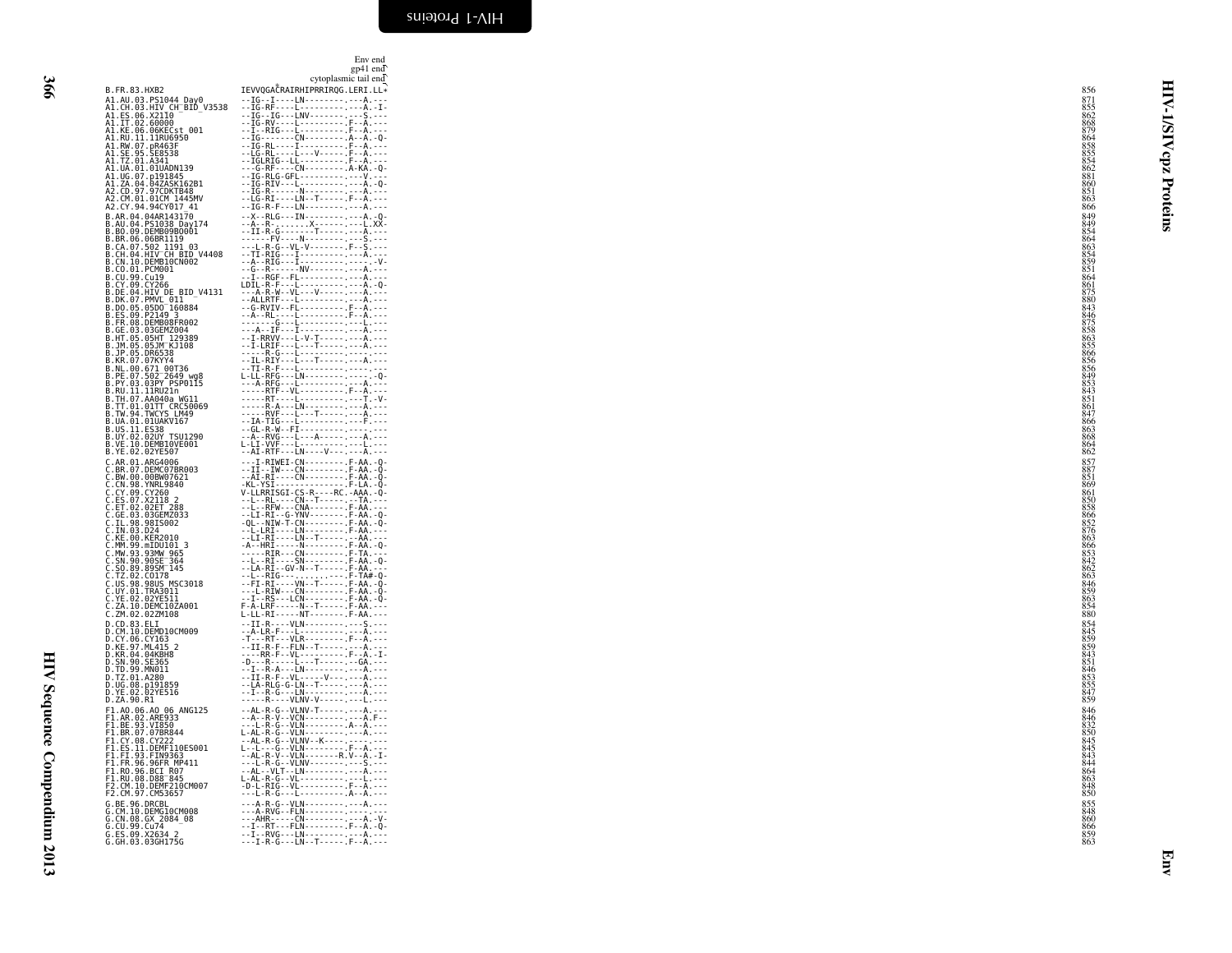<span id="page-55-0"></span>Env end<br>= 41 == J

|   | I<br>۰. |
|---|---------|
|   |         |
|   | ٦       |
| × | ۰.      |

HIV Sequence Compendium 2013

HIV Sequence Compendium 2013

|                                                                                                                                                                                                                                                              | cytoplasmic tail end                                                                                                                                                                                                                                                                                                       |  |
|--------------------------------------------------------------------------------------------------------------------------------------------------------------------------------------------------------------------------------------------------------------|----------------------------------------------------------------------------------------------------------------------------------------------------------------------------------------------------------------------------------------------------------------------------------------------------------------------------|--|
| B.FR.83.HXB2                                                                                                                                                                                                                                                 | IEVVQGACRAIRHIPRRIRQG.LERI.LL*                                                                                                                                                                                                                                                                                             |  |
| B. FR. 83. BMB<br>A1. GH. 83. HTML (THE SIDE V3538<br>A1. E5. 96. X2116<br>A1. IF. 92. 69000<br>A1. IF. 92. 60000<br>A1. NE. 91. PR. 84655<br>A1. NE. 91. PR. 955<br>A1. IE. 91. PR. 951<br>A1. IE. 91. PR. 951<br>A1. IE. 91. PR. 951.<br>A1. IE. 91. PR. 9 |                                                                                                                                                                                                                                                                                                                            |  |
|                                                                                                                                                                                                                                                              |                                                                                                                                                                                                                                                                                                                            |  |
|                                                                                                                                                                                                                                                              |                                                                                                                                                                                                                                                                                                                            |  |
|                                                                                                                                                                                                                                                              |                                                                                                                                                                                                                                                                                                                            |  |
|                                                                                                                                                                                                                                                              |                                                                                                                                                                                                                                                                                                                            |  |
| A1.UA.01.01UADN139<br>A1.UG.07.p191845                                                                                                                                                                                                                       |                                                                                                                                                                                                                                                                                                                            |  |
|                                                                                                                                                                                                                                                              |                                                                                                                                                                                                                                                                                                                            |  |
| A1.2A.04.04243K162B1<br>A2.CD.97.97CDKTB48<br>A2.CM.01.01CM 1445MV<br>A2.CY.94.94CY017_41                                                                                                                                                                    |                                                                                                                                                                                                                                                                                                                            |  |
| B.AR.04.04AR143170                                                                                                                                                                                                                                           |                                                                                                                                                                                                                                                                                                                            |  |
| B.AN.04.PS1038_Day174<br>B.BO.09.DEMB09B0001                                                                                                                                                                                                                 |                                                                                                                                                                                                                                                                                                                            |  |
| <b>B.BR.06.06BR1119<br/>B.CA.07.502 1191 03<br/>B.CA.07.502 1191 03<br/>B.CN.10.DEMB10CN002</b>                                                                                                                                                              |                                                                                                                                                                                                                                                                                                                            |  |
|                                                                                                                                                                                                                                                              |                                                                                                                                                                                                                                                                                                                            |  |
| B.CO.01.PCM001<br>B.CU.99.Cu19                                                                                                                                                                                                                               |                                                                                                                                                                                                                                                                                                                            |  |
| B.CY.09.CY266                                                                                                                                                                                                                                                |                                                                                                                                                                                                                                                                                                                            |  |
| B.DE.04.HIV_DE_BID_V4131                                                                                                                                                                                                                                     |                                                                                                                                                                                                                                                                                                                            |  |
|                                                                                                                                                                                                                                                              |                                                                                                                                                                                                                                                                                                                            |  |
|                                                                                                                                                                                                                                                              |                                                                                                                                                                                                                                                                                                                            |  |
| B.DE.04.HIV DE BID<br>B.DK.07.PMVL 011<br>B.D.O.05.0500 160884<br>B.E.09.09.P2149<br>B.FR.08.DEMB08FR002<br>B.FR.08.DEMB08FR002<br>B.JP.05.051MT 129389<br>B.JP.05.051MT 129389<br>B.JP.05.051MT 129389<br>B.VI.05.051MT 129389<br>B.KR.07.07XYY44           |                                                                                                                                                                                                                                                                                                                            |  |
|                                                                                                                                                                                                                                                              |                                                                                                                                                                                                                                                                                                                            |  |
|                                                                                                                                                                                                                                                              |                                                                                                                                                                                                                                                                                                                            |  |
| B.NL.00.671 00T36<br>B.PE.07.502 2649 wg8<br>B.PY.03.03PY PSP0115<br>B.RU.11.11R021                                                                                                                                                                          |                                                                                                                                                                                                                                                                                                                            |  |
|                                                                                                                                                                                                                                                              |                                                                                                                                                                                                                                                                                                                            |  |
| B.TH.07.AA040a WG11<br>B.TT.01.01TT CRC50069<br>B.TW.94.TWCYS_LM49                                                                                                                                                                                           |                                                                                                                                                                                                                                                                                                                            |  |
|                                                                                                                                                                                                                                                              |                                                                                                                                                                                                                                                                                                                            |  |
| B.UA.01.01UAKV167                                                                                                                                                                                                                                            |                                                                                                                                                                                                                                                                                                                            |  |
| B.US.11.ES38<br>B.UY.02.02UY TSU1290<br>B.VE.10.DEMBI0VE001                                                                                                                                                                                                  |                                                                                                                                                                                                                                                                                                                            |  |
| B.YE.02.02YE507                                                                                                                                                                                                                                              |                                                                                                                                                                                                                                                                                                                            |  |
| C.AR.01.ARG4006<br>C.BR.07.DEMC07BR003<br>C.BW.00.00BW07621<br>C.CN.98.YNRL9840                                                                                                                                                                              |                                                                                                                                                                                                                                                                                                                            |  |
|                                                                                                                                                                                                                                                              |                                                                                                                                                                                                                                                                                                                            |  |
| C.CY.00.CY260<br>C.CY.00.CY260<br>C.ES.07.X2118 2<br>C.ET.02.02ET 288<br>C.GE.03.03GEMZ033<br>C.TL.93.9815002                                                                                                                                                |                                                                                                                                                                                                                                                                                                                            |  |
|                                                                                                                                                                                                                                                              |                                                                                                                                                                                                                                                                                                                            |  |
|                                                                                                                                                                                                                                                              |                                                                                                                                                                                                                                                                                                                            |  |
| C.IN.03.D24                                                                                                                                                                                                                                                  |                                                                                                                                                                                                                                                                                                                            |  |
| C.KE.00.KER2010<br>C.MM.99.mIDU101_3<br>C.MW.93.93MW_965<br>C.SN.90.90SE_364                                                                                                                                                                                 |                                                                                                                                                                                                                                                                                                                            |  |
|                                                                                                                                                                                                                                                              |                                                                                                                                                                                                                                                                                                                            |  |
|                                                                                                                                                                                                                                                              |                                                                                                                                                                                                                                                                                                                            |  |
|                                                                                                                                                                                                                                                              |                                                                                                                                                                                                                                                                                                                            |  |
| C. 50.89.8958-304<br>C. T2. 02. C0178<br>C. US. 98.9805 MSC3018<br>C. US. 98.9805 MSC3018<br>C. VE. 02. 02YE511<br>C. ZA. 10. DEMC102A001<br>C. ZM. 02. 02ZM108                                                                                              |                                                                                                                                                                                                                                                                                                                            |  |
|                                                                                                                                                                                                                                                              |                                                                                                                                                                                                                                                                                                                            |  |
| D.CD.83.ELI                                                                                                                                                                                                                                                  | --II-R----VLN-------------S.---                                                                                                                                                                                                                                                                                            |  |
| D.CM.10.DEMD10CM009<br>D.CY.06.CY163<br>D.KE.97.ML415_2                                                                                                                                                                                                      | $\begin{tabular}{ c c c c c } \hline $c_1$ & $c_1$ & $c_1$ & $c_1$ & $c_1$ & $c_1$ & $c_1$ \\ \hline $c_1$ & $c_1$ & $c_1$ & $c_1$ & $c_1$ & $c_1$ & $c_1$ & $c_1$ \\ \hline $c_1$ & $c_1$ & $c_1$ & $c_1$ & $c_1$ & $c_1$ & $c_1$ & $c_1$ & $c_1$ \\ \hline $c_1$ & $c_1$ & $c_1$ & $c_1$ & $c_1$ & $c_1$ & $c_1$ & $c_1$ |  |
| D.KR.04.04KBH8                                                                                                                                                                                                                                               |                                                                                                                                                                                                                                                                                                                            |  |
| D.TD.99.MN011                                                                                                                                                                                                                                                |                                                                                                                                                                                                                                                                                                                            |  |
| D.TZ.01.A280                                                                                                                                                                                                                                                 |                                                                                                                                                                                                                                                                                                                            |  |
| D.UG.08.p191859<br>D.YE.02.02YE516<br>D.ZA.90.R1                                                                                                                                                                                                             |                                                                                                                                                                                                                                                                                                                            |  |
|                                                                                                                                                                                                                                                              |                                                                                                                                                                                                                                                                                                                            |  |
| F1.A0.06.A0 06 ANG125<br>F1.AR.02.ARE933<br>F1.BE.93.VI850<br>F1.BR.07.07BR844                                                                                                                                                                               |                                                                                                                                                                                                                                                                                                                            |  |
|                                                                                                                                                                                                                                                              |                                                                                                                                                                                                                                                                                                                            |  |
| F1.CY.08.CY222<br>F1.ES.11.DEMF110ES001<br>F1.FI.93.FIN9363                                                                                                                                                                                                  |                                                                                                                                                                                                                                                                                                                            |  |
| F1.FR.96.96FR_MP411                                                                                                                                                                                                                                          |                                                                                                                                                                                                                                                                                                                            |  |
| F1.R0.96.BCI R07<br>F1.RU.08.D88 845                                                                                                                                                                                                                         |                                                                                                                                                                                                                                                                                                                            |  |
| F2.CM.10.DEMF210CM007<br>F2.CM.97.CM53657                                                                                                                                                                                                                    |                                                                                                                                                                                                                                                                                                                            |  |
|                                                                                                                                                                                                                                                              |                                                                                                                                                                                                                                                                                                                            |  |
|                                                                                                                                                                                                                                                              |                                                                                                                                                                                                                                                                                                                            |  |
| F2: CHE. 96. DRCBL<br>G. CM. 10. DEMG10CM008<br>G. CM. 08. GX 2084_08<br>G. CU. 99. Cu74<br>G. ES. 09. X2634 2<br>G. GH. 03. 03GH175G                                                                                                                        |                                                                                                                                                                                                                                                                                                                            |  |
|                                                                                                                                                                                                                                                              |                                                                                                                                                                                                                                                                                                                            |  |

|                                                                                                                         | cytoplasmic tail end                                     | gp41 end |
|-------------------------------------------------------------------------------------------------------------------------|----------------------------------------------------------|----------|
| XB2                                                                                                                     | IEVVQGACRAIRHIPRRIRQG.LERI.LL*                           |          |
| PS1044_Day0<br>HIV CH_BID_V3538<br>X2110<br>60000                                                                       |                                                          |          |
|                                                                                                                         |                                                          |          |
| 06KECst 001                                                                                                             |                                                          |          |
| 11RU6950                                                                                                                |                                                          |          |
| pR463F<br>SE8538<br>A341                                                                                                |                                                          |          |
|                                                                                                                         |                                                          |          |
| A341<br>01UADN139<br>p191845<br><u>04ZASK162</u> B1                                                                     |                                                          |          |
|                                                                                                                         |                                                          |          |
| 97CDKTB48<br>01CM 1445MV                                                                                                |                                                          |          |
| 94CY017 41<br>4AR143170                                                                                                 |                                                          |          |
| S1038 Day174<br>EMB09B0001                                                                                              |                                                          |          |
|                                                                                                                         |                                                          |          |
| <b>6BR1119<br/>02 1191 03<br/>02 1191 03<br/>IV CH BID V4408<br/>EMB10CN002</b>                                         |                                                          |          |
|                                                                                                                         |                                                          |          |
| CM001<br>u19                                                                                                            |                                                          |          |
| Ÿ266<br>IV_DE_BID_V4131                                                                                                 |                                                          |          |
|                                                                                                                         |                                                          |          |
|                                                                                                                         |                                                          |          |
| 1V_DE_B1D_<br>MVL_011<br>5D0_160884<br>2149_3<br>EMB08FR002                                                             |                                                          |          |
| 3GEMZ004                                                                                                                |                                                          |          |
| 5HT 129389<br>5JM KJ108                                                                                                 |                                                          |          |
| R6538<br>7KYY4                                                                                                          |                                                          |          |
| 7N114<br>71_00T36<br>02 <sup>-</sup> 2649_wg8<br>3PY_PSP0115<br>1RU21n                                                  |                                                          |          |
|                                                                                                                         |                                                          |          |
|                                                                                                                         |                                                          |          |
| A040a WG11                                                                                                              |                                                          |          |
|                                                                                                                         |                                                          |          |
| <b>A040a WGII<br/>1TT CRC50069<br/>WCYS LM49<br/>1UAKV167<br/>10XV TSU1290<br/>2MBI0VE001<br/>EMBI0VE001<br/>2YE507</b> |                                                          |          |
|                                                                                                                         |                                                          |          |
|                                                                                                                         |                                                          |          |
| RG4006<br>EMC07BR003                                                                                                    |                                                          |          |
| 0BW07621                                                                                                                |                                                          |          |
| 0BW07021<br>NRL9840<br>Y260<br>2118 2<br>2ET 288<br>3GEMZ033<br>81S002                                                  |                                                          |          |
|                                                                                                                         |                                                          |          |
|                                                                                                                         |                                                          |          |
|                                                                                                                         |                                                          |          |
| 24<br>ER2010                                                                                                            |                                                          |          |
| IDU101 3                                                                                                                |                                                          |          |
| 3MW 965<br>0SE 364                                                                                                      |                                                          |          |
| 9SM <sup>-145</sup><br>0178                                                                                             |                                                          |          |
|                                                                                                                         |                                                          |          |
| 8US MSC3018<br>RA3011<br>2YE511                                                                                         |                                                          |          |
| ĒMCĪŌŽA001<br>2ZM108                                                                                                    |                                                          |          |
| LT                                                                                                                      |                                                          |          |
| ЕМ̀D10СМ009<br>Ү163                                                                                                     |                                                          |          |
|                                                                                                                         |                                                          |          |
| 103<br>L415 2<br>4KBH8<br>E365                                                                                          |                                                          |          |
| N011                                                                                                                    |                                                          |          |
| 280                                                                                                                     |                                                          |          |
| 191859<br>2YE516                                                                                                        |                                                          |          |
| 1                                                                                                                       |                                                          |          |
| AO 06 ANG125<br>ARE933<br>VI850                                                                                         |                                                          |          |
| 07BR844                                                                                                                 |                                                          |          |
| CY222                                                                                                                   |                                                          |          |
| DEMFI10ES001<br>FIN9363                                                                                                 |                                                          |          |
| .<br>96FR MP411<br>BCI R07                                                                                              |                                                          |          |
| D88 <sup>-</sup> 845<br>DEMF210CM007                                                                                    |                                                          |          |
| CM53657                                                                                                                 |                                                          |          |
| RCBL                                                                                                                    |                                                          |          |
|                                                                                                                         |                                                          |          |
|                                                                                                                         |                                                          |          |
| ксв∟<br>EMG10CM008<br>X 2084_08<br>u74<br>2634 2<br>3GH175G                                                             | $- - I - R - G - - - LN - - T - - - - - F - - A - - - -$ |          |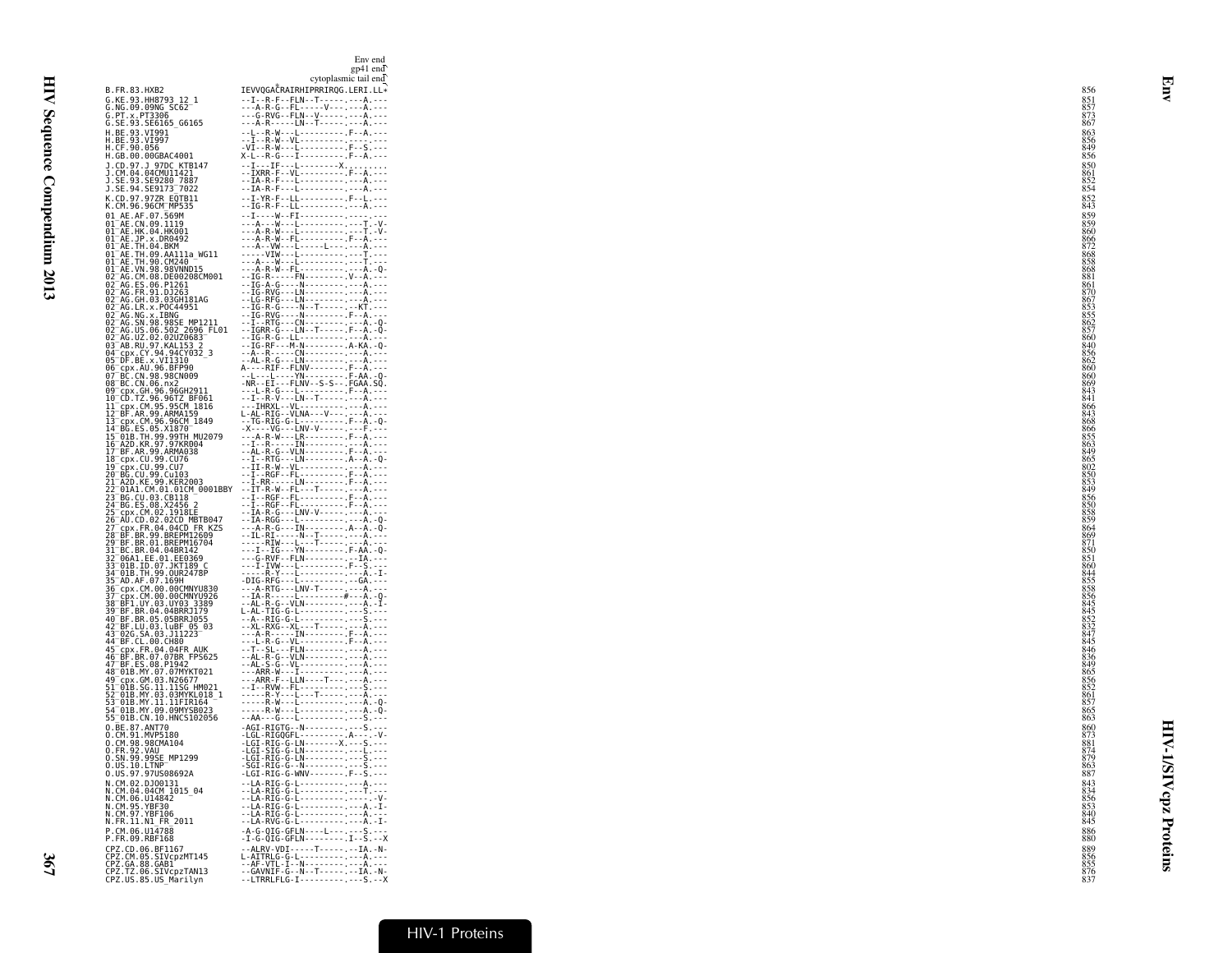|                                                                                                                                                                                                                                                       | gp41 end<br>cytoplasmic tail end                                           |                                        |
|-------------------------------------------------------------------------------------------------------------------------------------------------------------------------------------------------------------------------------------------------------|----------------------------------------------------------------------------|----------------------------------------|
| B.FR.83.HXB2                                                                                                                                                                                                                                          | IEVVQGACRAIRHIPRRIRQG.LERI.LL*<br>$-1 - R - F - F LN - T - \cdots - A - -$ | 856<br>851                             |
| G.KE.93.HH8793_12_1<br>G.NG.09.09NG_SC62 <sup>_1</sup>                                                                                                                                                                                                | ---A-R-G--FL------V--------A<br>---G-RVG--FLN--V----------------           | $\frac{857}{873}$                      |
| G.PT.x.PT3306<br>G.SE.93.SE6165_G6165                                                                                                                                                                                                                 | ---A-R-----LN--T-----.----A.---<br>--L--R-W---L----------F--A.---          | 867<br>863                             |
| H.BE.93.VI991<br>H.BE.93.VI997<br>H.CF.90.056                                                                                                                                                                                                         |                                                                            | 856                                    |
| H.GB.00.00GBAC4001<br>J.CD.97.J 97DC KTB147                                                                                                                                                                                                           |                                                                            | 849888<br>850                          |
| J.CM.04.04CMUI1421<br>J.SE.93.SE9280_7887                                                                                                                                                                                                             |                                                                            | 861                                    |
| J.SE.94.SE9173 <sup>-</sup> 7022<br>K.CD.97.97ZR EQTB11                                                                                                                                                                                               | --IA-R-F---L------------A.---                                              | 854                                    |
| K.CM.96.96CM_MP535                                                                                                                                                                                                                                    |                                                                            | 852<br>843<br>859                      |
| 01 AE.AF.07.569M<br>01 AE.CN.09.1119<br>01 AE.HK.04.HK001                                                                                                                                                                                             |                                                                            | 859<br>860                             |
| 01 <sup>-</sup> AE.JP.x.DR0492<br>01 AE.TH.04.BKM<br>01 AE.TH.09.AA111a_WG11                                                                                                                                                                          |                                                                            | 866                                    |
| 01 AE.TH.90.CM240 -<br>01 AE.VN.98.98VNND15                                                                                                                                                                                                           |                                                                            | 868<br>858                             |
| 02 AG.CM.08.DE00208CM001                                                                                                                                                                                                                              |                                                                            | 868<br>881<br>861                      |
| 02 AG.ES.06.P1261<br>02 AG.ER.91.DJ263.                                                                                                                                                                                                               |                                                                            | 87C<br>867                             |
|                                                                                                                                                                                                                                                       |                                                                            | $853$<br>$855$                         |
|                                                                                                                                                                                                                                                       |                                                                            | $\frac{862}{857}$                      |
| 92 - AG. EH. 93. 036H181AG<br>02 - AG. C. R. S. 20064951<br>02 - AG. NG. x. 1BNG<br>02 - AG. NG. x. 1BNG<br>02 - AG. US. 06. 502 - 2006 - FL01<br>02 - AG. US. 08. 502 - 2006<br>03 - AB. RU. 97. KAL153 -<br>04 - CD. RE x. VII310<br>05 - DE. RE x. |                                                                            | 860<br>840                             |
|                                                                                                                                                                                                                                                       |                                                                            | 856<br>862<br>860                      |
| 05-DF.BE.x.VI1310<br>06-Cpx.AU.96.BFP90<br>06-Cpx.AU.96.BFP90<br>08-BC.CN.06.nx2<br>08-CCN.06.nx2<br>09-Cpx.5H.96.96GH2911                                                                                                                            |                                                                            | 860                                    |
|                                                                                                                                                                                                                                                       |                                                                            | 869<br>843<br>841                      |
| 10-CD.TZ.96.96TZ-BF061<br>11-cpx.CM.95.95CM-1816<br>12-BF.AR.99.ARMA159                                                                                                                                                                               |                                                                            | 866<br>8438868                         |
|                                                                                                                                                                                                                                                       |                                                                            | 866<br>855                             |
| 13 – P. P. M. 1993, AMARIJ 1849<br>13 – Br. C. M. 96, 96CM - 1849<br>14 – BG. ES. 05, X1870 –<br>16 – AZD. KR. 97, 97KR004<br>17 – BF. AR. 99, ARMA038<br>17 – BF. AR. 99, ARMA038                                                                    |                                                                            | 863<br>849                             |
| 18_cpx.CU.99.CU76<br>19 cpx.cu.99.cu7<br>20 BG.cu.99.cu103                                                                                                                                                                                            |                                                                            | 865<br>802850                          |
| 21 A2D.KE.99.KER2003                                                                                                                                                                                                                                  |                                                                            | 853                                    |
| 22 01A1.CM.01.01CM_0001BBY<br>23 BG.CU.03.CB118                                                                                                                                                                                                       |                                                                            | 849<br>856                             |
| !4 BG.ES.08.X2456 2<br>cpx.CM.02.1918EE                                                                                                                                                                                                               |                                                                            | 850<br>858<br>859                      |
| 26-AU.CD.02.02CD_MBTB047<br>27-cpx.FR.04.04CD_FR_KZS<br>28-BE.BR.99.BREPM12609                                                                                                                                                                        |                                                                            | 864<br>869                             |
| 29 BF.BR.01.BREPM16704<br>31-BC.BR.04.04BR142<br>32-06A1.EE.01.EE0369                                                                                                                                                                                 |                                                                            | 871<br>850                             |
| 33 <sup>-</sup> 01B.ID.07.JKT189 C<br>34 <sup>-</sup> 01B.TH.99.OUR2478P                                                                                                                                                                              |                                                                            | $\frac{851}{860}$<br>844               |
| 35-ĂD.AF.07.169H<br>36-cpx.CM.00.00CMNYU830                                                                                                                                                                                                           |                                                                            | 855<br>858                             |
| 37 cpx.CM.00.00CMNYU926<br>38 BF1.UY.03.UY03 3389                                                                                                                                                                                                     |                                                                            | 856                                    |
|                                                                                                                                                                                                                                                       |                                                                            | 845<br>845<br>852<br>832<br>847<br>845 |
|                                                                                                                                                                                                                                                       |                                                                            |                                        |
| 38 BF1.UY.03.UY03 3389<br>40 BF.BR.04.04BRRJ179<br>42 BF.EU.03.luBF 05<br>42 BF.EU.03.luBF 05<br>43 PC.CL.00.CH80<br>44 BF.CL.00.CH80<br>45 BE RR.07.0404FR AUK<br>45 BE RR.07.03PR FPS625<br>47 BF.ES.08.PJ947<br>47 BF.ES.08.PJ947                  |                                                                            | $846$<br>$836$                         |
|                                                                                                                                                                                                                                                       |                                                                            | 849<br>865                             |
| 47-018.MY.07.07MYKT021<br>48-01B.MY.07.07MYKT021<br>51-01B.SG.11.11SG.HM021                                                                                                                                                                           |                                                                            | $856$<br>852                           |
| 52–01B.MY.03.03MYKL018-1<br>53–01B.MY.11.11FIR164<br>54–01B.MY.09.09MYSB023                                                                                                                                                                           |                                                                            | $\frac{861}{857}$                      |
| 55 <sup>-</sup> 01B.CN.10.HNCS102056<br>0.BE.87.ANT70                                                                                                                                                                                                 | $-AGI - RIGTG - -N - - - - - - - - - - S - - - -$                          | $\frac{865}{863}$<br>860               |
| 0.CM.91.MVP5180<br>O.CM.98.98CMA104<br>O.FR.92.VAU                                                                                                                                                                                                    |                                                                            | 873<br>881                             |
| 0.SN.99.99SE_MP1299                                                                                                                                                                                                                                   |                                                                            | 874                                    |
| 0.US.10.LINP<br>0.US.97.97US08692A                                                                                                                                                                                                                    | RIG-G--N---------.---S.---<br>-LGI-RIG-G-WNV-------.F--S.---               | $\frac{863}{887}$                      |
| N.CM.02.DJ00131<br>N.CM.04.04CM 1015 04                                                                                                                                                                                                               | --LA-RIG-G-L------------A.---                                              | 843<br>834                             |
| N.CM.06.U14842<br>N.CM.95.YBF30<br>N.CM.97.YBF106                                                                                                                                                                                                     | --LA-RIG-G-L------------A.---                                              | 856                                    |
| N.FR.11.N1_FR_2011<br>P.CM.06.U14788                                                                                                                                                                                                                  | --LA-RVG-G-L---------.---A.-I-<br>$-A-G-QIG-GFLN---L---S---S$              | 840<br>845                             |
| P.FR.09.RBF168<br>CPZ.CD.06.BF1167                                                                                                                                                                                                                    | $-I-G-QIG-GFLN$ --------I--S.--X<br>--ALRV-VDI-----T-----.--IA.-N-         | ${}^{886}_{880}$<br>889                |
|                                                                                                                                                                                                                                                       |                                                                            | $\frac{856}{855}$                      |
| CPZ.CM.05.SIVcpzMT145<br>CPZ.CM.05.SIVcpzMT145<br>CPZ.GA.88.GAB1<br>CPZ.US.85.US_Marilyn                                                                                                                                                              | --LTRRLFLG-I-----------S.--X                                               |                                        |

gp41 end Env end<br>= 41 == J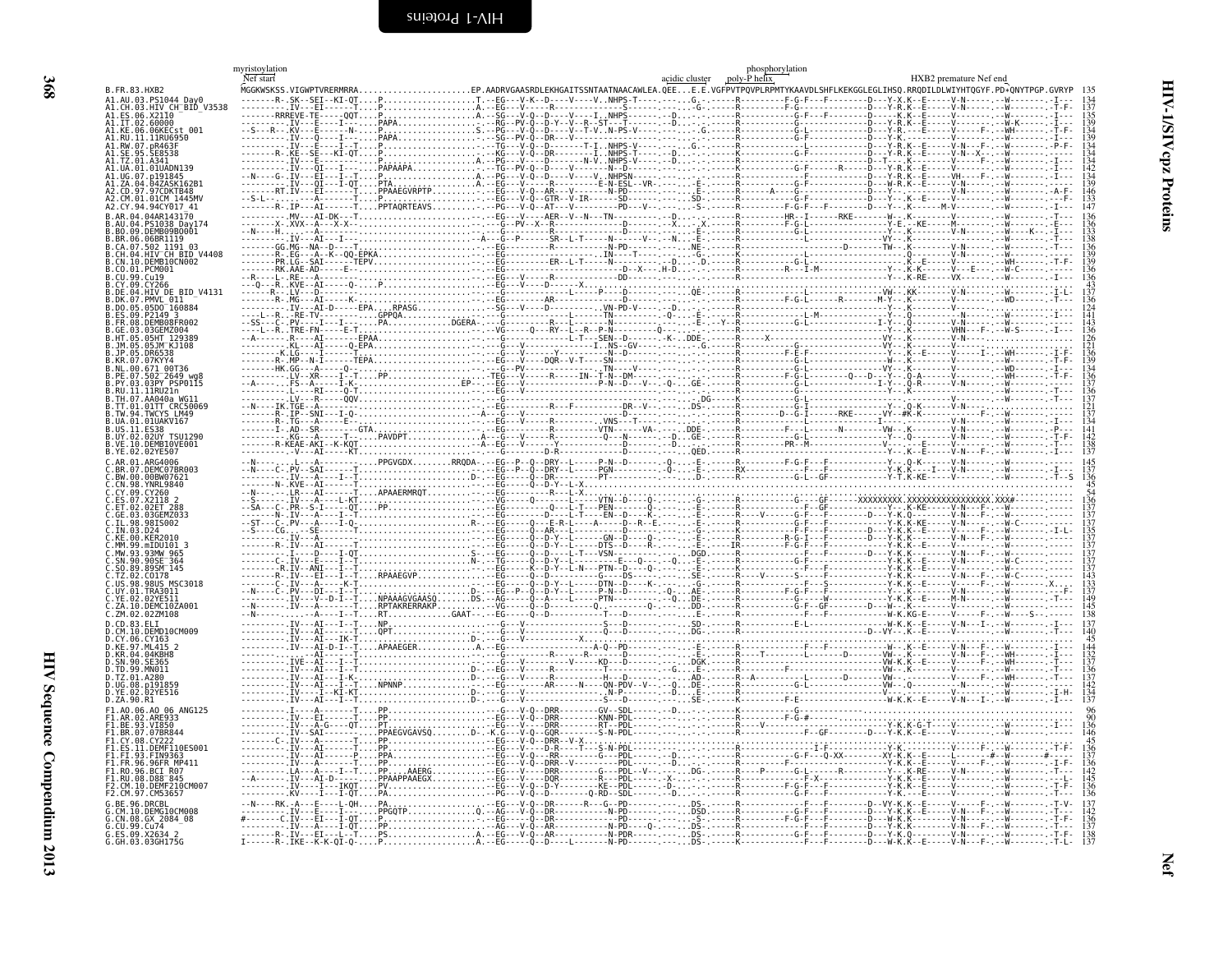<span id="page-57-1"></span><span id="page-57-0"></span>

|                                 | myristoylation<br>Nef start          | ohosphorylation<br>poly-P helix                                                                                   | HXB2 premature Nef end |
|---------------------------------|--------------------------------------|-------------------------------------------------------------------------------------------------------------------|------------------------|
| B. FR. 83. HXB2                 | MGGKWSKSS.VIGWPTVRERMRRA.            | 'GAASRDLEKHGAITSSNTAATNAACAWLEA.QEEE.E.VGFPVTPQVPLRPMTYKAAVDLSHFLKEKGGLEGLIHSQ.RRQDILDLWIYHTQGYF.PD*QNYTPGP.GVRYP |                        |
| .03.HIV_CH BID V3538            |                                      |                                                                                                                   |                        |
| $.06.$ X2110<br>A1.IT.02.60000  |                                      |                                                                                                                   |                        |
| $.06$ KECst $.001$              |                                      |                                                                                                                   |                        |
|                                 |                                      |                                                                                                                   |                        |
|                                 |                                      |                                                                                                                   |                        |
|                                 |                                      |                                                                                                                   |                        |
|                                 |                                      |                                                                                                                   |                        |
| 97CDKTB48<br>01CM 1445MV        |                                      |                                                                                                                   |                        |
| CY.94.94CY017 41                |                                      |                                                                                                                   |                        |
| PS1038 Dav174                   |                                      |                                                                                                                   |                        |
| DEMB09B0001<br><b>06BR1119</b>  |                                      |                                                                                                                   |                        |
| 1191 03                         |                                      |                                                                                                                   |                        |
| HIV CH BID V4408<br>DEMB10CN002 |                                      |                                                                                                                   |                        |
| .PCM001                         |                                      |                                                                                                                   |                        |
|                                 |                                      |                                                                                                                   |                        |
| IV_DE BID V4131                 |                                      |                                                                                                                   |                        |
| 00 160884                       |                                      |                                                                                                                   |                        |
| 08.DEMBORFRAA?<br>03GEMZ004     |                                      |                                                                                                                   |                        |
| HT 129389                       |                                      |                                                                                                                   |                        |
|                                 |                                      |                                                                                                                   |                        |
|                                 |                                      |                                                                                                                   |                        |
|                                 |                                      |                                                                                                                   |                        |
| 11RU21n                         |                                      |                                                                                                                   |                        |
| .01TT CRC50069                  |                                      |                                                                                                                   |                        |
| .TWCYS LM49                     |                                      |                                                                                                                   |                        |
| A1 01UAKV167                    |                                      |                                                                                                                   |                        |
| <b>TSU1290</b><br>DEMBIOVE001   |                                      |                                                                                                                   |                        |
| 3.YE.02.02YE507                 |                                      |                                                                                                                   |                        |
|                                 |                                      |                                                                                                                   |                        |
| CN.98.YNRL9840                  |                                      |                                                                                                                   |                        |
|                                 |                                      |                                                                                                                   |                        |
|                                 |                                      |                                                                                                                   |                        |
|                                 |                                      |                                                                                                                   |                        |
|                                 |                                      |                                                                                                                   |                        |
|                                 |                                      |                                                                                                                   |                        |
|                                 |                                      |                                                                                                                   |                        |
|                                 |                                      |                                                                                                                   |                        |
| 98 98US MSC3018                 |                                      |                                                                                                                   |                        |
| .TRA3011                        |                                      |                                                                                                                   |                        |
| DEMC1074001<br>ZM.02.02ZM108    |                                      |                                                                                                                   |                        |
|                                 |                                      |                                                                                                                   |                        |
| 10.DEMD10CM009                  |                                      |                                                                                                                   |                        |
|                                 |                                      |                                                                                                                   |                        |
| 04KBH8<br>90. SE365             |                                      |                                                                                                                   |                        |
|                                 |                                      |                                                                                                                   |                        |
|                                 |                                      |                                                                                                                   |                        |
| D.ZA.90.R1                      |                                      |                                                                                                                   |                        |
|                                 |                                      |                                                                                                                   |                        |
|                                 |                                      |                                                                                                                   |                        |
|                                 |                                      |                                                                                                                   |                        |
| DEMF110ES001                    |                                      |                                                                                                                   |                        |
|                                 |                                      |                                                                                                                   |                        |
| BCI R07                         |                                      |                                                                                                                   |                        |
| DEMF210CM001                    |                                      |                                                                                                                   |                        |
|                                 |                                      |                                                                                                                   |                        |
|                                 |                                      |                                                                                                                   |                        |
|                                 | $\overline{1}V$ --- $EI$ --- $L$ --T |                                                                                                                   |                        |
| ES.09.X2634<br>G.GH.03.03GH1750 | .IKE--K-K-QI-Q-                      |                                                                                                                   |                        |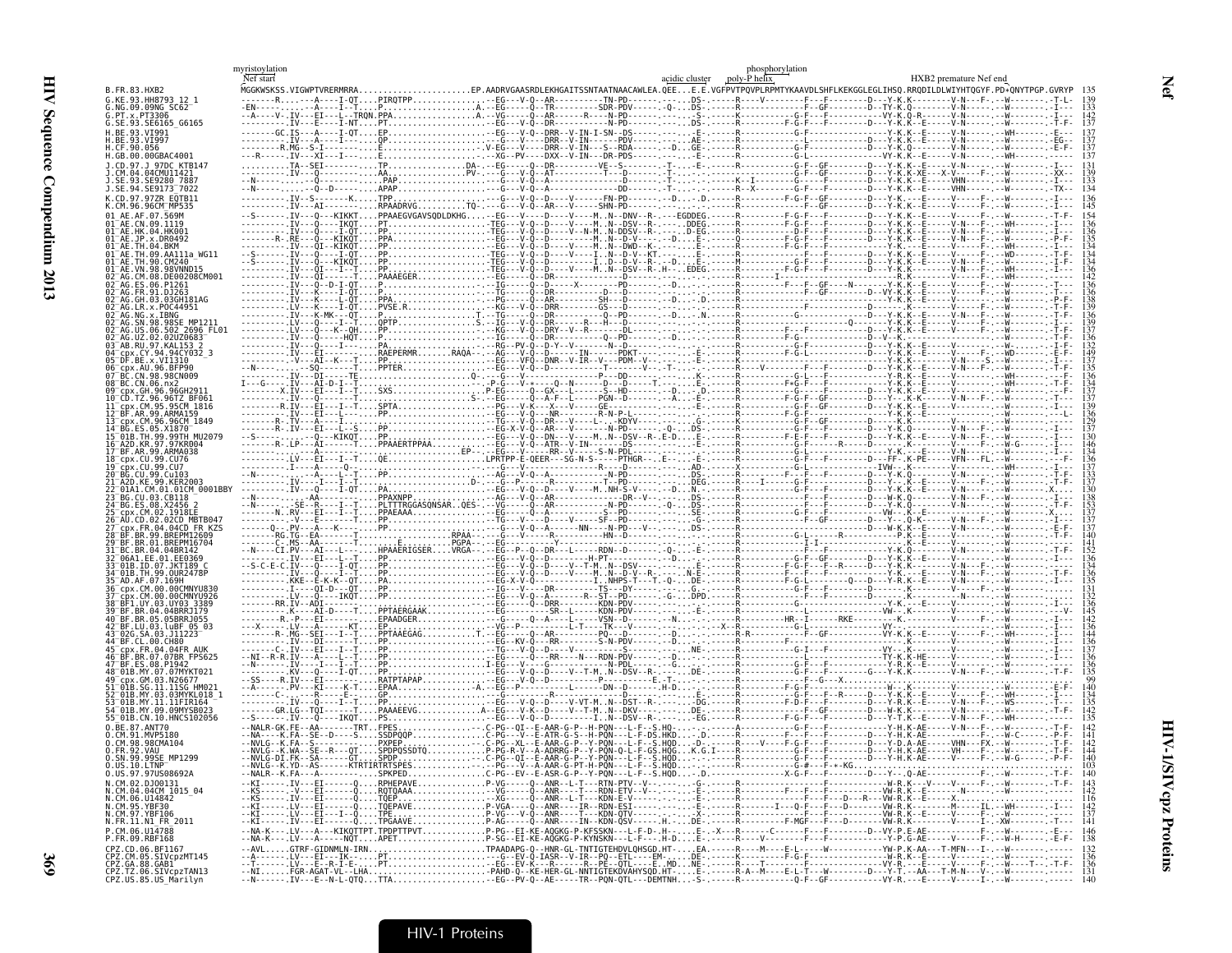|                                                                                   | myristoylation<br>Nef start |                                                                                                                                                     | acidic cluster | phosphorylation<br>poly-P helix | HXB2 premature Nef end |  |
|-----------------------------------------------------------------------------------|-----------------------------|-----------------------------------------------------------------------------------------------------------------------------------------------------|----------------|---------------------------------|------------------------|--|
| B.FR.83.HXB2                                                                      |                             | MGGKWSKSS.VIGWPTVRERMRRAEP.AADRVGAASRDLEKHGAITSSNTAATNAACAWLEA.QEEE.E.VGFPVTPQVPLRPMTYKAAVDLSHFLKEKGGLEGLIHSQ.RRQDILDLWIYHTQGYF.PD*QNYTPGP.GVRYP 13 |                |                                 |                        |  |
| G.KE.93.HH8793 12 1<br>NG.09.09NG SC62                                            |                             |                                                                                                                                                     |                |                                 |                        |  |
| .PT.x.PT3306                                                                      |                             |                                                                                                                                                     |                |                                 |                        |  |
| G.SE.93.SE6165 G6165<br>H.RF.93.VT991                                             |                             |                                                                                                                                                     |                |                                 |                        |  |
|                                                                                   |                             |                                                                                                                                                     |                |                                 |                        |  |
| $1.$ CF, 90, 056<br>H.GB.00.00GBAC4001                                            |                             |                                                                                                                                                     |                |                                 |                        |  |
|                                                                                   |                             |                                                                                                                                                     |                |                                 |                        |  |
| .04.04CMU11421<br>.SE.93.SE9280 7887                                              |                             |                                                                                                                                                     |                |                                 |                        |  |
| J.SE.94.SE9173 7022                                                               |                             |                                                                                                                                                     |                |                                 |                        |  |
| K.CD.97.97ZR EOTB11<br>K.CM.96.96CM <sup>-</sup> MP535                            |                             |                                                                                                                                                     |                |                                 |                        |  |
| 01 AF AF 07 569M                                                                  |                             |                                                                                                                                                     |                |                                 |                        |  |
| CN.09.1119<br>"AE.HK.04.HK001                                                     |                             |                                                                                                                                                     |                |                                 |                        |  |
| 01 <sup>-</sup> AE.JP.x.DR0492<br>AFTH 04 RKM                                     |                             |                                                                                                                                                     |                |                                 |                        |  |
|                                                                                   |                             |                                                                                                                                                     |                |                                 |                        |  |
|                                                                                   |                             |                                                                                                                                                     |                |                                 |                        |  |
| CM.08.DE00208CM001                                                                |                             |                                                                                                                                                     |                |                                 |                        |  |
|                                                                                   |                             |                                                                                                                                                     |                |                                 |                        |  |
| AG.GH.03.03GH181AG<br>LR.X.P0C44951                                               |                             |                                                                                                                                                     |                |                                 |                        |  |
|                                                                                   |                             |                                                                                                                                                     |                |                                 |                        |  |
| US.06.502 2696 FL01                                                               |                             |                                                                                                                                                     |                |                                 |                        |  |
| AB.RU.97.KAL153 2                                                                 |                             |                                                                                                                                                     |                |                                 |                        |  |
| cpx.CY.94.94CY032 3<br>"DF.BE.x.VI1310                                            |                             |                                                                                                                                                     |                |                                 |                        |  |
| cnx.All.96.BFP90                                                                  |                             |                                                                                                                                                     |                |                                 |                        |  |
| CN 98 98CN009 .<br>3 BC.CN.06.nx2                                                 |                             |                                                                                                                                                     |                |                                 |                        |  |
|                                                                                   |                             |                                                                                                                                                     |                |                                 |                        |  |
| CD.TZ.96.96TZ BF061                                                               |                             |                                                                                                                                                     |                |                                 |                        |  |
| cpx.CM.96.96CM 1849                                                               |                             |                                                                                                                                                     |                |                                 |                        |  |
| S 05 X1870                                                                        |                             |                                                                                                                                                     |                |                                 |                        |  |
| 01B.TH.99.99TH MU2079                                                             |                             |                                                                                                                                                     |                |                                 |                        |  |
| 18 cpx .CU .99 .CU76                                                              |                             |                                                                                                                                                     |                |                                 |                        |  |
|                                                                                   |                             |                                                                                                                                                     |                |                                 |                        |  |
| .CH.99.Cu103                                                                      |                             |                                                                                                                                                     |                |                                 |                        |  |
| CM.01.01CM 0001BB\                                                                |                             |                                                                                                                                                     |                |                                 |                        |  |
|                                                                                   |                             |                                                                                                                                                     |                |                                 |                        |  |
|                                                                                   |                             |                                                                                                                                                     |                |                                 |                        |  |
|                                                                                   |                             |                                                                                                                                                     |                |                                 |                        |  |
|                                                                                   |                             |                                                                                                                                                     |                |                                 |                        |  |
|                                                                                   |                             |                                                                                                                                                     |                |                                 |                        |  |
|                                                                                   |                             |                                                                                                                                                     |                |                                 |                        |  |
|                                                                                   |                             |                                                                                                                                                     |                |                                 |                        |  |
|                                                                                   |                             |                                                                                                                                                     |                |                                 |                        |  |
|                                                                                   |                             |                                                                                                                                                     |                |                                 |                        |  |
|                                                                                   |                             |                                                                                                                                                     |                |                                 |                        |  |
| .LU.03.luBF 05 03                                                                 |                             |                                                                                                                                                     |                |                                 |                        |  |
|                                                                                   |                             |                                                                                                                                                     |                |                                 |                        |  |
|                                                                                   |                             |                                                                                                                                                     |                |                                 |                        |  |
| BF.ES.08.P1947                                                                    |                             |                                                                                                                                                     |                |                                 |                        |  |
| B.SG.11.11SG HM02                                                                 |                             |                                                                                                                                                     |                |                                 |                        |  |
| MY.03.03MYKL018 1                                                                 |                             |                                                                                                                                                     |                |                                 |                        |  |
|                                                                                   |                             |                                                                                                                                                     |                |                                 |                        |  |
| 55 01B.CN.10.HNCS102056                                                           |                             |                                                                                                                                                     |                |                                 |                        |  |
| N RE 87 ANT70<br>CM 91 MVP5180                                                    |                             |                                                                                                                                                     |                |                                 |                        |  |
| .CM.98.98CMA104                                                                   |                             |                                                                                                                                                     |                |                                 |                        |  |
| 0. FR.92.VAU<br>SN.99.99SE MP1299                                                 |                             |                                                                                                                                                     |                |                                 |                        |  |
| 0.US.97.97US08692A                                                                |                             |                                                                                                                                                     |                |                                 |                        |  |
|                                                                                   |                             |                                                                                                                                                     |                |                                 |                        |  |
| N.CM.02.DJ00131<br>N.CM.04.04CM_1015_04                                           |                             |                                                                                                                                                     |                |                                 |                        |  |
| N.CM.06.U14842<br>N.CM.95.YBF30<br>N.CM.97.YBF106                                 |                             |                                                                                                                                                     |                |                                 |                        |  |
| N.FR.11.N1 FR 2011                                                                |                             |                                                                                                                                                     |                |                                 |                        |  |
| P.CM.06.U14788                                                                    |                             |                                                                                                                                                     |                |                                 |                        |  |
| P.FR.09.RBF168<br>CPZ.CD.06.BE1167                                                |                             |                                                                                                                                                     |                |                                 |                        |  |
| CPZ.CM.05.SIVcpzMT145                                                             |                             |                                                                                                                                                     |                |                                 |                        |  |
| CPZ.GA.88.GAB1<br>CPZ.GA.88.GAB1<br>CPZ.TZ.06.SIVcpzTAN13<br>CPZ.US.85.US_Marilyn |                             |                                                                                                                                                     |                |                                 |                        |  |
|                                                                                   |                             |                                                                                                                                                     |                |                                 |                        |  |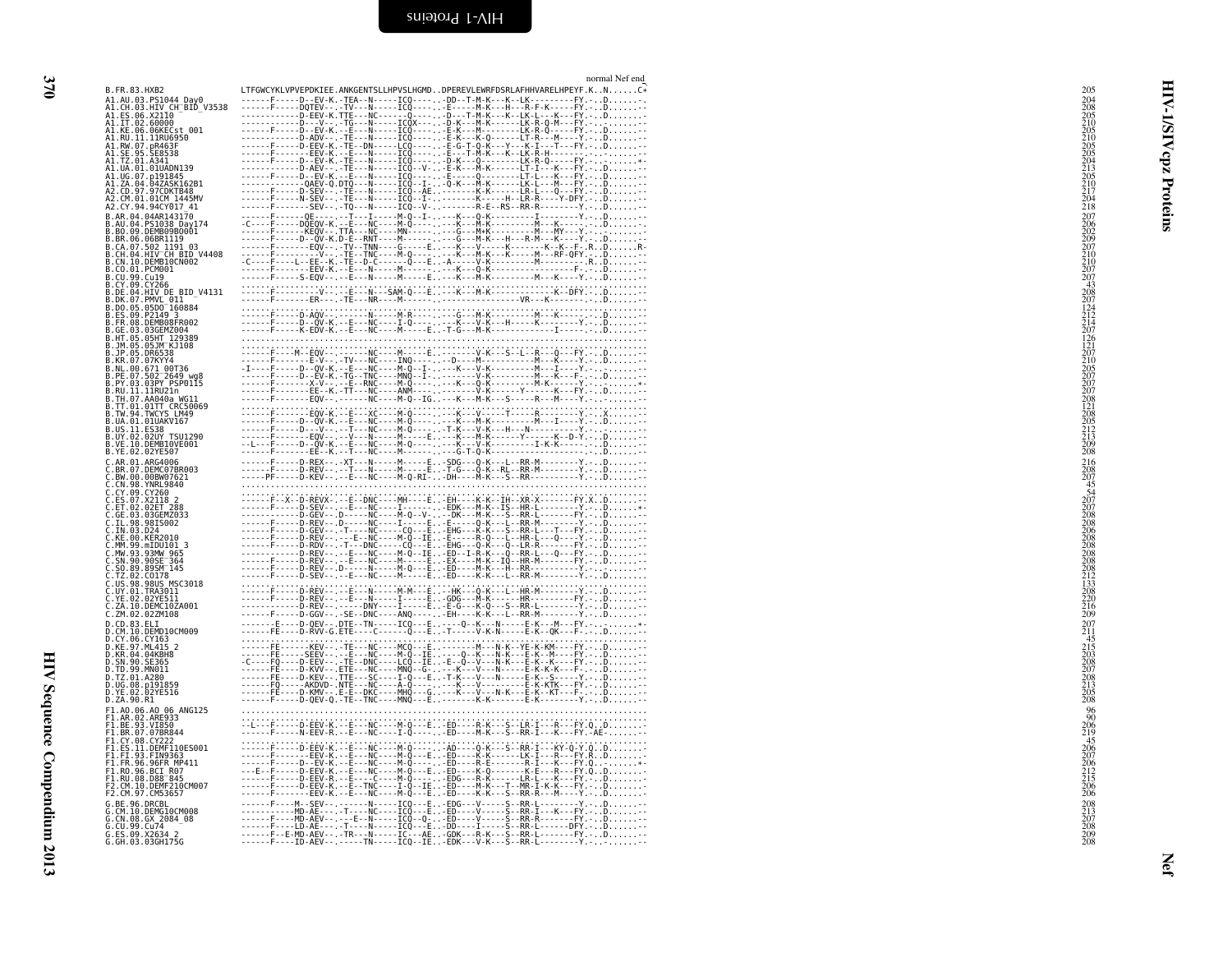| B.FR.<br>3.HXB2                                                                                                                                                                                                                                                                                                                                                                                                                                                                                                                  |                                                                                                                                                                                                                                                                                                                                                                                                                                           |
|----------------------------------------------------------------------------------------------------------------------------------------------------------------------------------------------------------------------------------------------------------------------------------------------------------------------------------------------------------------------------------------------------------------------------------------------------------------------------------------------------------------------------------|-------------------------------------------------------------------------------------------------------------------------------------------------------------------------------------------------------------------------------------------------------------------------------------------------------------------------------------------------------------------------------------------------------------------------------------------|
|                                                                                                                                                                                                                                                                                                                                                                                                                                                                                                                                  |                                                                                                                                                                                                                                                                                                                                                                                                                                           |
|                                                                                                                                                                                                                                                                                                                                                                                                                                                                                                                                  |                                                                                                                                                                                                                                                                                                                                                                                                                                           |
|                                                                                                                                                                                                                                                                                                                                                                                                                                                                                                                                  |                                                                                                                                                                                                                                                                                                                                                                                                                                           |
|                                                                                                                                                                                                                                                                                                                                                                                                                                                                                                                                  |                                                                                                                                                                                                                                                                                                                                                                                                                                           |
|                                                                                                                                                                                                                                                                                                                                                                                                                                                                                                                                  |                                                                                                                                                                                                                                                                                                                                                                                                                                           |
|                                                                                                                                                                                                                                                                                                                                                                                                                                                                                                                                  |                                                                                                                                                                                                                                                                                                                                                                                                                                           |
|                                                                                                                                                                                                                                                                                                                                                                                                                                                                                                                                  |                                                                                                                                                                                                                                                                                                                                                                                                                                           |
|                                                                                                                                                                                                                                                                                                                                                                                                                                                                                                                                  |                                                                                                                                                                                                                                                                                                                                                                                                                                           |
|                                                                                                                                                                                                                                                                                                                                                                                                                                                                                                                                  |                                                                                                                                                                                                                                                                                                                                                                                                                                           |
|                                                                                                                                                                                                                                                                                                                                                                                                                                                                                                                                  |                                                                                                                                                                                                                                                                                                                                                                                                                                           |
|                                                                                                                                                                                                                                                                                                                                                                                                                                                                                                                                  |                                                                                                                                                                                                                                                                                                                                                                                                                                           |
|                                                                                                                                                                                                                                                                                                                                                                                                                                                                                                                                  |                                                                                                                                                                                                                                                                                                                                                                                                                                           |
|                                                                                                                                                                                                                                                                                                                                                                                                                                                                                                                                  |                                                                                                                                                                                                                                                                                                                                                                                                                                           |
|                                                                                                                                                                                                                                                                                                                                                                                                                                                                                                                                  |                                                                                                                                                                                                                                                                                                                                                                                                                                           |
|                                                                                                                                                                                                                                                                                                                                                                                                                                                                                                                                  |                                                                                                                                                                                                                                                                                                                                                                                                                                           |
|                                                                                                                                                                                                                                                                                                                                                                                                                                                                                                                                  |                                                                                                                                                                                                                                                                                                                                                                                                                                           |
|                                                                                                                                                                                                                                                                                                                                                                                                                                                                                                                                  |                                                                                                                                                                                                                                                                                                                                                                                                                                           |
|                                                                                                                                                                                                                                                                                                                                                                                                                                                                                                                                  |                                                                                                                                                                                                                                                                                                                                                                                                                                           |
|                                                                                                                                                                                                                                                                                                                                                                                                                                                                                                                                  |                                                                                                                                                                                                                                                                                                                                                                                                                                           |
|                                                                                                                                                                                                                                                                                                                                                                                                                                                                                                                                  |                                                                                                                                                                                                                                                                                                                                                                                                                                           |
|                                                                                                                                                                                                                                                                                                                                                                                                                                                                                                                                  |                                                                                                                                                                                                                                                                                                                                                                                                                                           |
|                                                                                                                                                                                                                                                                                                                                                                                                                                                                                                                                  |                                                                                                                                                                                                                                                                                                                                                                                                                                           |
|                                                                                                                                                                                                                                                                                                                                                                                                                                                                                                                                  |                                                                                                                                                                                                                                                                                                                                                                                                                                           |
|                                                                                                                                                                                                                                                                                                                                                                                                                                                                                                                                  |                                                                                                                                                                                                                                                                                                                                                                                                                                           |
|                                                                                                                                                                                                                                                                                                                                                                                                                                                                                                                                  |                                                                                                                                                                                                                                                                                                                                                                                                                                           |
|                                                                                                                                                                                                                                                                                                                                                                                                                                                                                                                                  |                                                                                                                                                                                                                                                                                                                                                                                                                                           |
|                                                                                                                                                                                                                                                                                                                                                                                                                                                                                                                                  |                                                                                                                                                                                                                                                                                                                                                                                                                                           |
|                                                                                                                                                                                                                                                                                                                                                                                                                                                                                                                                  |                                                                                                                                                                                                                                                                                                                                                                                                                                           |
|                                                                                                                                                                                                                                                                                                                                                                                                                                                                                                                                  |                                                                                                                                                                                                                                                                                                                                                                                                                                           |
|                                                                                                                                                                                                                                                                                                                                                                                                                                                                                                                                  |                                                                                                                                                                                                                                                                                                                                                                                                                                           |
|                                                                                                                                                                                                                                                                                                                                                                                                                                                                                                                                  |                                                                                                                                                                                                                                                                                                                                                                                                                                           |
|                                                                                                                                                                                                                                                                                                                                                                                                                                                                                                                                  |                                                                                                                                                                                                                                                                                                                                                                                                                                           |
|                                                                                                                                                                                                                                                                                                                                                                                                                                                                                                                                  |                                                                                                                                                                                                                                                                                                                                                                                                                                           |
|                                                                                                                                                                                                                                                                                                                                                                                                                                                                                                                                  |                                                                                                                                                                                                                                                                                                                                                                                                                                           |
|                                                                                                                                                                                                                                                                                                                                                                                                                                                                                                                                  |                                                                                                                                                                                                                                                                                                                                                                                                                                           |
|                                                                                                                                                                                                                                                                                                                                                                                                                                                                                                                                  |                                                                                                                                                                                                                                                                                                                                                                                                                                           |
|                                                                                                                                                                                                                                                                                                                                                                                                                                                                                                                                  |                                                                                                                                                                                                                                                                                                                                                                                                                                           |
|                                                                                                                                                                                                                                                                                                                                                                                                                                                                                                                                  |                                                                                                                                                                                                                                                                                                                                                                                                                                           |
|                                                                                                                                                                                                                                                                                                                                                                                                                                                                                                                                  |                                                                                                                                                                                                                                                                                                                                                                                                                                           |
|                                                                                                                                                                                                                                                                                                                                                                                                                                                                                                                                  |                                                                                                                                                                                                                                                                                                                                                                                                                                           |
|                                                                                                                                                                                                                                                                                                                                                                                                                                                                                                                                  |                                                                                                                                                                                                                                                                                                                                                                                                                                           |
|                                                                                                                                                                                                                                                                                                                                                                                                                                                                                                                                  |                                                                                                                                                                                                                                                                                                                                                                                                                                           |
|                                                                                                                                                                                                                                                                                                                                                                                                                                                                                                                                  |                                                                                                                                                                                                                                                                                                                                                                                                                                           |
|                                                                                                                                                                                                                                                                                                                                                                                                                                                                                                                                  |                                                                                                                                                                                                                                                                                                                                                                                                                                           |
|                                                                                                                                                                                                                                                                                                                                                                                                                                                                                                                                  |                                                                                                                                                                                                                                                                                                                                                                                                                                           |
|                                                                                                                                                                                                                                                                                                                                                                                                                                                                                                                                  |                                                                                                                                                                                                                                                                                                                                                                                                                                           |
|                                                                                                                                                                                                                                                                                                                                                                                                                                                                                                                                  |                                                                                                                                                                                                                                                                                                                                                                                                                                           |
|                                                                                                                                                                                                                                                                                                                                                                                                                                                                                                                                  |                                                                                                                                                                                                                                                                                                                                                                                                                                           |
|                                                                                                                                                                                                                                                                                                                                                                                                                                                                                                                                  |                                                                                                                                                                                                                                                                                                                                                                                                                                           |
|                                                                                                                                                                                                                                                                                                                                                                                                                                                                                                                                  |                                                                                                                                                                                                                                                                                                                                                                                                                                           |
|                                                                                                                                                                                                                                                                                                                                                                                                                                                                                                                                  |                                                                                                                                                                                                                                                                                                                                                                                                                                           |
|                                                                                                                                                                                                                                                                                                                                                                                                                                                                                                                                  |                                                                                                                                                                                                                                                                                                                                                                                                                                           |
|                                                                                                                                                                                                                                                                                                                                                                                                                                                                                                                                  |                                                                                                                                                                                                                                                                                                                                                                                                                                           |
|                                                                                                                                                                                                                                                                                                                                                                                                                                                                                                                                  |                                                                                                                                                                                                                                                                                                                                                                                                                                           |
|                                                                                                                                                                                                                                                                                                                                                                                                                                                                                                                                  |                                                                                                                                                                                                                                                                                                                                                                                                                                           |
| B. H. 83. HMB<br>10. C. 12. HMB<br>11. AU. 63. HMB<br>11. AU. 63. HMB<br>11. E. 66. AZ104<br>10. E. 56. AZ104<br>AI. E. 56. AZ104<br>AI. E. 56. AZ106<br>AI. E. 66. AZ106<br>AI. E. 66. AZ106<br>AI. E. 66. AZ106<br>AI. E. 66. AZ106<br>AI. E. 66. AZ106<br>AI. E. 6                                                                                                                                                                                                                                                            |                                                                                                                                                                                                                                                                                                                                                                                                                                           |
|                                                                                                                                                                                                                                                                                                                                                                                                                                                                                                                                  |                                                                                                                                                                                                                                                                                                                                                                                                                                           |
|                                                                                                                                                                                                                                                                                                                                                                                                                                                                                                                                  |                                                                                                                                                                                                                                                                                                                                                                                                                                           |
|                                                                                                                                                                                                                                                                                                                                                                                                                                                                                                                                  |                                                                                                                                                                                                                                                                                                                                                                                                                                           |
|                                                                                                                                                                                                                                                                                                                                                                                                                                                                                                                                  |                                                                                                                                                                                                                                                                                                                                                                                                                                           |
|                                                                                                                                                                                                                                                                                                                                                                                                                                                                                                                                  |                                                                                                                                                                                                                                                                                                                                                                                                                                           |
|                                                                                                                                                                                                                                                                                                                                                                                                                                                                                                                                  |                                                                                                                                                                                                                                                                                                                                                                                                                                           |
|                                                                                                                                                                                                                                                                                                                                                                                                                                                                                                                                  |                                                                                                                                                                                                                                                                                                                                                                                                                                           |
|                                                                                                                                                                                                                                                                                                                                                                                                                                                                                                                                  |                                                                                                                                                                                                                                                                                                                                                                                                                                           |
| C. 201.02.02.22.11.11<br>D.C. 0.83.ELT<br>D.C. 106.CV163.21<br>D.C. 106.CV163.2<br>D.C. 206.CV163.2<br>D.C. 200.02.12.12<br>D.SN.90.51586<br>D.T. 201.4280<br>D.T. 201.4280<br>D.T. 200.R1<br>D.T. 200.22YE516<br>D.T.C. 01.4280<br>D.T. 200.R1<br>D.T.<br>D.ZA. 90.R1<br>F1.A0.06.A0 06.A0C125<br>F1.A0.06.A0 06.A0C125<br>F1.AE.03.VIB50<br>F1.BE.03.VIB50<br>F1.EE.03.VIB50<br>F1.CY.08.CY222<br>F1.F1.93.F1N9363<br>F1.F1.93.F1N9363<br>F1.F1.93.F1N9363<br>F1.F1.93.F1N9363<br>F1.R0.96.BCI R07<br>F1.R0.96.BCI R07<br>F2.C |                                                                                                                                                                                                                                                                                                                                                                                                                                           |
|                                                                                                                                                                                                                                                                                                                                                                                                                                                                                                                                  |                                                                                                                                                                                                                                                                                                                                                                                                                                           |
|                                                                                                                                                                                                                                                                                                                                                                                                                                                                                                                                  |                                                                                                                                                                                                                                                                                                                                                                                                                                           |
|                                                                                                                                                                                                                                                                                                                                                                                                                                                                                                                                  |                                                                                                                                                                                                                                                                                                                                                                                                                                           |
|                                                                                                                                                                                                                                                                                                                                                                                                                                                                                                                                  |                                                                                                                                                                                                                                                                                                                                                                                                                                           |
|                                                                                                                                                                                                                                                                                                                                                                                                                                                                                                                                  |                                                                                                                                                                                                                                                                                                                                                                                                                                           |
|                                                                                                                                                                                                                                                                                                                                                                                                                                                                                                                                  |                                                                                                                                                                                                                                                                                                                                                                                                                                           |
|                                                                                                                                                                                                                                                                                                                                                                                                                                                                                                                                  |                                                                                                                                                                                                                                                                                                                                                                                                                                           |
|                                                                                                                                                                                                                                                                                                                                                                                                                                                                                                                                  |                                                                                                                                                                                                                                                                                                                                                                                                                                           |
|                                                                                                                                                                                                                                                                                                                                                                                                                                                                                                                                  |                                                                                                                                                                                                                                                                                                                                                                                                                                           |
| G                                                                                                                                                                                                                                                                                                                                                                                                                                                                                                                                |                                                                                                                                                                                                                                                                                                                                                                                                                                           |
|                                                                                                                                                                                                                                                                                                                                                                                                                                                                                                                                  |                                                                                                                                                                                                                                                                                                                                                                                                                                           |
| G<br>G                                                                                                                                                                                                                                                                                                                                                                                                                                                                                                                           |                                                                                                                                                                                                                                                                                                                                                                                                                                           |
| 96.DRCBL<br>10.DEMG10CM008<br>08.GX 2084_08<br>99.CV7424_2<br>- BE<br>- BE<br>- CM<br>- CN<br>- CU -                                                                                                                                                                                                                                                                                                                                                                                                                             | $\begin{tabular}{l c c c} \hline \multicolumn{3}{ c }{\multicolumn{3}{ c }{\multicolumn{3}{ c }{\multicolumn{3}{ c }{\multicolumn{3}{ c }{\multicolumn{3}{ c }{\multicolumn{3}{ c }{\multicolumn{3}{ c }{\multicolumn{3}{ c }{\multicolumn{3}{ c }{\multicolumn{3}{ c }{\multicolumn{3}{ c }{\multicolumn{3}{ c }{\multicolumn{3}{ c }{\multicolumn{3}{ c }{\multicolumn{3}{ c }{\multicolumn{3}{ c }{\multicolumn{3}{ c }{\multicolumn{$ |
|                                                                                                                                                                                                                                                                                                                                                                                                                                                                                                                                  |                                                                                                                                                                                                                                                                                                                                                                                                                                           |

<span id="page-59-0"></span>

|                                                                                                                                           | normal Nef end                                                                                                                                                                                                                                                                                                                                                                                                                                                                                       |                                                                                                |
|-------------------------------------------------------------------------------------------------------------------------------------------|------------------------------------------------------------------------------------------------------------------------------------------------------------------------------------------------------------------------------------------------------------------------------------------------------------------------------------------------------------------------------------------------------------------------------------------------------------------------------------------------------|------------------------------------------------------------------------------------------------|
| B.FR.83.HXB2<br>A1.AU.03.PS1044_Day0<br>A1.CH.03.HIV_CH_BID_V3538                                                                         | LTFGWCYKLVPVEPDKIEE.ANKGENTSLLHPVSLHGMDDPEREVLEWRFDSRLAFHHVARELHPEYF.KNC*                                                                                                                                                                                                                                                                                                                                                                                                                            | 205<br>⋞                                                                                       |
| A1.ES.06.X2110<br>A1.ES.06.X2110<br>A1.IT.02.60000                                                                                        |                                                                                                                                                                                                                                                                                                                                                                                                                                                                                                      | 204<br>208<br>205<br>205<br>205<br>205<br>205<br>205<br>210<br>210<br>210<br>210<br>212<br>218 |
| A1.KE.06.06KECst 001<br>A1.RU.11.11RU6950<br>A1.RU.11.11RU6950<br>A1.SE.95.SE8538                                                         |                                                                                                                                                                                                                                                                                                                                                                                                                                                                                                      | <b>AIS/I</b>                                                                                   |
| A1.TZ.01.A341<br>A1.UA.01.01UADN139                                                                                                       |                                                                                                                                                                                                                                                                                                                                                                                                                                                                                                      | cpz                                                                                            |
| A1.UG.07.p191845<br>A1.UG.07.p191845<br>A1.ZA.04.04ZASK162B1<br>A2.CM.01.01CM_1445MV                                                      |                                                                                                                                                                                                                                                                                                                                                                                                                                                                                                      |                                                                                                |
| A2.CY.94.94CY017 41                                                                                                                       |                                                                                                                                                                                                                                                                                                                                                                                                                                                                                                      |                                                                                                |
| B.AR.04.04AR143170                                                                                                                        |                                                                                                                                                                                                                                                                                                                                                                                                                                                                                                      | Proteins                                                                                       |
| B.AU.04.PS1038 Day174<br>B.AU.04.PS1038 Day174<br>B.BR.00.06BR1119<br>B.CA.07.502 1191_03                                                 |                                                                                                                                                                                                                                                                                                                                                                                                                                                                                                      |                                                                                                |
| .CH.04.HIV CH BID V4408<br>.CN.10.DEMB10CN002                                                                                             |                                                                                                                                                                                                                                                                                                                                                                                                                                                                                                      |                                                                                                |
| .CO.01.PCM001<br>B.CU.99.Cu19<br>B.ČÝ.09.ČÝ266<br>B.DE.04.HIV_DE_BID_V4131                                                                |                                                                                                                                                                                                                                                                                                                                                                                                                                                                                                      | 207<br>206<br>202<br>207<br>207<br>210<br>207<br>207<br>43<br>208                              |
| B.DK.07.PMVL_011<br>B.DK.07.PMVL_011<br>B.DO.05.05DO_160884                                                                               |                                                                                                                                                                                                                                                                                                                                                                                                                                                                                                      |                                                                                                |
| ES.09.P2149 3<br>.FR.08.DEMB08FR002                                                                                                       |                                                                                                                                                                                                                                                                                                                                                                                                                                                                                                      |                                                                                                |
| B.GE.03.03GEMZ004<br>B.HT.05.05HT 129389<br>B.JM.05.05JM KJ108<br>B.JP.05.DR6538                                                          |                                                                                                                                                                                                                                                                                                                                                                                                                                                                                                      |                                                                                                |
| B.KR.07.07KYY4                                                                                                                            |                                                                                                                                                                                                                                                                                                                                                                                                                                                                                                      |                                                                                                |
| B.NL.00.67114<br>B.NL.00.671_00T36<br>B.PE.07.502 <sup>-</sup> 2649_wg8<br>B.PY.03.03PY_PSP0115<br>B.RU.11.11RU21n<br>B.TH.07.AA040a_WG11 | $\begin{minipage}{0.99\textwidth} \begin{minipage}{0.99\textwidth} \begin{minipage}{0.99\textwidth} \begin{minipage}{0.99\textwidth} \begin{minipage}{0.99\textwidth} \begin{minipage}{0.99\textwidth} \begin{minipage}{0.99\textwidth} \begin{minipage}{0.99\textwidth} \begin{minipage}{0.99\textwidth} \begin{minipage}{0.99\textwidth} \begin{minipage}{0.99\textwidth} \begin{minipage}{0.99\textwidth} \begin{minipage}{0.99\textwidth} \begin{minipage}{0.99\textwidth} \begin{minipage}{0.9$ | 207<br>124<br>212<br>216<br>126<br>1207<br>2005<br>2007<br>2007<br>2007<br>2008                |
| B.TT.01.01TT CRC50069<br>B.TV.94.TWCYS_LM49                                                                                               |                                                                                                                                                                                                                                                                                                                                                                                                                                                                                                      |                                                                                                |
| B.UA.01.01UAKV167                                                                                                                         |                                                                                                                                                                                                                                                                                                                                                                                                                                                                                                      |                                                                                                |
| B.US.11.ES38<br>B.UY.02.02UY TSU1290<br>B.VE.10.DEMB10VE001                                                                               | $\begin{minipage}{0.99\textwidth} \begin{minipage}{0.99\textwidth} \begin{minipage}{0.99\textwidth} \begin{minipage}{0.99\textwidth} \begin{minipage}{0.99\textwidth} \begin{minipage}{0.99\textwidth} \begin{minipage}{0.99\textwidth} \begin{minipage}{0.99\textwidth} \begin{minipage}{0.99\textwidth} \begin{minipage}{0.99\textwidth} \begin{minipage}{0.99\textwidth} \begin{minipage}{0.99\textwidth} \begin{minipage}{0.99\textwidth} \begin{minipage}{0.99\textwidth} \begin{minipage}{0.9$ | 121<br>208<br>205<br>212<br>213<br>209<br>208                                                  |
| B.YE.02.02YE507<br>.AR.01.ARG4006<br>.BR.07.DEMC07BR003                                                                                   |                                                                                                                                                                                                                                                                                                                                                                                                                                                                                                      |                                                                                                |
| C.BW.00.00BW07621<br>C.CN.98.YNRL9840                                                                                                     |                                                                                                                                                                                                                                                                                                                                                                                                                                                                                                      |                                                                                                |
| C.CN.90.INNE9040<br>C.CY.09.CY260<br>C.ES.07.X2118 2<br>C.ET.02.02ET_289                                                                  | $\begin{minipage}[t]{.15cm} \begin{tabular}{@{}c@{}} \multicolumn{2}{c}{\textbf{5.6}}\begin{tabular}{@{}c@{}} \multicolumn{2}{c}{\textbf{5.6}}\begin{tabular}{@{}c@{}} \multicolumn{2}{c}{\textbf{5.6}}\begin{tabular}{@{}c@{}} \multicolumn{2}{c}{\textbf{5.6}}\begin{tabular}{@{}c@{}} \multicolumn{2}{c}{\textbf{5.6}}\begin{tabular}{@{}c@{}} \multicolumn{2}{c}{\textbf{5.6}}\begin{tabular}{@{}c@{}} \multicolumn{2}{c}{\textbf{5.6}}\begin{$                                                  | 216<br>208<br>207<br>45<br>407<br>207<br>208<br>208<br>208<br>208<br>208<br>208<br>208         |
| Č.GĖ.03.03GĖMŽ033<br>C.IL.98.98IS002<br>Č.IN.03.D24<br>C.KE.00.KER2010                                                                    |                                                                                                                                                                                                                                                                                                                                                                                                                                                                                                      |                                                                                                |
| C.MM.99.mIDU101 3<br>C.MW.93.93MW 965                                                                                                     |                                                                                                                                                                                                                                                                                                                                                                                                                                                                                                      |                                                                                                |
| C.SN.90.90SE <sup>-</sup> 364<br>$C.50.89.89$ SM $-145$                                                                                   |                                                                                                                                                                                                                                                                                                                                                                                                                                                                                                      |                                                                                                |
| Č.TŽ.02.CO178<br>C.US.98.98US MSC3018<br>C.UY.01.TRA3011                                                                                  |                                                                                                                                                                                                                                                                                                                                                                                                                                                                                                      | 208<br>212<br>213<br>208<br>220<br>220<br>216<br>209                                           |
| C.YE.02.02YE511<br>C.ZA.10.DEMC10ZA001<br>C.ZA.10.DEMC10ZA001                                                                             |                                                                                                                                                                                                                                                                                                                                                                                                                                                                                                      |                                                                                                |
| D.CD.83.ELI<br>D.CM.IO.DEMD10CM009<br>D.CY.06.CY163                                                                                       | -------E----D-QEV--.DTE--TN-----ICQ---E----Q--K---N-----E-K---M---FY.--*<br>------FE----D-RVV-G.ETE----C-----Q---E-T-----V-K-N-----E-K--QK---F-.-D--                                                                                                                                                                                                                                                                                                                                                 |                                                                                                |
| D.KE.97.ML415 2<br>D.KR.04.04KBH8                                                                                                         |                                                                                                                                                                                                                                                                                                                                                                                                                                                                                                      | 207<br>211<br>45<br>215<br>203<br>208<br>208<br>213<br>205<br>208                              |
| D.SN.90.SE365<br>D.TD.99.MN011<br>D.TZ.01.A280                                                                                            |                                                                                                                                                                                                                                                                                                                                                                                                                                                                                                      |                                                                                                |
| D.UG.08.p191859<br>D.YE.02.02YE516                                                                                                        |                                                                                                                                                                                                                                                                                                                                                                                                                                                                                                      |                                                                                                |
| D.ZA.90.R1<br>F1.A0.06.A0_06_ANG125                                                                                                       |                                                                                                                                                                                                                                                                                                                                                                                                                                                                                                      | $^{96}_{90}$                                                                                   |
| F1.AR.02.ARE933<br>F1.BE.93.VI850<br>F1.BE.93.VI850<br>F1.BR.07.07BR844<br><u>F</u> 1.CY.08.CY222                                         |                                                                                                                                                                                                                                                                                                                                                                                                                                                                                                      |                                                                                                |
| F1.ES.11.DEMF110ES001<br>F1.FI.93.FIN9363                                                                                                 |                                                                                                                                                                                                                                                                                                                                                                                                                                                                                                      |                                                                                                |
| F1.FR.96.96FR MP411<br>F1.RO.96.BCI R07<br>F1.RU.08.D88 <sup>-</sup> 845                                                                  |                                                                                                                                                                                                                                                                                                                                                                                                                                                                                                      | 206<br>219<br>45<br>206<br>207<br>206<br>212<br>212<br>215                                     |
|                                                                                                                                           |                                                                                                                                                                                                                                                                                                                                                                                                                                                                                                      | $\frac{206}{206}$                                                                              |
| G.BE.96.DRCBL<br>G.CM.10.DEMG10CM008<br>G.CN.08.GX_2084_08                                                                                |                                                                                                                                                                                                                                                                                                                                                                                                                                                                                                      |                                                                                                |
| G.CU.99.Cu74<br>G.ES.09.X2634 2<br>G.GH.03.03GH175G                                                                                       |                                                                                                                                                                                                                                                                                                                                                                                                                                                                                                      | 208<br>213<br>207<br>208<br>209<br>209<br>208                                                  |
|                                                                                                                                           |                                                                                                                                                                                                                                                                                                                                                                                                                                                                                                      | Ke                                                                                             |
|                                                                                                                                           |                                                                                                                                                                                                                                                                                                                                                                                                                                                                                                      |                                                                                                |

HIV Sequence Compendium 2013 HIV Sequence Compendium 2013